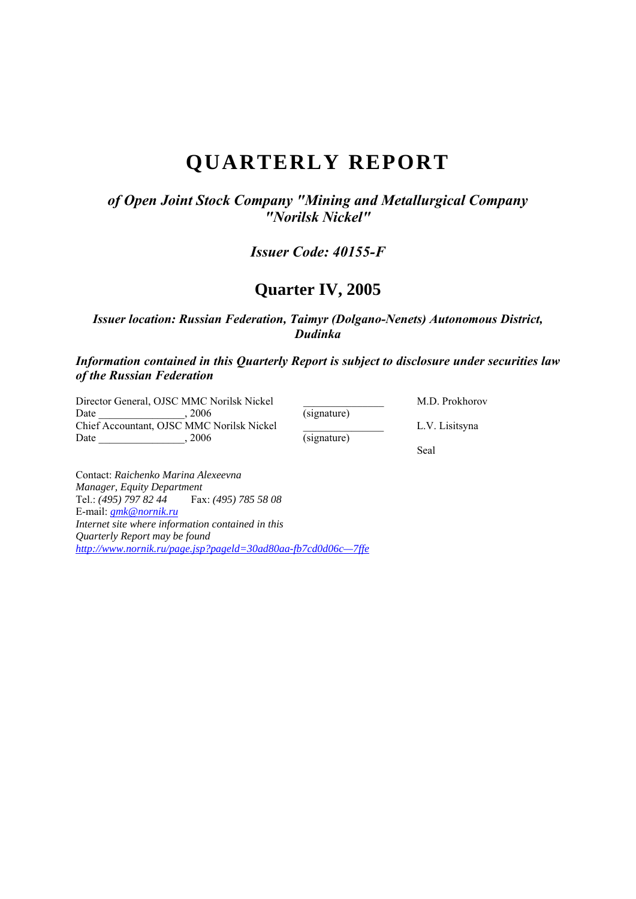# **QUARTERLY REPORT**

*of Open Joint Stock Company "Mining and Metallurgical Company "Norilsk Nickel"* 

*Issuer Code: 40155-F* 

# **Quarter IV, 2005**

*Issuer location: Russian Federation, Taimyr (Dolgano-Nenets) Autonomous District, Dudinka* 

*Information contained in this Quarterly Report is subject to disclosure under securities law of the Russian Federation* 

Director General, OJSC MMC Norilsk Nickel M.D. Prokhorov Date M.D. Prokhorov Date  $, 2006$  (signature) Chief Accountant, OJSC MMC Norilsk Nickel L.V. Lisitsyna Date  $, 2006$  (signature) Seal and the seal of the seal of the seal of the seal of the seal of the seal of the seal of the seal of the seal of the seal of the seal of the seal of the seal of the seal of the seal of the seal of the seal of the seal

Contact: *Raichenko Marina Alexeevna Manager, Equity Department*  Tel.: *(495)* 797 82 44 E-mail: *gmk@nornik.ru Internet site where information contained in this Quarterly Report may be found http://www.nornik.ru/page.jsp?pageld=30ad80aa-fb7cd0d06c—7ffe*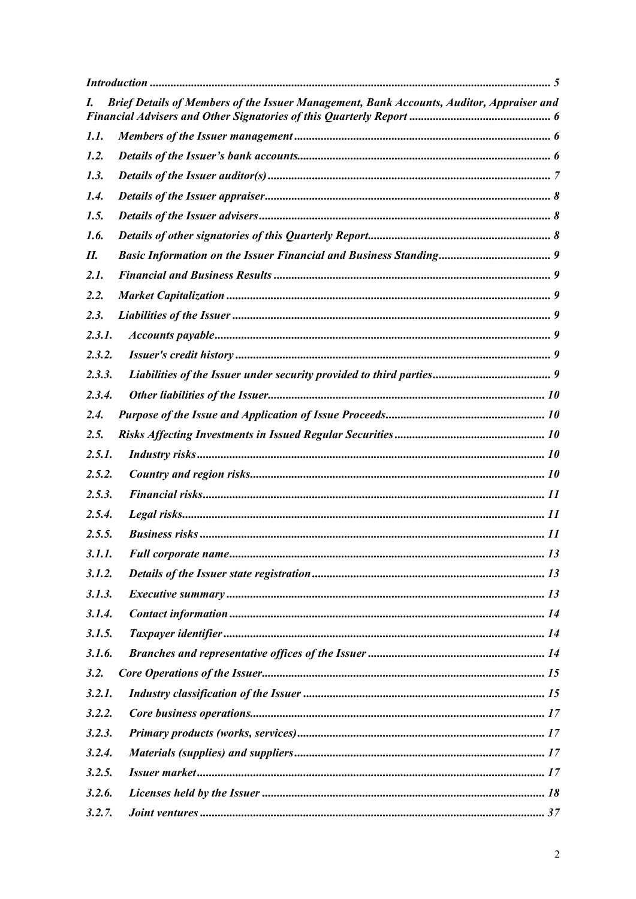| I.     | Brief Details of Members of the Issuer Management, Bank Accounts, Auditor, Appraiser and |  |
|--------|------------------------------------------------------------------------------------------|--|
| 1.1.   |                                                                                          |  |
| 1.2.   |                                                                                          |  |
| 1.3.   |                                                                                          |  |
| 1.4.   |                                                                                          |  |
| 1.5.   |                                                                                          |  |
| 1.6.   |                                                                                          |  |
| П.     |                                                                                          |  |
| 2.1.   |                                                                                          |  |
| 2.2.   |                                                                                          |  |
| 2.3.   |                                                                                          |  |
| 2.3.1. |                                                                                          |  |
| 2.3.2. |                                                                                          |  |
| 2.3.3. |                                                                                          |  |
| 2.3.4. |                                                                                          |  |
| 2.4.   |                                                                                          |  |
| 2.5.   |                                                                                          |  |
| 2.5.1. |                                                                                          |  |
| 2.5.2. |                                                                                          |  |
| 2.5.3. |                                                                                          |  |
| 2.5.4. |                                                                                          |  |
| 2.5.5. |                                                                                          |  |
| 3.1.1. |                                                                                          |  |
| 3.1.2. |                                                                                          |  |
| 3.1.3. |                                                                                          |  |
| 3.1.4. |                                                                                          |  |
| 3.1.5. |                                                                                          |  |
| 3.1.6. |                                                                                          |  |
| 3.2.   |                                                                                          |  |
| 3.2.1. |                                                                                          |  |
| 3.2.2. |                                                                                          |  |
| 3.2.3. |                                                                                          |  |
| 3.2.4. |                                                                                          |  |
| 3.2.5. |                                                                                          |  |
| 3.2.6. |                                                                                          |  |
| 3.2.7. |                                                                                          |  |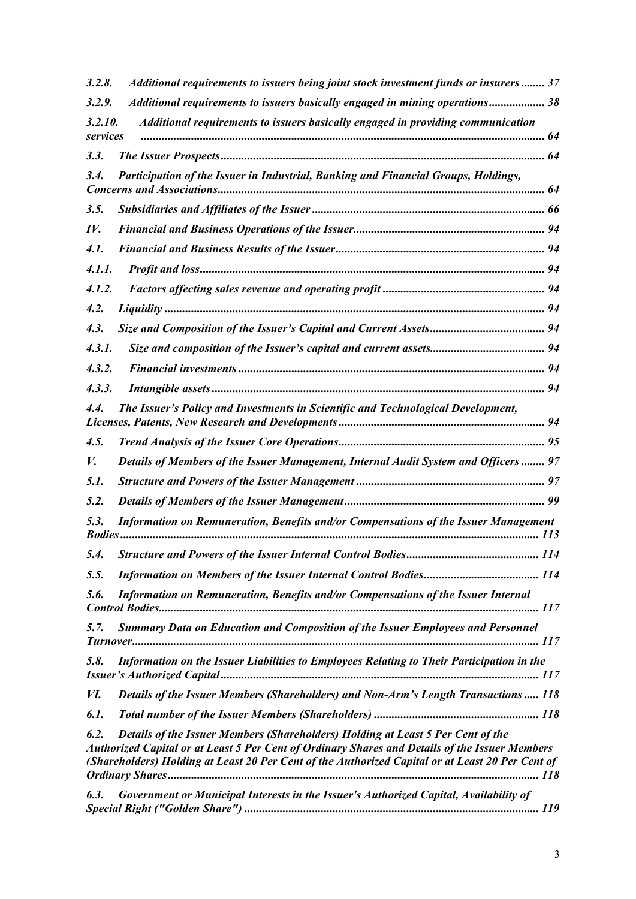| 3.2.8.                | Additional requirements to issuers being joint stock investment funds or insurers 37                                                                                                                                                                                                  |  |
|-----------------------|---------------------------------------------------------------------------------------------------------------------------------------------------------------------------------------------------------------------------------------------------------------------------------------|--|
| 3.2.9.                | Additional requirements to issuers basically engaged in mining operations 38                                                                                                                                                                                                          |  |
| 3.2.10.<br>services   | Additional requirements to issuers basically engaged in providing communication                                                                                                                                                                                                       |  |
| 3.3.                  |                                                                                                                                                                                                                                                                                       |  |
| 3.4.                  | Participation of the Issuer in Industrial, Banking and Financial Groups, Holdings,                                                                                                                                                                                                    |  |
| 3.5.                  |                                                                                                                                                                                                                                                                                       |  |
| IV.                   |                                                                                                                                                                                                                                                                                       |  |
| 4.1.                  |                                                                                                                                                                                                                                                                                       |  |
| 4.1.1.                |                                                                                                                                                                                                                                                                                       |  |
| 4.1.2.                |                                                                                                                                                                                                                                                                                       |  |
| 4.2.                  |                                                                                                                                                                                                                                                                                       |  |
| 4.3.                  |                                                                                                                                                                                                                                                                                       |  |
| 4.3.1.                |                                                                                                                                                                                                                                                                                       |  |
| 4.3.2.                |                                                                                                                                                                                                                                                                                       |  |
| 4.3.3.                |                                                                                                                                                                                                                                                                                       |  |
| 4.4.                  | The Issuer's Policy and Investments in Scientific and Technological Development,                                                                                                                                                                                                      |  |
| 4.5.                  |                                                                                                                                                                                                                                                                                       |  |
| V.                    | Details of Members of the Issuer Management, Internal Audit System and Officers  97                                                                                                                                                                                                   |  |
| 5.1.                  |                                                                                                                                                                                                                                                                                       |  |
| 5.2.                  |                                                                                                                                                                                                                                                                                       |  |
| 5.3.<br><b>Bodies</b> | Information on Remuneration, Benefits and/or Compensations of the Issuer Management                                                                                                                                                                                                   |  |
|                       |                                                                                                                                                                                                                                                                                       |  |
| 5.5.                  |                                                                                                                                                                                                                                                                                       |  |
| 5.6.                  | Information on Remuneration, Benefits and/or Compensations of the Issuer Internal                                                                                                                                                                                                     |  |
| 5.7.                  | <b>Summary Data on Education and Composition of the Issuer Employees and Personnel</b>                                                                                                                                                                                                |  |
| 5.8.                  | Information on the Issuer Liabilities to Employees Relating to Their Participation in the                                                                                                                                                                                             |  |
| <i>VI.</i>            | Details of the Issuer Members (Shareholders) and Non-Arm's Length Transactions  118                                                                                                                                                                                                   |  |
| 6.1.                  |                                                                                                                                                                                                                                                                                       |  |
| 6.2.                  | Details of the Issuer Members (Shareholders) Holding at Least 5 Per Cent of the<br>Authorized Capital or at Least 5 Per Cent of Ordinary Shares and Details of the Issuer Members<br>(Shareholders) Holding at Least 20 Per Cent of the Authorized Capital or at Least 20 Per Cent of |  |
| 6.3.                  | Government or Municipal Interests in the Issuer's Authorized Capital, Availability of                                                                                                                                                                                                 |  |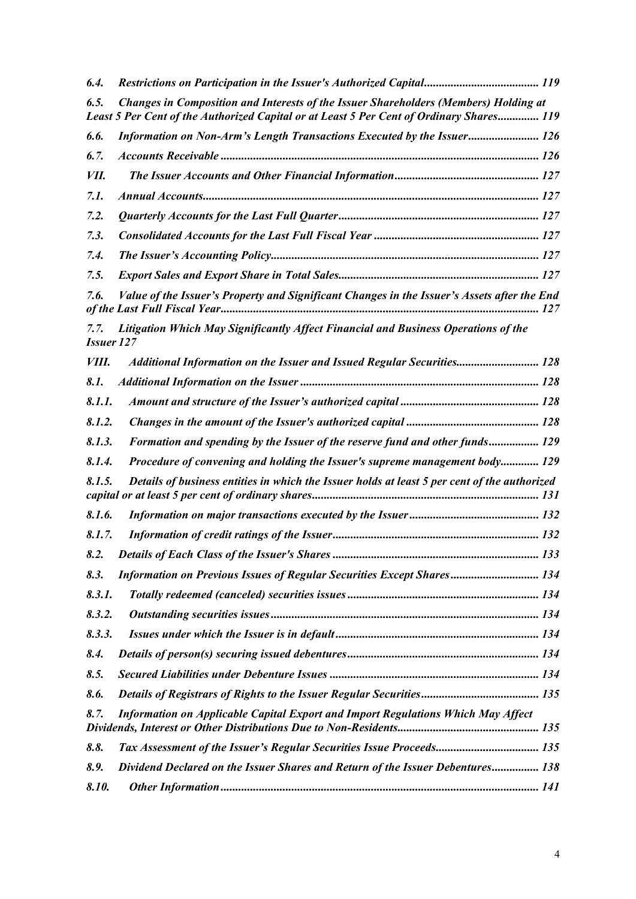| 6.4.                      |                                                                                                                                                                                  |  |
|---------------------------|----------------------------------------------------------------------------------------------------------------------------------------------------------------------------------|--|
| 6.5.                      | Changes in Composition and Interests of the Issuer Shareholders (Members) Holding at<br>Least 5 Per Cent of the Authorized Capital or at Least 5 Per Cent of Ordinary Shares 119 |  |
| 6.6.                      | Information on Non-Arm's Length Transactions Executed by the Issuer 126                                                                                                          |  |
| 6.7.                      |                                                                                                                                                                                  |  |
| VII.                      |                                                                                                                                                                                  |  |
| 7.1.                      |                                                                                                                                                                                  |  |
| 7.2.                      |                                                                                                                                                                                  |  |
| 7.3.                      |                                                                                                                                                                                  |  |
| 7.4.                      |                                                                                                                                                                                  |  |
| 7.5.                      |                                                                                                                                                                                  |  |
| 7.6.                      | Value of the Issuer's Property and Significant Changes in the Issuer's Assets after the End                                                                                      |  |
| 7.7.<br><b>Issuer 127</b> | Litigation Which May Significantly Affect Financial and Business Operations of the                                                                                               |  |
| <i>VIII.</i>              | Additional Information on the Issuer and Issued Regular Securities 128                                                                                                           |  |
| 8.1.                      |                                                                                                                                                                                  |  |
| 8.1.1.                    |                                                                                                                                                                                  |  |
| 8.1.2.                    |                                                                                                                                                                                  |  |
| 8.1.3.                    | Formation and spending by the Issuer of the reserve fund and other funds 129                                                                                                     |  |
| 8.1.4.                    | Procedure of convening and holding the Issuer's supreme management body 129                                                                                                      |  |
| 8.1.5.                    | Details of business entities in which the Issuer holds at least 5 per cent of the authorized                                                                                     |  |
| 8.1.6.                    |                                                                                                                                                                                  |  |
| 8.1.7.                    |                                                                                                                                                                                  |  |
|                           |                                                                                                                                                                                  |  |
| 8.3.                      | <b>Information on Previous Issues of Regular Securities Except Shares 134</b>                                                                                                    |  |
| 8.3.1.                    |                                                                                                                                                                                  |  |
| 8.3.2.                    |                                                                                                                                                                                  |  |
| 8.3.3.                    |                                                                                                                                                                                  |  |
| 8.4.                      |                                                                                                                                                                                  |  |
| 8.5.                      |                                                                                                                                                                                  |  |
| 8.6.                      |                                                                                                                                                                                  |  |
| 8.7.                      | Information on Applicable Capital Export and Import Regulations Which May Affect                                                                                                 |  |
| 8.8.                      |                                                                                                                                                                                  |  |
| 8.9.                      | Dividend Declared on the Issuer Shares and Return of the Issuer Debentures 138                                                                                                   |  |
| 8.10.                     |                                                                                                                                                                                  |  |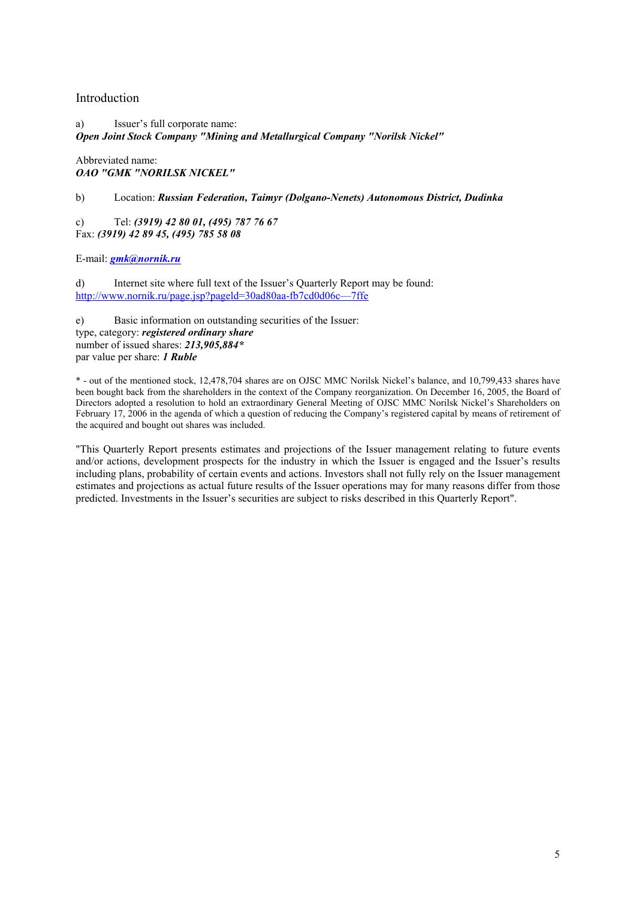# Introduction

a) Issuer's full corporate name: *Open Joint Stock Company "Mining and Metallurgical Company "Norilsk Nickel"* 

Abbreviated name: *OAO "GMK "NORILSK NICKEL"* 

b) Location: *Russian Federation, Taimyr (Dolgano-Nenets) Autonomous District, Dudinka* 

c) Tel: *(3919) 42 80 01, (495) 787 76 67* Fax: *(3919) 42 89 45, (495) 785 58 08*

E-mail: *gmk@nornik.ru*

d) Internet site where full text of the Issuer's Quarterly Report may be found: http://www.nornik.ru/page.jsp?pageld=30ad80aa-fb7cd0d06c—7ffe

e) Basic information on outstanding securities of the Issuer: type, category: *registered ordinary share* number of issued shares: *213,905,884\** par value per share: *1 Ruble* 

\* - out of the mentioned stock, 12,478,704 shares are on OJSC MMC Norilsk Nickel's balance, and 10,799,433 shares have been bought back from the shareholders in the context of the Company reorganization. On December 16, 2005, the Board of Directors adopted a resolution to hold an extraordinary General Meeting of OJSC MMC Norilsk Nickel's Shareholders on February 17, 2006 in the agenda of which a question of reducing the Company's registered capital by means of retirement of the acquired and bought out shares was included.

"This Quarterly Report presents estimates and projections of the Issuer management relating to future events and/or actions, development prospects for the industry in which the Issuer is engaged and the Issuer's results including plans, probability of certain events and actions. Investors shall not fully rely on the Issuer management estimates and projections as actual future results of the Issuer operations may for many reasons differ from those predicted. Investments in the Issuer's securities are subject to risks described in this Quarterly Report".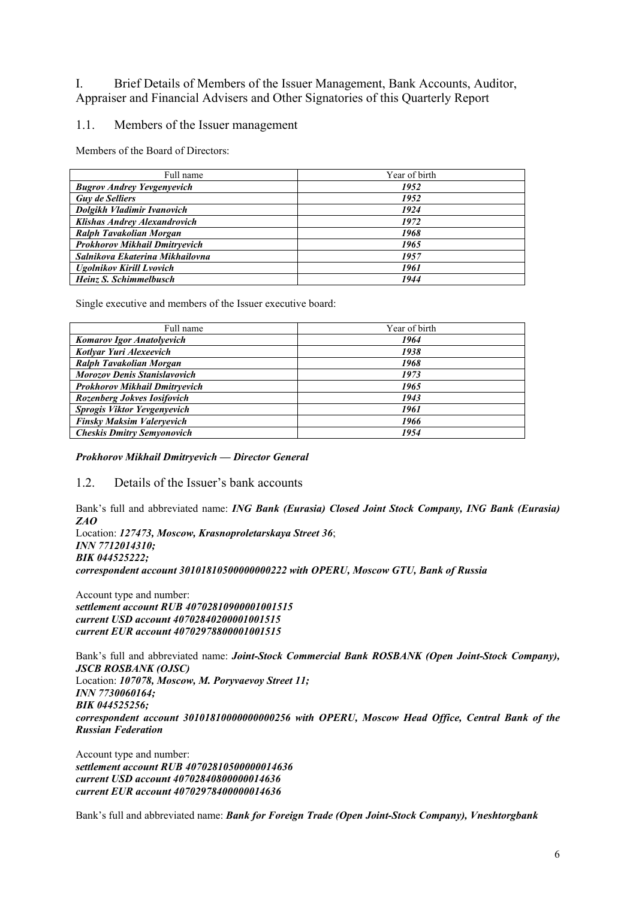I. Brief Details of Members of the Issuer Management, Bank Accounts, Auditor, Appraiser and Financial Advisers and Other Signatories of this Quarterly Report

# 1.1. Members of the Issuer management

Members of the Board of Directors:

| Full name                            | Year of birth |
|--------------------------------------|---------------|
| <b>Bugrov Andrey Yevgenyevich</b>    | 1952          |
| <b>Guy de Selliers</b>               | 1952          |
| Dolgikh Vladimir Ivanovich           | 1924          |
| <b>Klishas Andrey Alexandrovich</b>  | 1972          |
| Ralph Tavakolian Morgan              | 1968          |
| <b>Prokhorov Mikhail Dmitryevich</b> | 1965          |
| Salnikova Ekaterina Mikhailovna      | 1957          |
| <b>Ugolnikov Kirill Lvovich</b>      | 1961          |
| Heinz S. Schimmelbusch               | 1944          |

Single executive and members of the Issuer executive board:

| Full name                            | Year of birth |
|--------------------------------------|---------------|
| <b>Komarov Igor Anatolyevich</b>     | 1964          |
| Kotlyar Yuri Alexeevich              | 1938          |
| Ralph Tavakolian Morgan              | 1968          |
| <b>Morozov Denis Stanislavovich</b>  | 1973          |
| <b>Prokhorov Mikhail Dmitryevich</b> | 1965          |
| Rozenberg Jokves Iosifovich          | 1943          |
| Sprogis Viktor Yevgenyevich          | 1961          |
| <b>Finsky Maksim Valeryevich</b>     | 1966          |
| <b>Cheskis Dmitry Semyonovich</b>    | 1954          |

*Prokhorov Mikhail Dmitryevich — Director General* 

# 1.2. Details of the Issuer's bank accounts

Bank's full and abbreviated name: *ING Bank (Eurasia) Closed Joint Stock Company, ING Bank (Eurasia) ZAO*

Location: *127473, Moscow, Krasnoproletarskaya Street 36*; *INN 7712014310; BIK 044525222; correspondent account 30101810500000000222 with OPERU, Moscow GTU, Bank of Russia* 

Account type and number: *settlement account RUB 40702810900001001515 current USD account 40702840200001001515 current EUR account 40702978800001001515* 

Bank's full and abbreviated name: *Joint-Stock Commercial Bank ROSBANK (Open Joint-Stock Company)*, *JSCB ROSBANK (OJSC)* Location: *107078, Moscow, M. Poryvaevoy Street 11; INN 7730060164; BIK 044525256; correspondent account 30101810000000000256 with OPERU, Moscow Head Office, Central Bank of the Russian Federation* 

Account type and number: *settlement account RUB 40702810500000014636 current USD account 40702840800000014636 current EUR account 40702978400000014636* 

Bank's full and abbreviated name: *Bank for Foreign Trade (Open Joint-Stock Company), Vneshtorgbank*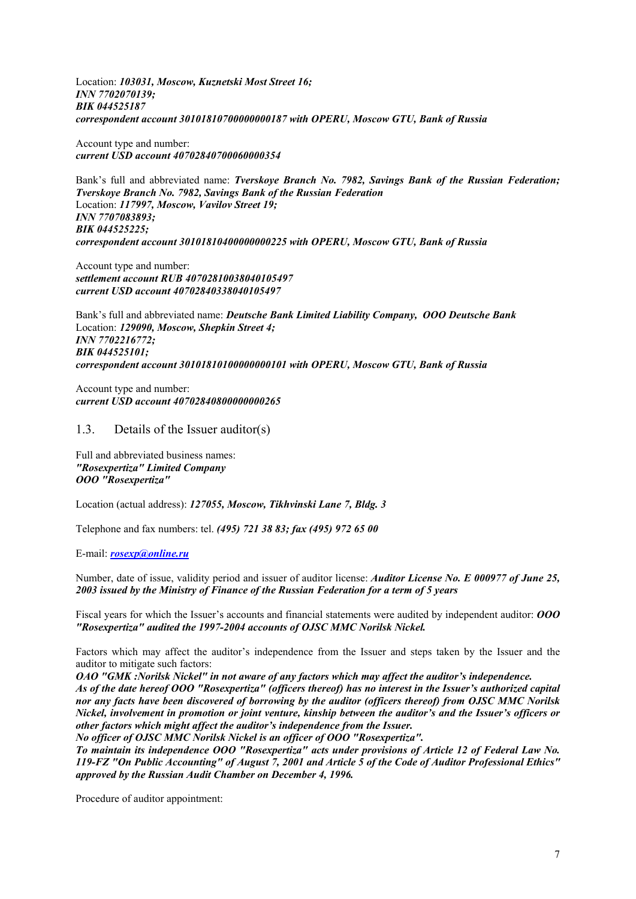Location: *103031, Moscow, Kuznetski Most Street 16; INN 7702070139; BIK 044525187 correspondent account 30101810700000000187 with OPERU, Moscow GTU, Bank of Russia* 

Account type and number: *current USD account 40702840700060000354* 

Bank's full and abbreviated name: *Tverskoye Branch No. 7982, Savings Bank of the Russian Federation; Tverskoye Branch No. 7982, Savings Bank of the Russian Federation* Location: *117997, Moscow, Vavilov Street 19; INN 7707083893; BIK 044525225; correspondent account 30101810400000000225 with OPERU, Moscow GTU, Bank of Russia* 

Account type and number: *settlement account RUB 40702810038040105497 current USD account 40702840338040105497* 

Bank's full and abbreviated name: *Deutsche Bank Limited Liability Company, ООО Deutsche Bank*  Location: *129090, Moscow, Shepkin Street 4; INN 7702216772; BIK 044525101; correspondent account 30101810100000000101 with OPERU, Moscow GTU, Bank of Russia*

Account type and number: *current USD account 40702840800000000265* 

#### 1.3. Details of the Issuer auditor(s)

Full and abbreviated business names: *"Rosexpertiza" Limited Company OOO "Rosexpertiza"* 

Location (actual address): *127055, Moscow, Tikhvinski Lane 7, Bldg. 3*

Telephone and fax numbers: tel. *(495) 721 38 83; fax (495) 972 65 00*

E-mail: *rosexp@online.ru*

Number, date of issue, validity period and issuer of auditor license: *Auditor License No. E 000977 of June 25, 2003 issued by the Ministry of Finance of the Russian Federation for a term of 5 years*

Fiscal years for which the Issuer's accounts and financial statements were audited by independent auditor: *OOO "Rosexpertiza" audited the 1997-2004 accounts of OJSC MMC Norilsk Nickel.*

Factors which may affect the auditor's independence from the Issuer and steps taken by the Issuer and the auditor to mitigate such factors:

*OAO "GMK :Norilsk Nickel" in not aware of any factors which may affect the auditor's independence. As of the date hereof OOO "Rosexpertiza" (officers thereof) has no interest in the Issuer's authorized capital nor any facts have been discovered of borrowing by the auditor (officers thereof) from OJSC MMC Norilsk Nickel, involvement in promotion or joint venture, kinship between the auditor's and the Issuer's officers or other factors which might affect the auditor's independence from the Issuer.* 

*No officer of OJSC MMC Norilsk Nickel is an officer of OOO "Rosexpertiza".*

*To maintain its independence OOO "Rosexpertiza" acts under provisions of Article 12 of Federal Law No. 119-FZ "On Public Accounting" of August 7, 2001 and Article 5 of the Code of Auditor Professional Ethics" approved by the Russian Audit Chamber on December 4, 1996.* 

Procedure of auditor appointment: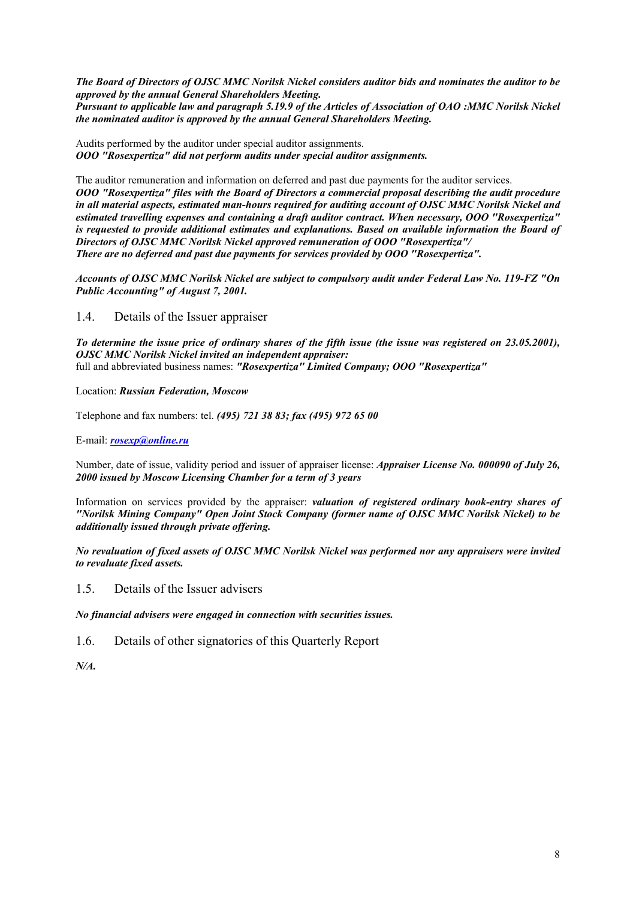*The Board of Directors of OJSC MMC Norilsk Nickel considers auditor bids and nominates the auditor to be approved by the annual General Shareholders Meeting.* 

*Pursuant to applicable law and paragraph 5.19.9 of the Articles of Association of OAO :MMC Norilsk Nickel the nominated auditor is approved by the annual General Shareholders Meeting.*

Audits performed by the auditor under special auditor assignments. *OOO "Rosexpertiza" did not perform audits under special auditor assignments.*

The auditor remuneration and information on deferred and past due payments for the auditor services. *OOO "Rosexpertiza" files with the Board of Directors a commercial proposal describing the audit procedure in all material aspects, estimated man-hours required for auditing account of OJSC MMC Norilsk Nickel and estimated travelling expenses and containing a draft auditor contract. When necessary, OOO "Rosexpertiza" is requested to provide additional estimates and explanations. Based on available information the Board of Directors of OJSC MMC Norilsk Nickel approved remuneration of OOO "Rosexpertiza"/ There are no deferred and past due payments for services provided by OOO "Rosexpertiza".* 

*Accounts of OJSC MMC Norilsk Nickel are subject to compulsory audit under Federal Law No. 119-FZ "On Public Accounting" of August 7, 2001.* 

1.4. Details of the Issuer appraiser

*To determine the issue price of ordinary shares of the fifth issue (the issue was registered on 23.05.2001), OJSC MMC Norilsk Nickel invited an independent appraiser:*  full and abbreviated business names: *"Rosexpertiza" Limited Company; OOO "Rosexpertiza"* 

Location: *Russian Federation, Moscow*

Telephone and fax numbers: tel. *(495) 721 38 83; fax (495) 972 65 00*

E-mail: *rosexp@online.ru*

Number, date of issue, validity period and issuer of appraiser license: *Appraiser License No. 000090 of July 26, 2000 issued by Moscow Licensing Chamber for a term of 3 years* 

Information on services provided by the appraiser: *valuation of registered ordinary book-entry shares of "Norilsk Mining Company" Open Joint Stock Company (former name of OJSC MMC Norilsk Nickel) to be additionally issued through private offering.* 

*No revaluation of fixed assets of OJSC MMC Norilsk Nickel was performed nor any appraisers were invited to revaluate fixed assets.* 

1.5. Details of the Issuer advisers

*No financial advisers were engaged in connection with securities issues.* 

1.6. Details of other signatories of this Quarterly Report

*N/A.*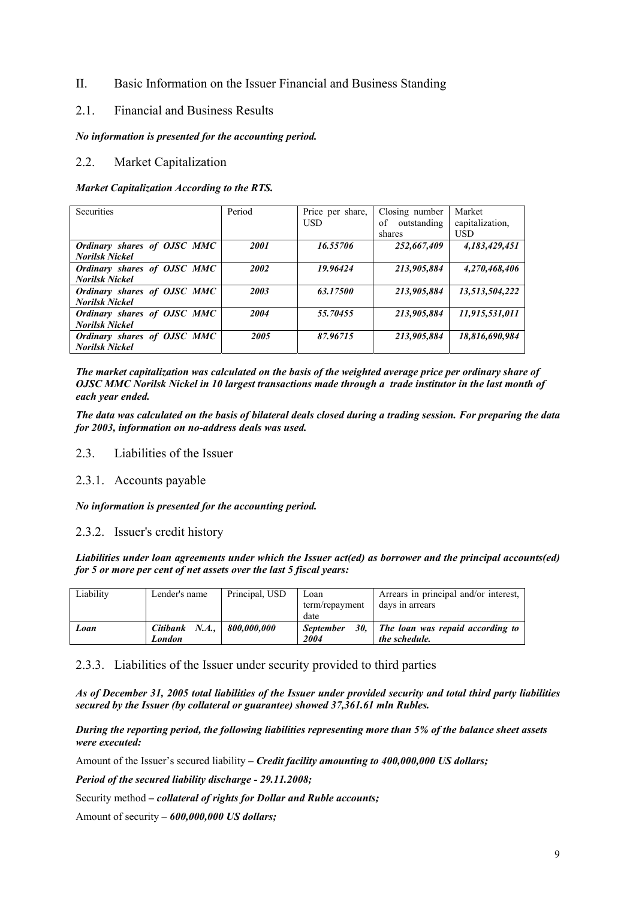# II. Basic Information on the Issuer Financial and Business Standing

# 2.1. Financial and Business Results

#### *No information is presented for the accounting period.*

# 2.2. Market Capitalization

#### *Market Capitalization According to the RTS.*

| <b>Securities</b>           | Period | Price per share, | Closing number    | Market          |
|-----------------------------|--------|------------------|-------------------|-----------------|
|                             |        | <b>USD</b>       | of<br>outstanding | capitalization, |
|                             |        |                  | shares            | <b>USD</b>      |
| Ordinary shares of OJSC MMC | 2001   | 16.55706         | 252,667,409       | 4,183,429,451   |
| <b>Norilsk Nickel</b>       |        |                  |                   |                 |
| Ordinary shares of OJSC MMC | 2002   | 19.96424         | 213,905,884       | 4,270,468,406   |
| <b>Norilsk Nickel</b>       |        |                  |                   |                 |
| Ordinary shares of OJSC MMC | 2003   | 63.17500         | 213,905,884       | 13,513,504,222  |
| <b>Norilsk Nickel</b>       |        |                  |                   |                 |
| Ordinary shares of OJSC MMC | 2004   | 55.70455         | 213,905,884       | 11,915,531,011  |
| <b>Norilsk Nickel</b>       |        |                  |                   |                 |
| Ordinary shares of OJSC MMC | 2005   | 87.96715         | 213,905,884       | 18,816,690,984  |
| <b>Norilsk Nickel</b>       |        |                  |                   |                 |

*The market capitalization was calculated on the basis of the weighted average price per ordinary share of OJSC MMC Norilsk Nickel in 10 largest transactions made through a trade institutor in the last month of each year ended.* 

*The data was calculated on the basis of bilateral deals closed during a trading session. For preparing the data for 2003, information on no-address deals was used.* 

#### 2.3. Liabilities of the Issuer

# 2.3.1. Accounts payable

# *No information is presented for the accounting period.*

# 2.3.2. Issuer's credit history

*Liabilities under loan agreements under which the Issuer act(ed) as borrower and the principal accounts(ed) for 5 or more per cent of net assets over the last 5 fiscal years:* 

| Liability | Lender's name  | Principal, USD | Loan                    | Arrears in principal and/or interest, |
|-----------|----------------|----------------|-------------------------|---------------------------------------|
|           |                |                | term/repayment          | days in arrears                       |
|           |                |                | date                    |                                       |
| Loan      | Citibank N.A., | 800.000.000    | 30.<br><b>September</b> | The loan was repaid according to      |
|           | London         |                | 2004                    | the schedule.                         |

# 2.3.3. Liabilities of the Issuer under security provided to third parties

*As of December 31, 2005 total liabilities of the Issuer under provided security and total third party liabilities secured by the Issuer (by collateral or guarantee) showed 37,361.61 mln Rubles.* 

*During the reporting period, the following liabilities representing more than 5% of the balance sheet assets were executed:* 

Amount of the Issuer's secured liability *– Credit facility amounting to 400,000,000 US dollars;* 

*Period of the secured liability discharge - 29.11.2008;* 

Security method *– collateral of rights for Dollar and Ruble accounts;* 

Amount of security *– 600,000,000 US dollars;*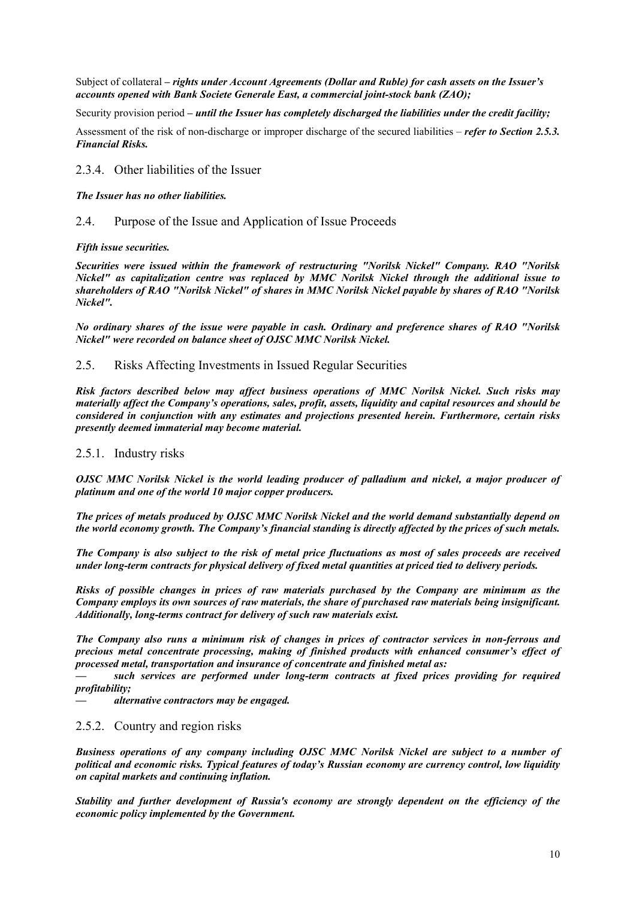Subject of collateral *– rights under Account Agreements (Dollar and Ruble) for cash assets on the Issuer's accounts opened with Bank Societe Generale East, a commercial joint-stock bank (ZAO);* 

Security provision period *– until the Issuer has completely discharged the liabilities under the credit facility;* 

Assessment of the risk of non-discharge or improper discharge of the secured liabilities – *refer to Section 2.5.3. Financial Risks.*

# 2.3.4. Other liabilities of the Issuer

*The Issuer has no other liabilities.* 

#### 2.4. Purpose of the Issue and Application of Issue Proceeds

*Fifth issue securities.* 

*Securities were issued within the framework of restructuring "Norilsk Nickel" Company. RAO "Norilsk Nickel" as capitalization centre was replaced by MMC Norilsk Nickel through the additional issue to shareholders of RAO "Norilsk Nickel" of shares in MMC Norilsk Nickel payable by shares of RAO "Norilsk Nickel".* 

*No ordinary shares of the issue were payable in cash. Ordinary and preference shares of RAO "Norilsk Nickel" were recorded on balance sheet of OJSC MMC Norilsk Nickel.* 

2.5. Risks Affecting Investments in Issued Regular Securities

*Risk factors described below may affect business operations of MMC Norilsk Nickel. Such risks may materially affect the Company's operations, sales, profit, assets, liquidity and capital resources and should be considered in conjunction with any estimates and projections presented herein. Furthermore, certain risks presently deemed immaterial may become material.* 

#### 2.5.1. Industry risks

*OJSC MMC Norilsk Nickel is the world leading producer of palladium and nickel, a major producer of platinum and one of the world 10 major copper producers.* 

*The prices of metals produced by OJSC MMC Norilsk Nickel and the world demand substantially depend on the world economy growth. The Company's financial standing is directly affected by the prices of such metals.* 

*The Company is also subject to the risk of metal price fluctuations as most of sales proceeds are received under long-term contracts for physical delivery of fixed metal quantities at priced tied to delivery periods.* 

*Risks of possible changes in prices of raw materials purchased by the Company are minimum as the Company employs its own sources of raw materials, the share of purchased raw materials being insignificant. Additionally, long-terms contract for delivery of such raw materials exist.* 

*The Company also runs a minimum risk of changes in prices of contractor services in non-ferrous and precious metal concentrate processing, making of finished products with enhanced consumer's effect of processed metal, transportation and insurance of concentrate and finished metal as:* 

such services are performed under long-term contracts at fixed prices providing for required *profitability;* 

*— alternative contractors may be engaged.* 

#### 2.5.2. Country and region risks

*Business operations of any company including OJSC MMC Norilsk Nickel are subject to a number of political and economic risks. Typical features of today's Russian economy are currency control, low liquidity on capital markets and continuing inflation.* 

*Stability and further development of Russia's economy are strongly dependent on the efficiency of the economic policy implemented by the Government.*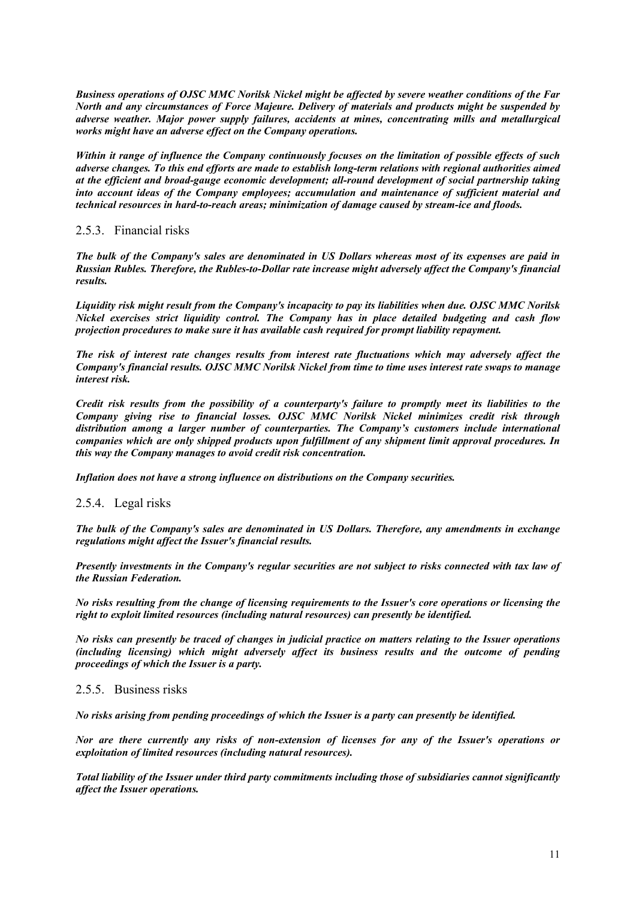*Business operations of OJSC MMC Norilsk Nickel might be affected by severe weather conditions of the Far North and any circumstances of Force Majeure. Delivery of materials and products might be suspended by adverse weather. Major power supply failures, accidents at mines, concentrating mills and metallurgical works might have an adverse effect on the Company operations.* 

*Within it range of influence the Company continuously focuses on the limitation of possible effects of such adverse changes. To this end efforts are made to establish long-term relations with regional authorities aimed at the efficient and broad-gauge economic development; all-round development of social partnership taking into account ideas of the Company employees; accumulation and maintenance of sufficient material and technical resources in hard-to-reach areas; minimization of damage caused by stream-ice and floods.* 

# 2.5.3. Financial risks

*The bulk of the Company's sales are denominated in US Dollars whereas most of its expenses are paid in Russian Rubles. Therefore, the Rubles-to-Dollar rate increase might adversely affect the Company's financial results.* 

*Liquidity risk might result from the Company's incapacity to pay its liabilities when due. OJSC MMC Norilsk Nickel exercises strict liquidity control. The Company has in place detailed budgeting and cash flow projection procedures to make sure it has available cash required for prompt liability repayment.* 

*The risk of interest rate changes results from interest rate fluctuations which may adversely affect the Company's financial results. OJSC MMC Norilsk Nickel from time to time uses interest rate swaps to manage interest risk.* 

*Credit risk results from the possibility of a counterparty's failure to promptly meet its liabilities to the Company giving rise to financial losses. OJSC MMC Norilsk Nickel minimizes credit risk through distribution among a larger number of counterparties. The Company's customers include international companies which are only shipped products upon fulfillment of any shipment limit approval procedures. In this way the Company manages to avoid credit risk concentration.* 

*Inflation does not have a strong influence on distributions on the Company securities.* 

# 2.5.4. Legal risks

*The bulk of the Company's sales are denominated in US Dollars. Therefore, any amendments in exchange regulations might affect the Issuer's financial results.* 

*Presently investments in the Company's regular securities are not subject to risks connected with tax law of the Russian Federation.* 

*No risks resulting from the change of licensing requirements to the Issuer's core operations or licensing the right to exploit limited resources (including natural resources) can presently be identified.* 

*No risks can presently be traced of changes in judicial practice on matters relating to the Issuer operations (including licensing) which might adversely affect its business results and the outcome of pending proceedings of which the Issuer is a party.* 

#### 2.5.5. Business risks

*No risks arising from pending proceedings of which the Issuer is a party can presently be identified.* 

*Nor are there currently any risks of non-extension of licenses for any of the Issuer's operations or exploitation of limited resources (including natural resources).* 

*Total liability of the Issuer under third party commitments including those of subsidiaries cannot significantly affect the Issuer operations.*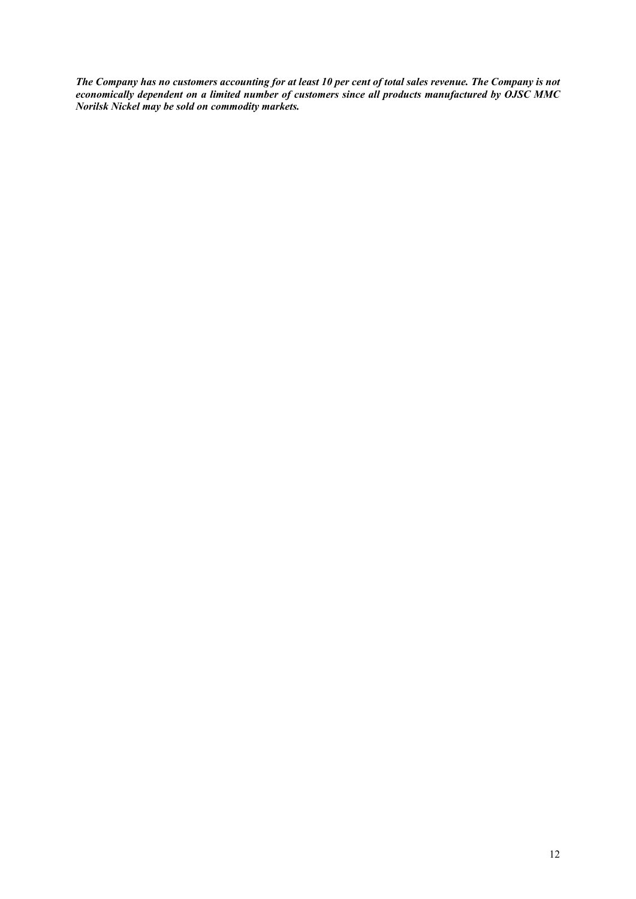*The Company has no customers accounting for at least 10 per cent of total sales revenue. The Company is not economically dependent on a limited number of customers since all products manufactured by OJSC MMC Norilsk Nickel may be sold on commodity markets.*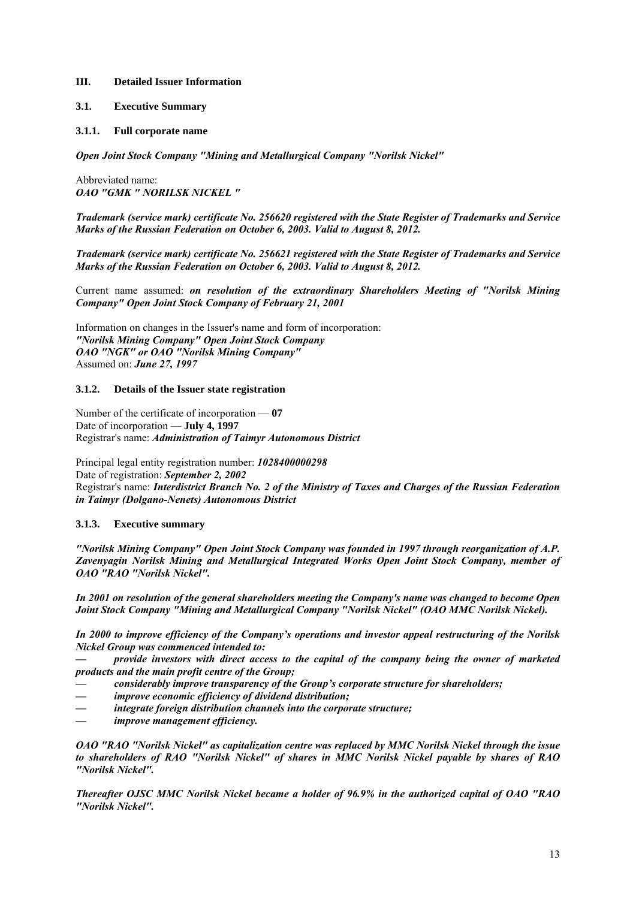#### **III. Detailed Issuer Information**

- **3.1. Executive Summary**
- **3.1.1. Full corporate name**

*Open Joint Stock Company "Mining and Metallurgical Company "Norilsk Nickel"* 

Abbreviated name: *OAO "GMK " NORILSK NICKEL "* 

*Trademark (service mark) certificate No. 256620 registered with the State Register of Trademarks and Service Marks of the Russian Federation on October 6, 2003. Valid to August 8, 2012.* 

*Trademark (service mark) certificate No. 256621 registered with the State Register of Trademarks and Service Marks of the Russian Federation on October 6, 2003. Valid to August 8, 2012.* 

Current name assumed: *on resolution of the extraordinary Shareholders Meeting of "Norilsk Mining Company" Open Joint Stock Company of February 21, 2001*

Information on changes in the Issuer's name and form of incorporation: *"Norilsk Mining Company" Open Joint Stock Company OAO "NGK" or OAO "Norilsk Mining Company"*  Assumed on: *June 27, 1997*

#### **3.1.2. Details of the Issuer state registration**

Number of the certificate of incorporation — **07** Date of incorporation — **July 4, 1997** Registrar's name: *Administration of Taimyr Autonomous District*

Principal legal entity registration number: *1028400000298* Date of registration: *September 2, 2002* Registrar's name: *Interdistrict Branch No. 2 of the Ministry of Taxes and Charges of the Russian Federation in Taimyr (Dolgano-Nenets) Autonomous District*

#### **3.1.3. Executive summary**

*"Norilsk Mining Company" Open Joint Stock Company was founded in 1997 through reorganization of A.P. Zavenyagin Norilsk Mining and Metallurgical Integrated Works Open Joint Stock Company, member of OAO "RAO "Norilsk Nickel".* 

*In 2001 on resolution of the general shareholders meeting the Company's name was changed to become Open Joint Stock Company "Mining and Metallurgical Company "Norilsk Nickel" (OAO MMC Norilsk Nickel).* 

*In 2000 to improve efficiency of the Company's operations and investor appeal restructuring of the Norilsk Nickel Group was commenced intended to:* 

*— provide investors with direct access to the capital of the company being the owner of marketed products and the main profit centre of the Group;* 

- *considerably improve transparency of the Group's corporate structure for shareholders;*
- improve economic efficiency of dividend distribution;
- *integrate foreign distribution channels into the corporate structure;*
- $improve$  management efficiency.

*OAO "RAO "Norilsk Nickel" as capitalization centre was replaced by MMC Norilsk Nickel through the issue to shareholders of RAO "Norilsk Nickel" of shares in MMC Norilsk Nickel payable by shares of RAO "Norilsk Nickel".* 

*Thereafter OJSC MMC Norilsk Nickel became a holder of 96.9% in the authorized capital of OAO "RAO "Norilsk Nickel".*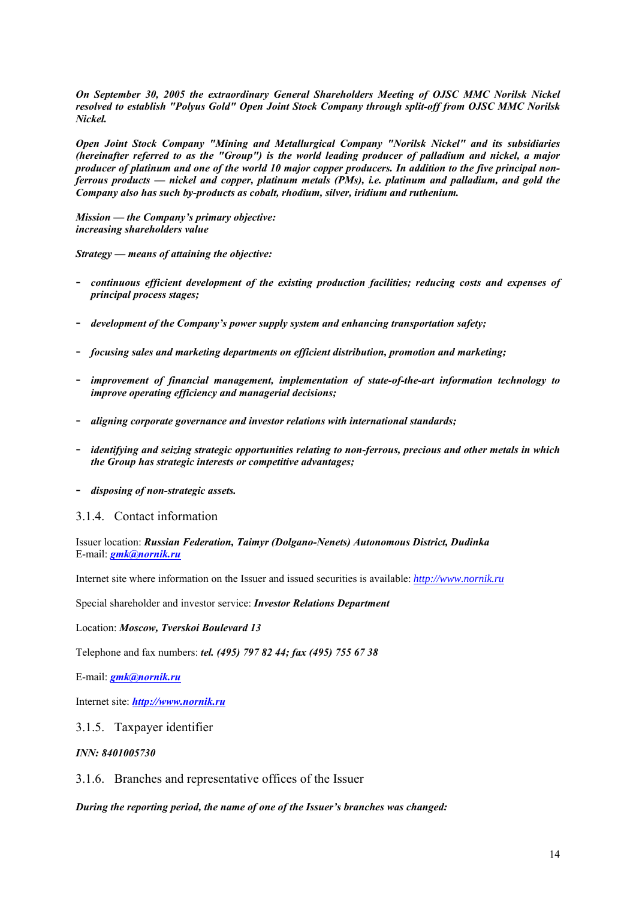*On September 30, 2005 the extraordinary General Shareholders Meeting of OJSC MMC Norilsk Nickel resolved to establish "Polyus Gold" Open Joint Stock Company through split-off from OJSC MMC Norilsk Nickel.* 

*Open Joint Stock Company "Mining and Metallurgical Company "Norilsk Nickel" and its subsidiaries (hereinafter referred to as the "Group") is the world leading producer of palladium and nickel, a major producer of platinum and one of the world 10 major copper producers. In addition to the five principal nonferrous products — nickel and copper, platinum metals (PMs), i.e. platinum and palladium, and gold the Company also has such by-products as cobalt, rhodium, silver, iridium and ruthenium.* 

*Mission — the Company's primary objective: increasing shareholders value* 

*Strategy — means of attaining the objective:* 

- *continuous efficient development of the existing production facilities; reducing costs and expenses of principal process stages;*
- *development of the Company's power supply system and enhancing transportation safety;*
- *focusing sales and marketing departments on efficient distribution, promotion and marketing;*
- *improvement of financial management, implementation of state-of-the-art information technology to improve operating efficiency and managerial decisions;*
- *aligning corporate governance and investor relations with international standards;*
- *identifying and seizing strategic opportunities relating to non-ferrous, precious and other metals in which the Group has strategic interests or competitive advantages;*
- *disposing of non-strategic assets.*

# 3.1.4. Contact information

Issuer location: *Russian Federation, Taimyr (Dolgano-Nenets) Autonomous District, Dudinka* E-mail: *gmk@nornik.ru*

Internet site where information on the Issuer and issued securities is available: *http://www.nornik.ru*

Special shareholder and investor service: *Investor Relations Department*

Location: *Moscow, Tverskoi Boulevard 13*

Telephone and fax numbers: *tel. (495) 797 82 44; fax (495) 755 67 38*

E-mail: *gmk@nornik.ru*

Internet site: *http://www.nornik.ru*

#### 3.1.5. Taxpayer identifier

#### *INN: 8401005730*

3.1.6. Branches and representative offices of the Issuer

*During the reporting period, the name of one of the Issuer's branches was changed:*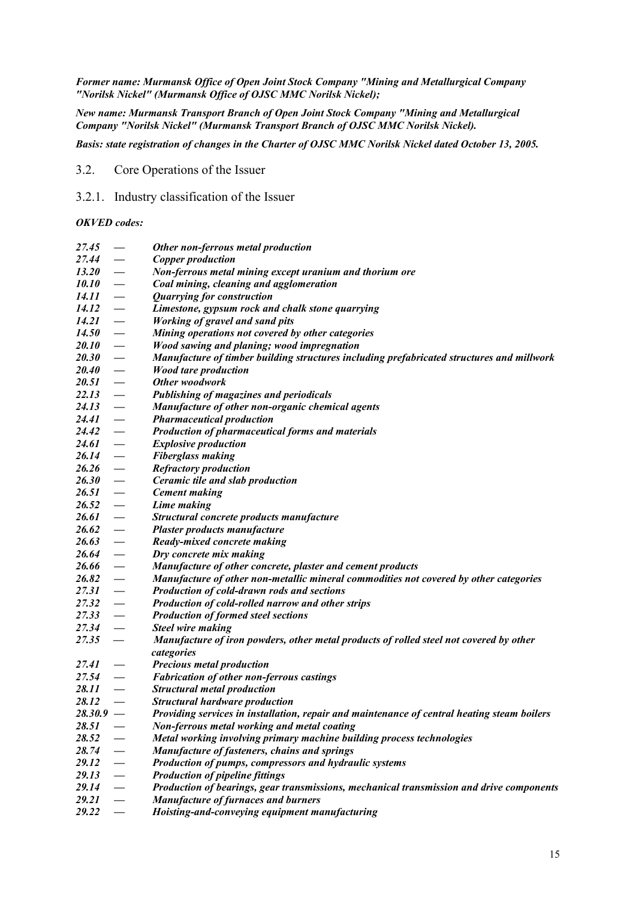*Former name: Murmansk Office of Open Joint Stock Company "Mining and Metallurgical Company "Norilsk Nickel" (Murmansk Office of OJSC MMC Norilsk Nickel);* 

*New name: Murmansk Transport Branch of Open Joint Stock Company "Mining and Metallurgical Company "Norilsk Nickel" (Murmansk Transport Branch of OJSC MMC Norilsk Nickel).* 

*Basis: state registration of changes in the Charter of OJSC MMC Norilsk Nickel dated October 13, 2005.* 

- 3.2. Core Operations of the Issuer
- 3.2.1. Industry classification of the Issuer

#### *OKVED codes:*

| 27.45        |                          | Other non-ferrous metal production                                                          |
|--------------|--------------------------|---------------------------------------------------------------------------------------------|
| 27.44        |                          | <b>Copper production</b>                                                                    |
| <b>13.20</b> | $\overline{\phantom{m}}$ | Non-ferrous metal mining except uranium and thorium ore                                     |
| 10.10        | $\overline{\phantom{m}}$ | Coal mining, cleaning and agglomeration                                                     |
| 14.11        | $\overline{\phantom{m}}$ | <b>Quarrying for construction</b>                                                           |
| 14.12        | $\overline{\phantom{m}}$ | Limestone, gypsum rock and chalk stone quarrying                                            |
| 14.21        | $\overline{\phantom{m}}$ | <b>Working of gravel and sand pits</b>                                                      |
| <b>14.50</b> | $\overline{\phantom{m}}$ | Mining operations not covered by other categories                                           |
| <i>20.10</i> | $\overline{\phantom{m}}$ | Wood sawing and planing; wood impregnation                                                  |
| <b>20.30</b> | $\overline{\phantom{0}}$ | Manufacture of timber building structures including prefabricated structures and millwork   |
| <b>20.40</b> | $\overline{\phantom{0}}$ | <b>Wood tare production</b>                                                                 |
| 20.51        | $\overline{\phantom{0}}$ | Other woodwork                                                                              |
| 22.13        | $\overline{\phantom{m}}$ | <b>Publishing of magazines and periodicals</b>                                              |
| 24.13        | $\overline{\phantom{m}}$ | Manufacture of other non-organic chemical agents                                            |
| 24.41        | $\overline{\phantom{m}}$ | <b>Pharmaceutical production</b>                                                            |
| 24.42        | $\overline{\phantom{m}}$ | <b>Production of pharmaceutical forms and materials</b>                                     |
| 24.61        | $\overline{\phantom{m}}$ | <b>Explosive production</b>                                                                 |
| 26.14        | $\overline{\phantom{m}}$ | <b>Fiberglass making</b>                                                                    |
| 26.26        | $\overline{\phantom{m}}$ | <b>Refractory production</b>                                                                |
| <b>26.30</b> | $\overline{\phantom{m}}$ | Ceramic tile and slab production                                                            |
| 26.51        | $\overline{\phantom{m}}$ | <b>Cement making</b>                                                                        |
| 26.52        | $\overline{\phantom{m}}$ | Lime making                                                                                 |
| 26.61        | $\overline{\phantom{m}}$ | Structural concrete products manufacture                                                    |
| 26.62        | $\overline{\phantom{m}}$ | Plaster products manufacture                                                                |
| 26.63        | $\overline{\phantom{m}}$ | Ready-mixed concrete making                                                                 |
| 26.64        | $\overline{\phantom{m}}$ | Dry concrete mix making                                                                     |
| 26.66        | $\overline{\phantom{0}}$ | Manufacture of other concrete, plaster and cement products                                  |
| 26.82        | $\overline{\phantom{0}}$ | Manufacture of other non-metallic mineral commodities not covered by other categories       |
| 27.31        | $\overline{\phantom{m}}$ | Production of cold-drawn rods and sections                                                  |
| 27.32        | $\overline{\phantom{0}}$ | Production of cold-rolled narrow and other strips                                           |
| 27.33        | $\overline{\phantom{m}}$ | <b>Production of formed steel sections</b>                                                  |
| 27.34        | $\overline{\phantom{0}}$ | <b>Steel wire making</b>                                                                    |
| 27.35        | $\overline{\phantom{m}}$ | Manufacture of iron powders, other metal products of rolled steel not covered by other      |
|              |                          | categories                                                                                  |
| 27.41        | $\overline{\phantom{a}}$ | <b>Precious metal production</b>                                                            |
| 27.54        | $\overline{\phantom{0}}$ | <b>Fabrication of other non-ferrous castings</b>                                            |
| 28.11        |                          | <b>Structural metal production</b>                                                          |
| 28.12        |                          | <b>Structural hardware production</b>                                                       |
| $28.30.9 -$  |                          | Providing services in installation, repair and maintenance of central heating steam boilers |
| 28.51        |                          | Non-ferrous metal working and metal coating                                                 |
| 28.52        |                          | Metal working involving primary machine building process technologies                       |
| 28.74        |                          | Manufacture of fasteners, chains and springs                                                |
| 29.12        |                          | Production of pumps, compressors and hydraulic systems                                      |
| 29.13        |                          | <b>Production of pipeline fittings</b>                                                      |
| 29.14        | $\overline{\phantom{0}}$ | Production of bearings, gear transmissions, mechanical transmission and drive components    |
| 29.21        | $\qquad \qquad$          | Manufacture of furnaces and burners                                                         |
| 29.22        |                          | Hoisting-and-conveying equipment manufacturing                                              |
|              |                          |                                                                                             |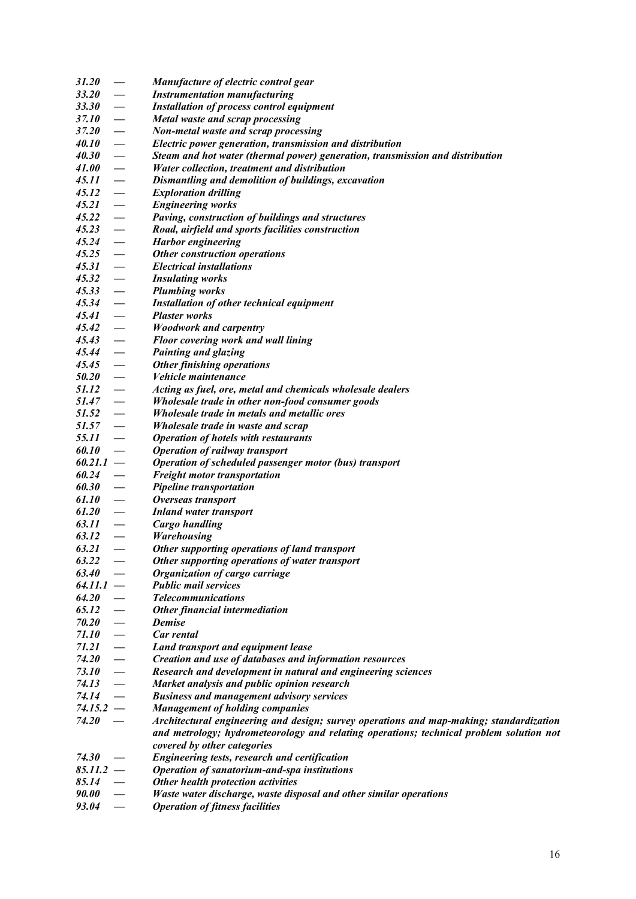| <b>31.20</b>        | $\overline{\phantom{m}}$        | Manufacture of electric control gear                                                    |
|---------------------|---------------------------------|-----------------------------------------------------------------------------------------|
| 33.20               | $\overline{\phantom{m}}$        | <b>Instrumentation manufacturing</b>                                                    |
| <b>33.30</b>        | $\overline{\phantom{m}}$        | <b>Installation of process control equipment</b>                                        |
| 37.10               | $\overline{\phantom{m}}$        | Metal waste and scrap processing                                                        |
| 37.20               | $\overline{\phantom{m}}$        | Non-metal waste and scrap processing                                                    |
| <i>40.10</i>        | $\overline{\phantom{m}}$        | Electric power generation, transmission and distribution                                |
| 40.30               | $\overline{\phantom{0}}$        | Steam and hot water (thermal power) generation, transmission and distribution           |
| 41.00               | $\overline{\phantom{a}}$        | Water collection, treatment and distribution                                            |
| $45.11 -$           |                                 | Dismantling and demolition of buildings, excavation                                     |
| 45.12               | $\hspace{0.1cm}$                | <b>Exploration drilling</b>                                                             |
| 45.21               | $\overline{\phantom{a}}$        | <b>Engineering works</b>                                                                |
| $45.22 -$           |                                 | Paving, construction of buildings and structures                                        |
| $45.23 -$           |                                 | Road, airfield and sports facilities construction                                       |
| $45.24 -$           |                                 | <b>Harbor</b> engineering                                                               |
| 45.25               | $\overline{\phantom{a}}$        | Other construction operations                                                           |
| 45.31               | $\hspace{0.1cm}$                | <b>Electrical installations</b>                                                         |
| 45.32               | $\overline{\phantom{m}}$        | <b>Insulating works</b>                                                                 |
| 45.33               |                                 | <b>Plumbing works</b>                                                                   |
| 45.34               | $\overline{\phantom{0}}$        | <b>Installation of other technical equipment</b>                                        |
| 45.41               | $\overline{\phantom{0}}$        | <b>Plaster works</b>                                                                    |
| 45.42               | $\hspace{0.1cm}$                | <b>Woodwork and carpentry</b>                                                           |
| 45.43               | $\overline{\phantom{m}}$        | Floor covering work and wall lining                                                     |
| 45.44               | $\hspace{0.1cm}$                | <b>Painting and glazing</b>                                                             |
| $45.45 -$           |                                 | Other finishing operations                                                              |
| $50.20 -$           |                                 | <i>Vehicle maintenance</i>                                                              |
| $51.12 -$           |                                 | Acting as fuel, ore, metal and chemicals wholesale dealers                              |
| $51.47 -$           |                                 | Wholesale trade in other non-food consumer goods                                        |
| $51.52 -$           |                                 | Wholesale trade in metals and metallic ores                                             |
| 51.57               | $\hspace{0.1mm}-\hspace{0.1mm}$ | Wholesale trade in waste and scrap                                                      |
| 55.11               |                                 | <b>Operation of hotels with restaurants</b>                                             |
| 60.10               |                                 | <b>Operation of railway transport</b>                                                   |
| $60.21.1 -$         |                                 | Operation of scheduled passenger motor (bus) transport                                  |
| 60.24               | $\overline{\phantom{0}}$        | <b>Freight motor transportation</b>                                                     |
| 60.30               | $\overline{\phantom{m}}$        | Pipeline transportation                                                                 |
| 61.10               | $\hspace{0.1mm}$                | Overseas transport                                                                      |
| 61.20               | $\hspace{0.1cm}$                | <b>Inland water transport</b>                                                           |
| 63.11               | $\overline{\phantom{m}}$        | <b>Cargo handling</b>                                                                   |
| 63.12               | $\overline{\phantom{m}}$        | <b>Warehousing</b>                                                                      |
| 63.21               | $\overline{\phantom{0}}$        | Other supporting operations of land transport                                           |
| 63.22               |                                 | Other supporting operations of water transport                                          |
| 63.40               |                                 | Organization of cargo carriage                                                          |
| $64.11.1 -$         |                                 | <b>Public mail services</b>                                                             |
| 64.20               |                                 | <b>Telecommunications</b>                                                               |
| 65.12               |                                 | Other financial intermediation                                                          |
| 70.20               | $\overbrace{\qquad \qquad }^{}$ | <b>Demise</b>                                                                           |
| <i><b>71.10</b></i> | $\overline{\phantom{0}}$        | Car rental                                                                              |
| 71.21               | $\overline{\phantom{m}}$        | Land transport and equipment lease                                                      |
| <i><b>74.20</b></i> | $\overline{\phantom{0}}$        | Creation and use of databases and information resources                                 |
| <i>73.10</i>        | $\overline{\phantom{m}}$        | Research and development in natural and engineering sciences                            |
| 74.13               | $\overline{\phantom{m}}$        | Market analysis and public opinion research                                             |
| 74.14               | $\overline{\phantom{m}}$        | <b>Business and management advisory services</b>                                        |
| $74.15.2 -$         |                                 | <b>Management of holding companies</b>                                                  |
| <b>74.20</b>        |                                 | Architectural engineering and design; survey operations and map-making; standardization |
|                     |                                 | and metrology; hydrometeorology and relating operations; technical problem solution not |
|                     |                                 | covered by other categories                                                             |
| <b>74.30</b>        |                                 | Engineering tests, research and certification                                           |
| $85.11.2 -$         |                                 | Operation of sanatorium-and-spa institutions                                            |
| 85.14               |                                 | Other health protection activities                                                      |
| <b>90.00</b>        |                                 | Waste water discharge, waste disposal and other similar operations                      |
| 93.04               | $\overline{\phantom{m}}$        | <b>Operation of fitness facilities</b>                                                  |
|                     |                                 |                                                                                         |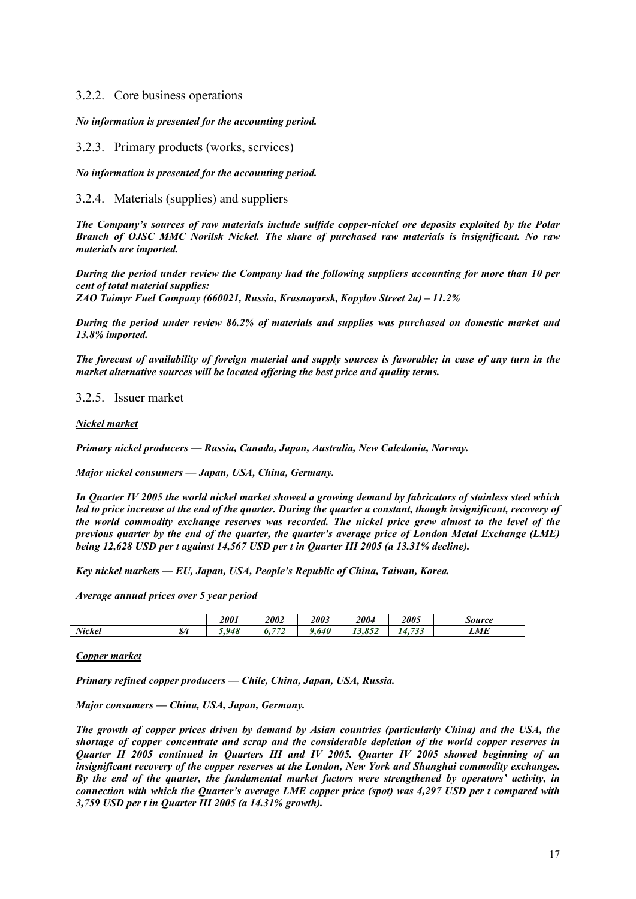# 3.2.2. Core business operations

#### *No information is presented for the accounting period.*

3.2.3. Primary products (works, services)

*No information is presented for the accounting period.* 

# 3.2.4. Materials (supplies) and suppliers

*The Company's sources of raw materials include sulfide copper-nickel ore deposits exploited by the Polar Branch of OJSC MMC Norilsk Nickel. The share of purchased raw materials is insignificant. No raw materials are imported.* 

*During the period under review the Company had the following suppliers accounting for more than 10 per cent of total material supplies:* 

*ZAO Taimyr Fuel Company (660021, Russia, Krasnoyarsk, Kopylov Street 2a) – 11.2%* 

*During the period under review 86.2% of materials and supplies was purchased on domestic market and 13.8% imported.* 

*The forecast of availability of foreign material and supply sources is favorable; in case of any turn in the market alternative sources will be located offering the best price and quality terms.* 

3.2.5. Issuer market

#### *Nickel market*

*Primary nickel producers — Russia, Canada, Japan, Australia, New Caledonia, Norway.* 

*Major nickel consumers — Japan, USA, China, Germany.* 

*In Quarter IV 2005 the world nickel market showed a growing demand by fabricators of stainless steel which led to price increase at the end of the quarter. During the quarter a constant, though insignificant, recovery of the world commodity exchange reserves was recorded. The nickel price grew almost to the level of the previous quarter by the end of the quarter, the quarter's average price of London Metal Exchange (LME) being 12,628 USD per t against 14,567 USD per t in Quarter III 2005 (a 13.31% decline).* 

*Key nickel markets — EU, Japan, USA, People's Republic of China, Taiwan, Korea.* 

*Average annual prices over 5 year period* 

|        |               | 2001     | 2002               | 2003 | 2004                     | 2005                           | <b>Source</b> |
|--------|---------------|----------|--------------------|------|--------------------------|--------------------------------|---------------|
| Nickel | $\frac{s}{t}$ | 948<br>◡ | $H = 0$<br>v.<br>- | .640 | 0.52<br>$\sim$<br>19.092 | 723<br>$\overline{a}$<br>7. JJ | LME           |

#### *Copper market*

*Primary refined copper producers — Chile, China, Japan, USA, Russia.* 

*Major consumers — China, USA, Japan, Germany.* 

*The growth of copper prices driven by demand by Asian countries (particularly China) and the USA, the shortage of copper concentrate and scrap and the considerable depletion of the world copper reserves in Quarter II 2005 continued in Quarters III and IV 2005. Quarter IV 2005 showed beginning of an insignificant recovery of the copper reserves at the London, New York and Shanghai commodity exchanges. By the end of the quarter, the fundamental market factors were strengthened by operators' activity, in connection with which the Quarter's average LME copper price (spot) was 4,297 USD per t compared with 3,759 USD per t in Quarter III 2005 (a 14.31% growth).*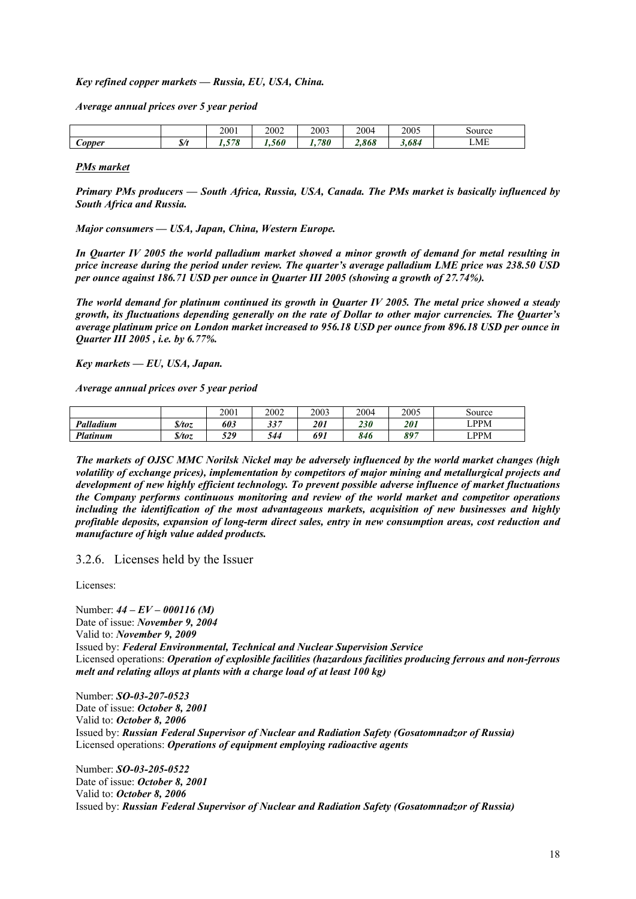#### *Key refined copper markets — Russia, EU, USA, China.*

*Average annual prices over 5 year period* 

|                         |           | 2001                  | 2002 | 2003 | 2004                    | 2005        | source |
|-------------------------|-----------|-----------------------|------|------|-------------------------|-------------|--------|
| ∽<br>$\mathcal{L}opper$ | z<br>ا /ه | 570<br>. .<br>$\cdot$ | .560 | 780  | 0 <sub>0</sub><br>4.800 | 70<br>J.O64 | LME    |

#### *PMs market*

*Primary PMs producers — South Africa, Russia, USA, Canada. The PMs market is basically influenced by South Africa and Russia.* 

*Major consumers — USA, Japan, China, Western Europe.* 

*In Quarter IV 2005 the world palladium market showed a minor growth of demand for metal resulting in price increase during the period under review. The quarter's average palladium LME price was 238.50 USD per ounce against 186.71 USD per ounce in Quarter III 2005 (showing a growth of 27.74%).* 

*The world demand for platinum continued its growth in Quarter IV 2005. The metal price showed a steady growth, its fluctuations depending generally on the rate of Dollar to other major currencies. The Quarter's average platinum price on London market increased to 956.18 USD per ounce from 896.18 USD per ounce in Quarter III 2005 , i.e. by 6.77%.* 

*Key markets — EU, USA, Japan.* 

*Average annual prices over 5 year period* 

|           |                   | 2001 | 2002      | 2003       | 2004 | 2005 | Source                       |
|-----------|-------------------|------|-----------|------------|------|------|------------------------------|
| Palladium | $\int$ <i>foz</i> | 603  | 227<br>IJ | <i>201</i> | 230  | 201  | LPPM                         |
| Platinum  | $\int$ <i>foz</i> | 529  | 544       | 691        | 846  | 897  | $\mathop{\rm LPPM}\nolimits$ |

*The markets of OJSC MMC Norilsk Nickel may be adversely influenced by the world market changes (high volatility of exchange prices), implementation by competitors of major mining and metallurgical projects and development of new highly efficient technology. To prevent possible adverse influence of market fluctuations the Company performs continuous monitoring and review of the world market and competitor operations including the identification of the most advantageous markets, acquisition of new businesses and highly profitable deposits, expansion of long-term direct sales, entry in new consumption areas, cost reduction and manufacture of high value added products.* 

3.2.6. Licenses held by the Issuer

Licenses:

Number: *44 – EV – 000116 (M)* Date of issue: *November 9, 2004* Valid to: *November 9, 2009* Issued by: *Federal Environmental, Technical and Nuclear Supervision Service* Licensed operations: *Operation of explosible facilities (hazardous facilities producing ferrous and non-ferrous melt and relating alloys at plants with a charge load of at least 100 kg)*

Number: *SO-03-207-0523* Date of issue: *October 8, 2001* Valid to: *October 8, 2006* Issued by: *Russian Federal Supervisor of Nuclear and Radiation Safety (Gosatomnadzor of Russia)* Licensed operations: *Operations of equipment employing radioactive agents*

Number: *SO-03-205-0522* Date of issue: *October 8, 2001* Valid to: *October 8, 2006* Issued by: *Russian Federal Supervisor of Nuclear and Radiation Safety (Gosatomnadzor of Russia)*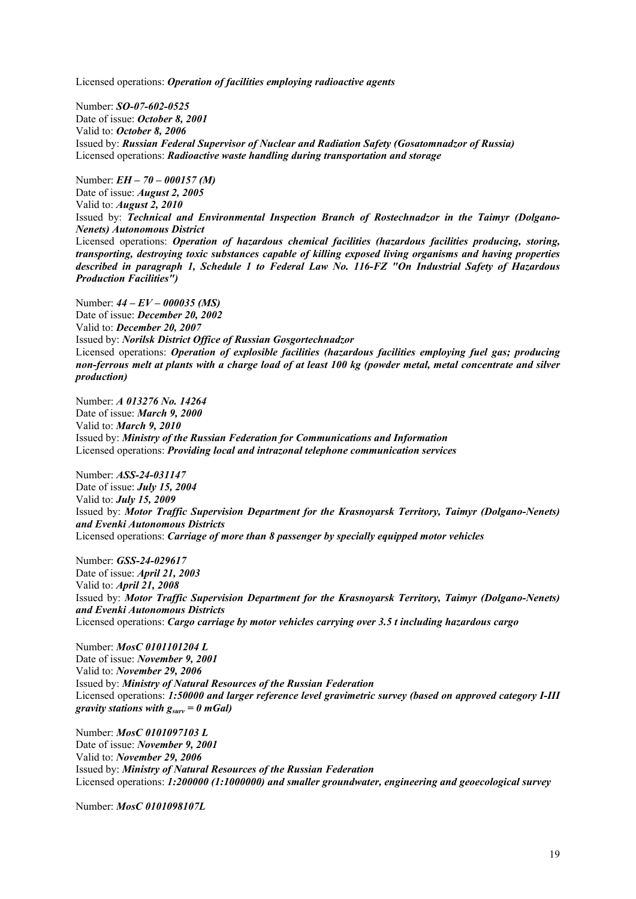Licensed operations: *Operation of facilities employing radioactive agents* 

Number: *SO-07-602-0525* Date of issue: *October 8, 2001* Valid to: *October 8, 2006* Issued by: *Russian Federal Supervisor of Nuclear and Radiation Safety (Gosatomnadzor of Russia)* Licensed operations: *Radioactive waste handling during transportation and storage*

Number: *EH – 70 – 000157 (M)* Date of issue: *August 2, 2005* Valid to: *August 2, 2010* Issued by: *Technical and Environmental Inspection Branch of Rostechnadzor in the Taimyr (Dolgano-Nenets) Autonomous District* Licensed operations: *Operation of hazardous chemical facilities (hazardous facilities producing, storing, transporting, destroying toxic substances capable of killing exposed living organisms and having properties described in paragraph 1, Schedule 1 to Federal Law No. 116-FZ "On Industrial Safety of Hazardous Production Facilities")*

Number: *44 – EV – 000035 (MS)* Date of issue: *December 20, 2002* Valid to: *December 20, 2007* Issued by: *Norilsk District Office of Russian Gosgortechnadzor*  Licensed operations: *Operation of explosible facilities (hazardous facilities employing fuel gas; producing non-ferrous melt at plants with a charge load of at least 100 kg (powder metal, metal concentrate and silver production)* 

Number: *A 013276 No. 14264* Date of issue: *March 9, 2000* Valid to: *March 9, 2010* Issued by: *Ministry of the Russian Federation for Communications and Information* Licensed operations: *Providing local and intrazonal telephone communication services*

Number: *ASS-24-031147* Date of issue: *July 15, 2004* Valid to: *July 15, 2009* Issued by: *Motor Traffic Supervision Department for the Krasnoyarsk Territory, Taimyr (Dolgano-Nenets) and Evenki Autonomous Districts* Licensed operations: *Carriage of more than 8 passenger by specially equipped motor vehicles*

Number: *GSS-24-029617* Date of issue: *April 21, 2003* Valid to: *April 21, 2008* Issued by: *Motor Traffic Supervision Department for the Krasnoyarsk Territory, Taimyr (Dolgano-Nenets) and Evenki Autonomous Districts* Licensed operations: *Cargo carriage by motor vehicles carrying over 3.5 t including hazardous cargo*

Number: *MosC 0101101204 L* Date of issue: *November 9, 2001* Valid to: *November 29, 2006* Issued by: *Ministry of Natural Resources of the Russian Federation* Licensed operations: *1:50000 and larger reference level gravimetric survey (based on approved category I-III gravity stations with gsurv = 0 mGal)*

Number: *MosC 0101097103 L* Date of issue: *November 9, 2001* Valid to: *November 29, 2006* Issued by: *Ministry of Natural Resources of the Russian Federation* Licensed operations: *1:200000 (1:1000000) and smaller groundwater, engineering and geoecological survey*

Number: *MosC 0101098107L*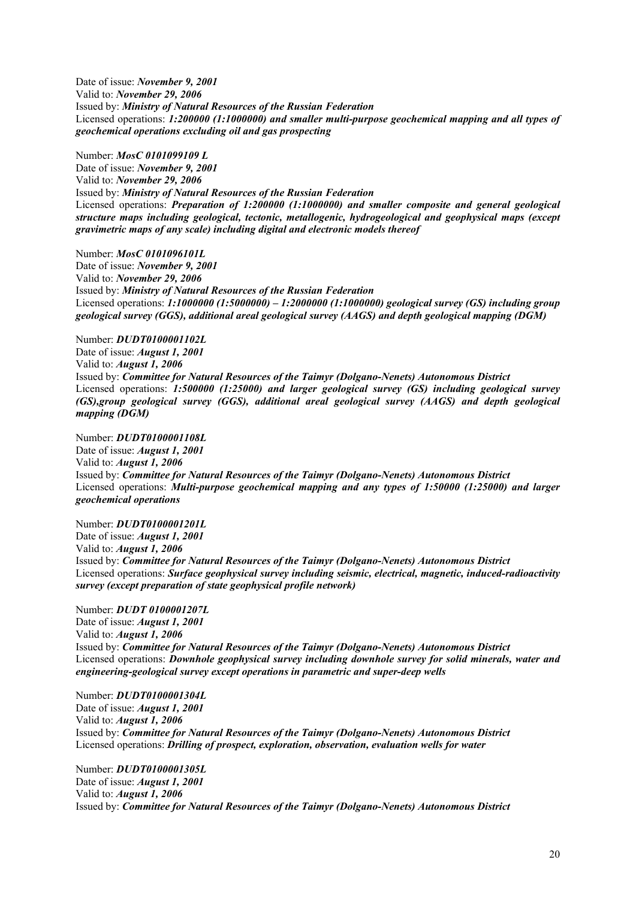Date of issue: *November 9, 2001* Valid to: *November 29, 2006* Issued by: *Ministry of Natural Resources of the Russian Federation* Licensed operations: *1:200000 (1:1000000) and smaller multi-purpose geochemical mapping and all types of geochemical operations excluding oil and gas prospecting*

Number: *MosC 0101099109 L* Date of issue: *November 9, 2001* Valid to: *November 29, 2006* Issued by: *Ministry of Natural Resources of the Russian Federation* Licensed operations: *Preparation of 1:200000 (1:1000000) and smaller composite and general geological structure maps including geological, tectonic, metallogenic, hydrogeological and geophysical maps (except gravimetric maps of any scale) including digital and electronic models thereof*

Number: *MosC 0101096101L* Date of issue: *November 9, 2001* Valid to: *November 29, 2006* Issued by: *Ministry of Natural Resources of the Russian Federation* Licensed operations: *1:1000000 (1:5000000) – 1:2000000 (1:1000000) geological survey (GS) including group geological survey (GGS), additional areal geological survey (AAGS) and depth geological mapping (DGM)* 

Number: *DUDT0100001102L* Date of issue: *August 1, 2001* Valid to: *August 1, 2006* Issued by: *Committee for Natural Resources of the Taimyr (Dolgano-Nenets) Autonomous District* Licensed operations: *1:500000 (1:25000) and larger geological survey (GS) including geological survey (GS),group geological survey (GGS), additional areal geological survey (AAGS) and depth geological mapping (DGM)* 

Number: *DUDT0100001108L* Date of issue: *August 1, 2001* Valid to: *August 1, 2006* Issued by: *Committee for Natural Resources of the Taimyr (Dolgano-Nenets) Autonomous District* Licensed operations: *Multi-purpose geochemical mapping and any types of 1:50000 (1:25000) and larger geochemical operations* 

Number: *DUDT0100001201L* Date of issue: *August 1, 2001* Valid to: *August 1, 2006* Issued by: *Committee for Natural Resources of the Taimyr (Dolgano-Nenets) Autonomous District* Licensed operations: *Surface geophysical survey including seismic, electrical, magnetic, induced-radioactivity survey (except preparation of state geophysical profile network)*

Number: *DUDT 0100001207L* Date of issue: *August 1, 2001* Valid to: *August 1, 2006* Issued by: *Committee for Natural Resources of the Taimyr (Dolgano-Nenets) Autonomous District* Licensed operations: *Downhole geophysical survey including downhole survey for solid minerals, water and engineering-geological survey except operations in parametric and super-deep wells* 

Number: *DUDT0100001304L* Date of issue: *August 1, 2001* Valid to: *August 1, 2006* Issued by: *Committee for Natural Resources of the Taimyr (Dolgano-Nenets) Autonomous District* Licensed operations: *Drilling of prospect, exploration, observation, evaluation wells for water*

Number: *DUDT0100001305L* Date of issue: *August 1, 2001* Valid to: *August 1, 2006* Issued by: *Committee for Natural Resources of the Taimyr (Dolgano-Nenets) Autonomous District*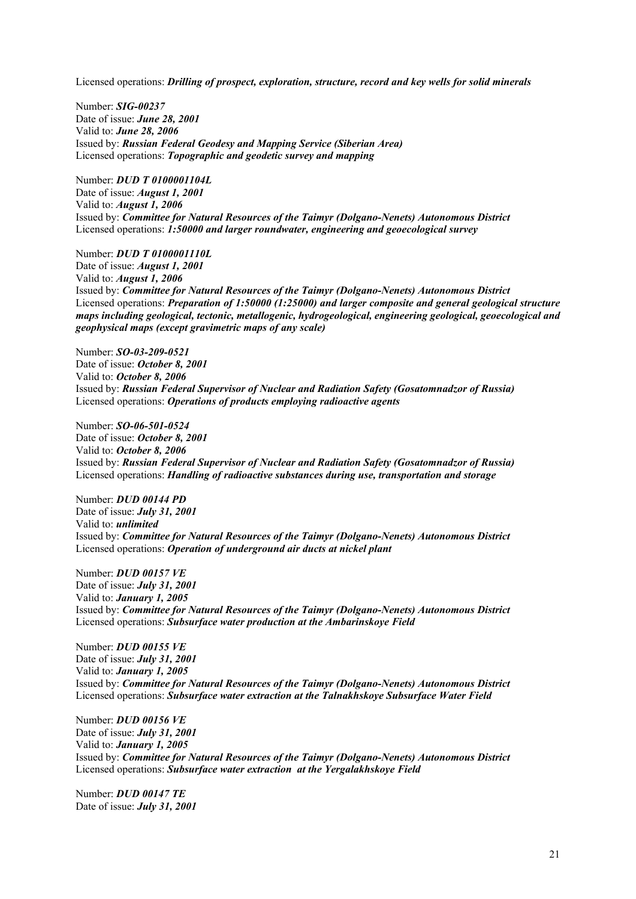Licensed operations: *Drilling of prospect, exploration, structure, record and key wells for solid minerals*

Number: *SIG-00237* Date of issue: *June 28, 2001* Valid to: *June 28, 2006* Issued by: *Russian Federal Geodesy and Mapping Service (Siberian Area)* Licensed operations: *Topographic and geodetic survey and mapping*

Number: *DUD T 0100001104L* Date of issue: *August 1, 2001* Valid to: *August 1, 2006* Issued by: *Committee for Natural Resources of the Taimyr (Dolgano-Nenets) Autonomous District* Licensed operations: *1:50000 and larger roundwater, engineering and geoecological survey*

Number: *DUD T 0100001110L* Date of issue: *August 1, 2001* Valid to: *August 1, 2006* Issued by: *Committee for Natural Resources of the Taimyr (Dolgano-Nenets) Autonomous District* Licensed operations: *Preparation of 1:50000 (1:25000) and larger composite and general geological structure maps including geological, tectonic, metallogenic, hydrogeological, engineering geological, geoecological and geophysical maps (except gravimetric maps of any scale)* 

Number: *SO-03-209-0521* Date of issue: *October 8, 2001*  Valid to: *October 8, 2006* Issued by: *Russian Federal Supervisor of Nuclear and Radiation Safety (Gosatomnadzor of Russia)* Licensed operations: *Operations of products employing radioactive agents*

Number: *SO-06-501-0524* Date of issue: *October 8, 2001*  Valid to: *October 8, 2006* Issued by: *Russian Federal Supervisor of Nuclear and Radiation Safety (Gosatomnadzor of Russia)* Licensed operations: *Handling of radioactive substances during use, transportation and storage*

Number: *DUD 00144 PD* Date of issue: *July 31, 2001* Valid to: *unlimited* Issued by: *Committee for Natural Resources of the Taimyr (Dolgano-Nenets) Autonomous District* Licensed operations: *Operation of underground air ducts at nickel plant*

Number: *DUD 00157 VE* Date of issue: *July 31, 2001* Valid to: *January 1, 2005* Issued by: *Committee for Natural Resources of the Taimyr (Dolgano-Nenets) Autonomous District* Licensed operations: *Subsurface water production at the Ambarinskoye Field*

Number: *DUD 00155 VE* Date of issue: *July 31, 2001* Valid to: *January 1, 2005* Issued by: *Committee for Natural Resources of the Taimyr (Dolgano-Nenets) Autonomous District* Licensed operations: *Subsurface water extraction at the Talnakhskoye Subsurface Water Field*

Number: *DUD 00156 VE* Date of issue: *July 31, 2001* Valid to: *January 1, 2005* Issued by: *Committee for Natural Resources of the Taimyr (Dolgano-Nenets) Autonomous District* Licensed operations: *Subsurface water extraction at the Yergalakhskoye Field*

Number: *DUD 00147 TE* Date of issue: *July 31, 2001*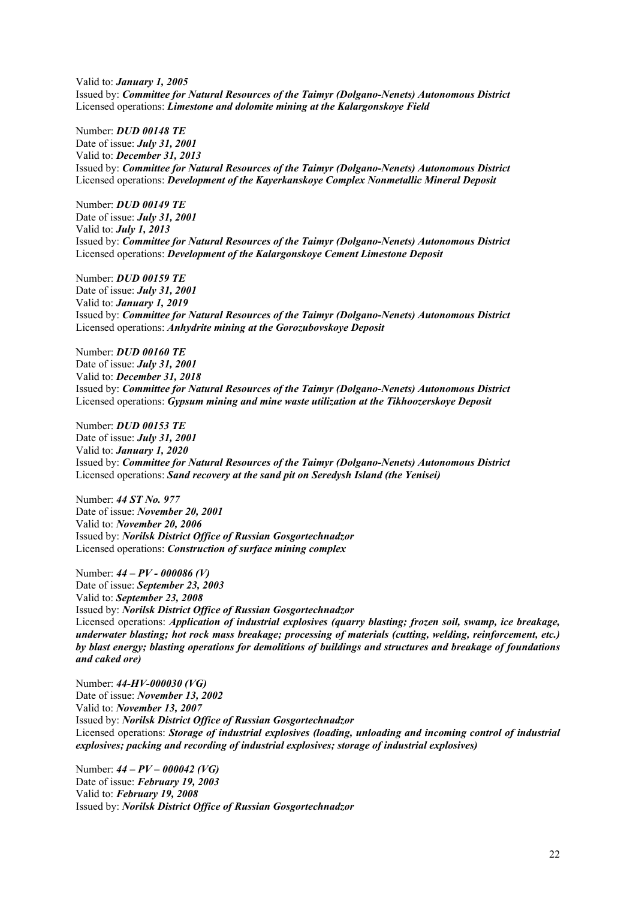Valid to: *January 1, 2005* Issued by: *Committee for Natural Resources of the Taimyr (Dolgano-Nenets) Autonomous District* Licensed operations: *Limestone and dolomite mining at the Kalargonskoye Field*

Number: *DUD 00148 TE* Date of issue: *July 31, 2001* Valid to: *December 31, 2013* Issued by: *Committee for Natural Resources of the Taimyr (Dolgano-Nenets) Autonomous District* Licensed operations: *Development of the Kayerkanskoye Complex Nonmetallic Mineral Deposit*

Number: *DUD 00149 TE* Date of issue: *July 31, 2001* Valid to: *July 1, 2013* Issued by: *Committee for Natural Resources of the Taimyr (Dolgano-Nenets) Autonomous District* Licensed operations: *Development of the Kalargonskoye Cement Limestone Deposit* 

Number: *DUD 00159 TE* Date of issue: *July 31, 2001* Valid to: *January 1, 2019* Issued by: *Committee for Natural Resources of the Taimyr (Dolgano-Nenets) Autonomous District* Licensed operations: *Anhydrite mining at the Gorozubovskoye Deposit*

Number: *DUD 00160 TE* Date of issue: *July 31, 2001* Valid to: *December 31, 2018* Issued by: *Committee for Natural Resources of the Taimyr (Dolgano-Nenets) Autonomous District* Licensed operations: *Gypsum mining and mine waste utilization at the Tikhoozerskoye Deposit*

Number: *DUD 00153 TE* Date of issue: *July 31, 2001* Valid to: *January 1, 2020* Issued by: *Committee for Natural Resources of the Taimyr (Dolgano-Nenets) Autonomous District* Licensed operations: *Sand recovery at the sand pit on Seredysh Island (the Yenisei)* 

Number: *44 ST No. 977* Date of issue: *November 20, 2001* Valid to: *November 20, 2006* Issued by: *Norilsk District Office of Russian Gosgortechnadzor* Licensed operations: *Construction of surface mining complex*

Number: *44 – PV - 000086 (V)* Date of issue: *September 23, 2003* Valid to: *September 23, 2008* Issued by: *Norilsk District Office of Russian Gosgortechnadzor* Licensed operations: *Application of industrial explosives (quarry blasting; frozen soil, swamp, ice breakage, underwater blasting; hot rock mass breakage; processing of materials (cutting, welding, reinforcement, etc.) by blast energy; blasting operations for demolitions of buildings and structures and breakage of foundations and caked ore)* 

Number: *44-HV-000030 (VG)* Date of issue: *November 13, 2002* Valid to: *November 13, 2007* Issued by: *Norilsk District Office of Russian Gosgortechnadzor* Licensed operations: *Storage of industrial explosives (loading, unloading and incoming control of industrial explosives; packing and recording of industrial explosives; storage of industrial explosives)* 

Number: *44 – PV – 000042 (VG)* Date of issue: *February 19, 2003* Valid to: *February 19, 2008* Issued by: *Norilsk District Office of Russian Gosgortechnadzor*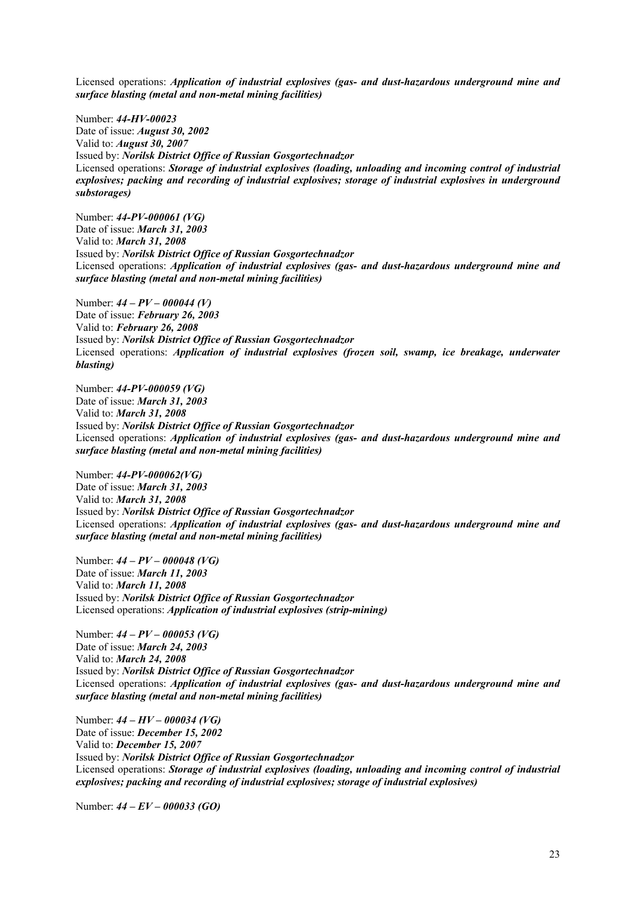Licensed operations: *Application of industrial explosives (gas- and dust-hazardous underground mine and surface blasting (metal and non-metal mining facilities)* 

Number: *44-HV-00023* Date of issue: *August 30, 2002* Valid to: *August 30, 2007* Issued by: *Norilsk District Office of Russian Gosgortechnadzor* Licensed operations: *Storage of industrial explosives (loading, unloading and incoming control of industrial explosives; packing and recording of industrial explosives; storage of industrial explosives in underground substorages)* 

Number: *44-PV-000061 (VG)* Date of issue: *March 31, 2003* Valid to: *March 31, 2008* Issued by: *Norilsk District Office of Russian Gosgortechnadzor* Licensed operations: *Application of industrial explosives (gas- and dust-hazardous underground mine and surface blasting (metal and non-metal mining facilities)* 

Number: *44 – PV – 000044 (V)* Date of issue: *February 26, 2003* Valid to: *February 26, 2008* Issued by: *Norilsk District Office of Russian Gosgortechnadzor* Licensed operations: *Application of industrial explosives (frozen soil, swamp, ice breakage, underwater blasting)*

Number: *44-PV-000059 (VG)* Date of issue: *March 31, 2003* Valid to: *March 31, 2008* Issued by: *Norilsk District Office of Russian Gosgortechnadzor* Licensed operations: *Application of industrial explosives (gas- and dust-hazardous underground mine and surface blasting (metal and non-metal mining facilities)*

Number: *44-PV-000062(VG)* Date of issue: *March 31, 2003* Valid to: *March 31, 2008* Issued by: *Norilsk District Office of Russian Gosgortechnadzor* Licensed operations: *Application of industrial explosives (gas- and dust-hazardous underground mine and surface blasting (metal and non-metal mining facilities)*

Number: *44 – PV – 000048 (VG)* Date of issue: *March 11, 2003* Valid to: *March 11, 2008* Issued by: *Norilsk District Office of Russian Gosgortechnadzor* Licensed operations: *Application of industrial explosives (strip-mining)* 

Number: *44 – PV – 000053 (VG)* Date of issue: *March 24, 2003* Valid to: *March 24, 2008* Issued by: *Norilsk District Office of Russian Gosgortechnadzor* Licensed operations: *Application of industrial explosives (gas- and dust-hazardous underground mine and surface blasting (metal and non-metal mining facilities)*

Number: *44 – HV – 000034 (VG)* Date of issue: *December 15, 2002* Valid to: *December 15, 2007* Issued by: *Norilsk District Office of Russian Gosgortechnadzor* Licensed operations: *Storage of industrial explosives (loading, unloading and incoming control of industrial explosives; packing and recording of industrial explosives; storage of industrial explosives)* 

Number: *44 – EV – 000033 (GO)*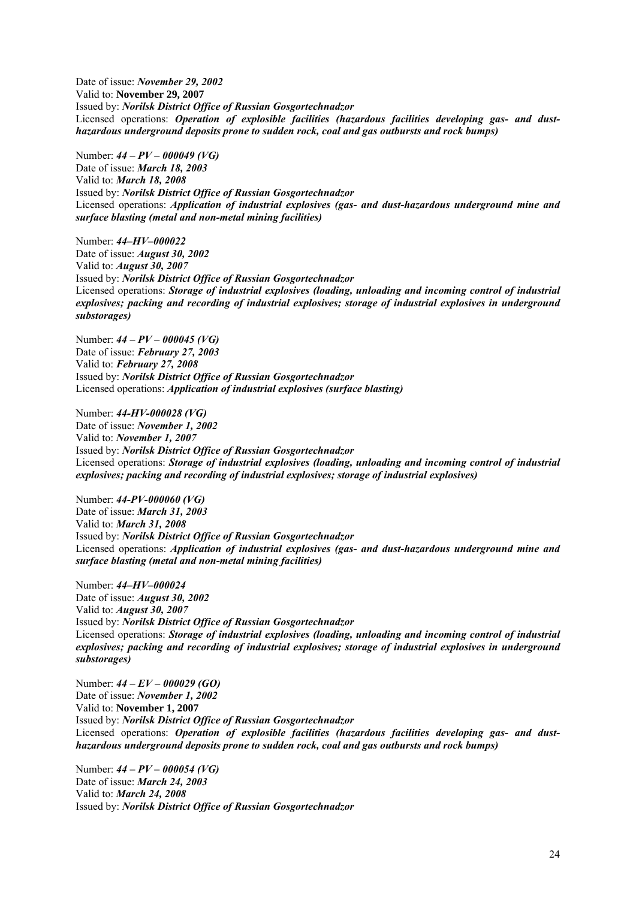Date of issue: *November 29, 2002* Valid to: **November 29, 2007** Issued by: *Norilsk District Office of Russian Gosgortechnadzor* Licensed operations: *Operation of explosible facilities (hazardous facilities developing gas- and dusthazardous underground deposits prone to sudden rock, coal and gas outbursts and rock bumps)*

Number: *44 – PV – 000049 (VG)* Date of issue: *March 18, 2003* Valid to: *March 18, 2008* Issued by: *Norilsk District Office of Russian Gosgortechnadzor* Licensed operations: *Application of industrial explosives (gas- and dust-hazardous underground mine and surface blasting (metal and non-metal mining facilities)*

Number: *44–HV–000022*  Date of issue: *August 30, 2002* Valid to: *August 30, 2007*  Issued by: *Norilsk District Office of Russian Gosgortechnadzor* Licensed operations: *Storage of industrial explosives (loading, unloading and incoming control of industrial explosives; packing and recording of industrial explosives; storage of industrial explosives in underground substorages)* 

Number: *44 – PV – 000045 (VG)* Date of issue: *February 27, 2003* Valid to: *February 27, 2008* Issued by: *Norilsk District Office of Russian Gosgortechnadzor* Licensed operations: *Application of industrial explosives (surface blasting)* 

Number: *44-HV-000028 (VG)* Date of issue: *November 1, 2002* Valid to: *November 1, 2007* Issued by: *Norilsk District Office of Russian Gosgortechnadzor* Licensed operations: *Storage of industrial explosives (loading, unloading and incoming control of industrial explosives; packing and recording of industrial explosives; storage of industrial explosives)* 

Number: *44-PV-000060 (VG)* Date of issue: *March 31, 2003* Valid to: *March 31, 2008* Issued by: *Norilsk District Office of Russian Gosgortechnadzor* Licensed operations: *Application of industrial explosives (gas- and dust-hazardous underground mine and surface blasting (metal and non-metal mining facilities)*

Number: *44–HV–000024*  Date of issue: *August 30, 2002* Valid to: *August 30, 2007*  Issued by: *Norilsk District Office of Russian Gosgortechnadzor* Licensed operations: *Storage of industrial explosives (loading, unloading and incoming control of industrial explosives; packing and recording of industrial explosives; storage of industrial explosives in underground substorages)* 

Number: *44 – EV – 000029 (GO)* Date of issue: *November 1, 2002* Valid to: **November 1, 2007** Issued by: *Norilsk District Office of Russian Gosgortechnadzor* Licensed operations: *Operation of explosible facilities (hazardous facilities developing gas- and dusthazardous underground deposits prone to sudden rock, coal and gas outbursts and rock bumps)*

Number: *44 – PV – 000054 (VG)* Date of issue: *March 24, 2003* Valid to: *March 24, 2008* Issued by: *Norilsk District Office of Russian Gosgortechnadzor*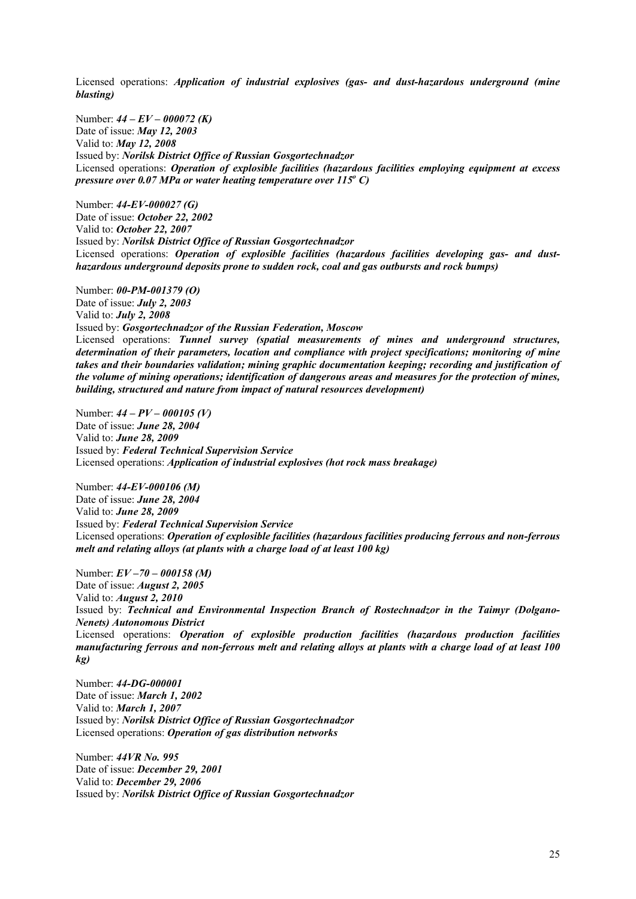Licensed operations: *Application of industrial explosives (gas- and dust-hazardous underground (mine blasting)*

Number: *44 – EV – 000072 (K)* Date of issue: *May 12, 2003* Valid to: *May 12, 2008* Issued by: *Norilsk District Office of Russian Gosgortechnadzor* Licensed operations: *Operation of explosible facilities (hazardous facilities employing equipment at excess pressure over 0.07 MPa or water heating temperature over 115<sup>°</sup> C)* 

Number: *44-EV-000027 (G)* Date of issue: *October 22, 2002* Valid to: *October 22, 2007* Issued by: *Norilsk District Office of Russian Gosgortechnadzor* Licensed operations: *Operation of explosible facilities (hazardous facilities developing gas- and dusthazardous underground deposits prone to sudden rock, coal and gas outbursts and rock bumps)*

Number: *00-PM-001379 (O)* Date of issue: *July 2, 2003* Valid to: *July 2, 2008* Issued by: *Gosgortechnadzor of the Russian Federation, Moscow* Licensed operations: *Tunnel survey (spatial measurements of mines and underground structures, determination of their parameters, location and compliance with project specifications; monitoring of mine takes and their boundaries validation; mining graphic documentation keeping; recording and justification of the volume of mining operations; identification of dangerous areas and measures for the protection of mines, building, structured and nature from impact of natural resources development)* 

Number: *44 – PV – 000105 (V)* Date of issue: *June 28, 2004* Valid to: *June 28, 2009* Issued by: *Federal Technical Supervision Service* Licensed operations: *Application of industrial explosives (hot rock mass breakage)* 

Number: *44-EV-000106 (M)* Date of issue: *June 28, 2004* Valid to: *June 28, 2009* Issued by: *Federal Technical Supervision Service* Licensed operations: *Operation of explosible facilities (hazardous facilities producing ferrous and non-ferrous melt and relating alloys (at plants with a charge load of at least 100 kg)*

Number: *EV –70 – 000158 (M)* Date of issue: *August 2, 2005* Valid to: *August 2, 2010* Issued by: *Technical and Environmental Inspection Branch of Rostechnadzor in the Taimyr (Dolgano-Nenets) Autonomous District* Licensed operations: *Operation of explosible production facilities (hazardous production facilities manufacturing ferrous and non-ferrous melt and relating alloys at plants with a charge load of at least 100 kg)*

Number: *44-DG-000001* Date of issue: *March 1, 2002* Valid to: *March 1, 2007* Issued by: *Norilsk District Office of Russian Gosgortechnadzor* Licensed operations: *Operation of gas distribution networks* 

Number: *44VR No. 995* Date of issue: *December 29, 2001* Valid to: *December 29, 2006* Issued by: *Norilsk District Office of Russian Gosgortechnadzor*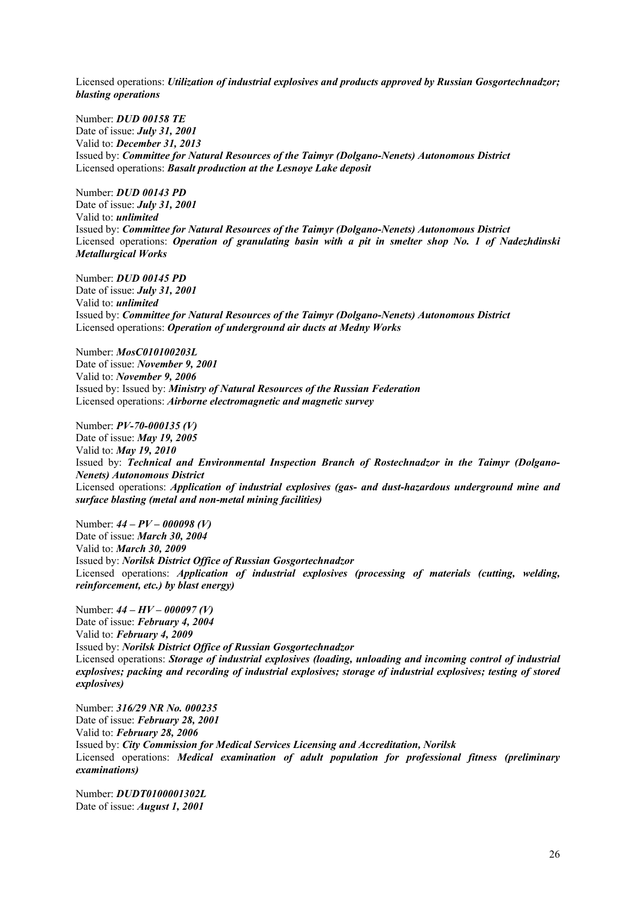Licensed operations: *Utilization of industrial explosives and products approved by Russian Gosgortechnadzor; blasting operations* 

Number: *DUD 00158 TE* Date of issue: *July 31, 2001* Valid to: *December 31, 2013* Issued by: *Committee for Natural Resources of the Taimyr (Dolgano-Nenets) Autonomous District* Licensed operations: *Basalt production at the Lesnoye Lake deposit*

Number: *DUD 00143 PD* Date of issue: *July 31, 2001* Valid to: *unlimited* Issued by: *Committee for Natural Resources of the Taimyr (Dolgano-Nenets) Autonomous District* Licensed operations: *Operation of granulating basin with a pit in smelter shop No. 1 of Nadezhdinski Metallurgical Works* 

Number: *DUD 00145 PD* Date of issue: *July 31, 2001* Valid to: *unlimited* Issued by: *Committee for Natural Resources of the Taimyr (Dolgano-Nenets) Autonomous District* Licensed operations: *Operation of underground air ducts at Medny Works*

Number: *MosC010100203L* Date of issue: *November 9, 2001* Valid to: *November 9, 2006* Issued by: Issued by: *Ministry of Natural Resources of the Russian Federation* Licensed operations: *Airborne electromagnetic and magnetic survey*

Number: *PV-70-000135 (V)* Date of issue: *May 19, 2005* Valid to: *May 19, 2010* Issued by: *Technical and Environmental Inspection Branch of Rostechnadzor in the Taimyr (Dolgano-Nenets) Autonomous District* Licensed operations: *Application of industrial explosives (gas- and dust-hazardous underground mine and surface blasting (metal and non-metal mining facilities)* 

Number: *44 – PV – 000098 (V)* Date of issue: *March 30, 2004* Valid to: *March 30, 2009* Issued by: *Norilsk District Office of Russian Gosgortechnadzor* Licensed operations: *Application of industrial explosives (processing of materials (cutting, welding, reinforcement, etc.) by blast energy)* 

Number: *44 – HV – 000097 (V)* Date of issue: *February 4, 2004* Valid to: *February 4, 2009* Issued by: *Norilsk District Office of Russian Gosgortechnadzor* Licensed operations: *Storage of industrial explosives (loading, unloading and incoming control of industrial explosives; packing and recording of industrial explosives; storage of industrial explosives; testing of stored explosives)* 

Number: *316/29 NR No. 000235* Date of issue: *February 28, 2001* Valid to: *February 28, 2006* Issued by: *City Commission for Medical Services Licensing and Accreditation, Norilsk* Licensed operations: *Medical examination of adult population for professional fitness (preliminary examinations)*

Number: *DUDT0100001302L* Date of issue: *August 1, 2001*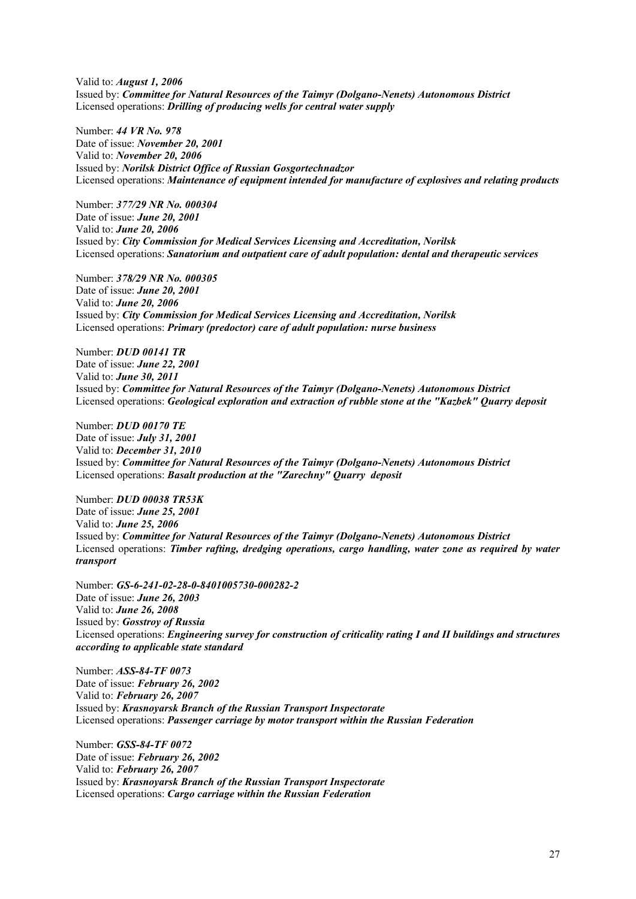Valid to: *August 1, 2006* Issued by: *Committee for Natural Resources of the Taimyr (Dolgano-Nenets) Autonomous District* Licensed operations: *Drilling of producing wells for central water supply*

Number: *44 VR No. 978* Date of issue: *November 20, 2001* Valid to: *November 20, 2006* Issued by: *Norilsk District Office of Russian Gosgortechnadzor* Licensed operations: *Maintenance of equipment intended for manufacture of explosives and relating products*

Number: *377/29 NR No. 000304* Date of issue: *June 20, 2001* Valid to: *June 20, 2006* Issued by: *City Commission for Medical Services Licensing and Accreditation, Norilsk* Licensed operations: *Sanatorium and outpatient care of adult population: dental and therapeutic services*

Number: *378/29 NR No. 000305* Date of issue: *June 20, 2001* Valid to: *June 20, 2006* Issued by: *City Commission for Medical Services Licensing and Accreditation, Norilsk* Licensed operations: *Primary (predoctor) care of adult population: nurse business*

Number: *DUD 00141 TR* Date of issue: *June 22, 2001* Valid to: *June 30, 2011* Issued by: *Committee for Natural Resources of the Taimyr (Dolgano-Nenets) Autonomous District* Licensed operations: *Geological exploration and extraction of rubble stone at the "Kazbek" Quarry deposit*

Number: *DUD 00170 TE* Date of issue: *July 31, 2001* Valid to: *December 31, 2010* Issued by: *Committee for Natural Resources of the Taimyr (Dolgano-Nenets) Autonomous District* Licensed operations: *Basalt production at the "Zarechny" Quarry deposit*

Number: *DUD 00038 TR53K* Date of issue: *June 25, 2001* Valid to: *June 25, 2006*  Issued by: *Committee for Natural Resources of the Taimyr (Dolgano-Nenets) Autonomous District* Licensed operations: *Timber rafting, dredging operations, cargo handling, water zone as required by water transport*

Number: *GS-6-241-02-28-0-8401005730-000282-2* Date of issue: *June 26, 2003* Valid to: *June 26, 2008* Issued by: *Gosstroy of Russia* Licensed operations: *Engineering survey for construction of criticality rating I and II buildings and structures according to applicable state standard* 

Number: *ASS-84-TF 0073* Date of issue: *February 26, 2002* Valid to: *February 26, 2007* Issued by: *Krasnoyarsk Branch of the Russian Transport Inspectorate* Licensed operations: *Passenger carriage by motor transport within the Russian Federation*

Number: *GSS-84-TF 0072* Date of issue: *February 26, 2002* Valid to: *February 26, 2007* Issued by: *Krasnoyarsk Branch of the Russian Transport Inspectorate* Licensed operations: *Cargo carriage within the Russian Federation*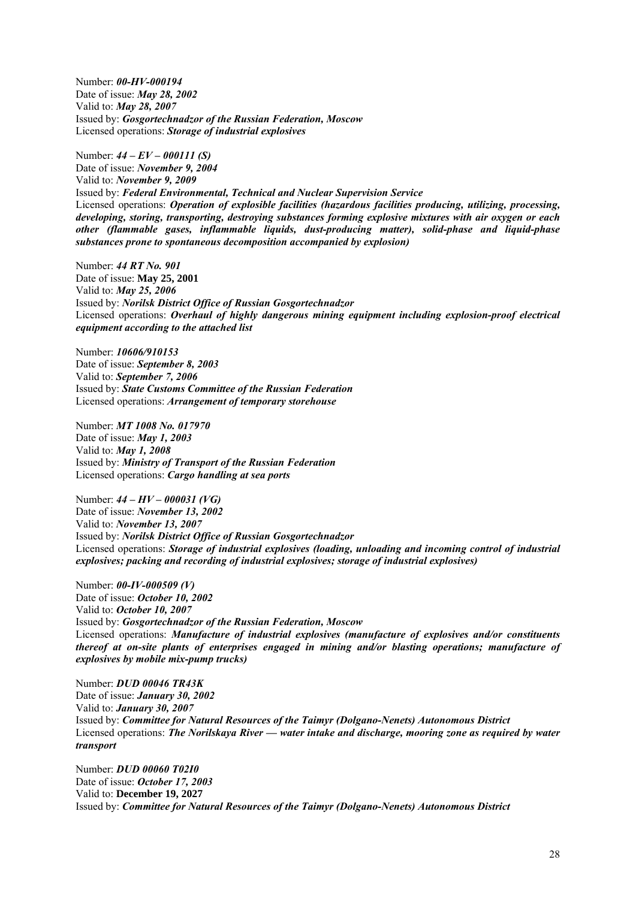Number: *00-HV-000194* Date of issue: *May 28, 2002* Valid to: *May 28, 2007* Issued by: *Gosgortechnadzor of the Russian Federation, Moscow* Licensed operations: *Storage of industrial explosives*

Number: *44 – EV – 000111 (S)*

Date of issue: *November 9, 2004* Valid to: *November 9, 2009* Issued by: *Federal Environmental, Technical and Nuclear Supervision Service* Licensed operations: *Operation of explosible facilities (hazardous facilities producing, utilizing, processing, developing, storing, transporting, destroying substances forming explosive mixtures with air oxygen or each other (flammable gases, inflammable liquids, dust-producing matter), solid-phase and liquid-phase substances prone to spontaneous decomposition accompanied by explosion)* 

Number: *44 RT No. 901* Date of issue: **May 25, 2001** Valid to: *May 25, 2006* Issued by: *Norilsk District Office of Russian Gosgortechnadzor* Licensed operations: *Overhaul of highly dangerous mining equipment including explosion-proof electrical equipment according to the attached list*

Number: *10606/910153* Date of issue: *September 8, 2003* Valid to: *September 7, 2006* Issued by: *State Customs Committee of the Russian Federation* Licensed operations: *Arrangement of temporary storehouse*

Number: *MT 1008 No. 017970* Date of issue: *May 1, 2003* Valid to: *May 1, 2008* Issued by: *Ministry of Transport of the Russian Federation* Licensed operations: *Cargo handling at sea ports*

Number: *44 – HV – 000031 (VG)* Date of issue: *November 13, 2002* Valid to: *November 13, 2007* Issued by: *Norilsk District Office of Russian Gosgortechnadzor* Licensed operations: *Storage of industrial explosives (loading, unloading and incoming control of industrial explosives; packing and recording of industrial explosives; storage of industrial explosives)* 

Number: *00-IV-000509 (V)* Date of issue: *October 10, 2002* Valid to: *October 10, 2007* Issued by: *Gosgortechnadzor of the Russian Federation, Moscow* Licensed operations: *Manufacture of industrial explosives (manufacture of explosives and/or constituents thereof at on-site plants of enterprises engaged in mining and/or blasting operations; manufacture of explosives by mobile mix-pump trucks)* 

Number: *DUD 00046 TR43K*  Date of issue: *January 30, 2002* Valid to: *January 30, 2007* Issued by: *Committee for Natural Resources of the Taimyr (Dolgano-Nenets) Autonomous District* Licensed operations: *The Norilskaya River — water intake and discharge, mooring zone as required by water transport*

Number: *DUD 00060 T02I0* Date of issue: *October 17, 2003* Valid to: **December 19, 2027** Issued by: *Committee for Natural Resources of the Taimyr (Dolgano-Nenets) Autonomous District*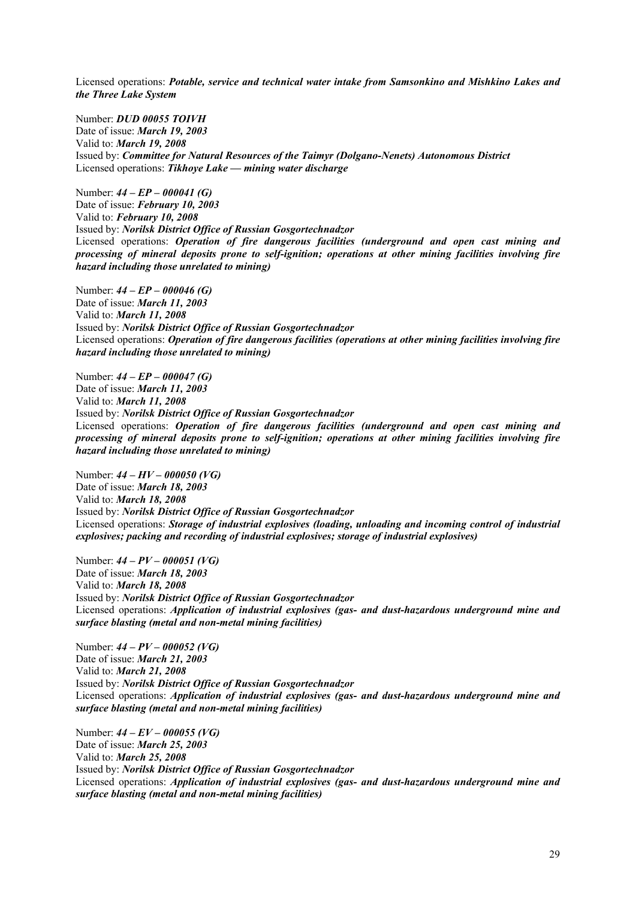Licensed operations: *Potable, service and technical water intake from Samsonkino and Mishkino Lakes and the Three Lake System*

Number: *DUD 00055 TOIVH* Date of issue: *March 19, 2003* Valid to: *March 19, 2008* Issued by: *Committee for Natural Resources of the Taimyr (Dolgano-Nenets) Autonomous District* Licensed operations: *Tikhoye Lake — mining water discharge*

Number: *44 – EP – 000041 (G)* Date of issue: *February 10, 2003* Valid to: *February 10, 2008* Issued by: *Norilsk District Office of Russian Gosgortechnadzor* Licensed operations: *Operation of fire dangerous facilities (underground and open cast mining and processing of mineral deposits prone to self-ignition; operations at other mining facilities involving fire hazard including those unrelated to mining)* 

Number: *44 – EP – 000046 (G)* Date of issue: *March 11, 2003* Valid to: *March 11, 2008* Issued by: *Norilsk District Office of Russian Gosgortechnadzor* Licensed operations: *Operation of fire dangerous facilities (operations at other mining facilities involving fire hazard including those unrelated to mining)* 

Number: *44 – EP – 000047 (G)* Date of issue: *March 11, 2003* Valid to: *March 11, 2008* Issued by: *Norilsk District Office of Russian Gosgortechnadzor* Licensed operations: *Operation of fire dangerous facilities (underground and open cast mining and processing of mineral deposits prone to self-ignition; operations at other mining facilities involving fire hazard including those unrelated to mining)* 

Number: *44 – HV – 000050 (VG)* Date of issue: *March 18, 2003* Valid to: *March 18, 2008* Issued by: *Norilsk District Office of Russian Gosgortechnadzor* Licensed operations: *Storage of industrial explosives (loading, unloading and incoming control of industrial explosives; packing and recording of industrial explosives; storage of industrial explosives)* 

Number: *44 – PV – 000051 (VG)* Date of issue: *March 18, 2003* Valid to: *March 18, 2008* Issued by: *Norilsk District Office of Russian Gosgortechnadzor* Licensed operations: *Application of industrial explosives (gas- and dust-hazardous underground mine and surface blasting (metal and non-metal mining facilities)* 

Number: *44 – PV – 000052 (VG)* Date of issue: *March 21, 2003* Valid to: *March 21, 2008* Issued by: *Norilsk District Office of Russian Gosgortechnadzor* Licensed operations: *Application of industrial explosives (gas- and dust-hazardous underground mine and surface blasting (metal and non-metal mining facilities)* 

Number: *44 – EV – 000055 (VG)* Date of issue: *March 25, 2003* Valid to: *March 25, 2008* Issued by: *Norilsk District Office of Russian Gosgortechnadzor* Licensed operations: *Application of industrial explosives (gas- and dust-hazardous underground mine and surface blasting (metal and non-metal mining facilities)*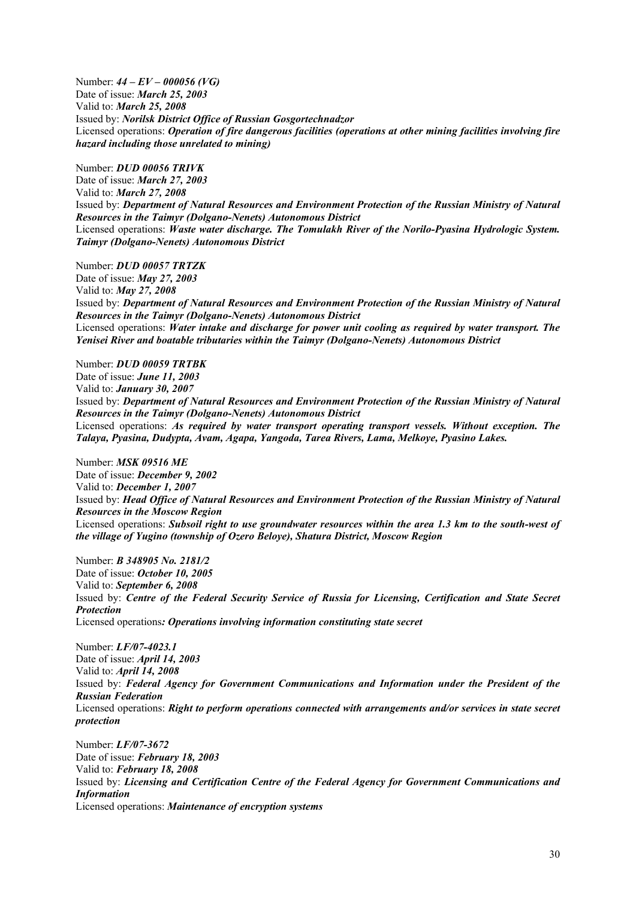Number: *44 – EV – 000056 (VG)* Date of issue: *March 25, 2003* Valid to: *March 25, 2008* Issued by: *Norilsk District Office of Russian Gosgortechnadzor* Licensed operations: *Operation of fire dangerous facilities (operations at other mining facilities involving fire hazard including those unrelated to mining)* 

Number: *DUD 00056 TRIVK* Date of issue: *March 27, 2003* Valid to: *March 27, 2008* Issued by: *Department of Natural Resources and Environment Protection of the Russian Ministry of Natural Resources in the Taimyr (Dolgano-Nenets) Autonomous District* Licensed operations: *Waste water discharge. The Tomulakh River of the Norilo-Pyasina Hydrologic System. Taimyr (Dolgano-Nenets) Autonomous District* 

Number: *DUD 00057 TRTZK* Date of issue: *May 27, 2003* Valid to: *May 27, 2008* Issued by: *Department of Natural Resources and Environment Protection of the Russian Ministry of Natural Resources in the Taimyr (Dolgano-Nenets) Autonomous District* Licensed operations: *Water intake and discharge for power unit cooling as required by water transport. The Yenisei River and boatable tributaries within the Taimyr (Dolgano-Nenets) Autonomous District* 

Number: *DUD 00059 TRTBK* Date of issue: *June 11, 2003* Valid to: *January 30, 2007* Issued by: *Department of Natural Resources and Environment Protection of the Russian Ministry of Natural Resources in the Taimyr (Dolgano-Nenets) Autonomous District* Licensed operations: *As required by water transport operating transport vessels. Without exception. The Talaya, Pyasina, Dudypta, Avam, Agapa, Yangoda, Tarea Rivers, Lama, Melkoye, Pyasino Lakes.* 

Number: *MSK 09516 ME* Date of issue: *December 9, 2002* Valid to: *December 1, 2007* Issued by: *Head Office of Natural Resources and Environment Protection of the Russian Ministry of Natural Resources in the Moscow Region* Licensed operations: *Subsoil right to use groundwater resources within the area 1.3 km to the south-west of the village of Yugino (township of Ozero Beloye), Shatura District, Moscow Region*

Number: *B 348905 No. 2181/2* Date of issue: *October 10, 2005* Valid to: *September 6, 2008* Issued by: *Centre of the Federal Security Service of Russia for Licensing, Certification and State Secret Protection* Licensed operations*: Operations involving information constituting state secret*

Number: *LF/07-4023.1* Date of issue: *April 14, 2003* Valid to: *April 14, 2008* Issued by: *Federal Agency for Government Communications and Information under the President of the Russian Federation* Licensed operations: *Right to perform operations connected with arrangements and/or services in state secret protection*

Number: *LF/07-3672* Date of issue: *February 18, 2003* Valid to: *February 18, 2008* Issued by: *Licensing and Certification Centre of the Federal Agency for Government Communications and Information*  Licensed operations: *Maintenance of encryption systems*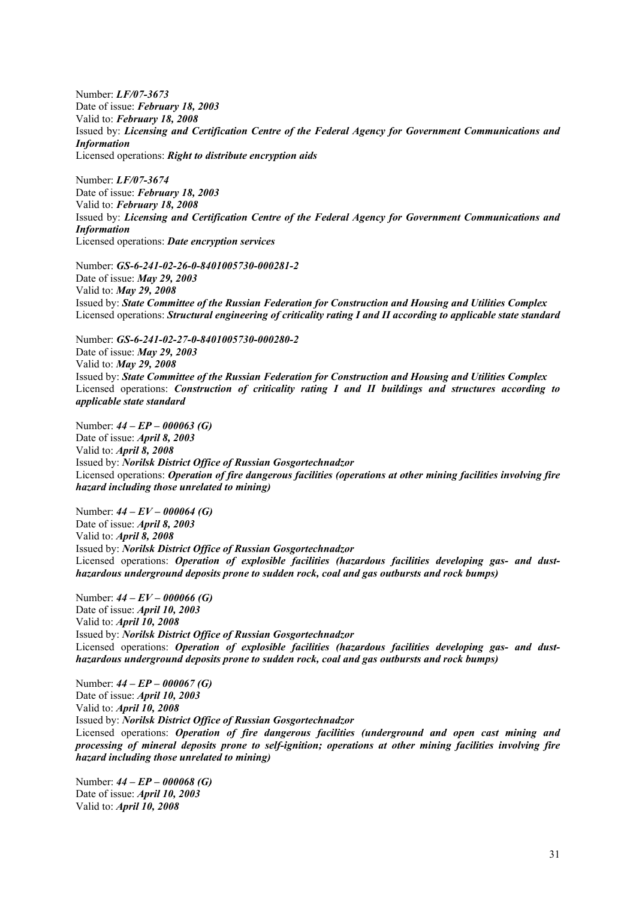Number: *LF/07-3673* Date of issue: *February 18, 2003* Valid to: *February 18, 2008* Issued by: *Licensing and Certification Centre of the Federal Agency for Government Communications and Information*  Licensed operations: *Right to distribute encryption aids*

Number: *LF/07-3674* Date of issue: *February 18, 2003* Valid to: *February 18, 2008* Issued by: *Licensing and Certification Centre of the Federal Agency for Government Communications and Information*  Licensed operations: *Date encryption services*

Number: *GS-6-241-02-26-0-8401005730-000281-2* Date of issue: *May 29, 2003* Valid to: *May 29, 2008* Issued by: *State Committee of the Russian Federation for Construction and Housing and Utilities Complex*  Licensed operations: *Structural engineering of criticality rating I and II according to applicable state standard* 

Number: *GS-6-241-02-27-0-8401005730-000280-2*  Date of issue: *May 29, 2003* Valid to: *May 29, 2008* Issued by: *State Committee of the Russian Federation for Construction and Housing and Utilities Complex*  Licensed operations: *Construction of criticality rating I and II buildings and structures according to applicable state standard* 

Number: *44 – EP – 000063 (G)* Date of issue: *April 8, 2003* Valid to: *April 8, 2008* Issued by: *Norilsk District Office of Russian Gosgortechnadzor*  Licensed operations: *Operation of fire dangerous facilities (operations at other mining facilities involving fire hazard including those unrelated to mining)* 

Number: *44 – EV – 000064 (G)* Date of issue: *April 8, 2003* Valid to: *April 8, 2008* Issued by: *Norilsk District Office of Russian Gosgortechnadzor*  Licensed operations: *Operation of explosible facilities (hazardous facilities developing gas- and dusthazardous underground deposits prone to sudden rock, coal and gas outbursts and rock bumps)*

Number: *44 – EV – 000066 (G)* Date of issue: *April 10, 2003* Valid to: *April 10, 2008* Issued by: *Norilsk District Office of Russian Gosgortechnadzor*  Licensed operations: *Operation of explosible facilities (hazardous facilities developing gas- and dusthazardous underground deposits prone to sudden rock, coal and gas outbursts and rock bumps)*

Number: *44 – EP – 000067 (G)* Date of issue: *April 10, 2003* Valid to: *April 10, 2008* Issued by: *Norilsk District Office of Russian Gosgortechnadzor*  Licensed operations: *Operation of fire dangerous facilities (underground and open cast mining and processing of mineral deposits prone to self-ignition; operations at other mining facilities involving fire hazard including those unrelated to mining)* 

Number: *44 – EP – 000068 (G)* Date of issue: *April 10, 2003* Valid to: *April 10, 2008*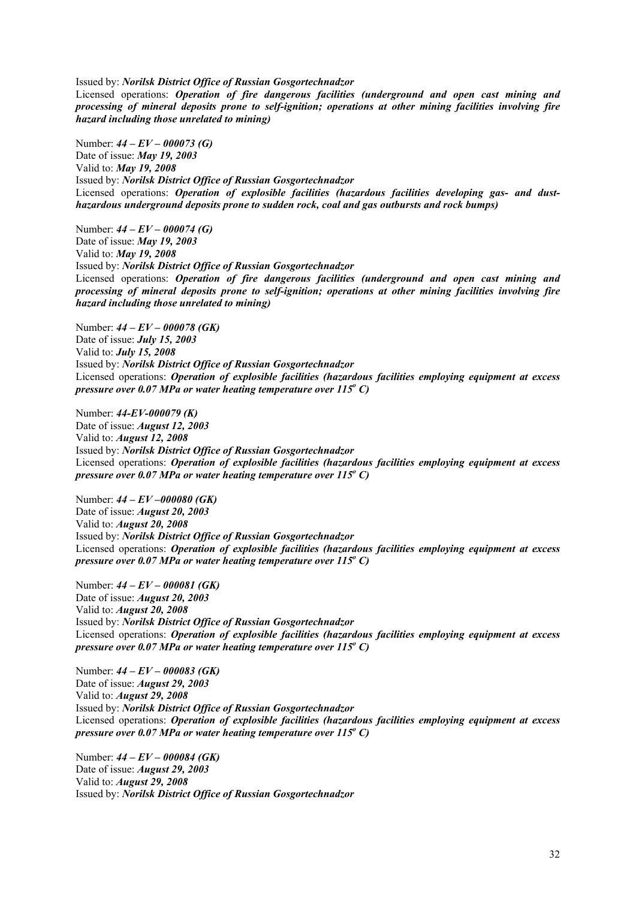Issued by: *Norilsk District Office of Russian Gosgortechnadzor* 

Licensed operations: *Operation of fire dangerous facilities (underground and open cast mining and processing of mineral deposits prone to self-ignition; operations at other mining facilities involving fire hazard including those unrelated to mining)* 

Number: *44 – EV – 000073 (G)* Date of issue: *May 19, 2003* Valid to: *May 19, 2008* Issued by: *Norilsk District Office of Russian Gosgortechnadzor*  Licensed operations: *Operation of explosible facilities (hazardous facilities developing gas- and dusthazardous underground deposits prone to sudden rock, coal and gas outbursts and rock bumps)*

Number: *44 – EV – 000074 (G)* Date of issue: *May 19, 2003* Valid to: *May 19, 2008* Issued by: *Norilsk District Office of Russian Gosgortechnadzor*  Licensed operations: *Operation of fire dangerous facilities (underground and open cast mining and processing of mineral deposits prone to self-ignition; operations at other mining facilities involving fire hazard including those unrelated to mining)* 

Number: *44 – EV – 000078 (GK)* Date of issue: *July 15, 2003* Valid to: *July 15, 2008* Issued by: *Norilsk District Office of Russian Gosgortechnadzor* Licensed operations: *Operation of explosible facilities (hazardous facilities employing equipment at excess pressure over 0.07 MPa or water heating temperature over 115<sup>°</sup> C)* 

Number: *44-EV-000079 (K)* Date of issue: *August 12, 2003* Valid to: *August 12, 2008*  Issued by: *Norilsk District Office of Russian Gosgortechnadzor* Licensed operations: *Operation of explosible facilities (hazardous facilities employing equipment at excess pressure over 0.07 MPa or water heating temperature over 115<sup>°</sup> C)* 

Number: *44 – EV –000080 (GK)* Date of issue: *August 20, 2003* Valid to: *August 20, 2008* Issued by: *Norilsk District Office of Russian Gosgortechnadzor* Licensed operations: *Operation of explosible facilities (hazardous facilities employing equipment at excess pressure over 0.07 MPa or water heating temperature over 115<sup>°</sup> C)* 

Number: *44 – EV – 000081 (GK)* Date of issue: *August 20, 2003* Valid to: *August 20, 2008* Issued by: *Norilsk District Office of Russian Gosgortechnadzor* Licensed operations: *Operation of explosible facilities (hazardous facilities employing equipment at excess pressure over 0.07 MPa or water heating temperature over 115<sup>°</sup> C)* 

Number: *44 – EV – 000083 (GK)* Date of issue: *August 29, 2003* Valid to: *August 29, 2008* Issued by: *Norilsk District Office of Russian Gosgortechnadzor*  Licensed operations: *Operation of explosible facilities (hazardous facilities employing equipment at excess pressure over 0.07 MPa or water heating temperature over 115<sup>°</sup> C)* 

Number: *44 – EV – 000084 (GK)* Date of issue: *August 29, 2003* Valid to: *August 29, 2008* Issued by: *Norilsk District Office of Russian Gosgortechnadzor*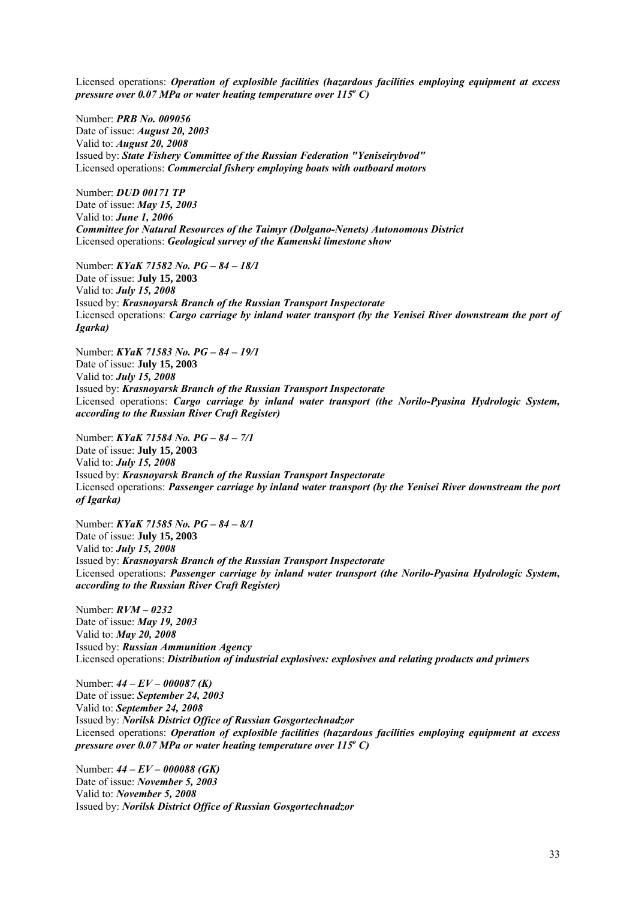Licensed operations: *Operation of explosible facilities (hazardous facilities employing equipment at excess pressure over 0.07 MPa or water heating temperature over 115<sup>°</sup> C)* 

Number: *PRB No. 009056* Date of issue: *August 20, 2003* Valid to: *August 20, 2008* Issued by: *State Fishery Committee of the Russian Federation "Yeniseirybvod"* Licensed operations: *Commercial fishery employing boats with outboard motors*

Number: *DUD 00171 TP* Date of issue: *May 15, 2003* Valid to: *June 1, 2006 Committee for Natural Resources of the Taimyr (Dolgano-Nenets) Autonomous District* Licensed operations: *Geological survey of the Kamenski limestone show*

Number: *KYaK 71582 No. PG – 84 – 18/1* Date of issue: **July 15, 2003** Valid to: *July 15, 2008* Issued by: *Krasnoyarsk Branch of the Russian Transport Inspectorate* Licensed operations: *Cargo carriage by inland water transport (by the Yenisei River downstream the port of Igarka)*

Number: *KYaK 71583 No. PG – 84 – 19/1* Date of issue: **July 15, 2003** Valid to: *July 15, 2008* Issued by: *Krasnoyarsk Branch of the Russian Transport Inspectorate* Licensed operations: *Cargo carriage by inland water transport (the Norilo-Pyasina Hydrologic System, according to the Russian River Craft Register)*

Number: *KYaK 71584 No. PG – 84 – 7/1* Date of issue: **July 15, 2003** Valid to: *July 15, 2008* Issued by: *Krasnoyarsk Branch of the Russian Transport Inspectorate* Licensed operations: *Passenger carriage by inland water transport (by the Yenisei River downstream the port of Igarka)*

Number: *KYaK 71585 No. PG – 84 – 8/1* Date of issue: **July 15, 2003** Valid to: *July 15, 2008* Issued by: *Krasnoyarsk Branch of the Russian Transport Inspectorate* Licensed operations: *Passenger carriage by inland water transport (the Norilo-Pyasina Hydrologic System, according to the Russian River Craft Register)*

Number: *RVM – 0232* Date of issue: *May 19, 2003* Valid to: *May 20, 2008* Issued by: *Russian Ammunition Agency* Licensed operations: *Distribution of industrial explosives: explosives and relating products and primers*

Number: *44 – EV – 000087 (K)* Date of issue: *September 24, 2003* Valid to: *September 24, 2008* Issued by: *Norilsk District Office of Russian Gosgortechnadzor* Licensed operations: *Operation of explosible facilities (hazardous facilities employing equipment at excess pressure over 0.07 MPa or water heating temperature over 115<sup>°</sup> C)* 

Number: *44 – EV – 000088 (GK)* Date of issue: *November 5, 2003* Valid to: *November 5, 2008* Issued by: *Norilsk District Office of Russian Gosgortechnadzor*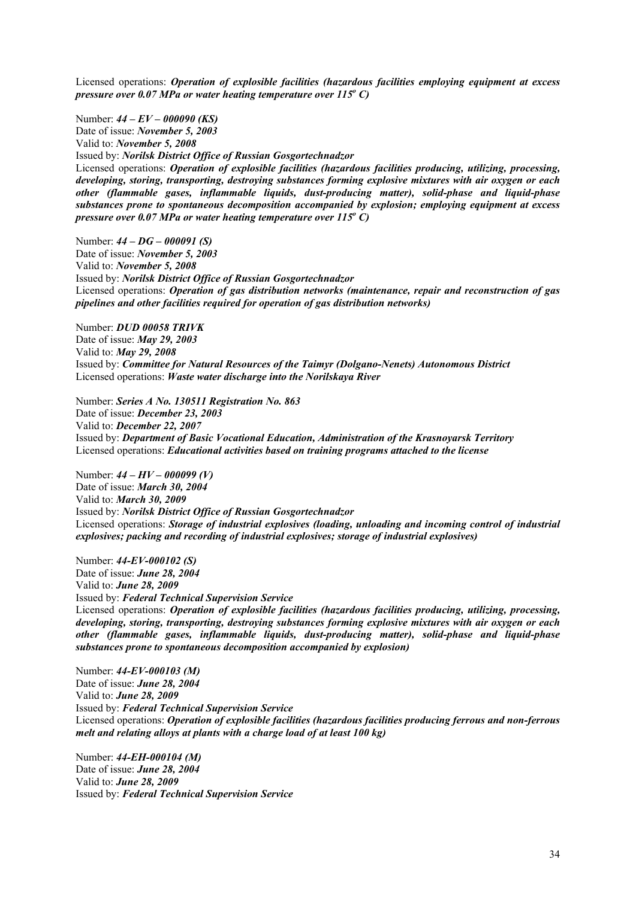Licensed operations: *Operation of explosible facilities (hazardous facilities employing equipment at excess pressure over 0.07 MPa or water heating temperature over 115<sup>°</sup> C)* 

Number: *44 – EV – 000090 (KS)* Date of issue: *November 5, 2003* Valid to: *November 5, 2008* Issued by: *Norilsk District Office of Russian Gosgortechnadzor* Licensed operations: *Operation of explosible facilities (hazardous facilities producing, utilizing, processing, developing, storing, transporting, destroying substances forming explosive mixtures with air oxygen or each other (flammable gases, inflammable liquids, dust-producing matter), solid-phase and liquid-phase substances prone to spontaneous decomposition accompanied by explosion; employing equipment at excess pressure over 0.07 MPa or water heating temperature over 115<sup>°</sup>C)* 

Number: *44 – DG – 000091 (S)* Date of issue: *November 5, 2003* Valid to: *November 5, 2008* Issued by: *Norilsk District Office of Russian Gosgortechnadzor* Licensed operations: *Operation of gas distribution networks (maintenance, repair and reconstruction of gas pipelines and other facilities required for operation of gas distribution networks)* 

Number: *DUD 00058 TRIVK* Date of issue: *May 29, 2003* Valid to: *May 29, 2008* Issued by: *Committee for Natural Resources of the Taimyr (Dolgano-Nenets) Autonomous District* Licensed operations: *Waste water discharge into the Norilskaya River*

Number: *Series A No. 130511 Registration No. 863* Date of issue: *December 23, 2003* Valid to: *December 22, 2007* Issued by: *Department of Basic Vocational Education, Administration of the Krasnoyarsk Territory* Licensed operations: *Educational activities based on training programs attached to the license*

Number: *44 – HV – 000099 (V)* Date of issue: *March 30, 2004* Valid to: *March 30, 2009* Issued by: *Norilsk District Office of Russian Gosgortechnadzor* Licensed operations: *Storage of industrial explosives (loading, unloading and incoming control of industrial explosives; packing and recording of industrial explosives; storage of industrial explosives)* 

Number: *44-EV-000102 (S)* Date of issue: *June 28, 2004* Valid to: *June 28, 2009* Issued by: *Federal Technical Supervision Service* Licensed operations: *Operation of explosible facilities (hazardous facilities producing, utilizing, processing, developing, storing, transporting, destroying substances forming explosive mixtures with air oxygen or each other (flammable gases, inflammable liquids, dust-producing matter), solid-phase and liquid-phase substances prone to spontaneous decomposition accompanied by explosion)* 

Number: *44-EV-000103 (M)* Date of issue: *June 28, 2004* Valid to: *June 28, 2009* Issued by: *Federal Technical Supervision Service* Licensed operations: *Operation of explosible facilities (hazardous facilities producing ferrous and non-ferrous melt and relating alloys at plants with a charge load of at least 100 kg)*

Number: *44-EH-000104 (M)* Date of issue: *June 28, 2004* Valid to: *June 28, 2009* Issued by: *Federal Technical Supervision Service*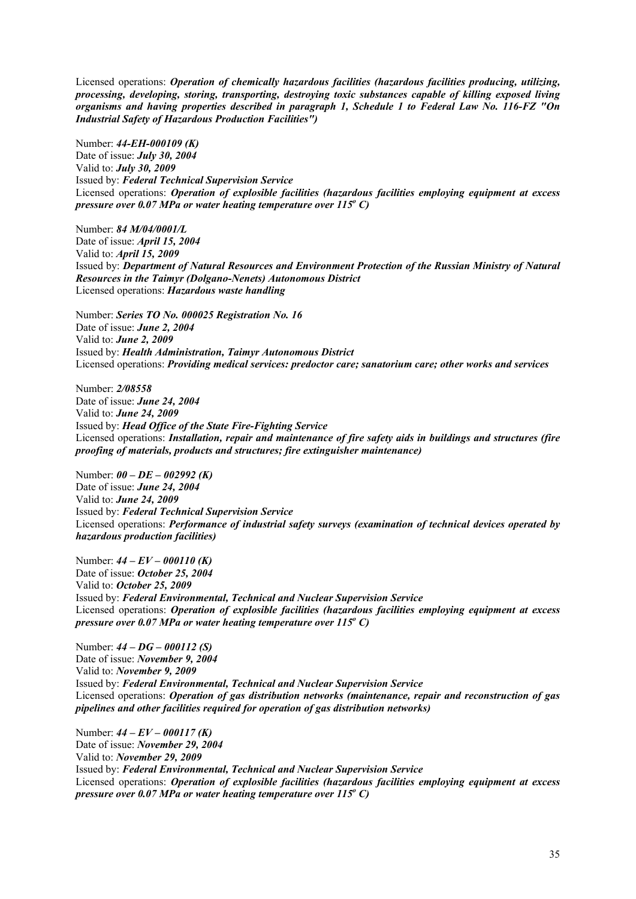Licensed operations: *Operation of chemically hazardous facilities (hazardous facilities producing, utilizing, processing, developing, storing, transporting, destroying toxic substances capable of killing exposed living organisms and having properties described in paragraph 1, Schedule 1 to Federal Law No. 116-FZ "On Industrial Safety of Hazardous Production Facilities")* 

Number: *44-EH-000109 (K)* Date of issue: *July 30, 2004* Valid to: *July 30, 2009* Issued by: *Federal Technical Supervision Service* Licensed operations: *Operation of explosible facilities (hazardous facilities employing equipment at excess pressure over 0.07 MPa or water heating temperature over 115<sup>°</sup> C)* 

Number: *84 M/04/0001/L* Date of issue: *April 15, 2004* Valid to: *April 15, 2009* Issued by: *Department of Natural Resources and Environment Protection of the Russian Ministry of Natural Resources in the Taimyr (Dolgano-Nenets) Autonomous District* Licensed operations: *Hazardous waste handling*

Number: *Series TO No. 000025 Registration No. 16* Date of issue: *June 2, 2004* Valid to: *June 2, 2009* Issued by: *Health Administration, Taimyr Autonomous District* Licensed operations: *Providing medical services: predoctor care; sanatorium care; other works and services* 

Number: *2/08558* Date of issue: *June 24, 2004* Valid to: *June 24, 2009* Issued by: *Head Office of the State Fire-Fighting Service* Licensed operations: *Installation, repair and maintenance of fire safety aids in buildings and structures (fire proofing of materials, products and structures; fire extinguisher maintenance)*

Number: *00 – DE – 002992 (K)* Date of issue: *June 24, 2004* Valid to: *June 24, 2009* Issued by: *Federal Technical Supervision Service* Licensed operations: *Performance of industrial safety surveys (examination of technical devices operated by hazardous production facilities)*

Number: *44 – EV – 000110 (K)* Date of issue: *October 25, 2004* Valid to: *October 25, 2009* Issued by: *Federal Environmental, Technical and Nuclear Supervision Service* Licensed operations: *Operation of explosible facilities (hazardous facilities employing equipment at excess pressure over 0.07 MPa or water heating temperature over 115<sup>°</sup> C)* 

Number: *44 – DG – 000112 (S)* Date of issue: *November 9, 2004* Valid to: *November 9, 2009* Issued by: *Federal Environmental, Technical and Nuclear Supervision Service* Licensed operations: *Operation of gas distribution networks (maintenance, repair and reconstruction of gas pipelines and other facilities required for operation of gas distribution networks)* 

Number: *44 – EV – 000117 (K)* Date of issue: *November 29, 2004* Valid to: *November 29, 2009* Issued by: *Federal Environmental, Technical and Nuclear Supervision Service* Licensed operations: *Operation of explosible facilities (hazardous facilities employing equipment at excess*  pressure over 0.07 MPa or water heating temperature over 115<sup>°</sup> C)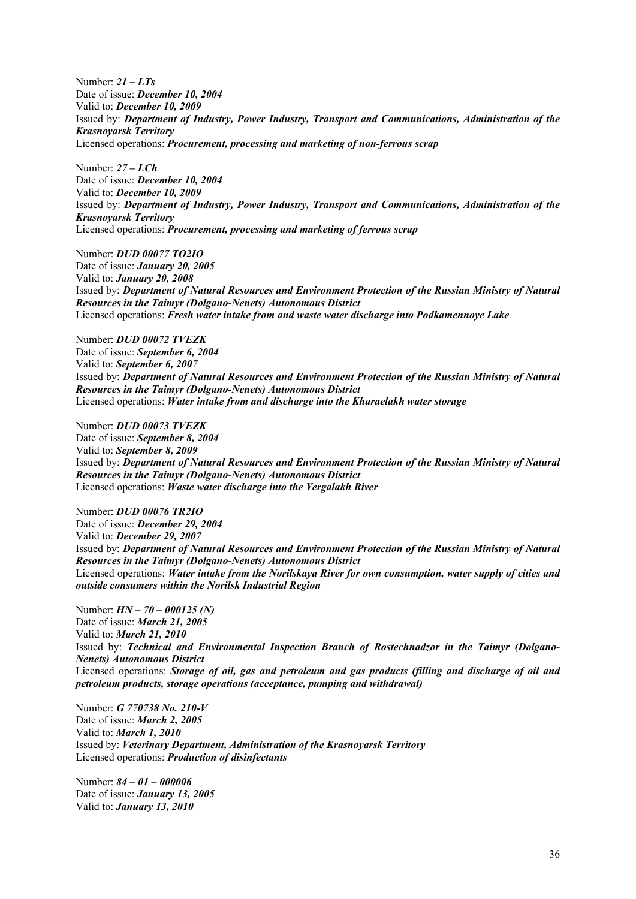Number: *21 – LTs* Date of issue: *December 10, 2004* Valid to: *December 10, 2009* Issued by: *Department of Industry, Power Industry, Transport and Communications, Administration of the Krasnoyarsk Territory* Licensed operations: *Procurement, processing and marketing of non-ferrous scrap*

Number: *27 – LCh* Date of issue: *December 10, 2004* Valid to: *December 10, 2009* Issued by: *Department of Industry, Power Industry, Transport and Communications, Administration of the Krasnoyarsk Territory* Licensed operations: *Procurement, processing and marketing of ferrous scrap*

Number: *DUD 00077 TO2IO* Date of issue: *January 20, 2005* Valid to: *January 20, 2008* Issued by: *Department of Natural Resources and Environment Protection of the Russian Ministry of Natural Resources in the Taimyr (Dolgano-Nenets) Autonomous District* Licensed operations: *Fresh water intake from and waste water discharge into Podkamennoye Lake*

Number: *DUD 00072 TVEZK* Date of issue: *September 6, 2004* Valid to: *September 6, 2007* Issued by: *Department of Natural Resources and Environment Protection of the Russian Ministry of Natural Resources in the Taimyr (Dolgano-Nenets) Autonomous District* Licensed operations: *Water intake from and discharge into the Kharaelakh water storage*

Number: *DUD 00073 TVEZK* Date of issue: *September 8, 2004* Valid to: *September 8, 2009* Issued by: *Department of Natural Resources and Environment Protection of the Russian Ministry of Natural Resources in the Taimyr (Dolgano-Nenets) Autonomous District* Licensed operations: *Waste water discharge into the Yergalakh River*

Number: *DUD 00076 TR2IO* Date of issue: *December 29, 2004* Valid to: *December 29, 2007* Issued by: *Department of Natural Resources and Environment Protection of the Russian Ministry of Natural Resources in the Taimyr (Dolgano-Nenets) Autonomous District* Licensed operations: *Water intake from the Norilskaya River for own consumption, water supply of cities and outside consumers within the Norilsk Industrial Region*

Number: *HN – 70 – 000125 (N)* Date of issue: *March 21, 2005* Valid to: *March 21, 2010* Issued by: *Technical and Environmental Inspection Branch of Rostechnadzor in the Taimyr (Dolgano-Nenets) Autonomous District* Licensed operations: *Storage of oil, gas and petroleum and gas products (filling and discharge of oil and petroleum products, storage operations (acceptance, pumping and withdrawal)*

Number: *G 770738 No. 210-V* Date of issue: *March 2, 2005* Valid to: *March 1, 2010* Issued by: *Veterinary Department, Administration of the Krasnoyarsk Territory* Licensed operations: *Production of disinfectants*

Number: *84 – 01 – 000006* Date of issue: *January 13, 2005* Valid to: *January 13, 2010*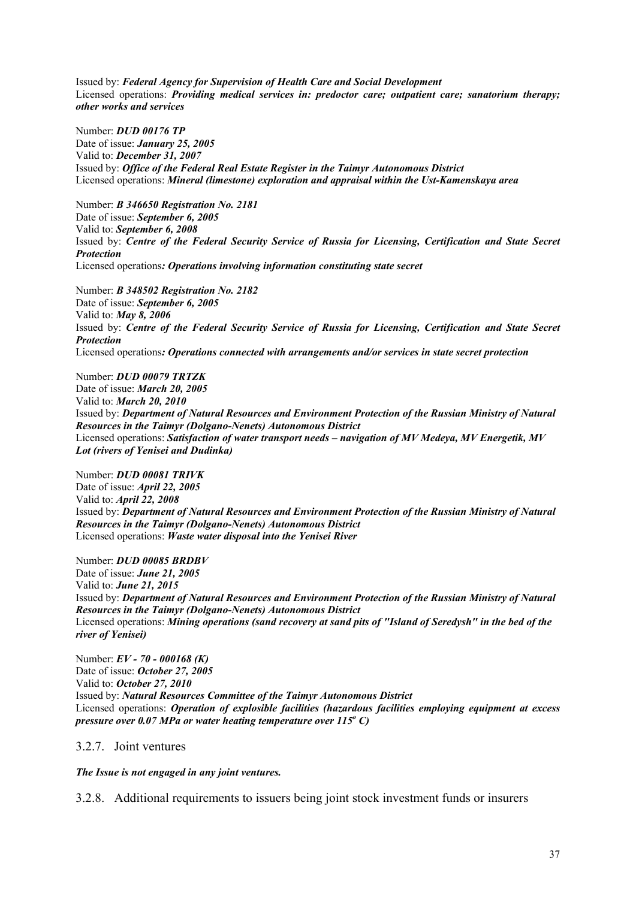Issued by: *Federal Agency for Supervision of Health Care and Social Development* Licensed operations: *Providing medical services in: predoctor care; outpatient care; sanatorium therapy; other works and services*

Number: *DUD 00176 TP* Date of issue: *January 25, 2005* Valid to: *December 31, 2007* Issued by: *Office of the Federal Real Estate Register in the Taimyr Autonomous District* Licensed operations: *Mineral (limestone) exploration and appraisal within the Ust-Kamenskaya area*

Number: *B 346650 Registration No. 2181* Date of issue: *September 6, 2005* Valid to: *September 6, 2008* Issued by: *Centre of the Federal Security Service of Russia for Licensing, Certification and State Secret Protection* Licensed operations*: Operations involving information constituting state secret* 

Number: *B 348502 Registration No. 2182* Date of issue: *September 6, 2005* Valid to: *May 8, 2006* Issued by: *Centre of the Federal Security Service of Russia for Licensing, Certification and State Secret Protection* Licensed operations*: Operations connected with arrangements and/or services in state secret protection* 

Number: *DUD 00079 TRTZK*  Date of issue: *March 20, 2005*  Valid to: *March 20, 2010* Issued by: *Department of Natural Resources and Environment Protection of the Russian Ministry of Natural Resources in the Taimyr (Dolgano-Nenets) Autonomous District* Licensed operations: *Satisfaction of water transport needs – navigation of MV Medeya, MV Energetik, MV Lot (rivers of Yenisei and Dudinka)*

Number: *DUD 00081 TRIVK*  Date of issue: *April 22, 2005*  Valid to: *April 22, 2008* Issued by: *Department of Natural Resources and Environment Protection of the Russian Ministry of Natural Resources in the Taimyr (Dolgano-Nenets) Autonomous District* Licensed operations: *Waste water disposal into the Yenisei River* 

Number: *DUD 00085 BRDBV*  Date of issue: *June 21, 2005*  Valid to: *June 21, 2015* Issued by: *Department of Natural Resources and Environment Protection of the Russian Ministry of Natural Resources in the Taimyr (Dolgano-Nenets) Autonomous District*  Licensed operations: *Mining operations (sand recovery at sand pits of "Island of Seredysh" in the bed of the river of Yenisei)* 

Number: *EV - 70 - 000168 (К)*  Date of issue: *October 27, 2005*  Valid to: *October 27, 2010* Issued by: *Natural Resources Committee of the Taimyr Autonomous District*  Licensed operations: *Operation of explosible facilities (hazardous facilities employing equipment at excess*  pressure over 0.07 MPa or water heating temperature over 115<sup>o</sup> C)

3.2.7. Joint ventures

*The Issue is not engaged in any joint ventures.* 

3.2.8. Additional requirements to issuers being joint stock investment funds or insurers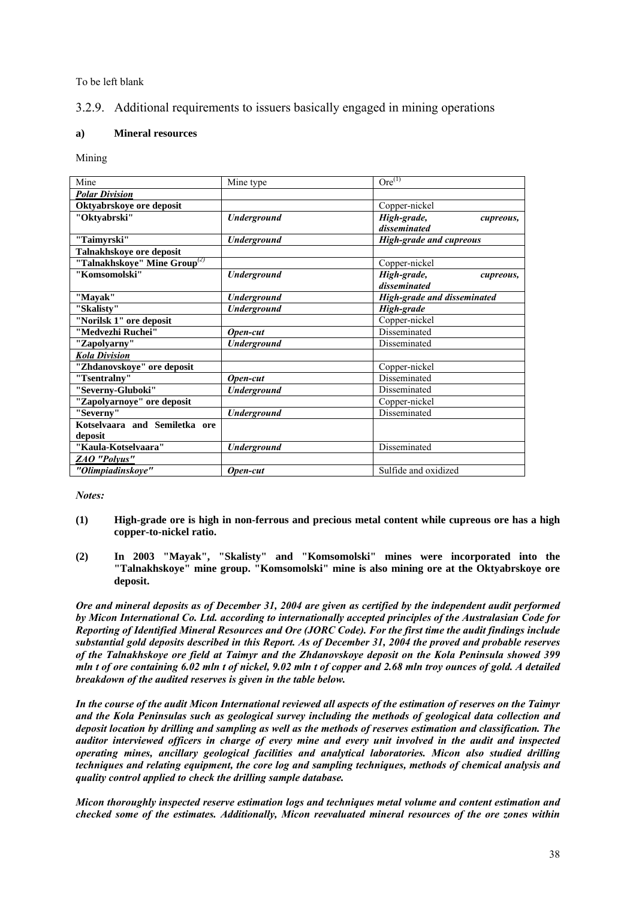To be left blank

# 3.2.9. Additional requirements to issuers basically engaged in mining operations

# **a) Mineral resources**

Mining

| Mine                                     | Mine type          | $Ore^{(1)}$                        |  |  |
|------------------------------------------|--------------------|------------------------------------|--|--|
| <b>Polar Division</b>                    |                    |                                    |  |  |
| Oktyabrskoye ore deposit                 |                    | Copper-nickel                      |  |  |
| "Oktvabrski"                             | <b>Underground</b> | High-grade,<br>cupreous,           |  |  |
|                                          |                    | disseminated                       |  |  |
| "Taimyrski"                              | <b>Underground</b> | <b>High-grade and cupreous</b>     |  |  |
| Talnakhskoye ore deposit                 |                    |                                    |  |  |
| "Talnakhskoye" Mine Group <sup>(2)</sup> |                    | Copper-nickel                      |  |  |
| "Komsomolski"                            | <b>Underground</b> | High-grade,<br>cupreous,           |  |  |
|                                          |                    | disseminated                       |  |  |
| "Mayak"                                  | <b>Underground</b> | <b>High-grade and disseminated</b> |  |  |
| "Skalisty"                               | <b>Underground</b> | High-grade                         |  |  |
| "Norilsk 1" ore deposit                  |                    | Copper-nickel                      |  |  |
| "Medvezhi Ruchei"                        | Open-cut           | Disseminated                       |  |  |
| "Zapolyarny"                             | <b>Underground</b> | Disseminated                       |  |  |
| <b>Kola Division</b>                     |                    |                                    |  |  |
| "Zhdanovskoye" ore deposit               |                    | Copper-nickel                      |  |  |
| "Tsentralny"                             | Open-cut           | Disseminated                       |  |  |
| "Severny-Gluboki"                        | <b>Underground</b> | Disseminated                       |  |  |
| "Zapolyarnoye" ore deposit               |                    | Copper-nickel                      |  |  |
| "Severny"                                | <b>Underground</b> | Disseminated                       |  |  |
| Kotselvaara and Semiletka ore            |                    |                                    |  |  |
| deposit                                  |                    |                                    |  |  |
| "Kaula-Kotselvaara"                      | <b>Underground</b> | Disseminated                       |  |  |
| ZAO "Polyus"                             |                    |                                    |  |  |
| "Olimpiadinskoye"                        | Open-cut           | Sulfide and oxidized               |  |  |

*Notes:* 

- **(1) High-grade ore is high in non-ferrous and precious metal content while cupreous ore has a high copper-to-nickel ratio.**
- **(2) In 2003 "Mayak", "Skalisty" and "Komsomolski" mines were incorporated into the "Talnakhskoye" mine group. "Komsomolski" mine is also mining ore at the Oktyabrskoye ore deposit.**

*Ore and mineral deposits as of December 31, 2004 are given as certified by the independent audit performed by Micon International Co. Ltd. according to internationally accepted principles of the Australasian Code for Reporting of Identified Mineral Resources and Ore (JORC Code). For the first time the audit findings include substantial gold deposits described in this Report. As of December 31, 2004 the proved and probable reserves of the Talnakhskoye ore field at Taimyr and the Zhdanovskoye deposit on the Kola Peninsula showed 399 mln t of ore containing 6.02 mln t of nickel, 9.02 mln t of copper and 2.68 mln troy ounces of gold. A detailed breakdown of the audited reserves is given in the table below.* 

*In the course of the audit Micon International reviewed all aspects of the estimation of reserves on the Taimyr and the Kola Peninsulas such as geological survey including the methods of geological data collection and deposit location by drilling and sampling as well as the methods of reserves estimation and classification. The auditor interviewed officers in charge of every mine and every unit involved in the audit and inspected operating mines, ancillary geological facilities and analytical laboratories. Micon also studied drilling techniques and relating equipment, the core log and sampling techniques, methods of chemical analysis and quality control applied to check the drilling sample database.* 

*Micon thoroughly inspected reserve estimation logs and techniques metal volume and content estimation and checked some of the estimates. Additionally, Micon reevaluated mineral resources of the ore zones within*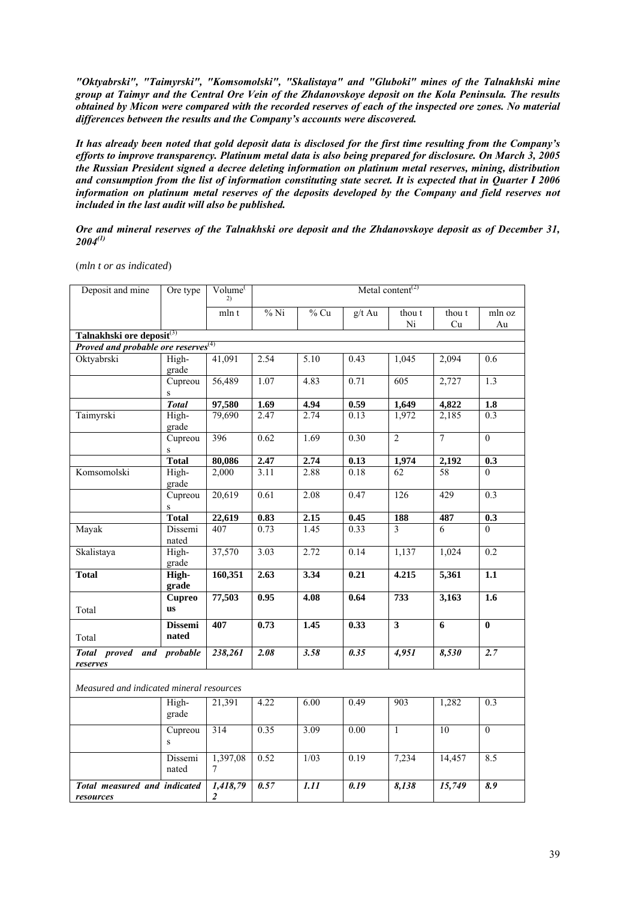*"Oktyabrski", "Taimyrski", "Komsomolski", "Skalistaya" and "Gluboki" mines of the Talnakhski mine group at Taimyr and the Central Ore Vein of the Zhdanovskoye deposit on the Kola Peninsula. The results obtained by Micon were compared with the recorded reserves of each of the inspected ore zones. No material differences between the results and the Company's accounts were discovered.* 

*It has already been noted that gold deposit data is disclosed for the first time resulting from the Company's efforts to improve transparency. Platinum metal data is also being prepared for disclosure. On March 3, 2005 the Russian President signed a decree deleting information on platinum metal reserves, mining, distribution and consumption from the list of information constituting state secret. It is expected that in Quarter I 2006 information on platinum metal reserves of the deposits developed by the Company and field reserves not included in the last audit will also be published.*

*Ore and mineral reserves of the Talnakhski ore deposit and the Zhdanovskoye deposit as of December 31, 2004(1)* 

(*mln t or as indicated*)

| Deposit and mine                                                                         | Ore type                   | Volume <sup>(</sup><br>2)           | Metal content <sup><math>(2)</math></sup> |                   |                   |                         |                 |                           |
|------------------------------------------------------------------------------------------|----------------------------|-------------------------------------|-------------------------------------------|-------------------|-------------------|-------------------------|-----------------|---------------------------|
|                                                                                          |                            | mln t                               | $%$ Ni                                    | $%$ Cu            | g/t Au            | thou t                  | thou t          | mln oz                    |
|                                                                                          |                            |                                     |                                           |                   |                   | Ni                      | Cu              | Au                        |
| Talnakhski ore deposit <sup>(3)</sup><br>Proved and probable ore reserves <sup>(4)</sup> |                            |                                     |                                           |                   |                   |                         |                 |                           |
|                                                                                          |                            |                                     |                                           |                   |                   |                         |                 |                           |
| Oktyabrski                                                                               | High-<br>grade             | 41,091                              | 2.54                                      | 5.10              | 0.43              | 1,045                   | 2,094           | 0.6                       |
|                                                                                          | Cupreou                    | 56,489                              | 1.07                                      | 4.83              | 0.71              | $\overline{605}$        | 2,727           | 1.3                       |
|                                                                                          | $\mathbf S$                |                                     |                                           |                   |                   |                         |                 |                           |
|                                                                                          | <b>Total</b>               | 97,580                              | 1.69                                      | 4.94              | 0.59              | 1,649                   | 4,822           | 1.8                       |
| Taimyrski                                                                                | High-<br>grade             | 79,690                              | 2.47                                      | 2.74              | 0.13              | 1,972                   | 2,185           | 0.3                       |
|                                                                                          | Cupreou<br>${\bf S}$       | 396                                 | 0.62                                      | 1.69              | 0.30              | $\overline{2}$          | $\overline{7}$  | $\overline{0}$            |
|                                                                                          | <b>Total</b>               | 80,086                              | 2.47                                      | 2.74              | 0.13              | 1,974                   | 2,192           | 0.3                       |
| Komsomolski                                                                              | High-<br>grade             | 2,000                               | 3.11                                      | 2.88              | 0.18              | 62                      | 58              | $\Omega$                  |
|                                                                                          | Cupreou<br>${\bf S}$       | 20,619                              | 0.61                                      | 2.08              | 0.47              | 126                     | 429             | $\overline{0.3}$          |
|                                                                                          | <b>Total</b>               | 22,619                              | 0.83                                      | 2.15              | 0.45              | 188                     | 487             | 0.3                       |
| Mayak                                                                                    | Dissemi<br>nated           | 407                                 | 0.73                                      | 1.45              | 0.33              | $\overline{3}$          | 6               | $\overline{0}$            |
| Skalistaya                                                                               | High-<br>grade             | 37,570                              | 3.03                                      | 2.72              | 0.14              | 1,137                   | 1,024           | 0.2                       |
| <b>Total</b>                                                                             | High-<br>grade             | 160,351                             | 2.63                                      | 3.34              | 0.21              | 4.215                   | 5,361           | 1.1                       |
| Total                                                                                    | <b>Cupreo</b><br><b>us</b> | 77,503                              | 0.95                                      | 4.08              | 0.64              | 733                     | 3,163           | $\overline{1.6}$          |
| Total                                                                                    | <b>Dissemi</b><br>nated    | 407                                 | 0.73                                      | 1.45              | 0.33              | $\overline{\mathbf{3}}$ | $\overline{6}$  | $\overline{\mathbf{0}}$   |
| Total proved and probable<br>reserves                                                    |                            | 238,261                             | 2.08                                      | 3.58              | $\overline{0.35}$ | 4,951                   | 8,530           | 2.7                       |
| Measured and indicated mineral resources                                                 |                            |                                     |                                           |                   |                   |                         |                 |                           |
|                                                                                          | High-<br>grade             | 21,391                              | 4.22                                      | 6.00              | 0.49              | 903                     | 1,282           | 0.3                       |
|                                                                                          | Cupreou<br>S               | $\overline{314}$                    | 0.35                                      | 3.09              | 0.00              | $\overline{1}$          | $\overline{10}$ | $\overline{0}$            |
|                                                                                          | Dissemi<br>nated           | 1,397,08<br>7                       | 0.52                                      | 1/03              | 0.19              | 7,234                   | 14,457          | 8.5                       |
| Total measured and indicated<br>resources                                                |                            | 1,418,79<br>$\overline{\mathbf{c}}$ | 0.57                                      | $\overline{1.11}$ | 0.19              | 8,138                   | 15,749          | $\overline{\mathbf{8.9}}$ |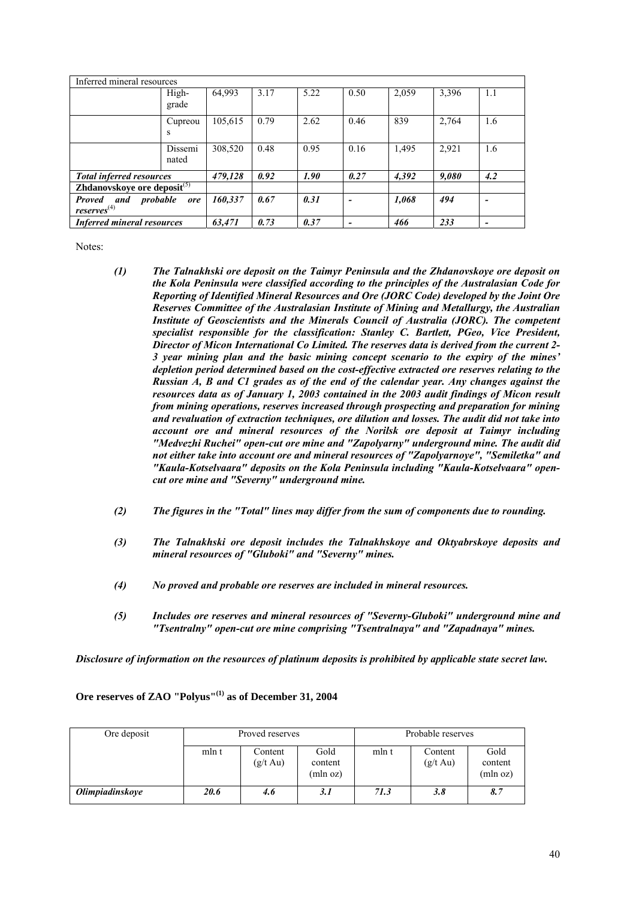| Inferred mineral resources                          |                  |         |      |             |      |       |       |     |
|-----------------------------------------------------|------------------|---------|------|-------------|------|-------|-------|-----|
|                                                     | High-<br>grade   | 64,993  | 3.17 | 5.22        | 0.50 | 2,059 | 3,396 | 1.1 |
|                                                     | Cupreou<br>S     | 105,615 | 0.79 | 2.62        | 0.46 | 839   | 2,764 | 1.6 |
|                                                     | Dissemi<br>nated | 308,520 | 0.48 | 0.95        | 0.16 | 1,495 | 2,921 | 1.6 |
| <b>Total inferred resources</b>                     |                  | 479,128 | 0.92 | <i>1.90</i> | 0.27 | 4,392 | 9,080 | 4.2 |
| Zhdanovskoye ore deposit $(5)$                      |                  |         |      |             |      |       |       |     |
| probable<br>Proved and<br>$reserves$ <sup>(4)</sup> | ore              | 160.337 | 0.67 | 0.31        |      | 1,068 | 494   | -   |
| <b>Inferred mineral resources</b>                   |                  | 63,471  | 0.73 | 0.37        |      | 466   | 233   | -   |

Notes:

- *(1) The Talnakhski ore deposit on the Taimyr Peninsula and the Zhdanovskoye ore deposit on the Kola Peninsula were classified according to the principles of the Australasian Code for Reporting of Identified Mineral Resources and Ore (JORC Code) developed by the Joint Ore Reserves Committee of the Australasian Institute of Mining and Metallurgy, the Australian Institute of Geoscientists and the Minerals Council of Australia (JORC). The competent specialist responsible for the classification: Stanley C. Bartlett, PGeo, Vice President, Director of Micon International Co Limited. The reserves data is derived from the current 2- 3 year mining plan and the basic mining concept scenario to the expiry of the mines' depletion period determined based on the cost-effective extracted ore reserves relating to the Russian A, B and C1 grades as of the end of the calendar year. Any changes against the resources data as of January 1, 2003 contained in the 2003 audit findings of Micon result from mining operations, reserves increased through prospecting and preparation for mining and revaluation of extraction techniques, ore dilution and losses. The audit did not take into account ore and mineral resources of the Norilsk ore deposit at Taimyr including "Medvezhi Ruchei" open-cut ore mine and "Zapolyarny" underground mine. The audit did not either take into account ore and mineral resources of "Zapolyarnoye", "Semiletka" and "Kaula-Kotselvaara" deposits on the Kola Peninsula including "Kaula-Kotselvaara" opencut ore mine and "Severny" underground mine.*
- *(2) The figures in the "Total" lines may differ from the sum of components due to rounding.*
- *(3) The Talnakhski ore deposit includes the Talnakhskoye and Oktyabrskoye deposits and mineral resources of "Gluboki" and "Severny" mines.*
- *(4) No proved and probable ore reserves are included in mineral resources.*
- *(5) Includes ore reserves and mineral resources of "Severny-Gluboki" underground mine and "Tsentralny" open-cut ore mine comprising "Tsentralnaya" and "Zapadnaya" mines.*

*Disclosure of information on the resources of platinum deposits is prohibited by applicable state secret law.* 

| Ore deposit                   | Proved reserves |                               |                             |       | Probable reserves             |                             |
|-------------------------------|-----------------|-------------------------------|-----------------------------|-------|-------------------------------|-----------------------------|
|                               | mln t           | Content<br>$(g/t \text{ Au})$ | Gold<br>content<br>(mln oz) | mln t | Content<br>$(g/t \text{ Au})$ | Gold<br>content<br>(mln oz) |
| <i><b>Olimpiadinskoye</b></i> | 20.6            | 4.6                           | 3.1                         | 71.3  | 3.8                           | 8.7                         |

**Ore reserves of ZAO "Polyus"(1) as of December 31, 2004**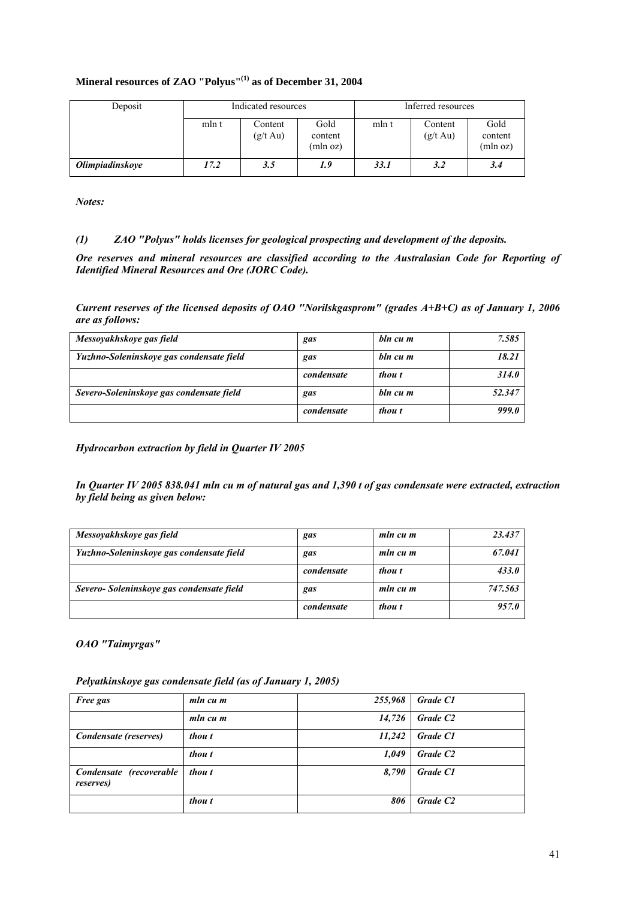# **Mineral resources of ZAO "Polyus"(1) as of December 31, 2004**

| Deposit                       | Indicated resources |                               |                             |       | Inferred resources            |                             |
|-------------------------------|---------------------|-------------------------------|-----------------------------|-------|-------------------------------|-----------------------------|
|                               | mln t               | Content<br>$(g/t \text{ Au})$ | Gold<br>content<br>(mln oz) | mln t | Content<br>$(g/t \text{ Au})$ | Gold<br>content<br>(mln oz) |
| <i><b>Olimpiadinskove</b></i> | 17.2                | 3.5                           | 1.9                         | 33.1  | 3.2                           | 3.4                         |

*Notes:* 

# *(1) ZAO "Polyus" holds licenses for geological prospecting and development of the deposits.*

*Ore reserves and mineral resources are classified according to the Australasian Code for Reporting of Identified Mineral Resources and Ore (JORC Code).* 

*Current reserves of the licensed deposits of OAO "Norilskgasprom" (grades A+B+C) as of January 1, 2006 are as follows:* 

| Messoyakhskoye gas field                 | gas        | bln cu m | 7.585        |
|------------------------------------------|------------|----------|--------------|
| Yuzhno-Soleninskoye gas condensate field | gas        | bln cu m | 18.21        |
|                                          | condensate | thou t   | 314.0        |
| Severo-Soleninskoye gas condensate field | gas        | bln cu m | 52.347       |
|                                          | condensate | thou t   | <b>999.0</b> |

*Hydrocarbon extraction by field in Quarter IV 2005* 

*In Quarter IV 2005 838.041 mln cu m of natural gas and 1,390 t of gas condensate were extracted, extraction by field being as given below:* 

| Messoyakhskoye gas field                  | gas        | mln cu m | 23.437  |
|-------------------------------------------|------------|----------|---------|
| Yuzhno-Soleninskoye gas condensate field  | gas        | mln cu m | 67.041  |
|                                           | condensate | thou t   | 433.0   |
| Severo- Soleninskoye gas condensate field | gas        | mln cu m | 747.563 |
|                                           | condensate | thou t   | 957.0   |

*OAO "Taimyrgas"* 

*Pelyatkinskoye gas condensate field (as of January 1, 2005)* 

| <b>Free gas</b>                              | mln cu m | 255,968 | Grade C1             |
|----------------------------------------------|----------|---------|----------------------|
|                                              | mln cu m | 14,726  | Grade C <sub>2</sub> |
| Condensate (reserves)                        | thou t   | 11,242  | Grade C1             |
|                                              | thou t   | 1,049   | Grade C <sub>2</sub> |
| Condensate (recoverable<br><i>reserves</i> ) | thou t   | 8,790   | Grade C1             |
|                                              | thou t   | 806     | Grade C <sub>2</sub> |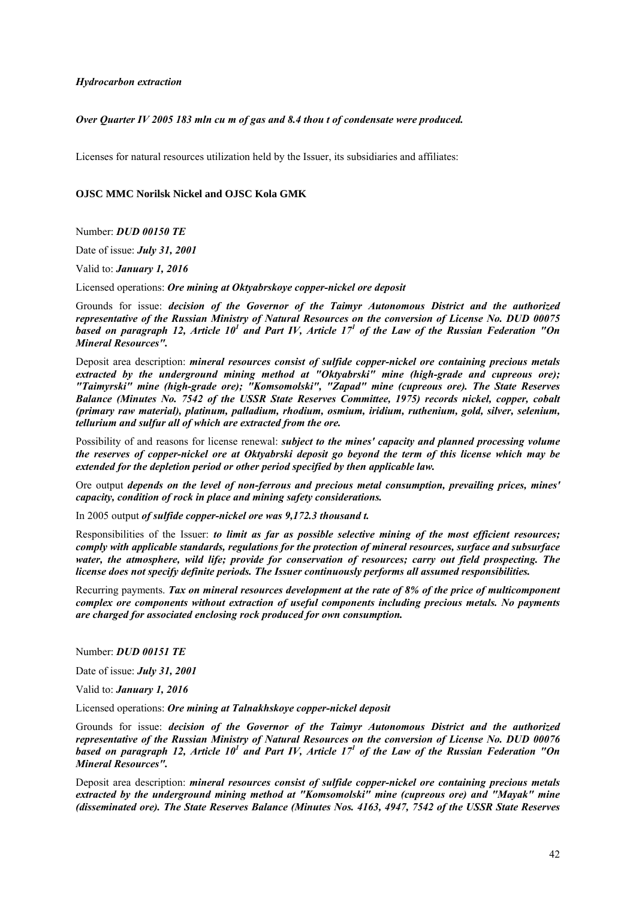*Hydrocarbon extraction* 

### *Over Quarter IV 2005 183 mln cu m of gas and 8.4 thou t of condensate were produced.*

Licenses for natural resources utilization held by the Issuer, its subsidiaries and affiliates:

### **OJSC MMC Norilsk Nickel and OJSC Kola GMK**

Number: *DUD 00150 TE*

Date of issue: *July 31, 2001*

Valid to: *January 1, 2016*

Licensed operations: *Ore mining at Oktyabrskoye copper-nickel ore deposit*

Grounds for issue: *decision of the Governor of the Taimyr Autonomous District and the authorized representative of the Russian Ministry of Natural Resources on the conversion of License No. DUD 00075*  based on paragraph 12, Article 10<sup>1</sup> and Part IV, Article 17<sup>1</sup> of the Law of the Russian Federation "On *Mineral Resources".*

Deposit area description: *mineral resources consist of sulfide copper-nickel ore containing precious metals extracted by the underground mining method at "Oktyabrski" mine (high-grade and cupreous ore); "Taimyrski" mine (high-grade ore); "Komsomolski", "Zapad" mine (cupreous ore). The State Reserves Balance (Minutes No. 7542 of the USSR State Reserves Committee, 1975) records nickel, copper, cobalt (primary raw material), platinum, palladium, rhodium, osmium, iridium, ruthenium, gold, silver, selenium, tellurium and sulfur all of which are extracted from the ore.* 

Possibility of and reasons for license renewal: *subject to the mines' capacity and planned processing volume the reserves of copper-nickel ore at Oktyabrski deposit go beyond the term of this license which may be extended for the depletion period or other period specified by then applicable law.* 

Ore output *depends on the level of non-ferrous and precious metal consumption, prevailing prices, mines' capacity, condition of rock in place and mining safety considerations.* 

In 2005 output *of sulfide copper-nickel ore was 9,172.3 thousand t.*

Responsibilities of the Issuer: *to limit as far as possible selective mining of the most efficient resources; comply with applicable standards, regulations for the protection of mineral resources, surface and subsurface water, the atmosphere, wild life; provide for conservation of resources; carry out field prospecting. The license does not specify definite periods. The Issuer continuously performs all assumed responsibilities.*

Recurring payments. *Tax on mineral resources development at the rate of 8% of the price of multicomponent complex ore components without extraction of useful components including precious metals. No payments are charged for associated enclosing rock produced for own consumption.*

Number: *DUD 00151 TE*

Date of issue: *July 31, 2001*

Valid to: *January 1, 2016*

Licensed operations: *Ore mining at Talnakhskoye copper-nickel deposit*

Grounds for issue: *decision of the Governor of the Taimyr Autonomous District and the authorized representative of the Russian Ministry of Natural Resources on the conversion of License No. DUD 00076*  based on paragraph 12, Article 10<sup>1</sup> and Part IV, Article 17<sup>1</sup> of the Law of the Russian Federation "On *Mineral Resources".*

Deposit area description: *mineral resources consist of sulfide copper-nickel ore containing precious metals extracted by the underground mining method at "Komsomolski" mine (cupreous ore) and "Mayak" mine (disseminated ore). The State Reserves Balance (Minutes Nos. 4163, 4947, 7542 of the USSR State Reserves*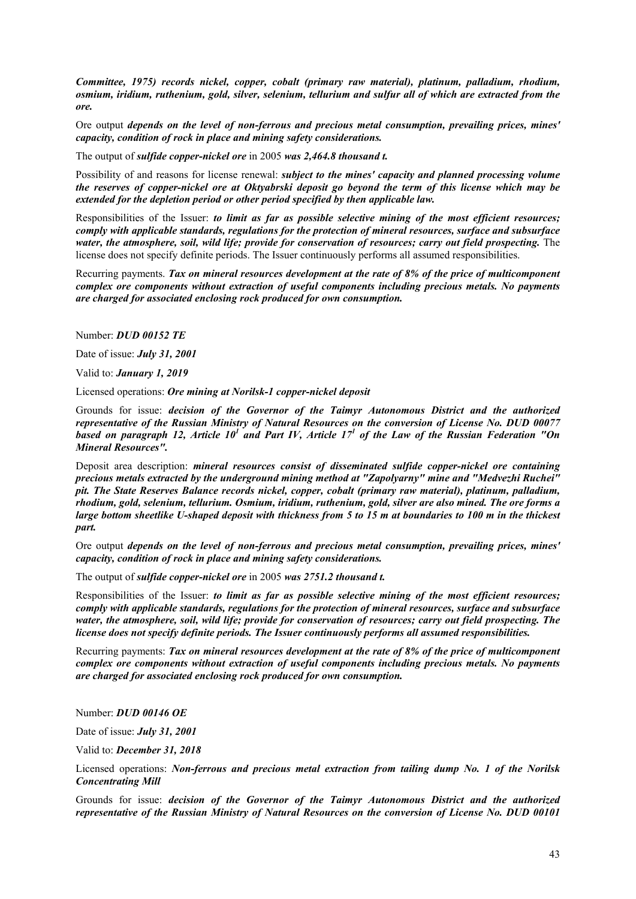*Committee, 1975) records nickel, copper, cobalt (primary raw material), platinum, palladium, rhodium, osmium, iridium, ruthenium, gold, silver, selenium, tellurium and sulfur all of which are extracted from the ore.* 

Ore output *depends on the level of non-ferrous and precious metal consumption, prevailing prices, mines' capacity, condition of rock in place and mining safety considerations.* 

The output of *sulfide copper-nickel ore* in 2005 *was 2,464.8 thousand t.* 

Possibility of and reasons for license renewal: *subject to the mines' capacity and planned processing volume the reserves of copper-nickel ore at Oktyabrski deposit go beyond the term of this license which may be extended for the depletion period or other period specified by then applicable law.* 

Responsibilities of the Issuer: *to limit as far as possible selective mining of the most efficient resources; comply with applicable standards, regulations for the protection of mineral resources, surface and subsurface water, the atmosphere, soil, wild life; provide for conservation of resources; carry out field prospecting.* The license does not specify definite periods. The Issuer continuously performs all assumed responsibilities.

Recurring payments. *Tax on mineral resources development at the rate of 8% of the price of multicomponent complex ore components without extraction of useful components including precious metals. No payments are charged for associated enclosing rock produced for own consumption.*

Number: *DUD 00152 TE*

Date of issue: *July 31, 2001*

Valid to: *January 1, 2019*

Licensed operations: *Ore mining at Norilsk-1 copper-nickel deposit*

Grounds for issue: *decision of the Governor of the Taimyr Autonomous District and the authorized representative of the Russian Ministry of Natural Resources on the conversion of License No. DUD 00077*  based on paragraph 12, Article 10<sup>1</sup> and Part IV, Article 17<sup>1</sup> of the Law of the Russian Federation "On *Mineral Resources".*

Deposit area description: *mineral resources consist of disseminated sulfide copper-nickel ore containing precious metals extracted by the underground mining method at "Zapolyarny" mine and "Medvezhi Ruchei" pit. The State Reserves Balance records nickel, copper, cobalt (primary raw material), platinum, palladium, rhodium, gold, selenium, tellurium. Osmium, iridium, ruthenium, gold, silver are also mined. The ore forms a large bottom sheetlike U-shaped deposit with thickness from 5 to 15 m at boundaries to 100 m in the thickest part.* 

Ore output *depends on the level of non-ferrous and precious metal consumption, prevailing prices, mines' capacity, condition of rock in place and mining safety considerations.* 

The output of *sulfide copper-nickel ore* in 2005 *was 2751.2 thousand t.* 

Responsibilities of the Issuer: *to limit as far as possible selective mining of the most efficient resources; comply with applicable standards, regulations for the protection of mineral resources, surface and subsurface water, the atmosphere, soil, wild life; provide for conservation of resources; carry out field prospecting. The license does not specify definite periods. The Issuer continuously performs all assumed responsibilities.*

Recurring payments: *Tax on mineral resources development at the rate of 8% of the price of multicomponent complex ore components without extraction of useful components including precious metals. No payments are charged for associated enclosing rock produced for own consumption.*

Number: *DUD 00146 OE*

Date of issue: *July 31, 2001*

Valid to: *December 31, 2018*

Licensed operations: *Non-ferrous and precious metal extraction from tailing dump No. 1 of the Norilsk Concentrating Mill*

Grounds for issue: *decision of the Governor of the Taimyr Autonomous District and the authorized representative of the Russian Ministry of Natural Resources on the conversion of License No. DUD 00101*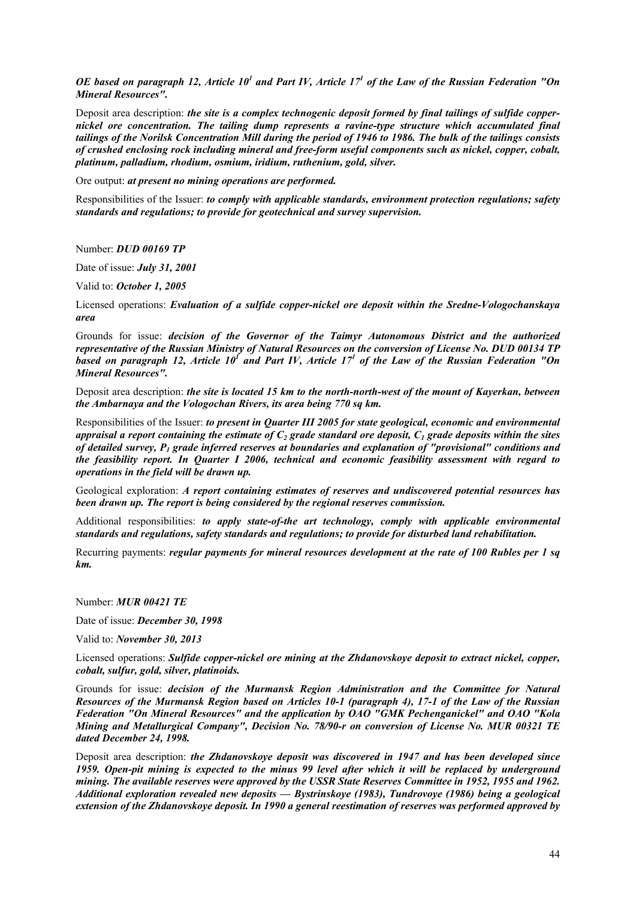OE based on paragraph 12, Article  $10^1$  and Part IV, Article  $17^1$  of the Law of the Russian Federation "On *Mineral Resources".*

Deposit area description: *the site is a complex technogenic deposit formed by final tailings of sulfide coppernickel ore concentration. The tailing dump represents a ravine-type structure which accumulated final tailings of the Norilsk Concentration Mill during the period of 1946 to 1986. The bulk of the tailings consists of crushed enclosing rock including mineral and free-form useful components such as nickel, copper, cobalt, platinum, palladium, rhodium, osmium, iridium, ruthenium, gold, silver.* 

Ore output: *at present no mining operations are performed.*

Responsibilities of the Issuer: *to comply with applicable standards, environment protection regulations; safety standards and regulations; to provide for geotechnical and survey supervision.* 

Number: *DUD 00169 TP*

Date of issue: *July 31, 2001*

Valid to: *October 1, 2005*

Licensed operations: *Evaluation of a sulfide copper-nickel ore deposit within the Sredne-Vologochanskaya area*

Grounds for issue: *decision of the Governor of the Taimyr Autonomous District and the authorized representative of the Russian Ministry of Natural Resources on the conversion of License No. DUD 00134 TP*  based on paragraph 12, Article 10<sup>*1*</sup> and Part IV, Article 17<sup>*1*</sup> of the Law of the Russian Federation "On *Mineral Resources".*

Deposit area description: *the site is located 15 km to the north-north-west of the mount of Kayerkan, between the Ambarnaya and the Vologochan Rivers, its area being 770 sq km.*

Responsibilities of the Issuer: *to present in Quarter III 2005 for state geological, economic and environmental appraisal a report containing the estimate of*  $C_2$  *grade standard ore deposit,*  $C_1$  *grade deposits within the sites of detailed survey, P1 grade inferred reserves at boundaries and explanation of "provisional" conditions and the feasibility report. In Quarter I 2006, technical and economic feasibility assessment with regard to operations in the field will be drawn up.*

Geological exploration: *A report containing estimates of reserves and undiscovered potential resources has been drawn up. The report is being considered by the regional reserves commission.* 

Additional responsibilities: *to apply state-of-the art technology, comply with applicable environmental standards and regulations, safety standards and regulations; to provide for disturbed land rehabilitation.* 

Recurring payments: *regular payments for mineral resources development at the rate of 100 Rubles per 1 sq km.*

Number: *MUR 00421 TE*

Date of issue: *December 30, 1998*

Valid to: *November 30, 2013*

Licensed operations: *Sulfide copper-nickel ore mining at the Zhdanovskoye deposit to extract nickel, copper, cobalt, sulfur, gold, silver, platinoids.*

Grounds for issue: *decision of the Murmansk Region Administration and the Committee for Natural Resources of the Murmansk Region based on Articles 10-1 (paragraph 4), 17-1 of the Law of the Russian Federation "On Mineral Resources" and the application by OAO "GMK Pechenganickel" and OAO "Kola Mining and Metallurgical Company", Decision No. 78/90-r on conversion of License No. MUR 00321 TE dated December 24, 1998.*

Deposit area description: *the Zhdanovskoye deposit was discovered in 1947 and has been developed since 1959. Open-pit mining is expected to the minus 99 level after which it will be replaced by underground mining. The available reserves were approved by the USSR State Reserves Committee in 1952, 1955 and 1962. Additional exploration revealed new deposits — Bystrinskoye (1983), Tundrovoye (1986) being a geological extension of the Zhdanovskoye deposit. In 1990 a general reestimation of reserves was performed approved by*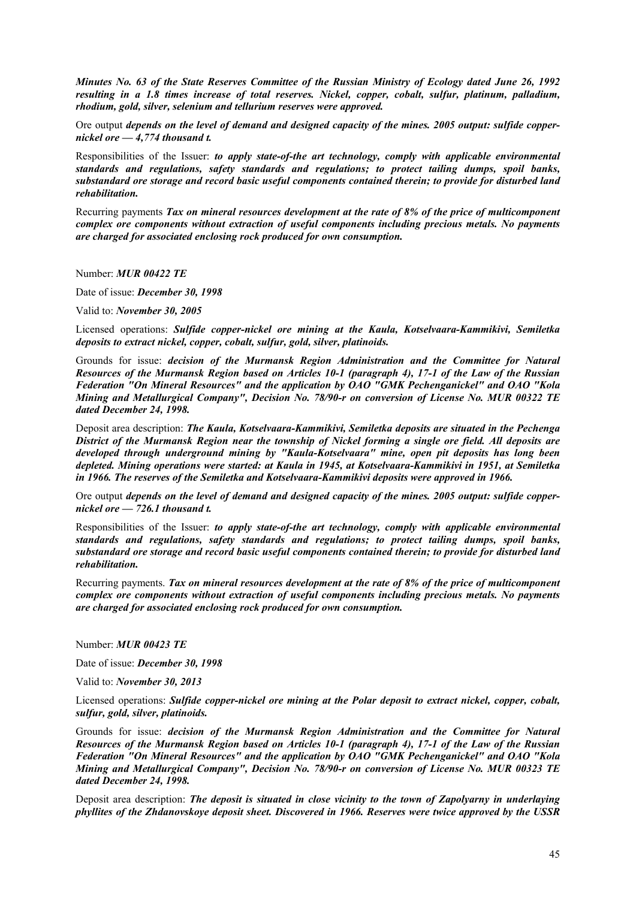*Minutes No. 63 of the State Reserves Committee of the Russian Ministry of Ecology dated June 26, 1992 resulting in a 1.8 times increase of total reserves. Nickel, copper, cobalt, sulfur, platinum, palladium, rhodium, gold, silver, selenium and tellurium reserves were approved.* 

Ore output *depends on the level of demand and designed capacity of the mines. 2005 output: sulfide coppernickel ore — 4,774 thousand t.*

Responsibilities of the Issuer: *to apply state-of-the art technology, comply with applicable environmental standards and regulations, safety standards and regulations; to protect tailing dumps, spoil banks, substandard ore storage and record basic useful components contained therein; to provide for disturbed land rehabilitation.*

Recurring payments *Tax on mineral resources development at the rate of 8% of the price of multicomponent complex ore components without extraction of useful components including precious metals. No payments are charged for associated enclosing rock produced for own consumption.* 

Number: *MUR 00422 TE*

Date of issue: *December 30, 1998*

Valid to: *November 30, 2005*

Licensed operations: *Sulfide copper-nickel ore mining at the Kaula, Kotselvaara-Kammikivi, Semiletka deposits to extract nickel, copper, cobalt, sulfur, gold, silver, platinoids.*

Grounds for issue: *decision of the Murmansk Region Administration and the Committee for Natural Resources of the Murmansk Region based on Articles 10-1 (paragraph 4), 17-1 of the Law of the Russian Federation "On Mineral Resources" and the application by OAO "GMK Pechenganickel" and OAO "Kola Mining and Metallurgical Company", Decision No. 78/90-r on conversion of License No. MUR 00322 TE dated December 24, 1998.*

Deposit area description: *The Kaula, Kotselvaara-Kammikivi, Semiletka deposits are situated in the Pechenga District of the Murmansk Region near the township of Nickel forming a single ore field. All deposits are developed through underground mining by "Kaula-Kotselvaara" mine, open pit deposits has long been depleted. Mining operations were started: at Kaula in 1945, at Kotselvaara-Kammikivi in 1951, at Semiletka in 1966. The reserves of the Semiletka and Kotselvaara-Kammikivi deposits were approved in 1966.* 

Ore output *depends on the level of demand and designed capacity of the mines. 2005 output: sulfide coppernickel ore — 726.1 thousand t.*

Responsibilities of the Issuer: *to apply state-of-the art technology, comply with applicable environmental standards and regulations, safety standards and regulations; to protect tailing dumps, spoil banks, substandard ore storage and record basic useful components contained therein; to provide for disturbed land rehabilitation.*

Recurring payments. *Tax on mineral resources development at the rate of 8% of the price of multicomponent complex ore components without extraction of useful components including precious metals. No payments are charged for associated enclosing rock produced for own consumption.*

Number: *MUR 00423 TE*

Date of issue: *December 30, 1998*

Valid to: *November 30, 2013*

Licensed operations: *Sulfide copper-nickel ore mining at the Polar deposit to extract nickel, copper, cobalt, sulfur, gold, silver, platinoids.*

Grounds for issue: *decision of the Murmansk Region Administration and the Committee for Natural Resources of the Murmansk Region based on Articles 10-1 (paragraph 4), 17-1 of the Law of the Russian Federation "On Mineral Resources" and the application by OAO "GMK Pechenganickel" and OAO "Kola Mining and Metallurgical Company", Decision No. 78/90-r on conversion of License No. MUR 00323 TE dated December 24, 1998.*

Deposit area description: *The deposit is situated in close vicinity to the town of Zapolyarny in underlaying phyllites of the Zhdanovskoye deposit sheet. Discovered in 1966. Reserves were twice approved by the USSR*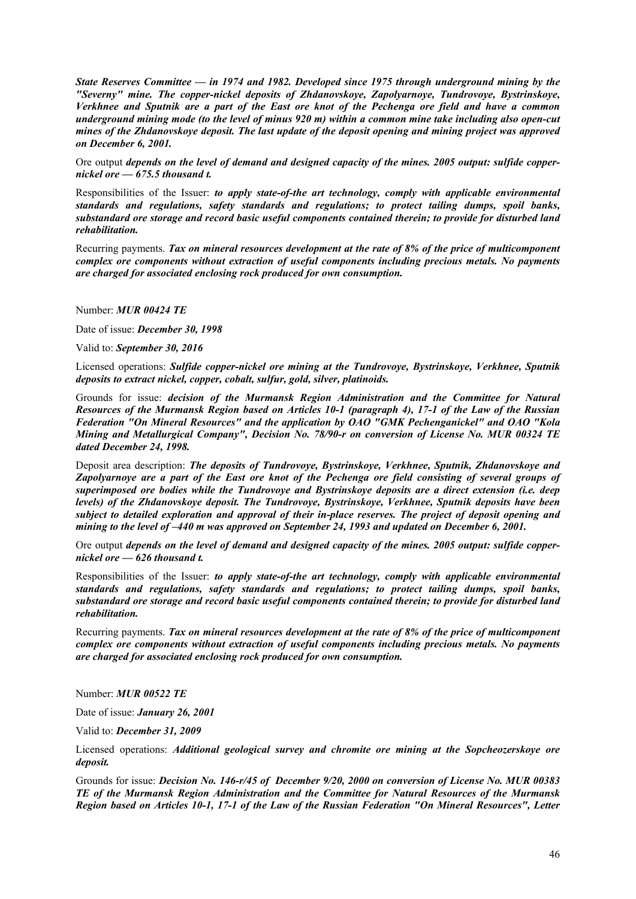*State Reserves Committee — in 1974 and 1982. Developed since 1975 through underground mining by the "Severny" mine. The copper-nickel deposits of Zhdanovskoye, Zapolyarnoye, Tundrovoye, Bystrinskoye, Verkhnee and Sputnik are a part of the East ore knot of the Pechenga ore field and have a common underground mining mode (to the level of minus 920 m) within a common mine take including also open-cut mines of the Zhdanovskoye deposit. The last update of the deposit opening and mining project was approved on December 6, 2001.* 

Ore output *depends on the level of demand and designed capacity of the mines. 2005 output: sulfide coppernickel ore — 675.5 thousand t.*

Responsibilities of the Issuer: *to apply state-of-the art technology, comply with applicable environmental standards and regulations, safety standards and regulations; to protect tailing dumps, spoil banks, substandard ore storage and record basic useful components contained therein; to provide for disturbed land rehabilitation.*

Recurring payments. *Tax on mineral resources development at the rate of 8% of the price of multicomponent complex ore components without extraction of useful components including precious metals. No payments are charged for associated enclosing rock produced for own consumption.* 

Number: *MUR 00424 TE*

Date of issue: *December 30, 1998*

Valid to: *September 30, 2016*

Licensed operations: *Sulfide copper-nickel ore mining at the Tundrovoye, Bystrinskoye, Verkhnee, Sputnik deposits to extract nickel, copper, cobalt, sulfur, gold, silver, platinoids.*

Grounds for issue: *decision of the Murmansk Region Administration and the Committee for Natural Resources of the Murmansk Region based on Articles 10-1 (paragraph 4), 17-1 of the Law of the Russian Federation "On Mineral Resources" and the application by OAO "GMK Pechenganickel" and OAO "Kola Mining and Metallurgical Company", Decision No. 78/90-r on conversion of License No. MUR 00324 TE dated December 24, 1998.*

Deposit area description: *The deposits of Tundrovoye, Bystrinskoye, Verkhnee, Sputnik, Zhdanovskoye and*  Zapolyarnoye are a part of the East ore knot of the Pechenga ore field consisting of several groups of *superimposed ore bodies while the Tundrovoye and Bystrinskoye deposits are a direct extension (i.e. deep levels) of the Zhdanovskoye deposit. The Tundrovoye, Bystrinskoye, Verkhnee, Sputnik deposits have been subject to detailed exploration and approval of their in-place reserves. The project of deposit opening and mining to the level of –440 m was approved on September 24, 1993 and updated on December 6, 2001.* 

Ore output *depends on the level of demand and designed capacity of the mines. 2005 output: sulfide coppernickel ore — 626 thousand t.*

Responsibilities of the Issuer: *to apply state-of-the art technology, comply with applicable environmental standards and regulations, safety standards and regulations; to protect tailing dumps, spoil banks, substandard ore storage and record basic useful components contained therein; to provide for disturbed land rehabilitation.*

Recurring payments. *Tax on mineral resources development at the rate of 8% of the price of multicomponent complex ore components without extraction of useful components including precious metals. No payments are charged for associated enclosing rock produced for own consumption.*

Number: *MUR 00522 TE*

Date of issue: *January 26, 2001*

Valid to: *December 31, 2009*

Licensed operations: *Additional geological survey and chromite ore mining at the Sopcheozerskoye ore deposit.*

Grounds for issue: *Decision No. 146-r/45 of December 9/20, 2000 on conversion of License No. MUR 00383 TE of the Murmansk Region Administration and the Committee for Natural Resources of the Murmansk Region based on Articles 10-1, 17-1 of the Law of the Russian Federation "On Mineral Resources", Letter*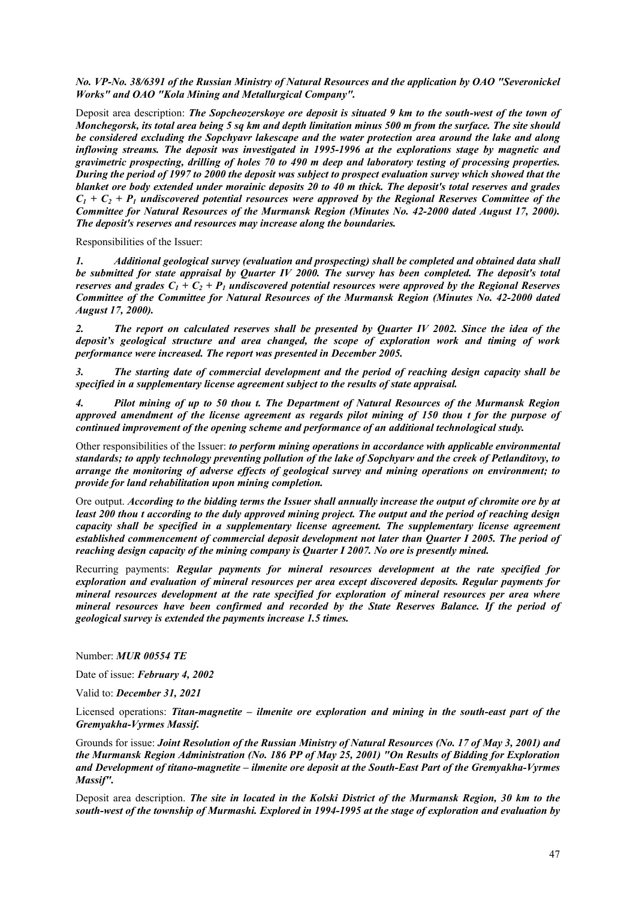*No. VP-No. 38/6391 of the Russian Ministry of Natural Resources and the application by OAO "Severonickel Works" and OAO "Kola Mining and Metallurgical Company".*

Deposit area description: *The Sopcheozerskoye ore deposit is situated 9 km to the south-west of the town of Monchegorsk, its total area being 5 sq km and depth limitation minus 500 m from the surface. The site should be considered excluding the Sopchyavr lakescape and the water protection area around the lake and along inflowing streams. The deposit was investigated in 1995-1996 at the explorations stage by magnetic and gravimetric prospecting, drilling of holes 70 to 490 m deep and laboratory testing of processing properties. During the period of 1997 to 2000 the deposit was subject to prospect evaluation survey which showed that the blanket ore body extended under morainic deposits 20 to 40 m thick. The deposit's total reserves and grades*   $C_1 + C_2 + P_1$  undiscovered potential resources were approved by the Regional Reserves Committee of the *Committee for Natural Resources of the Murmansk Region (Minutes No. 42-2000 dated August 17, 2000). The deposit's reserves and resources may increase along the boundaries.* 

Responsibilities of the Issuer:

*1. Additional geological survey (evaluation and prospecting) shall be completed and obtained data shall be submitted for state appraisal by Quarter IV 2000. The survey has been completed. The deposit's total reserves and grades*  $C_1 + C_2 + P_1$  *undiscovered potential resources were approved by the Regional Reserves Committee of the Committee for Natural Resources of the Murmansk Region (Minutes No. 42-2000 dated August 17, 2000).* 

*2. The report on calculated reserves shall be presented by Quarter IV 2002. Since the idea of the deposit's geological structure and area changed, the scope of exploration work and timing of work performance were increased. The report was presented in December 2005.* 

*3. The starting date of commercial development and the period of reaching design capacity shall be specified in a supplementary license agreement subject to the results of state appraisal.* 

*4. Pilot mining of up to 50 thou t. The Department of Natural Resources of the Murmansk Region approved amendment of the license agreement as regards pilot mining of 150 thou t for the purpose of continued improvement of the opening scheme and performance of an additional technological study.*

Other responsibilities of the Issuer: *to perform mining operations in accordance with applicable environmental standards; to apply technology preventing pollution of the lake of Sopchyarv and the creek of Petlanditovy, to arrange the monitoring of adverse effects of geological survey and mining operations on environment; to provide for land rehabilitation upon mining completion.* 

Ore output. *According to the bidding terms the Issuer shall annually increase the output of chromite ore by at least 200 thou t according to the duly approved mining project. The output and the period of reaching design capacity shall be specified in a supplementary license agreement. The supplementary license agreement established commencement of commercial deposit development not later than Quarter I 2005. The period of reaching design capacity of the mining company is Quarter I 2007. No ore is presently mined.*

Recurring payments: *Regular payments for mineral resources development at the rate specified for exploration and evaluation of mineral resources per area except discovered deposits. Regular payments for mineral resources development at the rate specified for exploration of mineral resources per area where mineral resources have been confirmed and recorded by the State Reserves Balance. If the period of geological survey is extended the payments increase 1.5 times.* 

Number: *MUR 00554 TE*

Date of issue: *February 4, 2002*

Valid to: *December 31, 2021*

Licensed operations: *Titan-magnetite – ilmenite ore exploration and mining in the south-east part of the Gremyakha-Vyrmes Massif.*

Grounds for issue: *Joint Resolution of the Russian Ministry of Natural Resources (No. 17 of May 3, 2001) and the Murmansk Region Administration (No. 186 PP of May 25, 2001) "On Results of Bidding for Exploration and Development of titano-magnetite – ilmenite ore deposit at the South-East Part of the Gremyakha-Vyrmes Massif".*

Deposit area description. *The site in located in the Kolski District of the Murmansk Region, 30 km to the south-west of the township of Murmashi. Explored in 1994-1995 at the stage of exploration and evaluation by*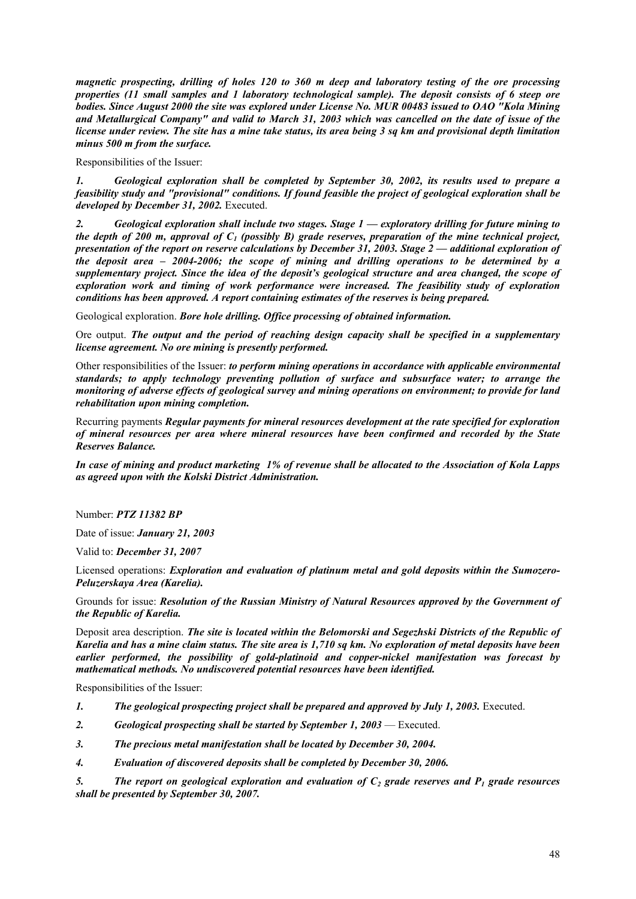*magnetic prospecting, drilling of holes 120 to 360 m deep and laboratory testing of the ore processing properties (11 small samples and 1 laboratory technological sample). The deposit consists of 6 steep ore bodies. Since August 2000 the site was explored under License No. MUR 00483 issued to OAO "Kola Mining and Metallurgical Company" and valid to March 31, 2003 which was cancelled on the date of issue of the license under review. The site has a mine take status, its area being 3 sq km and provisional depth limitation minus 500 m from the surface.* 

Responsibilities of the Issuer:

*1. Geological exploration shall be completed by September 30, 2002, its results used to prepare a feasibility study and "provisional" conditions. If found feasible the project of geological exploration shall be developed by December 31, 2002.* Executed.

*2. Geological exploration shall include two stages. Stage 1 — exploratory drilling for future mining to the depth of 200 m, approval of C1 (possibly B) grade reserves, preparation of the mine technical project, presentation of the report on reserve calculations by December 31, 2003. Stage 2 — additional exploration of the deposit area – 2004-2006; the scope of mining and drilling operations to be determined by a supplementary project. Since the idea of the deposit's geological structure and area changed, the scope of exploration work and timing of work performance were increased. The feasibility study of exploration conditions has been approved. A report containing estimates of the reserves is being prepared.* 

Geological exploration. *Bore hole drilling. Office processing of obtained information.* 

Ore output. *The output and the period of reaching design capacity shall be specified in a supplementary license agreement. No ore mining is presently performed.* 

Other responsibilities of the Issuer: *to perform mining operations in accordance with applicable environmental standards; to apply technology preventing pollution of surface and subsurface water; to arrange the monitoring of adverse effects of geological survey and mining operations on environment; to provide for land rehabilitation upon mining completion.*

Recurring payments *Regular payments for mineral resources development at the rate specified for exploration of mineral resources per area where mineral resources have been confirmed and recorded by the State Reserves Balance.* 

*In case of mining and product marketing 1% of revenue shall be allocated to the Association of Kola Lapps as agreed upon with the Kolski District Administration.* 

Number: *PTZ 11382 BP*

Date of issue: *January 21, 2003*

Valid to: *December 31, 2007*

Licensed operations: *Exploration and evaluation of platinum metal and gold deposits within the Sumozero-Peluzerskaya Area (Karelia).*

Grounds for issue: *Resolution of the Russian Ministry of Natural Resources approved by the Government of the Republic of Karelia.*

Deposit area description. *The site is located within the Belomorski and Segezhski Districts of the Republic of Karelia and has a mine claim status. The site area is 1,710 sq km. No exploration of metal deposits have been earlier performed, the possibility of gold-platinoid and copper-nickel manifestation was forecast by mathematical methods. No undiscovered potential resources have been identified.* 

Responsibilities of the Issuer:

- *1. The geological prospecting project shall be prepared and approved by July 1, 2003.* Executed.
- 2. Geological prospecting shall be started by September 1, 2003 Executed.
- *3. The precious metal manifestation shall be located by December 30, 2004.*
- *4. Evaluation of discovered deposits shall be completed by December 30, 2006.*

5. The report on geological exploration and evaluation of  $C_2$  grade reserves and  $P_1$  grade resources *shall be presented by September 30, 2007.*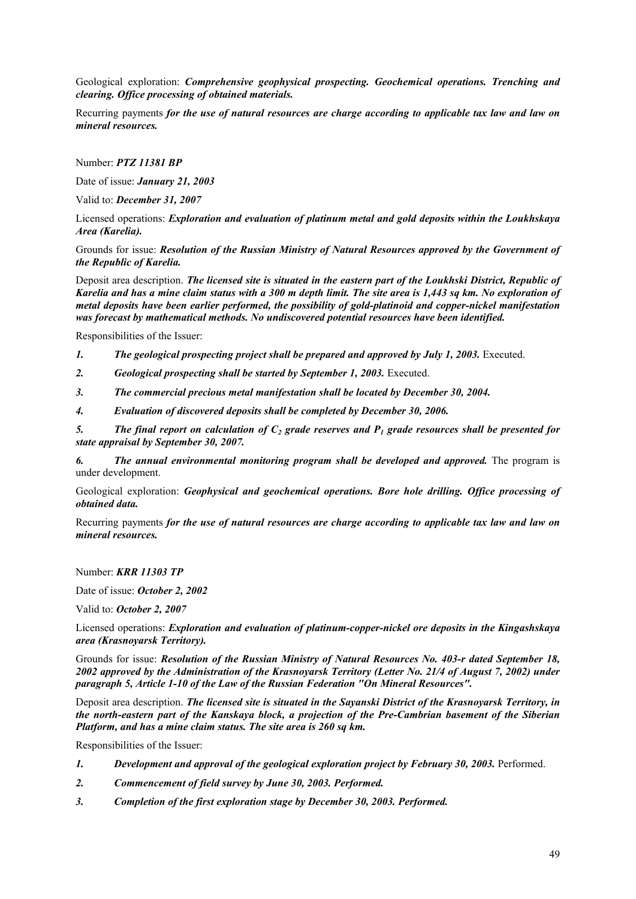Geological exploration: *Comprehensive geophysical prospecting. Geochemical operations. Trenching and clearing. Office processing of obtained materials.* 

Recurring payments *for the use of natural resources are charge according to applicable tax law and law on mineral resources.*

Number: *PTZ 11381 BP*

Date of issue: *January 21, 2003*

Valid to: *December 31, 2007*

Licensed operations: *Exploration and evaluation of platinum metal and gold deposits within the Loukhskaya Area (Karelia).*

Grounds for issue: *Resolution of the Russian Ministry of Natural Resources approved by the Government of the Republic of Karelia.*

Deposit area description. *The licensed site is situated in the eastern part of the Loukhski District, Republic of Karelia and has a mine claim status with a 300 m depth limit. The site area is 1,443 sq km. No exploration of metal deposits have been earlier performed, the possibility of gold-platinoid and copper-nickel manifestation was forecast by mathematical methods. No undiscovered potential resources have been identified.* 

Responsibilities of the Issuer:

- *1. The geological prospecting project shall be prepared and approved by July 1, 2003.* Executed.
- *2. Geological prospecting shall be started by September 1, 2003.* Executed.
- *3. The commercial precious metal manifestation shall be located by December 30, 2004.*
- *4. Evaluation of discovered deposits shall be completed by December 30, 2006.*

5. The final report on calculation of  $C_2$  grade reserves and  $P_1$  grade resources shall be presented for *state appraisal by September 30, 2007.* 

*6. The annual environmental monitoring program shall be developed and approved.* The program is under development.

Geological exploration: *Geophysical and geochemical operations. Bore hole drilling. Office processing of obtained data.* 

Recurring payments *for the use of natural resources are charge according to applicable tax law and law on mineral resources.*

### Number: *KRR 11303 TP*

Date of issue: *October 2, 2002*

Valid to: *October 2, 2007*

Licensed operations: *Exploration and evaluation of platinum-copper-nickel ore deposits in the Kingashskaya area (Krasnoyarsk Territory).*

Grounds for issue: *Resolution of the Russian Ministry of Natural Resources No. 403-r dated September 18, 2002 approved by the Administration of the Krasnoyarsk Territory (Letter No. 21/4 of August 7, 2002) under paragraph 5, Article 1-10 of the Law of the Russian Federation "On Mineral Resources".*

Deposit area description. *The licensed site is situated in the Sayanski District of the Krasnoyarsk Territory, in the north-eastern part of the Kanskaya block, a projection of the Pre-Cambrian basement of the Siberian Platform, and has a mine claim status. The site area is 260 sq km.*

Responsibilities of the Issuer:

- *1. Development and approval of the geological exploration project by February 30, 2003.* Performed.
- *2. Commencement of field survey by June 30, 2003. Performed.*
- *3. Completion of the first exploration stage by December 30, 2003. Performed.*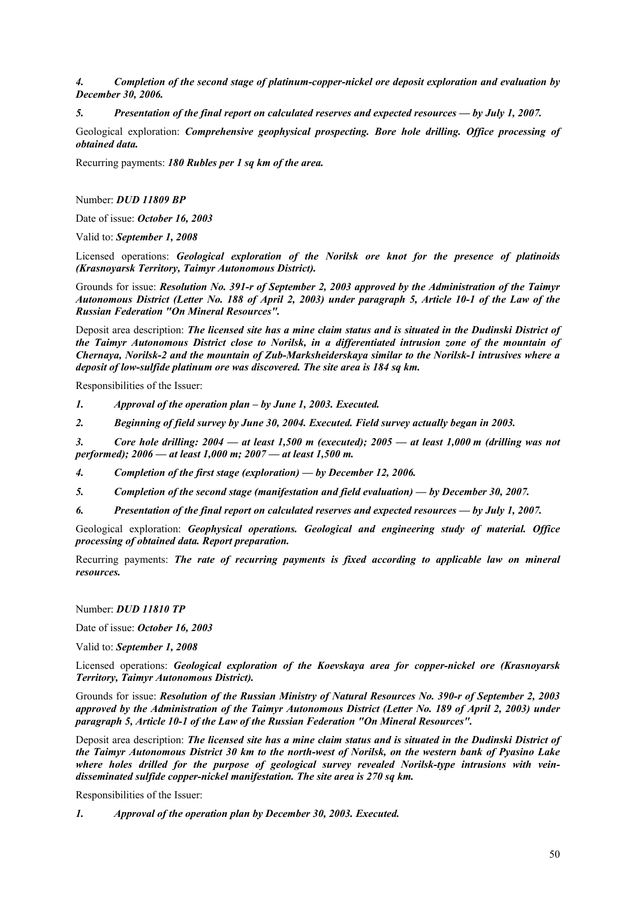*4. Completion of the second stage of platinum-copper-nickel ore deposit exploration and evaluation by December 30, 2006.* 

*5. Presentation of the final report on calculated reserves and expected resources — by July 1, 2007.* 

Geological exploration: *Comprehensive geophysical prospecting. Bore hole drilling. Office processing of obtained data.* 

Recurring payments: *180 Rubles per 1 sq km of the area.*

Number: *DUD 11809 BP*

Date of issue: *October 16, 2003*

Valid to: *September 1, 2008*

Licensed operations: *Geological exploration of the Norilsk ore knot for the presence of platinoids (Krasnoyarsk Territory, Taimyr Autonomous District).*

Grounds for issue: *Resolution No. 391-r of September 2, 2003 approved by the Administration of the Taimyr Autonomous District (Letter No. 188 of April 2, 2003) under paragraph 5, Article 10-1 of the Law of the Russian Federation "On Mineral Resources".*

Deposit area description: *The licensed site has a mine claim status and is situated in the Dudinski District of the Taimyr Autonomous District close to Norilsk, in a differentiated intrusion zone of the mountain of Chernaya, Norilsk-2 and the mountain of Zub-Marksheiderskaya similar to the Norilsk-1 intrusives where a deposit of low-sulfide platinum ore was discovered. The site area is 184 sq km.* 

Responsibilities of the Issuer:

*1. Approval of the operation plan – by June 1, 2003. Executed.*

*2. Beginning of field survey by June 30, 2004. Executed. Field survey actually began in 2003.*

*3. Core hole drilling: 2004 — at least 1,500 m (executed); 2005 — at least 1,000 m (drilling was not performed); 2006 — at least 1,000 m; 2007 — at least 1,500 m.* 

*4. Completion of the first stage (exploration) — by December 12, 2006.* 

*5. Completion of the second stage (manifestation and field evaluation) — by December 30, 2007.* 

*6. Presentation of the final report on calculated reserves and expected resources — by July 1, 2007.* 

Geological exploration: *Geophysical operations. Geological and engineering study of material. Office processing of obtained data. Report preparation.*

Recurring payments: *The rate of recurring payments is fixed according to applicable law on mineral resources.*

Number: *DUD 11810 TP*

Date of issue: *October 16, 2003*

Valid to: *September 1, 2008*

Licensed operations: *Geological exploration of the Koevskaya area for copper-nickel ore (Krasnoyarsk Territory, Taimyr Autonomous District).*

Grounds for issue: *Resolution of the Russian Ministry of Natural Resources No. 390-r of September 2, 2003 approved by the Administration of the Taimyr Autonomous District (Letter No. 189 of April 2, 2003) under paragraph 5, Article 10-1 of the Law of the Russian Federation "On Mineral Resources".*

Deposit area description: *The licensed site has a mine claim status and is situated in the Dudinski District of the Taimyr Autonomous District 30 km to the north-west of Norilsk, on the western bank of Pyasino Lake where holes drilled for the purpose of geological survey revealed Norilsk-type intrusions with veindisseminated sulfide copper-nickel manifestation. The site area is 270 sq km.* 

Responsibilities of the Issuer:

*1. Approval of the operation plan by December 30, 2003. Executed.*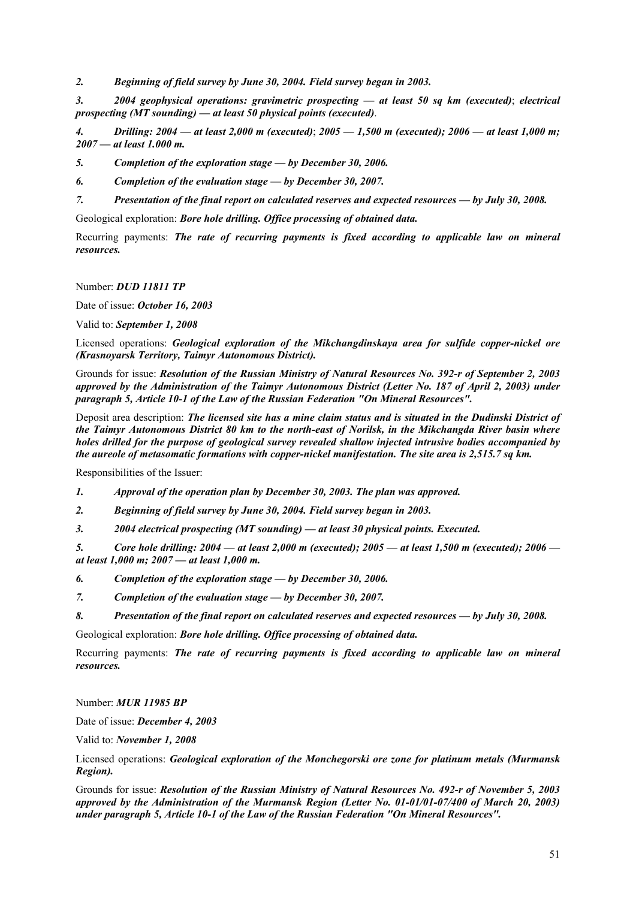*2. Beginning of field survey by June 30, 2004. Field survey began in 2003.*

*3. 2004 geophysical operations: gravimetric prospecting — at least 50 sq km (executed)*; *electrical prospecting (MT sounding) — at least 50 physical points (executed)*.

*4. Drilling: 2004 — at least 2,000 m (executed)*; *2005 — 1,500 m (executed); 2006 — at least 1,000 m; 2007 — at least 1.000 m.* 

*5. Completion of the exploration stage — by December 30, 2006.* 

*6. Completion of the evaluation stage — by December 30, 2007.* 

*7. Presentation of the final report on calculated reserves and expected resources — by July 30, 2008.* 

Geological exploration: *Bore hole drilling. Office processing of obtained data.* 

Recurring payments: *The rate of recurring payments is fixed according to applicable law on mineral resources.*

Number: *DUD 11811 TP*

Date of issue: *October 16, 2003*

Valid to: *September 1, 2008*

Licensed operations: *Geological exploration of the Mikchangdinskaya area for sulfide copper-nickel ore (Krasnoyarsk Territory, Taimyr Autonomous District).*

Grounds for issue: *Resolution of the Russian Ministry of Natural Resources No. 392-r of September 2, 2003 approved by the Administration of the Taimyr Autonomous District (Letter No. 187 of April 2, 2003) under paragraph 5, Article 10-1 of the Law of the Russian Federation "On Mineral Resources".*

Deposit area description: *The licensed site has a mine claim status and is situated in the Dudinski District of the Taimyr Autonomous District 80 km to the north-east of Norilsk, in the Mikchangda River basin where holes drilled for the purpose of geological survey revealed shallow injected intrusive bodies accompanied by the aureole of metasomatic formations with copper-nickel manifestation. The site area is 2,515.7 sq km.* 

Responsibilities of the Issuer:

*1. Approval of the operation plan by December 30, 2003. The plan was approved.*

*2. Beginning of field survey by June 30, 2004. Field survey began in 2003.*

*3. 2004 electrical prospecting (MT sounding) — at least 30 physical points. Executed.*

*5. Core hole drilling: 2004 — at least 2,000 m (executed); 2005 — at least 1,500 m (executed); 2006 at least 1,000 m; 2007 — at least 1,000 m.* 

*6. Completion of the exploration stage — by December 30, 2006.* 

*7. Completion of the evaluation stage — by December 30, 2007.* 

*8. Presentation of the final report on calculated reserves and expected resources — by July 30, 2008.* 

Geological exploration: *Bore hole drilling. Office processing of obtained data.* 

Recurring payments: *The rate of recurring payments is fixed according to applicable law on mineral resources.*

Number: *MUR 11985 BP*

Date of issue: *December 4, 2003*

Valid to: *November 1, 2008*

Licensed operations: *Geological exploration of the Monchegorski ore zone for platinum metals (Murmansk Region).*

Grounds for issue: *Resolution of the Russian Ministry of Natural Resources No. 492-r of November 5, 2003 approved by the Administration of the Murmansk Region (Letter No. 01-01/01-07/400 of March 20, 2003) under paragraph 5, Article 10-1 of the Law of the Russian Federation "On Mineral Resources".*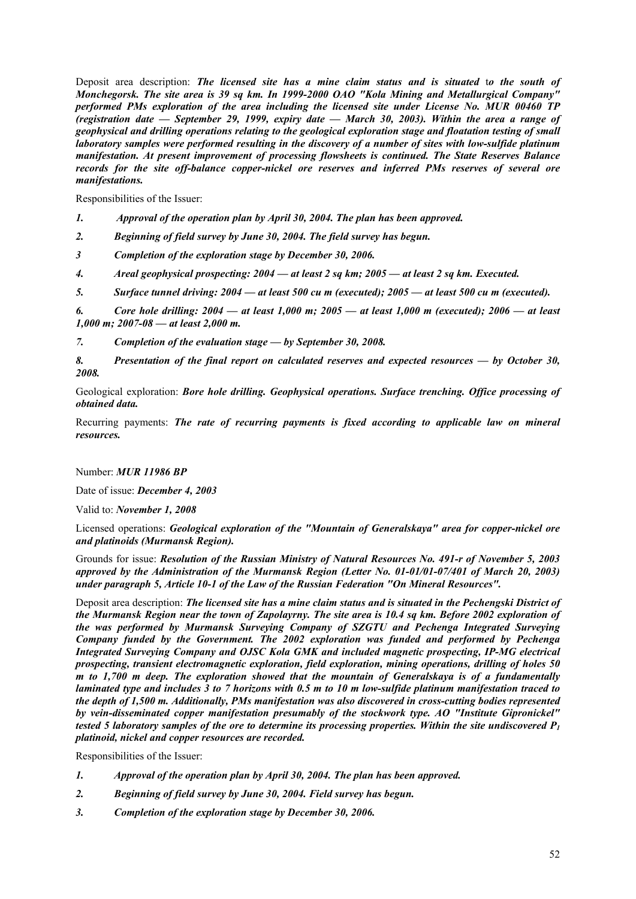Deposit area description: *The licensed site has a mine claim status and is situated* t*o the south of Monchegorsk. The site area is 39 sq km. In 1999-2000 OAO "Kola Mining and Metallurgical Company" performed PMs exploration of the area including the licensed site under License No. MUR 00460 TP (registration date — September 29, 1999, expiry date — March 30, 2003). Within the area a range of geophysical and drilling operations relating to the geological exploration stage and floatation testing of small laboratory samples were performed resulting in the discovery of a number of sites with low-sulfide platinum manifestation. At present improvement of processing flowsheets is continued. The State Reserves Balance records for the site off-balance copper-nickel ore reserves and inferred PMs reserves of several ore manifestations.* 

Responsibilities of the Issuer:

- *1. Approval of the operation plan by April 30, 2004. The plan has been approved.*
- *2. Beginning of field survey by June 30, 2004. The field survey has begun.*
- *3 Completion of the exploration stage by December 30, 2006.*
- *4. Areal geophysical prospecting: 2004 at least 2 sq km; 2005 at least 2 sq km. Executed.*
- *5. Surface tunnel driving: 2004 at least 500 cu m (executed); 2005 at least 500 cu m (executed).*

*6. Core hole drilling: 2004 — at least 1,000 m; 2005 — at least 1,000 m (executed); 2006 — at least 1,000 m; 2007-08 — at least 2,000 m.* 

*7. Completion of the evaluation stage — by September 30, 2008.* 

*8. Presentation of the final report on calculated reserves and expected resources — by October 30, 2008.* 

Geological exploration: *Bore hole drilling. Geophysical operations. Surface trenching. Office processing of obtained data.* 

Recurring payments: *The rate of recurring payments is fixed according to applicable law on mineral resources.*

Number: *MUR 11986 BP*

Date of issue: *December 4, 2003*

Valid to: *November 1, 2008*

Licensed operations: *Geological exploration of the "Mountain of Generalskaya" area for copper-nickel ore and platinoids (Murmansk Region).*

Grounds for issue: *Resolution of the Russian Ministry of Natural Resources No. 491-r of November 5, 2003 approved by the Administration of the Murmansk Region (Letter No. 01-01/01-07/401 of March 20, 2003) under paragraph 5, Article 10-1 of the Law of the Russian Federation "On Mineral Resources".*

Deposit area description: *The licensed site has a mine claim status and is situated in the Pechengski District of the Murmansk Region near the town of Zapolayrny. The site area is 10.4 sq km. Before 2002 exploration of the was performed by Murmansk Surveying Company of SZGTU and Pechenga Integrated Surveying Company funded by the Government. The 2002 exploration was funded and performed by Pechenga Integrated Surveying Company and OJSC Kola GMK and included magnetic prospecting, IP-MG electrical prospecting, transient electromagnetic exploration, field exploration, mining operations, drilling of holes 50 m to 1,700 m deep. The exploration showed that the mountain of Generalskaya is of a fundamentally laminated type and includes 3 to 7 horizons with 0.5 m to 10 m low-sulfide platinum manifestation traced to the depth of 1,500 m. Additionally, PMs manifestation was also discovered in cross-cutting bodies represented by vein-disseminated copper manifestation presumably of the stockwork type. AO "Institute Gipronickel" tested 5 laboratory samples of the ore to determine its processing properties. Within the site undiscovered P1 platinoid, nickel and copper resources are recorded.* 

Responsibilities of the Issuer:

- *1. Approval of the operation plan by April 30, 2004. The plan has been approved.*
- *2. Beginning of field survey by June 30, 2004. Field survey has begun.*
- *3. Completion of the exploration stage by December 30, 2006.*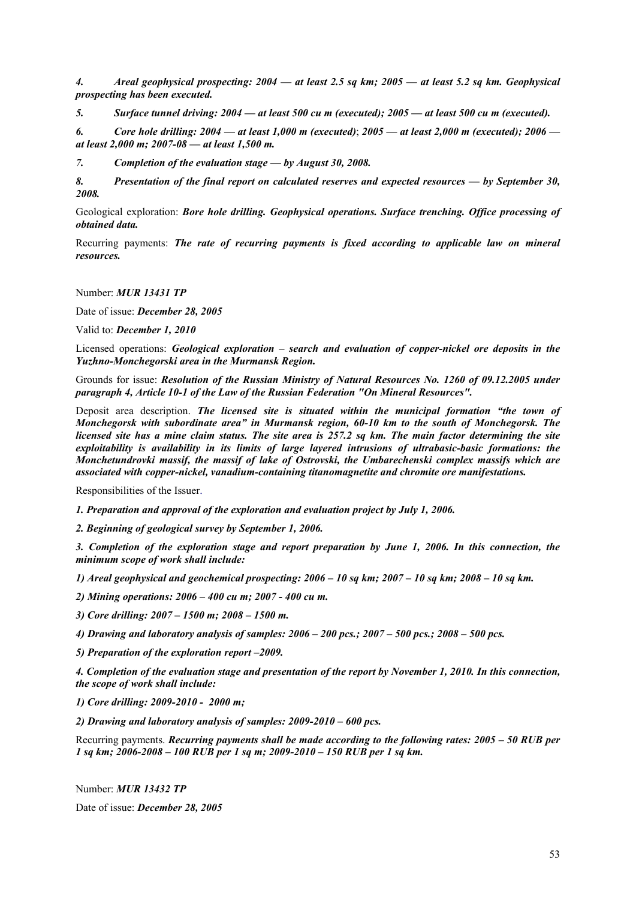*4. Areal geophysical prospecting: 2004 — at least 2.5 sq km; 2005 — at least 5.2 sq km. Geophysical prospecting has been executed.* 

*5. Surface tunnel driving: 2004 — at least 500 cu m (executed); 2005 — at least 500 cu m (executed).* 

*6. Core hole drilling: 2004 — at least 1,000 m (executed)*; *2005 — at least 2,000 m (executed); 2006 at least 2,000 m; 2007-08 — at least 1,500 m.* 

*7. Completion of the evaluation stage — by August 30, 2008.* 

*8. Presentation of the final report on calculated reserves and expected resources — by September 30, 2008.* 

Geological exploration: *Bore hole drilling. Geophysical operations. Surface trenching. Office processing of obtained data.* 

Recurring payments: *The rate of recurring payments is fixed according to applicable law on mineral resources.* 

Number: *MUR 13431 TP* 

Date of issue: *December 28, 2005* 

Valid to: *December 1, 2010* 

Licensed operations: *Geological exploration – search and evaluation of copper-nickel ore deposits in the Yuzhno-Monchegorski area in the Murmansk Region.* 

Grounds for issue: *Resolution of the Russian Ministry of Natural Resources No. 1260 of 09.12.2005 under paragraph 4, Article 10-1 of the Law of the Russian Federation "On Mineral Resources".* 

Deposit area description. *The licensed site is situated within the municipal formation "the town of Monchegorsk with subordinate area" in Murmansk region, 60-10 km to the south of Monchegorsk. The licensed site has a mine claim status. The site area is 257.2 sq km. The main factor determining the site exploitability is availability in its limits of large layered intrusions of ultrabasic-basic formations: the Monchetundrovki massif, the massif of lake of Ostrovski, the Umbarechenski complex massifs which are associated with copper-nickel, vanadium-containing titanomagnetite and chromite ore manifestations.* 

Responsibilities of the Issuer.

*1. Preparation and approval of the exploration and evaluation project by July 1, 2006.* 

*2. Beginning of geological survey by September 1, 2006.* 

*3. Completion of the exploration stage and report preparation by June 1, 2006. In this connection, the minimum scope of work shall include:* 

*1) Areal geophysical and geochemical prospecting: 2006 – 10 sq km; 2007 – 10 sq km; 2008 – 10 sq km.* 

*2) Mining operations: 2006 – 400 cu m; 2007 - 400 cu m.* 

*3) Core drilling: 2007 – 1500 m; 2008 – 1500 m.* 

*4) Drawing and laboratory analysis of samples: 2006 – 200 pcs.; 2007 – 500 pcs.; 2008 – 500 pcs.* 

*5) Preparation of the exploration report –2009.* 

*4. Completion of the evaluation stage and presentation of the report by November 1, 2010. In this connection, the scope of work shall include:* 

*1) Core drilling: 2009-2010 - 2000 m;* 

*2) Drawing and laboratory analysis of samples: 2009-2010 – 600 pcs.* 

Recurring payments. *Recurring payments shall be made according to the following rates: 2005 – 50 RUB per 1 sq km; 2006-2008 – 100 RUB per 1 sq m; 2009-2010 – 150 RUB per 1 sq km.*

Number: *MUR 13432 TP* 

Date of issue: *December 28, 2005*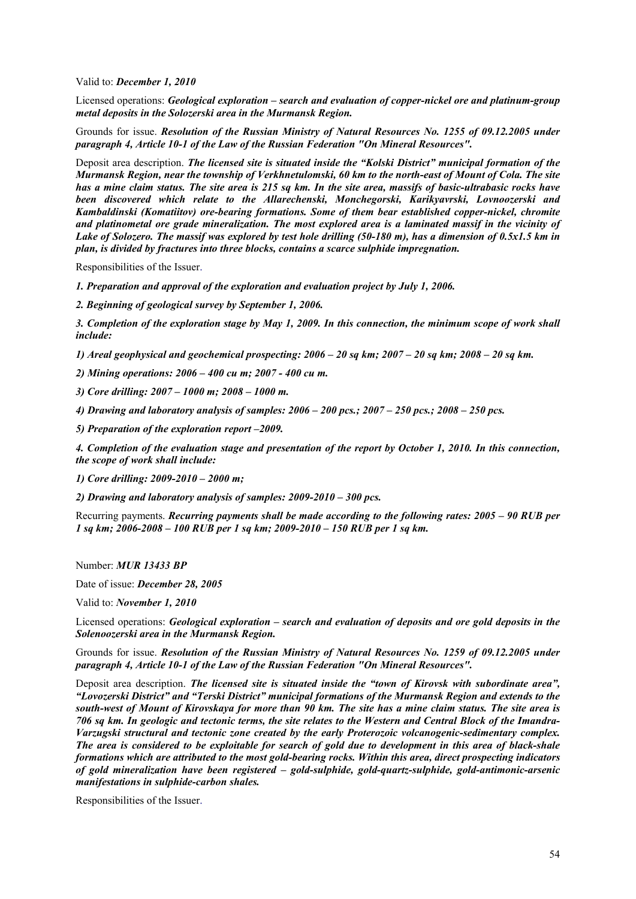Valid to: *December 1, 2010* 

Licensed operations: *Geological exploration – search and evaluation of copper-nickel ore and platinum-group metal deposits in the Solozerski area in the Murmansk Region.*

Grounds for issue. *Resolution of the Russian Ministry of Natural Resources No. 1255 of 09.12.2005 under paragraph 4, Article 10-1 of the Law of the Russian Federation "On Mineral Resources".* 

Deposit area description. *The licensed site is situated inside the "Kolski District" municipal formation of the Murmansk Region, near the township of Verkhnetulomski, 60 km to the north-east of Mount of Cola. The site has a mine claim status. The site area is 215 sq km. In the site area, massifs of basic-ultrabasic rocks have been discovered which relate to the Allarechenski, Monchegorski, Karikyavrski, Lovnoozerski and Kambaldinski (Komatiitov) ore-bearing formations. Some of them bear established copper-nickel, chromite and platinometal ore grade mineralization. The most explored area is a laminated massif in the vicinity of Lake of Solozero. The massif was explored by test hole drilling (50-180 m), has a dimension of 0.5x1.5 km in plan, is divided by fractures into three blocks, contains a scarce sulphide impregnation.* 

Responsibilities of the Issuer.

*1. Preparation and approval of the exploration and evaluation project by July 1, 2006.* 

*2. Beginning of geological survey by September 1, 2006.* 

*3. Completion of the exploration stage by May 1, 2009. In this connection, the minimum scope of work shall include:* 

*1) Areal geophysical and geochemical prospecting: 2006 – 20 sq km; 2007 – 20 sq km; 2008 – 20 sq km.* 

*2) Mining operations: 2006 – 400 cu m; 2007 - 400 cu m.* 

*3) Core drilling: 2007 – 1000 m; 2008 – 1000 m.* 

*4) Drawing and laboratory analysis of samples: 2006 – 200 pcs.; 2007 – 250 pcs.; 2008 – 250 pcs.* 

*5) Preparation of the exploration report –2009.* 

*4. Completion of the evaluation stage and presentation of the report by October 1, 2010. In this connection, the scope of work shall include:* 

*1) Core drilling: 2009-2010 – 2000 m;* 

*2) Drawing and laboratory analysis of samples: 2009-2010 – 300 pcs.* 

Recurring payments. *Recurring payments shall be made according to the following rates: 2005 – 90 RUB per 1 sq km; 2006-2008 – 100 RUB per 1 sq km; 2009-2010 – 150 RUB per 1 sq km.* 

Number: *MUR 13433 BP* 

Date of issue: *December 28, 2005* 

Valid to: *November 1, 2010* 

Licensed operations: *Geological exploration – search and evaluation of deposits and ore gold deposits in the Solenoozerski area in the Murmansk Region.*

Grounds for issue. *Resolution of the Russian Ministry of Natural Resources No. 1259 of 09.12.2005 under paragraph 4, Article 10-1 of the Law of the Russian Federation "On Mineral Resources".* 

Deposit area description. *The licensed site is situated inside the "town of Kirovsk with subordinate area", "Lovozerski District" and "Terski District" municipal formations of the Murmansk Region and extends to the south-west of Mount of Kirovskaya for more than 90 km. The site has a mine claim status. The site area is 706 sq km. In geologic and tectonic terms, the site relates to the Western and Central Block of the Imandra-Varzugski structural and tectonic zone created by the early Proterozoic volcanogenic-sedimentary complex. The area is considered to be exploitable for search of gold due to development in this area of black-shale formations which are attributed to the most gold-bearing rocks. Within this area, direct prospecting indicators of gold mineralization have been registered – gold-sulphide, gold-quartz-sulphide, gold-antimonic-arsenic manifestations in sulphide-carbon shales.* 

Responsibilities of the Issuer.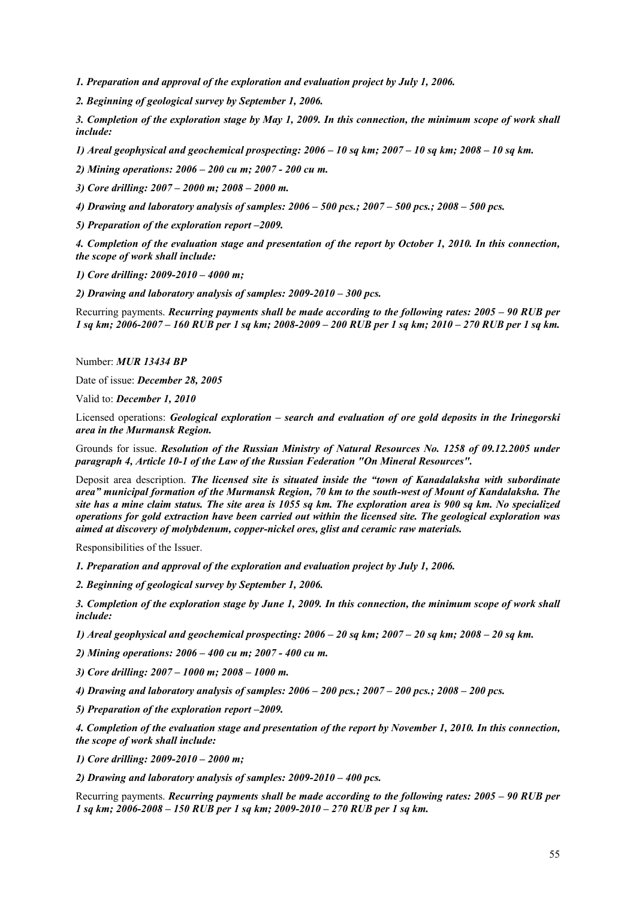*1. Preparation and approval of the exploration and evaluation project by July 1, 2006.* 

*2. Beginning of geological survey by September 1, 2006.* 

*3. Completion of the exploration stage by May 1, 2009. In this connection, the minimum scope of work shall include:* 

*1) Areal geophysical and geochemical prospecting: 2006 – 10 sq km; 2007 – 10 sq km; 2008 – 10 sq km.* 

*2) Mining operations: 2006 – 200 cu m; 2007 - 200 cu m.* 

*3) Core drilling: 2007 – 2000 m; 2008 – 2000 m.* 

*4) Drawing and laboratory analysis of samples: 2006 – 500 pcs.; 2007 – 500 pcs.; 2008 – 500 pcs.* 

*5) Preparation of the exploration report –2009.* 

*4. Completion of the evaluation stage and presentation of the report by October 1, 2010. In this connection, the scope of work shall include:* 

*1) Core drilling: 2009-2010 – 4000 m;* 

*2) Drawing and laboratory analysis of samples: 2009-2010 – 300 pcs.* 

Recurring payments. *Recurring payments shall be made according to the following rates: 2005 – 90 RUB per 1 sq km; 2006-2007 – 160 RUB per 1 sq km; 2008-2009 – 200 RUB per 1 sq km; 2010 – 270 RUB per 1 sq km.* 

Number: *MUR 13434 BP* 

Date of issue: *December 28, 2005* 

Valid to: *December 1, 2010* 

Licensed operations: *Geological exploration – search and evaluation of ore gold deposits in the Irinegorski area in the Murmansk Region.*

Grounds for issue. *Resolution of the Russian Ministry of Natural Resources No. 1258 of 09.12.2005 under paragraph 4, Article 10-1 of the Law of the Russian Federation "On Mineral Resources".* 

Deposit area description. *The licensed site is situated inside the "town of Kanadalaksha with subordinate area" municipal formation of the Murmansk Region, 70 km to the south-west of Mount of Kandalaksha. The site has a mine claim status. The site area is 1055 sq km. The exploration area is 900 sq km. No specialized operations for gold extraction have been carried out within the licensed site. The geological exploration was aimed at discovery of molybdenum, copper-nickel ores, glist and ceramic raw materials.* 

Responsibilities of the Issuer.

*1. Preparation and approval of the exploration and evaluation project by July 1, 2006.* 

*2. Beginning of geological survey by September 1, 2006.* 

*3. Completion of the exploration stage by June 1, 2009. In this connection, the minimum scope of work shall include:* 

*1) Areal geophysical and geochemical prospecting: 2006 – 20 sq km; 2007 – 20 sq km; 2008 – 20 sq km.* 

*2) Mining operations: 2006 – 400 cu m; 2007 - 400 cu m.* 

*3) Core drilling: 2007 – 1000 m; 2008 – 1000 m.* 

*4) Drawing and laboratory analysis of samples: 2006 – 200 pcs.; 2007 – 200 pcs.; 2008 – 200 pcs.* 

*5) Preparation of the exploration report –2009.* 

*4. Completion of the evaluation stage and presentation of the report by November 1, 2010. In this connection, the scope of work shall include:* 

*1) Core drilling: 2009-2010 – 2000 m;* 

*2) Drawing and laboratory analysis of samples: 2009-2010 – 400 pcs.* 

Recurring payments. *Recurring payments shall be made according to the following rates: 2005 – 90 RUB per 1 sq km; 2006-2008 – 150 RUB per 1 sq km; 2009-2010 – 270 RUB per 1 sq km.*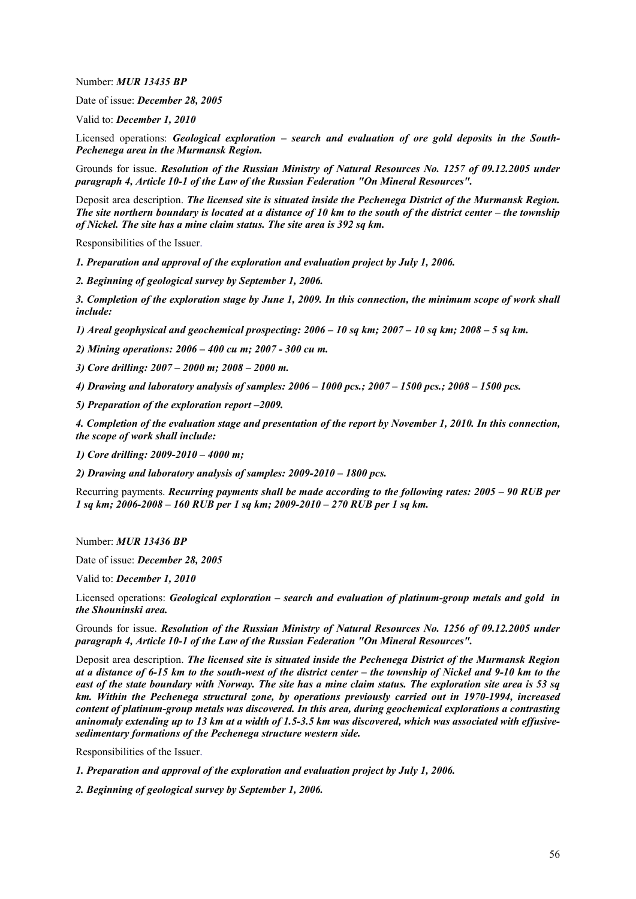Number: *MUR 13435 BP* 

Date of issue: *December 28, 2005* 

Valid to: *December 1, 2010* 

Licensed operations: *Geological exploration – search and evaluation of ore gold deposits in the South-Pechenega area in the Murmansk Region.*

Grounds for issue. *Resolution of the Russian Ministry of Natural Resources No. 1257 of 09.12.2005 under paragraph 4, Article 10-1 of the Law of the Russian Federation "On Mineral Resources".* 

Deposit area description. *The licensed site is situated inside the Pechenega District of the Murmansk Region. The site northern boundary is located at a distance of 10 km to the south of the district center – the township of Nickel. The site has a mine claim status. The site area is 392 sq km.* 

Responsibilities of the Issuer.

*1. Preparation and approval of the exploration and evaluation project by July 1, 2006.* 

*2. Beginning of geological survey by September 1, 2006.* 

*3. Completion of the exploration stage by June 1, 2009. In this connection, the minimum scope of work shall include:* 

*1) Areal geophysical and geochemical prospecting: 2006 – 10 sq km; 2007 – 10 sq km; 2008 – 5 sq km.* 

*2) Mining operations: 2006 – 400 cu m; 2007 - 300 cu m.* 

*3) Core drilling: 2007 – 2000 m; 2008 – 2000 m.* 

*4) Drawing and laboratory analysis of samples: 2006 – 1000 pcs.; 2007 – 1500 pcs.; 2008 – 1500 pcs.* 

*5) Preparation of the exploration report –2009.* 

*4. Completion of the evaluation stage and presentation of the report by November 1, 2010. In this connection, the scope of work shall include:* 

*1) Core drilling: 2009-2010 – 4000 m;* 

*2) Drawing and laboratory analysis of samples: 2009-2010 – 1800 pcs.* 

Recurring payments. *Recurring payments shall be made according to the following rates: 2005 – 90 RUB per 1 sq km; 2006-2008 – 160 RUB per 1 sq km; 2009-2010 – 270 RUB per 1 sq km.* 

Number: *MUR 13436 BP* 

Date of issue: *December 28, 2005* 

Valid to: *December 1, 2010* 

Licensed operations: *Geological exploration – search and evaluation of platinum-group metals and gold in the Shouninski area.*

Grounds for issue. *Resolution of the Russian Ministry of Natural Resources No. 1256 of 09.12.2005 under paragraph 4, Article 10-1 of the Law of the Russian Federation "On Mineral Resources".* 

Deposit area description. *The licensed site is situated inside the Pechenega District of the Murmansk Region at a distance of 6-15 km to the south-west of the district center – the township of Nickel and 9-10 km to the east of the state boundary with Norway. The site has a mine claim status. The exploration site area is 53 sq km. Within the Pechenega structural zone, by operations previously carried out in 1970-1994, increased content of platinum-group metals was discovered. In this area, during geochemical explorations a contrasting aninomaly extending up to 13 km at a width of 1.5-3.5 km was discovered, which was associated with effusivesedimentary formations of the Pechenega structure western side.* 

Responsibilities of the Issuer.

*1. Preparation and approval of the exploration and evaluation project by July 1, 2006.* 

*2. Beginning of geological survey by September 1, 2006.*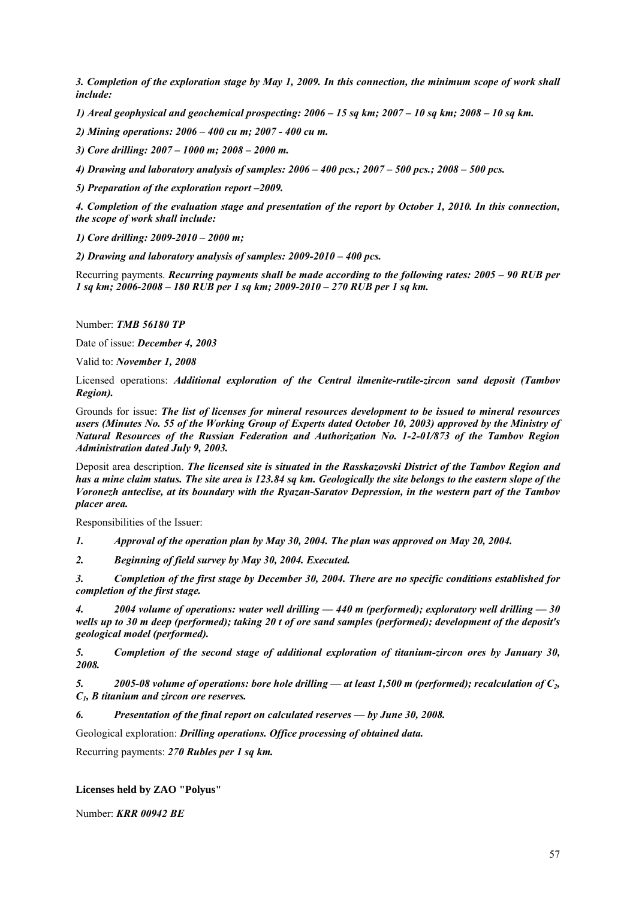*3. Completion of the exploration stage by May 1, 2009. In this connection, the minimum scope of work shall include:* 

*1) Areal geophysical and geochemical prospecting: 2006 – 15 sq km; 2007 – 10 sq km; 2008 – 10 sq km.* 

*2) Mining operations: 2006 – 400 cu m; 2007 - 400 cu m.* 

*3) Core drilling: 2007 – 1000 m; 2008 – 2000 m.* 

*4) Drawing and laboratory analysis of samples: 2006 – 400 pcs.; 2007 – 500 pcs.; 2008 – 500 pcs.* 

*5) Preparation of the exploration report –2009.* 

*4. Completion of the evaluation stage and presentation of the report by October 1, 2010. In this connection, the scope of work shall include:* 

*1) Core drilling: 2009-2010 – 2000 m;* 

*2) Drawing and laboratory analysis of samples: 2009-2010 – 400 pcs.* 

Recurring payments. *Recurring payments shall be made according to the following rates: 2005 – 90 RUB per 1 sq km; 2006-2008 – 180 RUB per 1 sq km; 2009-2010 – 270 RUB per 1 sq km.*

Number: *TMB 56180 TP*

Date of issue: *December 4, 2003*

Valid to: *November 1, 2008*

Licensed operations: *Additional exploration of the Central ilmenite-rutile-zircon sand deposit (Tambov Region).*

Grounds for issue: *The list of licenses for mineral resources development to be issued to mineral resources users (Minutes No. 55 of the Working Group of Experts dated October 10, 2003) approved by the Ministry of Natural Resources of the Russian Federation and Authorization No. 1-2-01/873 of the Tambov Region Administration dated July 9, 2003.*

Deposit area description. *The licensed site is situated in the Rasskazovski District of the Tambov Region and has a mine claim status. The site area is 123.84 sq km. Geologically the site belongs to the eastern slope of the Voronezh anteclise, at its boundary with the Ryazan-Saratov Depression, in the western part of the Tambov placer area.* 

Responsibilities of the Issuer:

*1. Approval of the operation plan by May 30, 2004. The plan was approved on May 20, 2004.* 

*2. Beginning of field survey by May 30, 2004. Executed.* 

*3. Completion of the first stage by December 30, 2004. There are no specific conditions established for completion of the first stage.* 

*4. 2004 volume of operations: water well drilling — 440 m (performed); exploratory well drilling — 30 wells up to 30 m deep (performed); taking 20 t of ore sand samples (performed); development of the deposit's geological model (performed).* 

*5. Completion of the second stage of additional exploration of titanium-zircon ores by January 30, 2008.* 

*5. 2005-08 volume of operations: bore hole drilling — at least 1,500 m (performed); recalculation of C2, C1, B titanium and zircon ore reserves.* 

*6. Presentation of the final report on calculated reserves — by June 30, 2008.* 

Geological exploration: *Drilling operations. Office processing of obtained data.* 

Recurring payments: *270 Rubles per 1 sq km.*

### **Licenses held by ZAO "Polyus"**

Number: *KRR 00942 BE*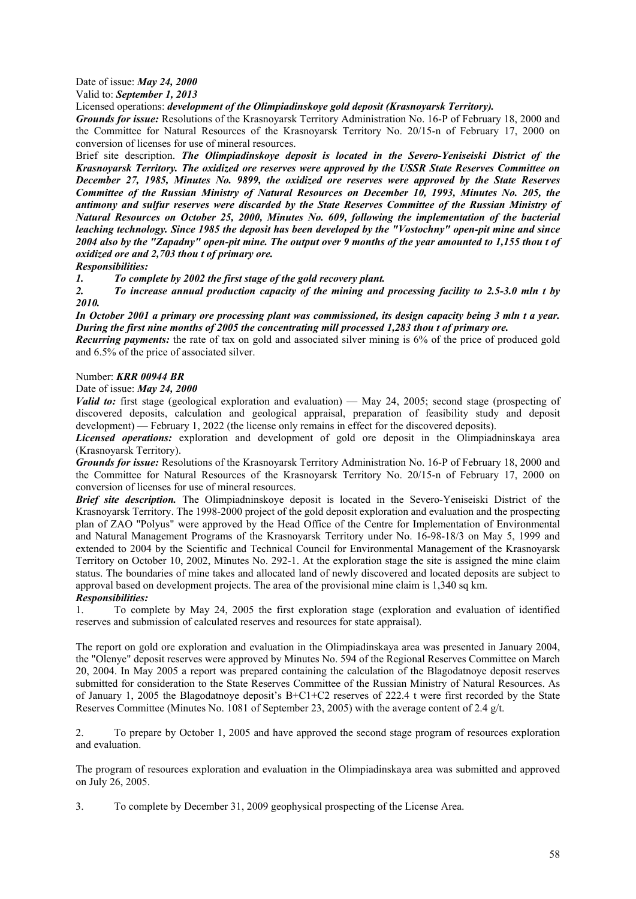# Date of issue: *May 24, 2000*

Valid to: *September 1, 2013*

Licensed operations: *development of the Olimpiadinskoye gold deposit (Krasnoyarsk Territory).*

*Grounds for issue:* Resolutions of the Krasnoyarsk Territory Administration No. 16-P of February 18, 2000 and the Committee for Natural Resources of the Krasnoyarsk Territory No. 20/15-n of February 17, 2000 on conversion of licenses for use of mineral resources.

Brief site description. *The Olimpiadinskoye deposit is located in the Severo-Yeniseiski District of the Krasnoyarsk Territory. The oxidized ore reserves were approved by the USSR State Reserves Committee on December 27, 1985, Minutes No. 9899, the oxidized ore reserves were approved by the State Reserves Committee of the Russian Ministry of Natural Resources on December 10, 1993, Minutes No. 205, the antimony and sulfur reserves were discarded by the State Reserves Committee of the Russian Ministry of Natural Resources on October 25, 2000, Minutes No. 609, following the implementation of the bacterial leaching technology. Since 1985 the deposit has been developed by the "Vostochny" open-pit mine and since 2004 also by the "Zapadny" open-pit mine. The output over 9 months of the year amounted to 1,155 thou t of oxidized ore and 2,703 thou t of primary ore.* 

*Responsibilities:* 

*1. To complete by 2002 the first stage of the gold recovery plant.* 

*2. To increase annual production capacity of the mining and processing facility to 2.5-3.0 mln t by 2010.* 

*In October 2001 a primary ore processing plant was commissioned, its design capacity being 3 mln t a year. During the first nine months of 2005 the concentrating mill processed 1,283 thou t of primary ore.* 

*Recurring payments:* the rate of tax on gold and associated silver mining is 6% of the price of produced gold and 6.5% of the price of associated silver.

# Number: *KRR 00944 BR*

Date of issue: *May 24, 2000*

*Valid to:* first stage (geological exploration and evaluation) — May 24, 2005; second stage (prospecting of discovered deposits, calculation and geological appraisal, preparation of feasibility study and deposit development) — February 1, 2022 (the license only remains in effect for the discovered deposits).

*Licensed operations:* exploration and development of gold ore deposit in the Olimpiadninskaya area (Krasnoyarsk Territory).

*Grounds for issue:* Resolutions of the Krasnoyarsk Territory Administration No. 16-P of February 18, 2000 and the Committee for Natural Resources of the Krasnoyarsk Territory No. 20/15-n of February 17, 2000 on conversion of licenses for use of mineral resources.

*Brief site description.* The Olimpiadninskoye deposit is located in the Severo-Yeniseiski District of the Krasnoyarsk Territory. The 1998-2000 project of the gold deposit exploration and evaluation and the prospecting plan of ZAO "Polyus" were approved by the Head Office of the Centre for Implementation of Environmental and Natural Management Programs of the Krasnoyarsk Territory under No. 16-98-18/3 on May 5, 1999 and extended to 2004 by the Scientific and Technical Council for Environmental Management of the Krasnoyarsk Territory on October 10, 2002, Minutes No. 292-1. At the exploration stage the site is assigned the mine claim status. The boundaries of mine takes and allocated land of newly discovered and located deposits are subject to approval based on development projects. The area of the provisional mine claim is 1,340 sq km. *Responsibilities:* 

1. To complete by May 24, 2005 the first exploration stage (exploration and evaluation of identified reserves and submission of calculated reserves and resources for state appraisal).

The report on gold ore exploration and evaluation in the Olimpiadinskaya area was presented in January 2004, the "Olenye" deposit reserves were approved by Minutes No. 594 of the Regional Reserves Committee on March 20, 2004. In May 2005 a report was prepared containing the calculation of the Blagodatnoye deposit reserves submitted for consideration to the State Reserves Committee of the Russian Ministry of Natural Resources. As of January 1, 2005 the Blagodatnoye deposit's B+C1+C2 reserves of 222.4 t were first recorded by the State Reserves Committee (Minutes No. 1081 of September 23, 2005) with the average content of 2.4 g/t.

2. To prepare by October 1, 2005 and have approved the second stage program of resources exploration and evaluation.

The program of resources exploration and evaluation in the Olimpiadinskaya area was submitted and approved on July 26, 2005.

3. To complete by December 31, 2009 geophysical prospecting of the License Area.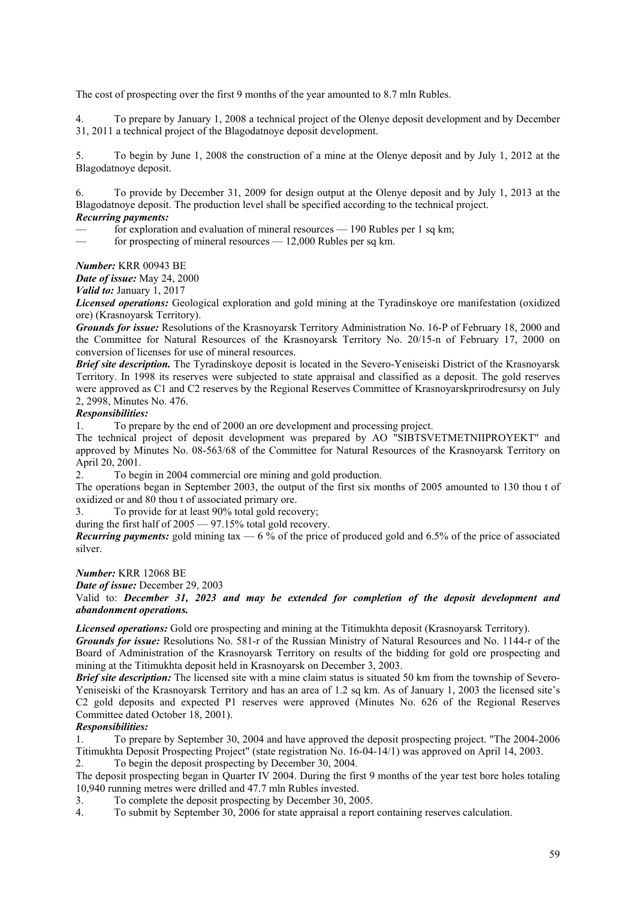The cost of prospecting over the first 9 months of the year amounted to 8.7 mln Rubles.

4. To prepare by January 1, 2008 a technical project of the Olenye deposit development and by December 31, 2011 a technical project of the Blagodatnoye deposit development.

5. To begin by June 1, 2008 the construction of a mine at the Olenye deposit and by July 1, 2012 at the Blagodatnoye deposit.

6. To provide by December 31, 2009 for design output at the Olenye deposit and by July 1, 2013 at the Blagodatnoye deposit. The production level shall be specified according to the technical project.

# *Recurring payments:*

for exploration and evaluation of mineral resources  $-190$  Rubles per 1 sq km;

for prospecting of mineral resources — 12,000 Rubles per sq km.

*Number:* KRR 00943 BE

*Date of issue:* May 24, 2000

*Valid to:* January 1, 2017

*Licensed operations:* Geological exploration and gold mining at the Tyradinskoye ore manifestation (oxidized ore) (Krasnoyarsk Territory).

*Grounds for issue:* Resolutions of the Krasnoyarsk Territory Administration No. 16-P of February 18, 2000 and the Committee for Natural Resources of the Krasnoyarsk Territory No. 20/15-n of February 17, 2000 on conversion of licenses for use of mineral resources.

*Brief site description.* The Tyradinskoye deposit is located in the Severo-Yeniseiski District of the Krasnoyarsk Territory. In 1998 its reserves were subjected to state appraisal and classified as a deposit. The gold reserves were approved as C1 and C2 reserves by the Regional Reserves Committee of Krasnoyarskprirodresursy on July 2, 2998, Minutes No. 476.

# *Responsibilities:*

1. To prepare by the end of 2000 an ore development and processing project.

The technical project of deposit development was prepared by AO "SIBTSVETMETNIIPROYEKT" and approved by Minutes No. 08-563/68 of the Committee for Natural Resources of the Krasnoyarsk Territory on April 20, 2001.

2. To begin in 2004 commercial ore mining and gold production.

The operations began in September 2003, the output of the first six months of 2005 amounted to 130 thou t of oxidized or and 80 thou t of associated primary ore.

3. To provide for at least 90% total gold recovery;

during the first half of 2005 — 97.15% total gold recovery.

*Recurring payments:* gold mining tax  $-6\%$  of the price of produced gold and 6.5% of the price of associated silver.

*Number:* KRR 12068 BE

*Date of issue:* December 29, 2003

Valid to: *December 31, 2023 and may be extended for completion of the deposit development and abandonment operations.*

*Licensed operations:* Gold ore prospecting and mining at the Titimukhta deposit (Krasnoyarsk Territory).

*Grounds for issue:* Resolutions No. 581-r of the Russian Ministry of Natural Resources and No. 1144-r of the Board of Administration of the Krasnoyarsk Territory on results of the bidding for gold ore prospecting and mining at the Titimukhta deposit held in Krasnoyarsk on December 3, 2003.

*Brief site description:* The licensed site with a mine claim status is situated 50 km from the township of Severo-Yeniseiski of the Krasnoyarsk Territory and has an area of 1.2 sq km. As of January 1, 2003 the licensed site's C2 gold deposits and expected P1 reserves were approved (Minutes No. 626 of the Regional Reserves Committee dated October 18, 2001).

# *Responsibilities:*

1. To prepare by September 30, 2004 and have approved the deposit prospecting project. "The 2004-2006 Titimukhta Deposit Prospecting Project" (state registration No. 16-04-14/1) was approved on April 14, 2003. 2. To begin the deposit prospecting by December 30, 2004.

The deposit prospecting began in Quarter IV 2004. During the first 9 months of the year test bore holes totaling

10,940 running metres were drilled and 47.7 mln Rubles invested.

3. To complete the deposit prospecting by December 30, 2005.

4. To submit by September 30, 2006 for state appraisal a report containing reserves calculation.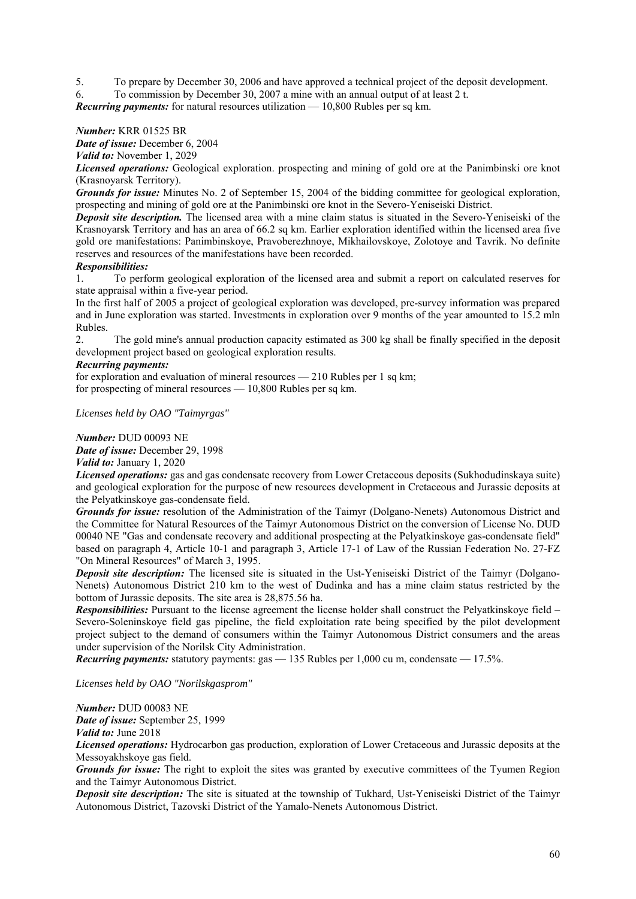5. To prepare by December 30, 2006 and have approved a technical project of the deposit development.

6. To commission by December 30, 2007 a mine with an annual output of at least 2 t.

*Recurring payments:* for natural resources utilization — 10,800 Rubles per sq km.

### *Number:* KRR 01525 BR

*Date of issue:* December 6, 2004

*Valid to:* November 1, 2029

*Licensed operations:* Geological exploration. prospecting and mining of gold ore at the Panimbinski ore knot (Krasnoyarsk Territory).

*Grounds for issue:* Minutes No. 2 of September 15, 2004 of the bidding committee for geological exploration, prospecting and mining of gold ore at the Panimbinski ore knot in the Severo-Yeniseiski District.

*Deposit site description.* The licensed area with a mine claim status is situated in the Severo-Yeniseiski of the Krasnoyarsk Territory and has an area of 66.2 sq km. Earlier exploration identified within the licensed area five gold ore manifestations: Panimbinskoye, Pravoberezhnoye, Mikhailovskoye, Zolotoye and Tavrik. No definite reserves and resources of the manifestations have been recorded.

### *Responsibilities:*

1. To perform geological exploration of the licensed area and submit a report on calculated reserves for state appraisal within a five-year period.

In the first half of 2005 a project of geological exploration was developed, pre-survey information was prepared and in June exploration was started. Investments in exploration over 9 months of the year amounted to 15.2 mln Rubles.

2. The gold mine's annual production capacity estimated as 300 kg shall be finally specified in the deposit development project based on geological exploration results.

### *Recurring payments:*

for exploration and evaluation of mineral resources — 210 Rubles per 1 sq km; for prospecting of mineral resources — 10,800 Rubles per sq km.

*Licenses held by OAO "Taimyrgas"* 

*Number:* DUD 00093 NE

*Date of issue:* December 29, 1998

*Valid to:* January 1, 2020

*Licensed operations:* gas and gas condensate recovery from Lower Cretaceous deposits (Sukhodudinskaya suite) and geological exploration for the purpose of new resources development in Cretaceous and Jurassic deposits at the Pelyatkinskoye gas-condensate field.

*Grounds for issue:* resolution of the Administration of the Taimyr (Dolgano-Nenets) Autonomous District and the Committee for Natural Resources of the Taimyr Autonomous District on the conversion of License No. DUD 00040 NE "Gas and condensate recovery and additional prospecting at the Pelyatkinskoye gas-condensate field" based on paragraph 4, Article 10-1 and paragraph 3, Article 17-1 of Law of the Russian Federation No. 27-FZ "On Mineral Resources" of March 3, 1995.

*Deposit site description:* The licensed site is situated in the Ust-Yeniseiski District of the Taimyr (Dolgano-Nenets) Autonomous District 210 km to the west of Dudinka and has a mine claim status restricted by the bottom of Jurassic deposits. The site area is 28,875.56 ha.

*Responsibilities:* Pursuant to the license agreement the license holder shall construct the Pelyatkinskoye field – Severo-Soleninskoye field gas pipeline, the field exploitation rate being specified by the pilot development project subject to the demand of consumers within the Taimyr Autonomous District consumers and the areas under supervision of the Norilsk City Administration.

*Recurring payments:* statutory payments: gas — 135 Rubles per 1,000 cu m, condensate — 17.5%.

*Licenses held by OAO "Norilskgasprom"* 

*Number:* DUD 00083 NE

*Date of issue:* September 25, 1999

*Valid to:* June 2018

*Licensed operations:* Hydrocarbon gas production, exploration of Lower Cretaceous and Jurassic deposits at the Messoyakhskoye gas field.

*Grounds for issue:* The right to exploit the sites was granted by executive committees of the Tyumen Region and the Taimyr Autonomous District.

*Deposit site description:* The site is situated at the township of Tukhard, Ust-Yeniseiski District of the Taimyr Autonomous District, Tazovski District of the Yamalo-Nenets Autonomous District.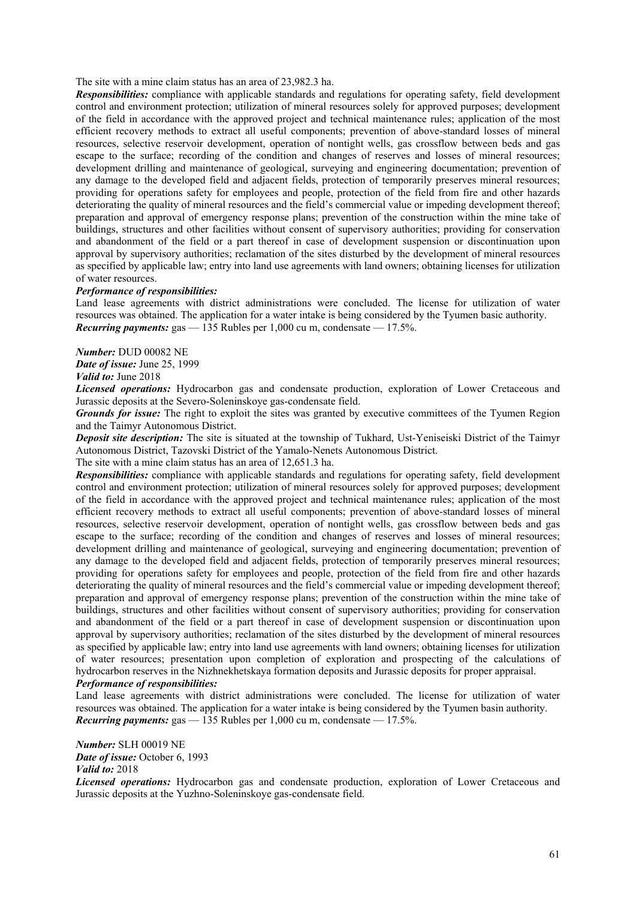The site with a mine claim status has an area of 23,982.3 ha.

*Responsibilities:* compliance with applicable standards and regulations for operating safety, field development control and environment protection; utilization of mineral resources solely for approved purposes; development of the field in accordance with the approved project and technical maintenance rules; application of the most efficient recovery methods to extract all useful components; prevention of above-standard losses of mineral resources, selective reservoir development, operation of nontight wells, gas crossflow between beds and gas escape to the surface; recording of the condition and changes of reserves and losses of mineral resources; development drilling and maintenance of geological, surveying and engineering documentation; prevention of any damage to the developed field and adjacent fields, protection of temporarily preserves mineral resources; providing for operations safety for employees and people, protection of the field from fire and other hazards deteriorating the quality of mineral resources and the field's commercial value or impeding development thereof; preparation and approval of emergency response plans; prevention of the construction within the mine take of buildings, structures and other facilities without consent of supervisory authorities; providing for conservation and abandonment of the field or a part thereof in case of development suspension or discontinuation upon approval by supervisory authorities; reclamation of the sites disturbed by the development of mineral resources as specified by applicable law; entry into land use agreements with land owners; obtaining licenses for utilization of water resources.

### *Performance of responsibilities:*

Land lease agreements with district administrations were concluded. The license for utilization of water resources was obtained. The application for a water intake is being considered by the Tyumen basic authority. *Recurring payments:* gas — 135 Rubles per 1,000 cu m, condensate — 17.5%.

*Number:* DUD 00082 NE

*Date of issue:* June 25, 1999 *Valid to:* June 2018

*Licensed operations:* Hydrocarbon gas and condensate production, exploration of Lower Cretaceous and Jurassic deposits at the Severo-Soleninskoye gas-condensate field.

*Grounds for issue:* The right to exploit the sites was granted by executive committees of the Tyumen Region and the Taimyr Autonomous District.

*Deposit site description:* The site is situated at the township of Tukhard, Ust-Yeniseiski District of the Taimyr Autonomous District, Tazovski District of the Yamalo-Nenets Autonomous District.

The site with a mine claim status has an area of 12,651.3 ha.

*Responsibilities:* compliance with applicable standards and regulations for operating safety, field development control and environment protection; utilization of mineral resources solely for approved purposes; development of the field in accordance with the approved project and technical maintenance rules; application of the most efficient recovery methods to extract all useful components; prevention of above-standard losses of mineral resources, selective reservoir development, operation of nontight wells, gas crossflow between beds and gas escape to the surface; recording of the condition and changes of reserves and losses of mineral resources; development drilling and maintenance of geological, surveying and engineering documentation; prevention of any damage to the developed field and adjacent fields, protection of temporarily preserves mineral resources; providing for operations safety for employees and people, protection of the field from fire and other hazards deteriorating the quality of mineral resources and the field's commercial value or impeding development thereof; preparation and approval of emergency response plans; prevention of the construction within the mine take of buildings, structures and other facilities without consent of supervisory authorities; providing for conservation and abandonment of the field or a part thereof in case of development suspension or discontinuation upon approval by supervisory authorities; reclamation of the sites disturbed by the development of mineral resources as specified by applicable law; entry into land use agreements with land owners; obtaining licenses for utilization of water resources; presentation upon completion of exploration and prospecting of the calculations of hydrocarbon reserves in the Nizhnekhetskaya formation deposits and Jurassic deposits for proper appraisal. *Performance of responsibilities:* 

Land lease agreements with district administrations were concluded. The license for utilization of water resources was obtained. The application for a water intake is being considered by the Tyumen basin authority. *Recurring payments:* gas  $-$  135 Rubles per 1,000 cu m, condensate  $-$  17.5%.

*Number:* SLH 00019 NE *Date of issue:* October 6, 1993 *Valid to:* 2018

*Licensed operations:* Hydrocarbon gas and condensate production, exploration of Lower Cretaceous and Jurassic deposits at the Yuzhno-Soleninskoye gas-condensate field.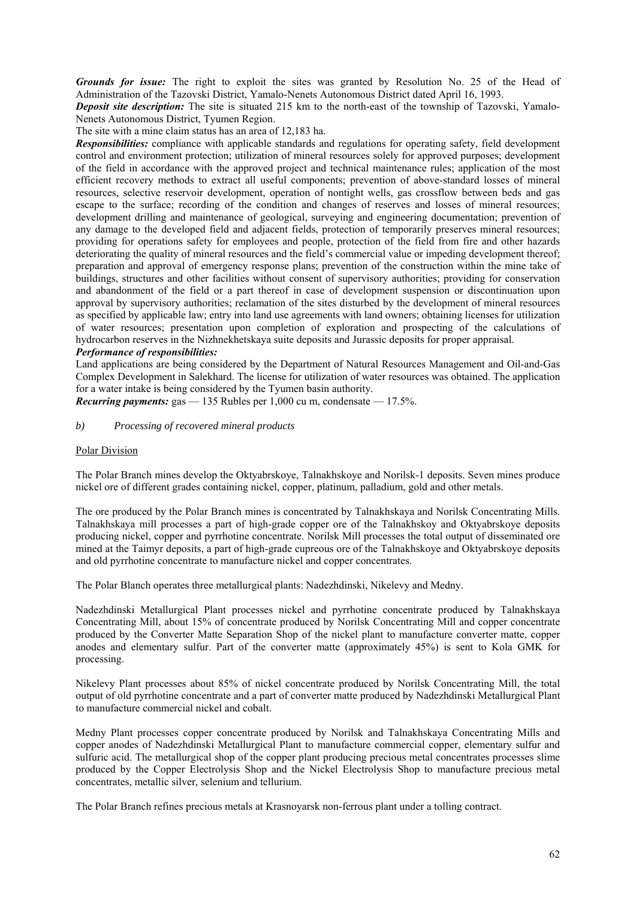*Grounds for issue:* The right to exploit the sites was granted by Resolution No. 25 of the Head of Administration of the Tazovski District, Yamalo-Nenets Autonomous District dated April 16, 1993.

*Deposit site description:* The site is situated 215 km to the north-east of the township of Tazovski, Yamalo-Nenets Autonomous District, Tyumen Region.

The site with a mine claim status has an area of 12,183 ha.

*Responsibilities:* compliance with applicable standards and regulations for operating safety, field development control and environment protection; utilization of mineral resources solely for approved purposes; development of the field in accordance with the approved project and technical maintenance rules; application of the most efficient recovery methods to extract all useful components; prevention of above-standard losses of mineral resources, selective reservoir development, operation of nontight wells, gas crossflow between beds and gas escape to the surface; recording of the condition and changes of reserves and losses of mineral resources; development drilling and maintenance of geological, surveying and engineering documentation; prevention of any damage to the developed field and adjacent fields, protection of temporarily preserves mineral resources; providing for operations safety for employees and people, protection of the field from fire and other hazards deteriorating the quality of mineral resources and the field's commercial value or impeding development thereof; preparation and approval of emergency response plans; prevention of the construction within the mine take of buildings, structures and other facilities without consent of supervisory authorities; providing for conservation and abandonment of the field or a part thereof in case of development suspension or discontinuation upon approval by supervisory authorities; reclamation of the sites disturbed by the development of mineral resources as specified by applicable law; entry into land use agreements with land owners; obtaining licenses for utilization of water resources; presentation upon completion of exploration and prospecting of the calculations of hydrocarbon reserves in the Nizhnekhetskaya suite deposits and Jurassic deposits for proper appraisal.

### *Performance of responsibilities:*

Land applications are being considered by the Department of Natural Resources Management and Oil-and-Gas Complex Development in Salekhard. The license for utilization of water resources was obtained. The application for a water intake is being considered by the Tyumen basin authority.

*Recurring payments:* gas — 135 Rubles per 1,000 cu m, condensate — 17.5%.

## *b) Processing of recovered mineral products*

### Polar Division

The Polar Branch mines develop the Oktyabrskoye, Talnakhskoye and Norilsk-1 deposits. Seven mines produce nickel ore of different grades containing nickel, copper, platinum, palladium, gold and other metals.

The ore produced by the Polar Branch mines is concentrated by Talnakhskaya and Norilsk Concentrating Mills. Talnakhskaya mill processes a part of high-grade copper ore of the Talnakhskoy and Oktyabrskoye deposits producing nickel, copper and pyrrhotine concentrate. Norilsk Mill processes the total output of disseminated ore mined at the Taimyr deposits, a part of high-grade cupreous ore of the Talnakhskoye and Oktyabrskoye deposits and old pyrrhotine concentrate to manufacture nickel and copper concentrates.

The Polar Blanch operates three metallurgical plants: Nadezhdinski, Nikelevy and Medny.

Nadezhdinski Metallurgical Plant processes nickel and pyrrhotine concentrate produced by Talnakhskaya Concentrating Mill, about 15% of concentrate produced by Norilsk Concentrating Mill and copper concentrate produced by the Converter Matte Separation Shop of the nickel plant to manufacture converter matte, copper anodes and elementary sulfur. Part of the converter matte (approximately 45%) is sent to Kola GMK for processing.

Nikelevy Plant processes about 85% of nickel concentrate produced by Norilsk Concentrating Mill, the total output of old pyrrhotine concentrate and a part of converter matte produced by Nadezhdinski Metallurgical Plant to manufacture commercial nickel and cobalt.

Medny Plant processes copper concentrate produced by Norilsk and Talnakhskaya Concentrating Mills and copper anodes of Nadezhdinski Metallurgical Plant to manufacture commercial copper, elementary sulfur and sulfuric acid. The metallurgical shop of the copper plant producing precious metal concentrates processes slime produced by the Copper Electrolysis Shop and the Nickel Electrolysis Shop to manufacture precious metal concentrates, metallic silver, selenium and tellurium.

The Polar Branch refines precious metals at Krasnoyarsk non-ferrous plant under a tolling contract.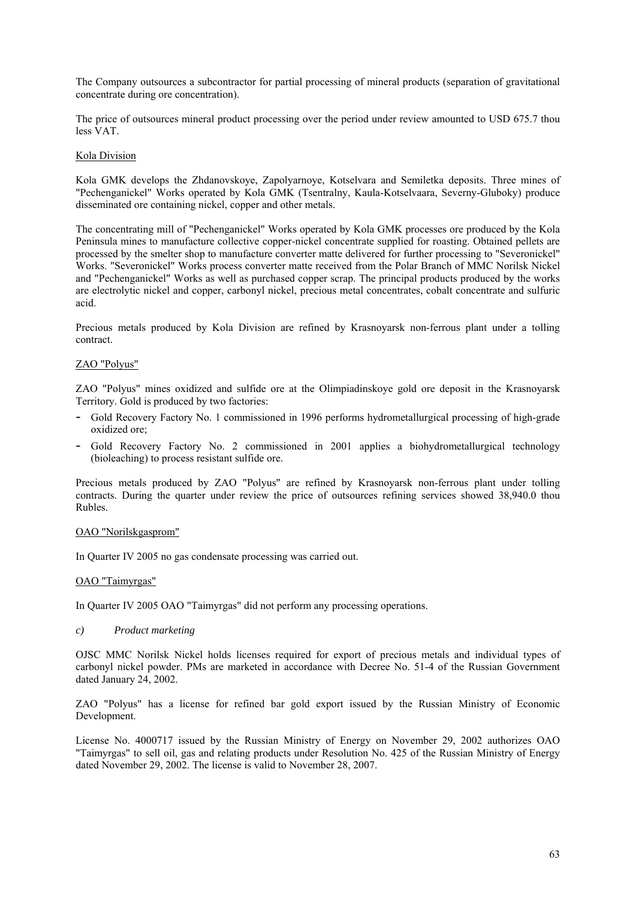The Company outsources a subcontractor for partial processing of mineral products (separation of gravitational concentrate during ore concentration).

The price of outsources mineral product processing over the period under review amounted to USD 675.7 thou less VAT.

### Kola Division

Kola GMK develops the Zhdanovskoye, Zapolyarnoye, Kotselvara and Semiletka deposits. Three mines of "Pechenganickel" Works operated by Kola GMK (Tsentralny, Kaula-Kotselvaara, Severny-Gluboky) produce disseminated ore containing nickel, copper and other metals.

The concentrating mill of "Pechenganickel" Works operated by Kola GMK processes ore produced by the Kola Peninsula mines to manufacture collective copper-nickel concentrate supplied for roasting. Obtained pellets are processed by the smelter shop to manufacture converter matte delivered for further processing to "Severonickel" Works. "Severonickel" Works process converter matte received from the Polar Branch of MMC Norilsk Nickel and "Pechenganickel" Works as well as purchased copper scrap. The principal products produced by the works are electrolytic nickel and copper, carbonyl nickel, precious metal concentrates, cobalt concentrate and sulfuric acid.

Precious metals produced by Kola Division are refined by Krasnoyarsk non-ferrous plant under a tolling contract.

### ZAO "Polyus"

ZAO "Polyus" mines oxidized and sulfide ore at the Olimpiadinskoye gold ore deposit in the Krasnoyarsk Territory. Gold is produced by two factories:

- Gold Recovery Factory No. 1 commissioned in 1996 performs hydrometallurgical processing of high-grade oxidized ore;
- Gold Recovery Factory No. 2 commissioned in 2001 applies a biohydrometallurgical technology (bioleaching) to process resistant sulfide ore.

Precious metals produced by ZAO "Polyus" are refined by Krasnoyarsk non-ferrous plant under tolling contracts. During the quarter under review the price of outsources refining services showed 38,940.0 thou Rubles.

### OAO "Norilskgasprom"

In Quarter IV 2005 no gas condensate processing was carried out.

### OAO "Taimyrgas"

In Quarter IV 2005 OAO "Taimyrgas" did not perform any processing operations.

*c) Product marketing* 

OJSC MMC Norilsk Nickel holds licenses required for export of precious metals and individual types of carbonyl nickel powder. PMs are marketed in accordance with Decree No. 51-4 of the Russian Government dated January 24, 2002.

ZAO "Polyus" has a license for refined bar gold export issued by the Russian Ministry of Economic Development.

License No. 4000717 issued by the Russian Ministry of Energy on November 29, 2002 authorizes OAO "Taimyrgas" to sell oil, gas and relating products under Resolution No. 425 of the Russian Ministry of Energy dated November 29, 2002. The license is valid to November 28, 2007.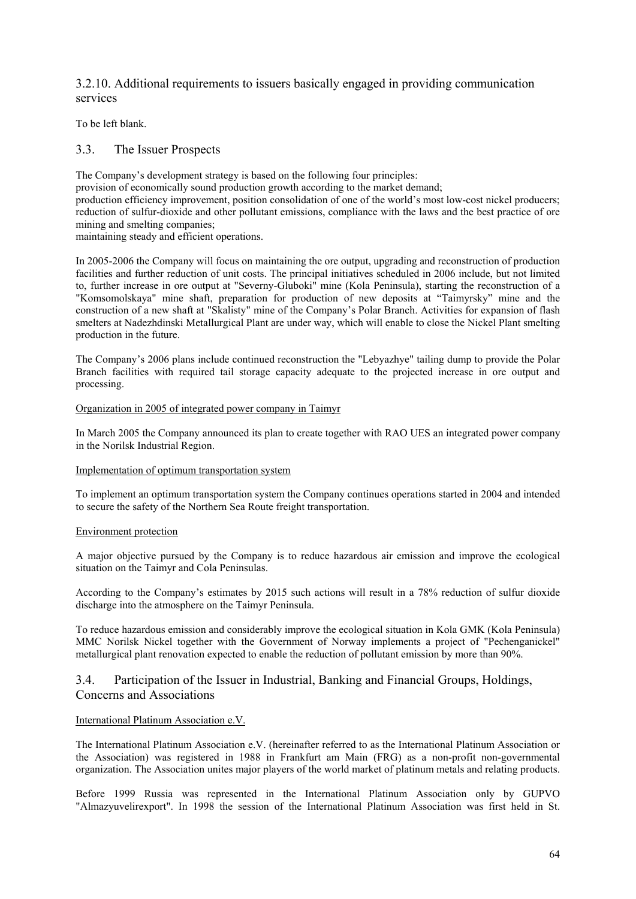# 3.2.10. Additional requirements to issuers basically engaged in providing communication services

To be left blank.

# 3.3. The Issuer Prospects

The Company's development strategy is based on the following four principles:

provision of economically sound production growth according to the market demand;

production efficiency improvement, position consolidation of one of the world's most low-cost nickel producers; reduction of sulfur-dioxide and other pollutant emissions, compliance with the laws and the best practice of ore mining and smelting companies;

maintaining steady and efficient operations.

In 2005-2006 the Company will focus on maintaining the ore output, upgrading and reconstruction of production facilities and further reduction of unit costs. The principal initiatives scheduled in 2006 include, but not limited to, further increase in ore output at "Severny-Gluboki" mine (Kola Peninsula), starting the reconstruction of a "Komsomolskaya" mine shaft, preparation for production of new deposits at "Taimyrsky" mine and the construction of a new shaft at "Skalisty" mine of the Company's Polar Branch. Activities for expansion of flash smelters at Nadezhdinski Metallurgical Plant are under way, which will enable to close the Nickel Plant smelting production in the future.

The Company's 2006 plans include continued reconstruction the "Lebyazhye" tailing dump to provide the Polar Branch facilities with required tail storage capacity adequate to the projected increase in ore output and processing.

## Organization in 2005 of integrated power company in Taimyr

In March 2005 the Company announced its plan to create together with RAO UES an integrated power company in the Norilsk Industrial Region.

## Implementation of optimum transportation system

To implement an optimum transportation system the Company continues operations started in 2004 and intended to secure the safety of the Northern Sea Route freight transportation.

# Environment protection

A major objective pursued by the Company is to reduce hazardous air emission and improve the ecological situation on the Taimyr and Cola Peninsulas.

According to the Company's estimates by 2015 such actions will result in a 78% reduction of sulfur dioxide discharge into the atmosphere on the Taimyr Peninsula.

To reduce hazardous emission and considerably improve the ecological situation in Kola GMK (Kola Peninsula) MMC Norilsk Nickel together with the Government of Norway implements a project of "Pechenganickel" metallurgical plant renovation expected to enable the reduction of pollutant emission by more than 90%.

# 3.4. Participation of the Issuer in Industrial, Banking and Financial Groups, Holdings, Concerns and Associations

## International Platinum Association e.V.

The International Platinum Association e.V. (hereinafter referred to as the International Platinum Association or the Association) was registered in 1988 in Frankfurt am Main (FRG) as a non-profit non-governmental organization. The Association unites major players of the world market of platinum metals and relating products.

Before 1999 Russia was represented in the International Platinum Association only by GUPVO "Almazyuvelirexport". In 1998 the session of the International Platinum Association was first held in St.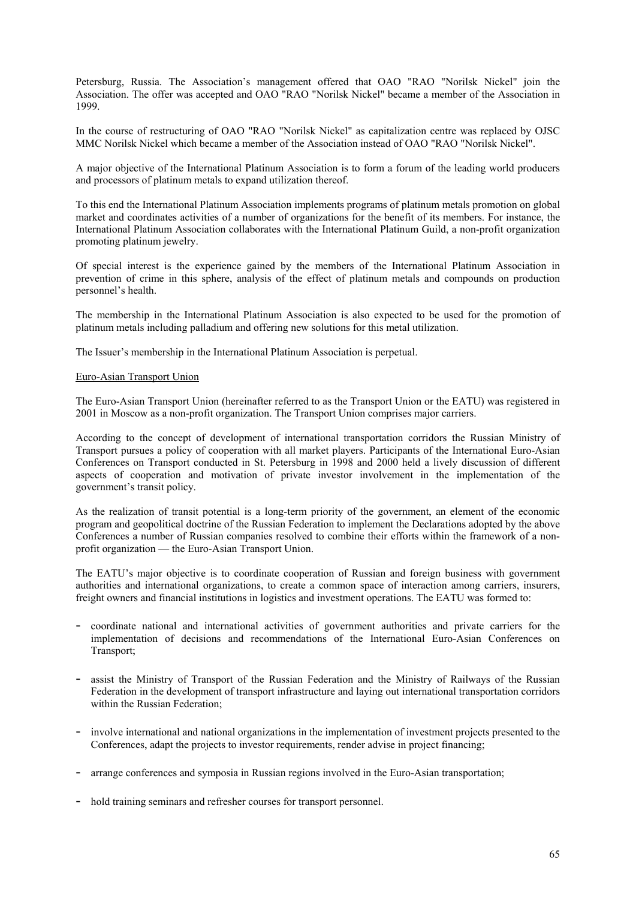Petersburg, Russia. The Association's management offered that OAO "RAO "Norilsk Nickel" join the Association. The offer was accepted and OAO "RAO "Norilsk Nickel" became a member of the Association in 1999.

In the course of restructuring of OAO "RAO "Norilsk Nickel" as capitalization centre was replaced by OJSC MMC Norilsk Nickel which became a member of the Association instead of OAO "RAO "Norilsk Nickel".

A major objective of the International Platinum Association is to form a forum of the leading world producers and processors of platinum metals to expand utilization thereof.

To this end the International Platinum Association implements programs of platinum metals promotion on global market and coordinates activities of a number of organizations for the benefit of its members. For instance, the International Platinum Association collaborates with the International Platinum Guild, a non-profit organization promoting platinum jewelry.

Of special interest is the experience gained by the members of the International Platinum Association in prevention of crime in this sphere, analysis of the effect of platinum metals and compounds on production personnel's health.

The membership in the International Platinum Association is also expected to be used for the promotion of platinum metals including palladium and offering new solutions for this metal utilization.

The Issuer's membership in the International Platinum Association is perpetual.

### Euro-Asian Transport Union

The Euro-Asian Transport Union (hereinafter referred to as the Transport Union or the EATU) was registered in 2001 in Moscow as a non-profit organization. The Transport Union comprises major carriers.

According to the concept of development of international transportation corridors the Russian Ministry of Transport pursues a policy of cooperation with all market players. Participants of the International Euro-Asian Conferences on Transport conducted in St. Petersburg in 1998 and 2000 held a lively discussion of different aspects of cooperation and motivation of private investor involvement in the implementation of the government's transit policy.

As the realization of transit potential is a long-term priority of the government, an element of the economic program and geopolitical doctrine of the Russian Federation to implement the Declarations adopted by the above Conferences a number of Russian companies resolved to combine their efforts within the framework of a nonprofit organization — the Euro-Asian Transport Union.

The EATU's major objective is to coordinate cooperation of Russian and foreign business with government authorities and international organizations, to create a common space of interaction among carriers, insurers, freight owners and financial institutions in logistics and investment operations. The EATU was formed to:

- coordinate national and international activities of government authorities and private carriers for the implementation of decisions and recommendations of the International Euro-Asian Conferences on Transport;
- assist the Ministry of Transport of the Russian Federation and the Ministry of Railways of the Russian Federation in the development of transport infrastructure and laying out international transportation corridors within the Russian Federation;
- involve international and national organizations in the implementation of investment projects presented to the Conferences, adapt the projects to investor requirements, render advise in project financing;
- arrange conferences and symposia in Russian regions involved in the Euro-Asian transportation;
- hold training seminars and refresher courses for transport personnel.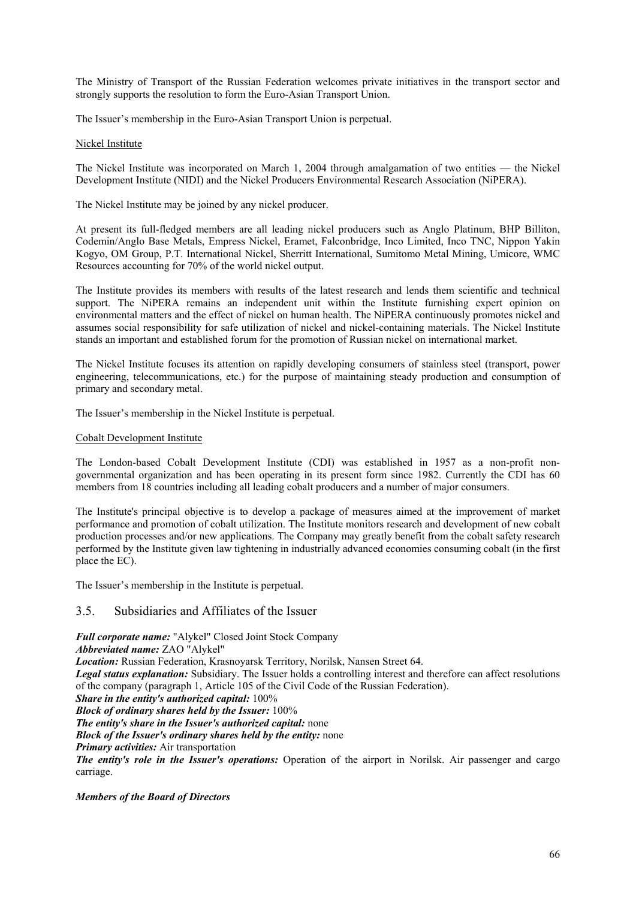The Ministry of Transport of the Russian Federation welcomes private initiatives in the transport sector and strongly supports the resolution to form the Euro-Asian Transport Union.

The Issuer's membership in the Euro-Asian Transport Union is perpetual.

### Nickel Institute

The Nickel Institute was incorporated on March 1, 2004 through amalgamation of two entities — the Nickel Development Institute (NIDI) and the Nickel Producers Environmental Research Association (NiPERA).

The Nickel Institute may be joined by any nickel producer.

At present its full-fledged members are all leading nickel producers such as Anglo Platinum, BHP Billiton, Codemin/Anglo Base Metals, Empress Nickel, Eramet, Falconbridge, Inco Limited, Inco TNC, Nippon Yakin Kogyo, OM Group, P.T. International Nickel, Sherritt International, Sumitomo Metal Mining, Umicore, WMC Resources accounting for 70% of the world nickel output.

The Institute provides its members with results of the latest research and lends them scientific and technical support. The NiPERA remains an independent unit within the Institute furnishing expert opinion on environmental matters and the effect of nickel on human health. The NiPERA continuously promotes nickel and assumes social responsibility for safe utilization of nickel and nickel-containing materials. The Nickel Institute stands an important and established forum for the promotion of Russian nickel on international market.

The Nickel Institute focuses its attention on rapidly developing consumers of stainless steel (transport, power engineering, telecommunications, etc.) for the purpose of maintaining steady production and consumption of primary and secondary metal.

The Issuer's membership in the Nickel Institute is perpetual.

### Cobalt Development Institute

The London-based Cobalt Development Institute (CDI) was established in 1957 as a non-profit nongovernmental organization and has been operating in its present form since 1982. Currently the CDI has 60 members from 18 countries including all leading cobalt producers and a number of major consumers.

The Institute's principal objective is to develop a package of measures aimed at the improvement of market performance and promotion of cobalt utilization. The Institute monitors research and development of new cobalt production processes and/or new applications. The Company may greatly benefit from the cobalt safety research performed by the Institute given law tightening in industrially advanced economies consuming cobalt (in the first place the EC).

The Issuer's membership in the Institute is perpetual.

# 3.5. Subsidiaries and Affiliates of the Issuer

*Full corporate name:* "Alykel" Closed Joint Stock Company

*Abbreviated name:* ZAO "Alykel"

*Location:* Russian Federation, Krasnoyarsk Territory, Norilsk, Nansen Street 64.

*Legal status explanation:* Subsidiary. The Issuer holds a controlling interest and therefore can affect resolutions of the company (paragraph 1, Article 105 of the Civil Code of the Russian Federation).

*Share in the entity's authorized capital:* 100%

*Block of ordinary shares held by the Issuer:* 100%

*The entity's share in the Issuer's authorized capital:* none

*Block of the Issuer's ordinary shares held by the entity:* none

*Primary activities:* Air transportation

*The entity's role in the Issuer's operations:* Operation of the airport in Norilsk. Air passenger and cargo carriage.

### *Members of the Board of Directors*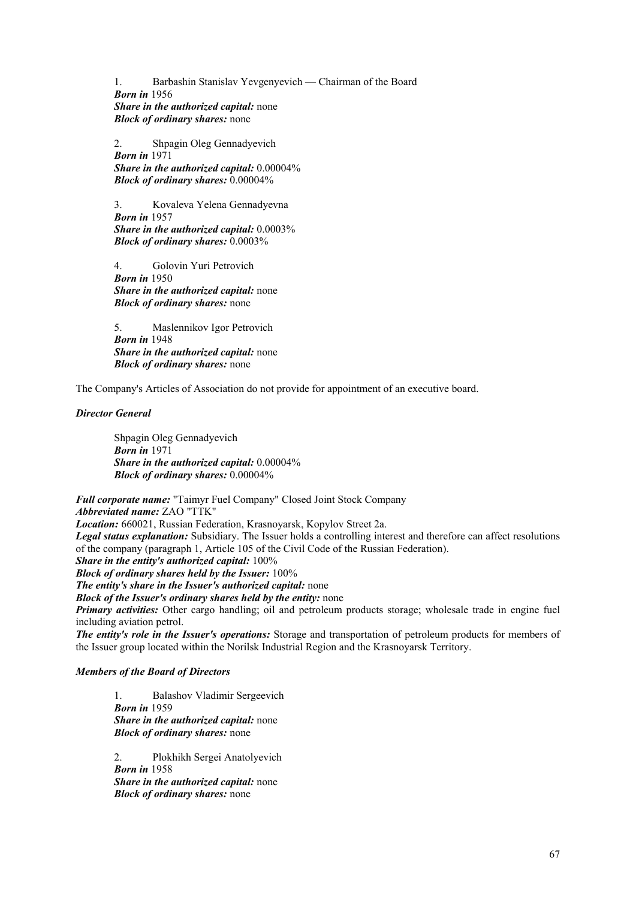1. Barbashin Stanislav Yevgenyevich — Chairman of the Board  *Born in* 1956  *Share in the authorized capital:* none  *Block of ordinary shares:* none

2. Shpagin Oleg Gennadyevich  *Born in* 1971  *Share in the authorized capital:* 0.00004%  *Block of ordinary shares:* 0.00004%

3. Kovaleva Yelena Gennadyevna  *Born in* 1957  *Share in the authorized capital:* 0.0003%  *Block of ordinary shares:* 0.0003%

4. Golovin Yuri Petrovich  *Born in* 1950  *Share in the authorized capital:* none  *Block of ordinary shares:* none

5. Maslennikov Igor Petrovich  *Born in* 1948  *Share in the authorized capital:* none  *Block of ordinary shares:* none

The Company's Articles of Association do not provide for appointment of an executive board.

*Director General* 

Shpagin Oleg Gennadyevich  *Born in* 1971  *Share in the authorized capital:* 0.00004%  *Block of ordinary shares:* 0.00004%

*Full corporate name:* "Taimyr Fuel Company" Closed Joint Stock Company *Abbreviated name:* ZAO "TTK" *Location:* 660021, Russian Federation, Krasnoyarsk, Kopylov Street 2a. *Legal status explanation:* Subsidiary. The Issuer holds a controlling interest and therefore can affect resolutions of the company (paragraph 1, Article 105 of the Civil Code of the Russian Federation). *Share in the entity's authorized capital:* 100% *Block of ordinary shares held by the Issuer:* 100% *The entity's share in the Issuer's authorized capital:* none *Block of the Issuer's ordinary shares held by the entity:* none *Primary activities:* Other cargo handling; oil and petroleum products storage; wholesale trade in engine fuel including aviation petrol. *The entity's role in the Issuer's operations:* Storage and transportation of petroleum products for members of the Issuer group located within the Norilsk Industrial Region and the Krasnoyarsk Territory.

*Members of the Board of Directors* 

 1. Balashov Vladimir Sergeevich  *Born in* 1959  *Share in the authorized capital:* none  *Block of ordinary shares:* none

2. Plokhikh Sergei Anatolyevich *Born in* 1958  *Share in the authorized capital:* none  *Block of ordinary shares:* none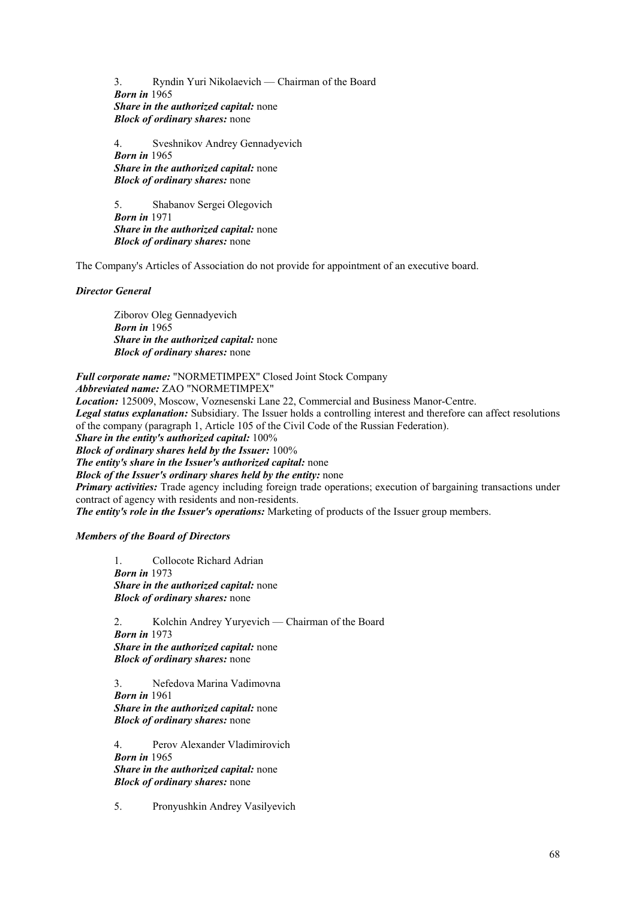3. Ryndin Yuri Nikolaevich — Chairman of the Board *Born in* 1965  *Share in the authorized capital:* none  *Block of ordinary shares:* none

4. Sveshnikov Andrey Gennadyevich *Born in* 1965  *Share in the authorized capital:* none  *Block of ordinary shares:* none

5. Shabanov Sergei Olegovich *Born in* 1971  *Share in the authorized capital:* none  *Block of ordinary shares:* none

The Company's Articles of Association do not provide for appointment of an executive board.

*Director General* 

Ziborov Oleg Gennadyevich *Born in* 1965  *Share in the authorized capital:* none  *Block of ordinary shares:* none

*Full corporate name:* "NORMETIMPEX" Closed Joint Stock Company *Abbreviated name:* ZAO "NORMETIMPEX"

*Location:* 125009, Moscow, Voznesenski Lane 22, Commercial and Business Manor-Centre.

*Legal status explanation:* Subsidiary. The Issuer holds a controlling interest and therefore can affect resolutions of the company (paragraph 1, Article 105 of the Civil Code of the Russian Federation).

*Share in the entity's authorized capital:* 100%

*Block of ordinary shares held by the Issuer:* 100%

*The entity's share in the Issuer's authorized capital:* none

*Block of the Issuer's ordinary shares held by the entity:* none

*Primary activities:* Trade agency including foreign trade operations; execution of bargaining transactions under contract of agency with residents and non-residents.

*The entity's role in the Issuer's operations:* Marketing of products of the Issuer group members.

### *Members of the Board of Directors*

1. Collocote Richard Adrian *Born in* 1973  *Share in the authorized capital:* none  *Block of ordinary shares:* none

 2. Kolchin Andrey Yuryevich — Chairman of the Board *Born in* 1973  *Share in the authorized capital:* none  *Block of ordinary shares:* none

 3. Nefedova Marina Vadimovna *Born in* 1961  *Share in the authorized capital:* none  *Block of ordinary shares:* none

 4. Perov Alexander Vladimirovich *Born in* 1965  *Share in the authorized capital:* none  *Block of ordinary shares:* none

5. Pronyushkin Andrey Vasilyevich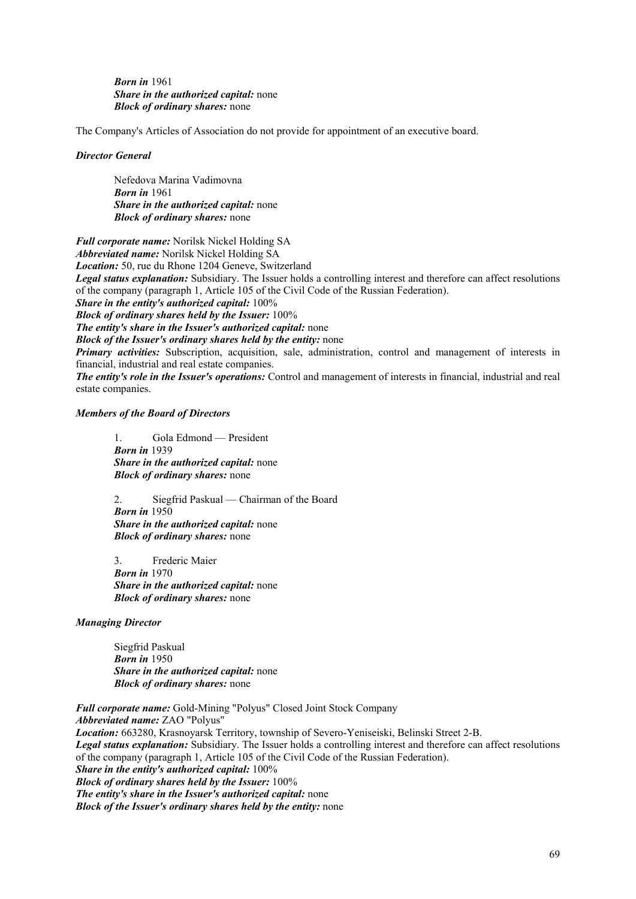*Born in* 1961  *Share in the authorized capital:* none  *Block of ordinary shares:* none

The Company's Articles of Association do not provide for appointment of an executive board.

### *Director General*

Nefedova Marina Vadimovna *Born in* 1961  *Share in the authorized capital:* none  *Block of ordinary shares:* none

*Full corporate name:* Norilsk Nickel Holding SA *Abbreviated name:* Norilsk Nickel Holding SA *Location:* 50, rue du Rhone 1204 Geneve, Switzerland *Legal status explanation:* Subsidiary. The Issuer holds a controlling interest and therefore can affect resolutions of the company (paragraph 1, Article 105 of the Civil Code of the Russian Federation). *Share in the entity's authorized capital:* 100% *Block of ordinary shares held by the Issuer:* 100% *The entity's share in the Issuer's authorized capital:* none *Block of the Issuer's ordinary shares held by the entity:* none *Primary activities:* Subscription, acquisition, sale, administration, control and management of interests in financial, industrial and real estate companies. *The entity's role in the Issuer's operations:* Control and management of interests in financial, industrial and real

### *Members of the Board of Directors*

estate companies.

 1. Gola Edmond — President *Born in* 1939  *Share in the authorized capital:* none  *Block of ordinary shares:* none

2. Siegfrid Paskual — Chairman of the Board *Born in* 1950  *Share in the authorized capital:* none  *Block of ordinary shares:* none

3. Frederic Maier *Born in* 1970  *Share in the authorized capital:* none  *Block of ordinary shares:* none

*Managing Director* 

Siegfrid Paskual *Born in* 1950  *Share in the authorized capital:* none  *Block of ordinary shares:* none

*Full corporate name:* Gold-Mining "Polyus" Closed Joint Stock Company *Abbreviated name:* ZAO "Polyus" *Location:* 663280, Krasnoyarsk Territory, township of Severo-Yeniseiski, Belinski Street 2-B. *Legal status explanation:* Subsidiary. The Issuer holds a controlling interest and therefore can affect resolutions of the company (paragraph 1, Article 105 of the Civil Code of the Russian Federation). *Share in the entity's authorized capital:* 100% *Block of ordinary shares held by the Issuer:* 100% *The entity's share in the Issuer's authorized capital:* none *Block of the Issuer's ordinary shares held by the entity:* none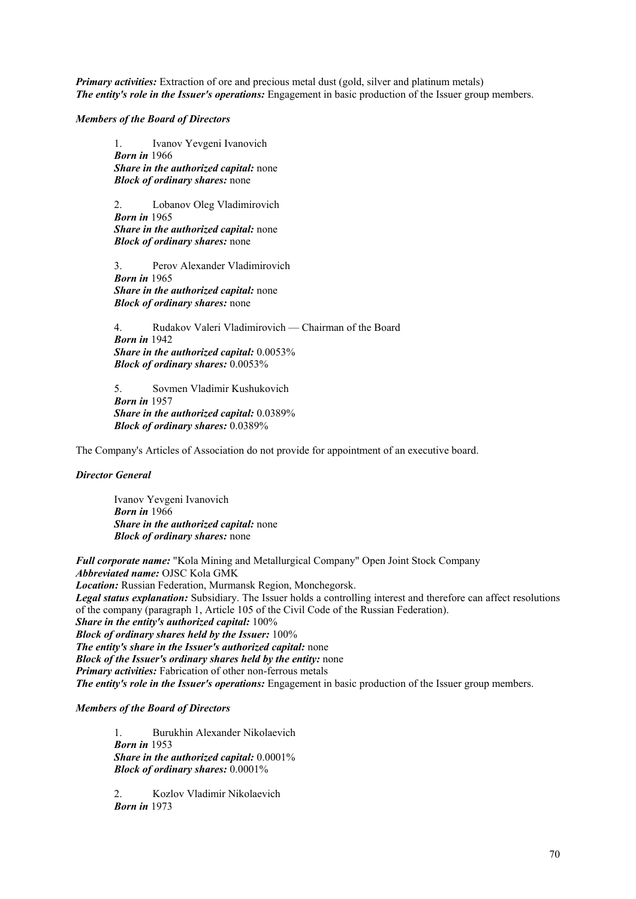*Primary activities:* Extraction of ore and precious metal dust (gold, silver and platinum metals) *The entity's role in the Issuer's operations:* Engagement in basic production of the Issuer group members.

### *Members of the Board of Directors*

 1. Ivanov Yevgeni Ivanovich *Born in* 1966  *Share in the authorized capital:* none  *Block of ordinary shares:* none

 2. Lobanov Oleg Vladimirovich *Born in* 1965  *Share in the authorized capital:* none  *Block of ordinary shares:* none

 3. Perov Alexander Vladimirovich *Born in* 1965  *Share in the authorized capital:* none  *Block of ordinary shares:* none

 4. Rudakov Valeri Vladimirovich — Chairman of the Board *Born in* 1942  *Share in the authorized capital:* 0.0053%  *Block of ordinary shares:* 0.0053%

 5. Sovmen Vladimir Kushukovich *Born in* 1957  *Share in the authorized capital:* 0.0389%  *Block of ordinary shares:* 0.0389%

The Company's Articles of Association do not provide for appointment of an executive board.

## *Director General*

Ivanov Yevgeni Ivanovich *Born in* 1966  *Share in the authorized capital:* none  *Block of ordinary shares:* none

*Full corporate name:* "Kola Mining and Metallurgical Company" Open Joint Stock Company *Abbreviated name:* OJSC Kola GMK

*Location:* Russian Federation, Murmansk Region, Monchegorsk.

*Legal status explanation:* Subsidiary. The Issuer holds a controlling interest and therefore can affect resolutions of the company (paragraph 1, Article 105 of the Civil Code of the Russian Federation).

*Share in the entity's authorized capital:* 100%

*Block of ordinary shares held by the Issuer:* 100%

*The entity's share in the Issuer's authorized capital:* none

*Block of the Issuer's ordinary shares held by the entity:* none

*Primary activities:* Fabrication of other non-ferrous metals

*The entity's role in the Issuer's operations:* Engagement in basic production of the Issuer group members.

# *Members of the Board of Directors*

1. Burukhin Alexander Nikolaevich *Born in* 1953  *Share in the authorized capital:* 0.0001%  *Block of ordinary shares:* 0.0001%

2. Kozlov Vladimir Nikolaevich *Born in* 1973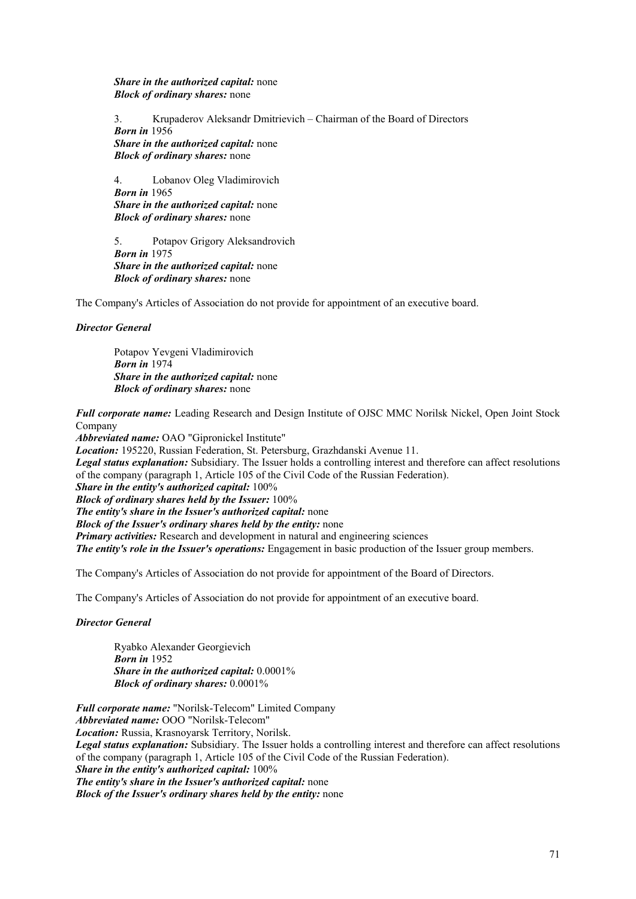*Share in the authorized capital:* none  *Block of ordinary shares:* none

 3. Krupaderov Aleksandr Dmitrievich – Chairman of the Board of Directors *Born in* 1956  *Share in the authorized capital:* none  *Block of ordinary shares:* none

4. Lobanov Oleg Vladimirovich *Born in* 1965  *Share in the authorized capital:* none  *Block of ordinary shares:* none

 5. Potapov Grigory Aleksandrovich *Born in* 1975  *Share in the authorized capital:* none  *Block of ordinary shares:* none

The Company's Articles of Association do not provide for appointment of an executive board.

# *Director General*

 Potapov Yevgeni Vladimirovich *Born in* 1974  *Share in the authorized capital:* none  *Block of ordinary shares:* none

*Full corporate name:* Leading Research and Design Institute of OJSC MMC Norilsk Nickel, Open Joint Stock Company

*Abbreviated name:* OAO "Gipronickel Institute"

*Location:* 195220, Russian Federation, St. Petersburg, Grazhdanski Avenue 11.

*Legal status explanation:* Subsidiary. The Issuer holds a controlling interest and therefore can affect resolutions of the company (paragraph 1, Article 105 of the Civil Code of the Russian Federation).

*Share in the entity's authorized capital:* 100%

*Block of ordinary shares held by the Issuer:* 100%

*The entity's share in the Issuer's authorized capital:* none

*Block of the Issuer's ordinary shares held by the entity:* none

*Primary activities:* Research and development in natural and engineering sciences

*The entity's role in the Issuer's operations:* Engagement in basic production of the Issuer group members.

The Company's Articles of Association do not provide for appointment of the Board of Directors.

The Company's Articles of Association do not provide for appointment of an executive board.

## *Director General*

Ryabko Alexander Georgievich *Born in* 1952  *Share in the authorized capital:* 0.0001%  *Block of ordinary shares:* 0.0001%

*Full corporate name:* "Norilsk-Telecom" Limited Company *Abbreviated name:* OOO "Norilsk-Telecom" *Location:* Russia, Krasnoyarsk Territory, Norilsk. *Legal status explanation:* Subsidiary. The Issuer holds a controlling interest and therefore can affect resolutions of the company (paragraph 1, Article 105 of the Civil Code of the Russian Federation). *Share in the entity's authorized capital:* 100% *The entity's share in the Issuer's authorized capital:* none *Block of the Issuer's ordinary shares held by the entity:* none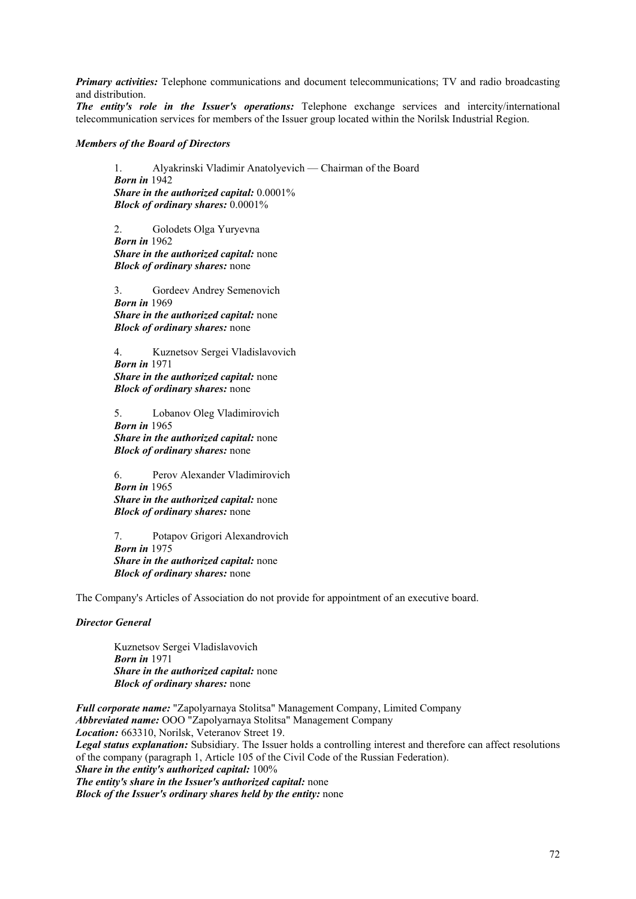*Primary activities:* Telephone communications and document telecommunications; TV and radio broadcasting and distribution.

*The entity's role in the Issuer's operations:* Telephone exchange services and intercity/international telecommunication services for members of the Issuer group located within the Norilsk Industrial Region.

### *Members of the Board of Directors*

 1. Alyakrinski Vladimir Anatolyevich — Chairman of the Board *Born in* 1942  *Share in the authorized capital:* 0.0001%  *Block of ordinary shares:* 0.0001%

 2. Golodets Olga Yuryevna *Born in* 1962  *Share in the authorized capital:* none  *Block of ordinary shares:* none

 3. Gordeev Andrey Semenovich *Born in* 1969  *Share in the authorized capital:* none  *Block of ordinary shares:* none

 4. Kuznetsov Sergei Vladislavovich *Born in* 1971  *Share in the authorized capital:* none  *Block of ordinary shares:* none

5. Lobanov Oleg Vladimirovich *Born in* 1965  *Share in the authorized capital:* none  *Block of ordinary shares:* none

 6. Perov Alexander Vladimirovich *Born in* 1965  *Share in the authorized capital:* none  *Block of ordinary shares:* none

 7. Potapov Grigori Alexandrovich *Born in* 1975  *Share in the authorized capital:* none  *Block of ordinary shares:* none

The Company's Articles of Association do not provide for appointment of an executive board.

## *Director General*

Kuznetsov Sergei Vladislavovich *Born in* 1971  *Share in the authorized capital:* none  *Block of ordinary shares:* none

*Full corporate name:* "Zapolyarnaya Stolitsa" Management Company, Limited Company *Abbreviated name:* OOO "Zapolyarnaya Stolitsa" Management Company *Location:* 663310, Norilsk, Veteranov Street 19. *Legal status explanation:* Subsidiary. The Issuer holds a controlling interest and therefore can affect resolutions of the company (paragraph 1, Article 105 of the Civil Code of the Russian Federation). *Share in the entity's authorized capital:* 100% *The entity's share in the Issuer's authorized capital:* none *Block of the Issuer's ordinary shares held by the entity:* none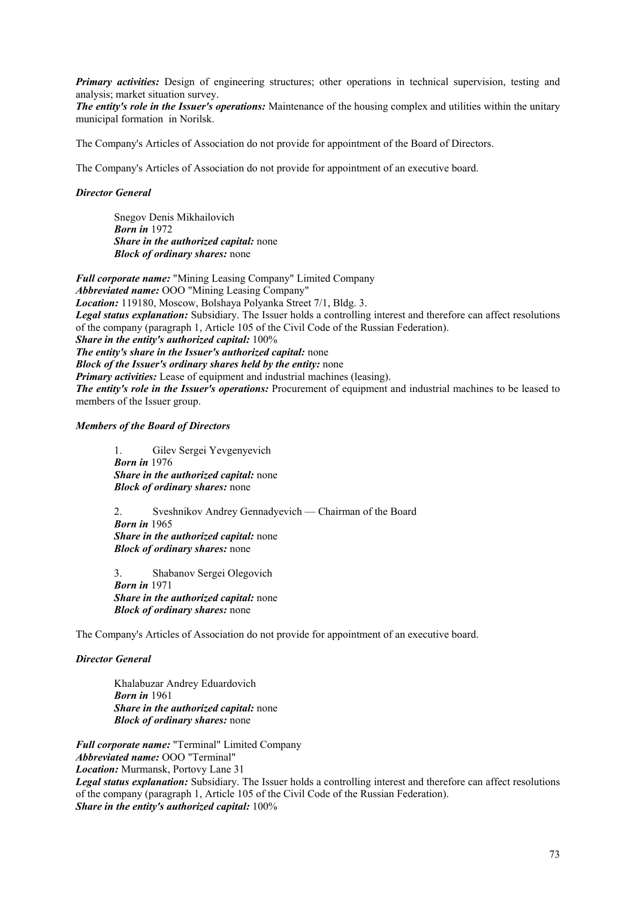*Primary activities:* Design of engineering structures; other operations in technical supervision, testing and analysis; market situation survey.

*The entity's role in the Issuer's operations:* Maintenance of the housing complex and utilities within the unitary municipal formation in Norilsk.

The Company's Articles of Association do not provide for appointment of the Board of Directors.

The Company's Articles of Association do not provide for appointment of an executive board.

## *Director General*

 Snegov Denis Mikhailovich *Born in* 1972  *Share in the authorized capital:* none  *Block of ordinary shares:* none

*Full corporate name:* "Mining Leasing Company" Limited Company *Abbreviated name:* OOO "Mining Leasing Company" *Location:* 119180, Moscow, Bolshaya Polyanka Street 7/1, Bldg. 3. *Legal status explanation:* Subsidiary. The Issuer holds a controlling interest and therefore can affect resolutions of the company (paragraph 1, Article 105 of the Civil Code of the Russian Federation). *Share in the entity's authorized capital:* 100% *The entity's share in the Issuer's authorized capital:* none *Block of the Issuer's ordinary shares held by the entity:* none *Primary activities:* Lease of equipment and industrial machines (leasing). *The entity's role in the Issuer's operations:* Procurement of equipment and industrial machines to be leased to members of the Issuer group.

#### *Members of the Board of Directors*

 1. Gilev Sergei Yevgenyevich *Born in* 1976  *Share in the authorized capital:* none  *Block of ordinary shares:* none

 2. Sveshnikov Andrey Gennadyevich — Chairman of the Board *Born in* 1965  *Share in the authorized capital:* none  *Block of ordinary shares:* none

 3. Shabanov Sergei Olegovich *Born in* 1971  *Share in the authorized capital:* none  *Block of ordinary shares:* none

The Company's Articles of Association do not provide for appointment of an executive board.

## *Director General*

 Khalabuzar Andrey Eduardovich *Born in* 1961  *Share in the authorized capital:* none  *Block of ordinary shares:* none

*Full corporate name:* "Terminal" Limited Company *Abbreviated name:* OOO "Terminal" *Location:* Murmansk, Portovy Lane 31 *Legal status explanation:* Subsidiary. The Issuer holds a controlling interest and therefore can affect resolutions of the company (paragraph 1, Article 105 of the Civil Code of the Russian Federation). *Share in the entity's authorized capital:* 100%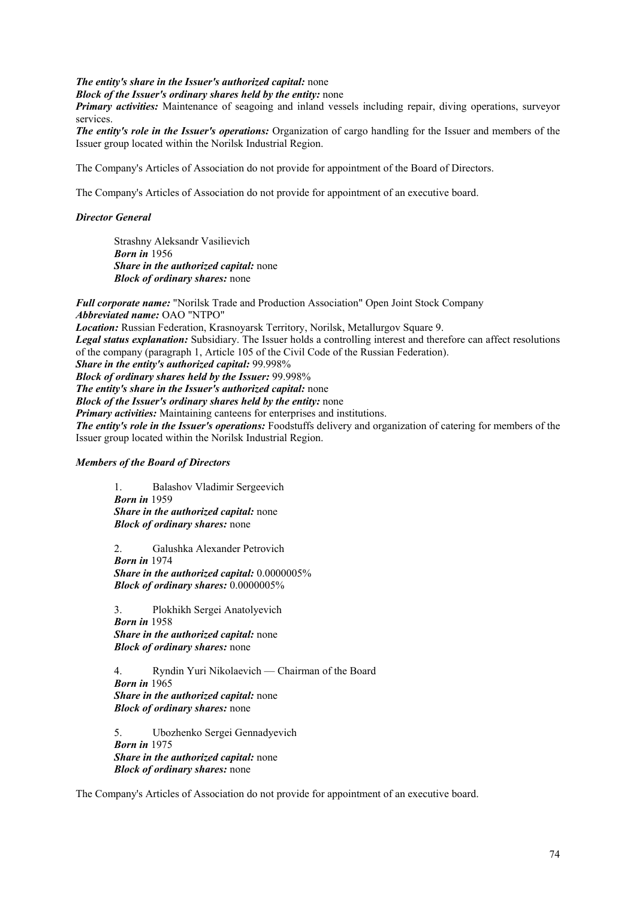*The entity's share in the Issuer's authorized capital:* none

*Block of the Issuer's ordinary shares held by the entity:* none

*Primary activities:* Maintenance of seagoing and inland vessels including repair, diving operations, surveyor services.

*The entity's role in the Issuer's operations:* Organization of cargo handling for the Issuer and members of the Issuer group located within the Norilsk Industrial Region.

The Company's Articles of Association do not provide for appointment of the Board of Directors.

The Company's Articles of Association do not provide for appointment of an executive board.

## *Director General*

 Strashny Aleksandr Vasilievich *Born in* 1956  *Share in the authorized capital:* none  *Block of ordinary shares:* none

*Full corporate name:* "Norilsk Trade and Production Association" Open Joint Stock Company *Abbreviated name:* OAO "NTPO"

*Location:* Russian Federation, Krasnoyarsk Territory, Norilsk, Metallurgov Square 9. *Legal status explanation:* Subsidiary. The Issuer holds a controlling interest and therefore can affect resolutions of the company (paragraph 1, Article 105 of the Civil Code of the Russian Federation). *Share in the entity's authorized capital:* 99.998% *Block of ordinary shares held by the Issuer:* 99.998%

*The entity's share in the Issuer's authorized capital:* none

*Block of the Issuer's ordinary shares held by the entity:* none

*Primary activities:* Maintaining canteens for enterprises and institutions.

*The entity's role in the Issuer's operations:* Foodstuffs delivery and organization of catering for members of the Issuer group located within the Norilsk Industrial Region.

#### *Members of the Board of Directors*

 1. Balashov Vladimir Sergeevich *Born in* 1959  *Share in the authorized capital:* none  *Block of ordinary shares:* none

 2. Galushka Alexander Petrovich *Born in* 1974  *Share in the authorized capital:* 0.0000005%  *Block of ordinary shares:* 0.0000005%

 3. Plokhikh Sergei Anatolyevich *Born in* 1958  *Share in the authorized capital:* none  *Block of ordinary shares:* none

 4. Ryndin Yuri Nikolaevich — Chairman of the Board *Born in* 1965  *Share in the authorized capital:* none  *Block of ordinary shares:* none

 5. Ubozhenko Sergei Gennadyevich *Born in* 1975  *Share in the authorized capital:* none  *Block of ordinary shares:* none

The Company's Articles of Association do not provide for appointment of an executive board.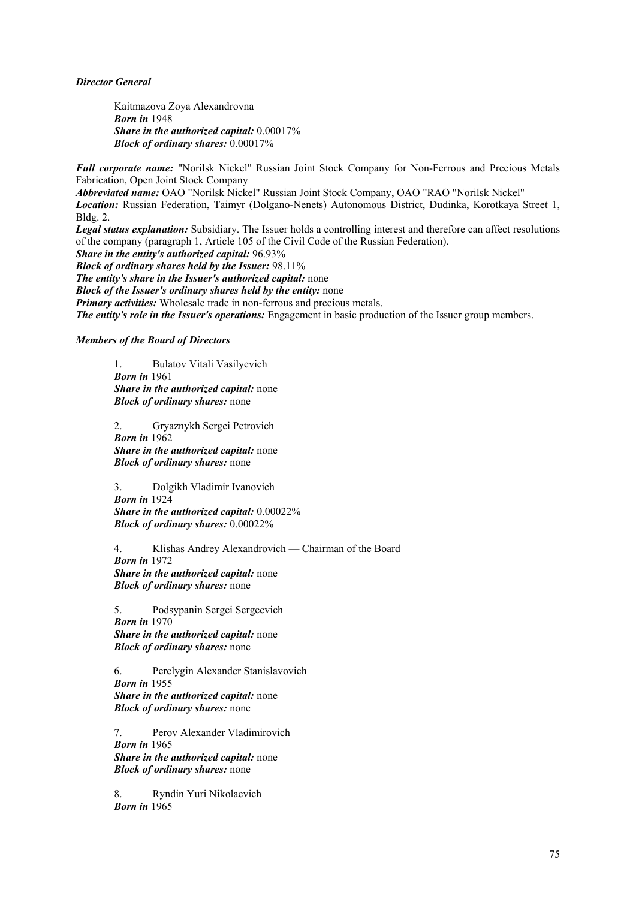## *Director General*

 Kaitmazova Zoya Alexandrovna *Born in* 1948  *Share in the authorized capital:* 0.00017%  *Block of ordinary shares:* 0.00017%

*Full corporate name:* "Norilsk Nickel" Russian Joint Stock Company for Non-Ferrous and Precious Metals Fabrication, Open Joint Stock Company

*Abbreviated name:* OAO "Norilsk Nickel" Russian Joint Stock Company, OAO "RAO "Norilsk Nickel" *Location:* Russian Federation, Taimyr (Dolgano-Nenets) Autonomous District, Dudinka, Korotkaya Street 1, Bldg. 2.

*Legal status explanation:* Subsidiary. The Issuer holds a controlling interest and therefore can affect resolutions of the company (paragraph 1, Article 105 of the Civil Code of the Russian Federation).

*Share in the entity's authorized capital:* 96.93%

*Block of ordinary shares held by the Issuer:* 98.11%

*The entity's share in the Issuer's authorized capital:* none

*Block of the Issuer's ordinary shares held by the entity:* none

*Primary activities:* Wholesale trade in non-ferrous and precious metals.

*The entity's role in the Issuer's operations:* Engagement in basic production of the Issuer group members.

## *Members of the Board of Directors*

 1. Bulatov Vitali Vasilyevich *Born in* 1961  *Share in the authorized capital:* none  *Block of ordinary shares:* none

 2. Gryaznykh Sergei Petrovich *Born in* 1962  *Share in the authorized capital:* none  *Block of ordinary shares:* none

 3. Dolgikh Vladimir Ivanovich *Born in* 1924  *Share in the authorized capital:* 0.00022%  *Block of ordinary shares:* 0.00022%

 4. Klishas Andrey Alexandrovich — Chairman of the Board *Born in* 1972  *Share in the authorized capital:* none  *Block of ordinary shares:* none

 5. Podsypanin Sergei Sergeevich *Born in* 1970  *Share in the authorized capital:* none  *Block of ordinary shares:* none

 6. Perelygin Alexander Stanislavovich *Born in* 1955  *Share in the authorized capital:* none  *Block of ordinary shares:* none

 7. Perov Alexander Vladimirovich *Born in* 1965  *Share in the authorized capital:* none  *Block of ordinary shares:* none

8. Ryndin Yuri Nikolaevich *Born in* 1965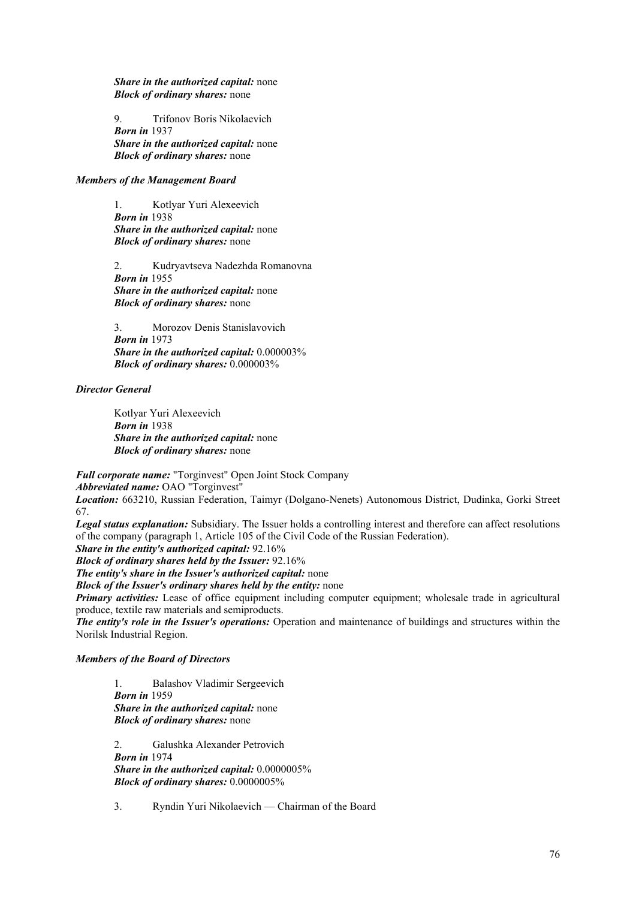*Share in the authorized capital:* none  *Block of ordinary shares:* none

 9. Trifonov Boris Nikolaevich *Born in* 1937  *Share in the authorized capital:* none  *Block of ordinary shares:* none

## *Members of the Management Board*

 1. Kotlyar Yuri Alexeevich *Born in* 1938  *Share in the authorized capital:* none  *Block of ordinary shares:* none

 2. Kudryavtseva Nadezhda Romanovna *Born in* 1955  *Share in the authorized capital:* none  *Block of ordinary shares:* none

 3. Morozov Denis Stanislavovich *Born in* 1973  *Share in the authorized capital:* 0.000003%  *Block of ordinary shares:* 0.000003%

#### *Director General*

Kotlyar Yuri Alexeevich *Born in* 1938  *Share in the authorized capital:* none  *Block of ordinary shares:* none

*Full corporate name:* "Torginvest" Open Joint Stock Company

*Abbreviated name:* OAO "Torginvest"

*Location:* 663210, Russian Federation, Taimyr (Dolgano-Nenets) Autonomous District, Dudinka, Gorki Street 67.

*Legal status explanation:* Subsidiary. The Issuer holds a controlling interest and therefore can affect resolutions of the company (paragraph 1, Article 105 of the Civil Code of the Russian Federation).

*Share in the entity's authorized capital:* 92.16%

*Block of ordinary shares held by the Issuer:* 92.16%

*The entity's share in the Issuer's authorized capital:* none

*Block of the Issuer's ordinary shares held by the entity:* none

*Primary activities:* Lease of office equipment including computer equipment; wholesale trade in agricultural produce, textile raw materials and semiproducts.

*The entity's role in the Issuer's operations:* Operation and maintenance of buildings and structures within the Norilsk Industrial Region.

## *Members of the Board of Directors*

 1. Balashov Vladimir Sergeevich *Born in* 1959  *Share in the authorized capital:* none  *Block of ordinary shares:* none

 2. Galushka Alexander Petrovich *Born in* 1974  *Share in the authorized capital:* 0.0000005%  *Block of ordinary shares:* 0.0000005%

3. Ryndin Yuri Nikolaevich — Chairman of the Board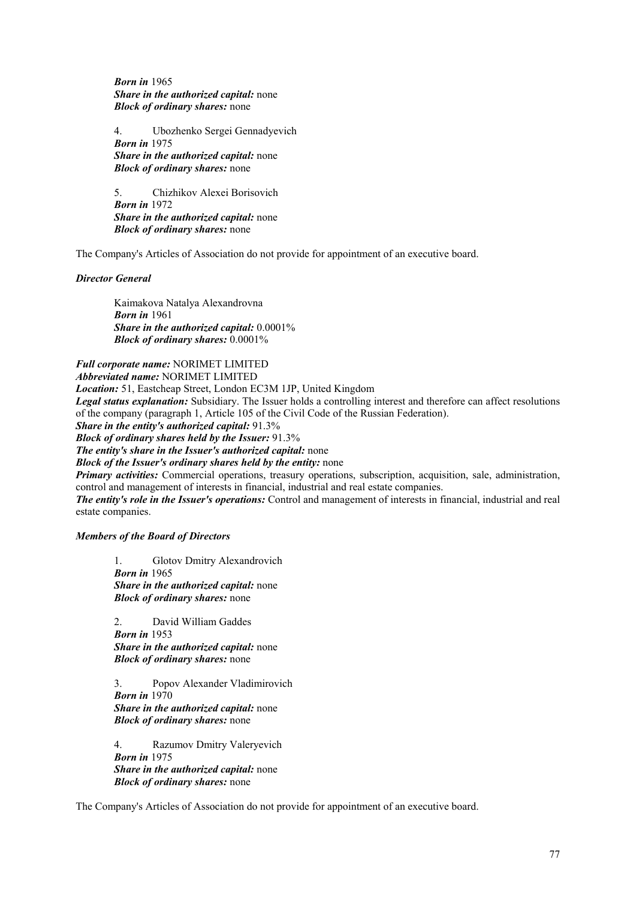*Born in* 1965  *Share in the authorized capital:* none  *Block of ordinary shares:* none

 4. Ubozhenko Sergei Gennadyevich *Born in* 1975  *Share in the authorized capital:* none  *Block of ordinary shares:* none

 5. Chizhikov Alexei Borisovich *Born in* 1972  *Share in the authorized capital:* none  *Block of ordinary shares:* none

The Company's Articles of Association do not provide for appointment of an executive board.

## *Director General*

 Kaimakova Natalya Alexandrovna *Born in* 1961  *Share in the authorized capital:* 0.0001%  *Block of ordinary shares:* 0.0001%

*Full corporate name:* NORIMET LIMITED

*Abbreviated name:* NORIMET LIMITED

*Location:* 51, Eastcheap Street, London EC3M 1JP, United Kingdom

*Legal status explanation:* Subsidiary. The Issuer holds a controlling interest and therefore can affect resolutions of the company (paragraph 1, Article 105 of the Civil Code of the Russian Federation).

*Share in the entity's authorized capital:* 91.3%

*Block of ordinary shares held by the Issuer:* 91.3%

*The entity's share in the Issuer's authorized capital:* none

*Block of the Issuer's ordinary shares held by the entity:* none

*Primary activities:* Commercial operations, treasury operations, subscription, acquisition, sale, administration, control and management of interests in financial, industrial and real estate companies.

*The entity's role in the Issuer's operations:* Control and management of interests in financial, industrial and real estate companies.

## *Members of the Board of Directors*

 1. Glotov Dmitry Alexandrovich *Born in* 1965  *Share in the authorized capital:* none  *Block of ordinary shares:* none

 2. David William Gaddes *Born in* 1953  *Share in the authorized capital:* none  *Block of ordinary shares:* none

 3. Popov Alexander Vladimirovich *Born in* 1970  *Share in the authorized capital:* none  *Block of ordinary shares:* none

 4. Razumov Dmitry Valeryevich *Born in* 1975  *Share in the authorized capital:* none  *Block of ordinary shares:* none

The Company's Articles of Association do not provide for appointment of an executive board.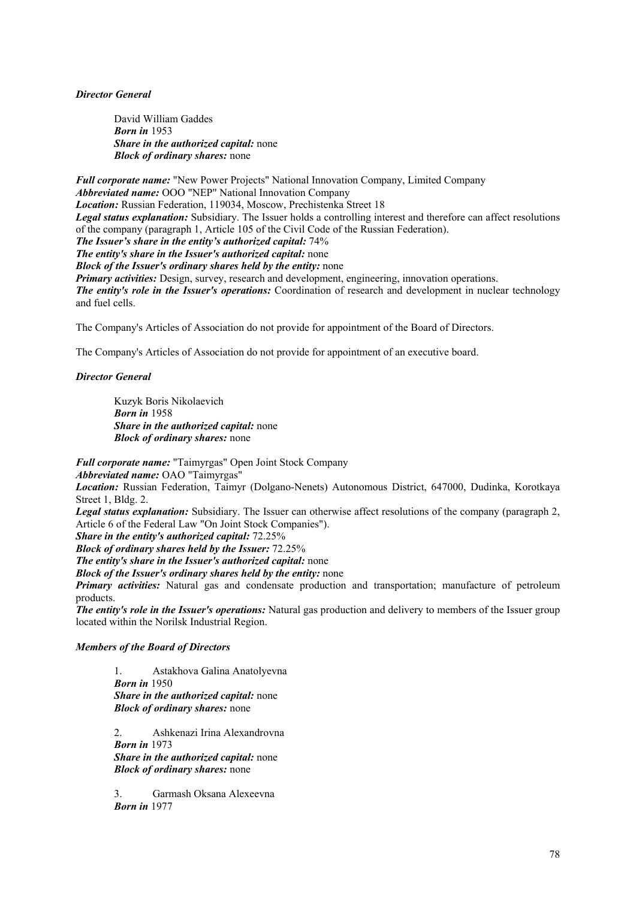*Director General* 

David William Gaddes *Born in* 1953  *Share in the authorized capital:* none  *Block of ordinary shares:* none

*Full corporate name:* "New Power Projects" National Innovation Company, Limited Company *Abbreviated name:* OOO "NEP" National Innovation Company *Location:* Russian Federation, 119034, Moscow, Prechistenka Street 18 *Legal status explanation:* Subsidiary. The Issuer holds a controlling interest and therefore can affect resolutions of the company (paragraph 1, Article 105 of the Civil Code of the Russian Federation). *The Issuer's share in the entity's authorized capital:* 74% *The entity's share in the Issuer's authorized capital:* none *Block of the Issuer's ordinary shares held by the entity:* none *Primary activities:* Design, survey, research and development, engineering, innovation operations. *The entity's role in the Issuer's operations:* Coordination of research and development in nuclear technology and fuel cells.

The Company's Articles of Association do not provide for appointment of the Board of Directors.

The Company's Articles of Association do not provide for appointment of an executive board.

## *Director General*

 Kuzyk Boris Nikolaevich *Born in* 1958  *Share in the authorized capital:* none  *Block of ordinary shares:* none

*Full corporate name:* "Taimyrgas" Open Joint Stock Company

*Abbreviated name:* OAO "Taimyrgas"

*Location:* Russian Federation, Taimyr (Dolgano-Nenets) Autonomous District, 647000, Dudinka, Korotkaya Street 1, Bldg. 2.

*Legal status explanation:* Subsidiary. The Issuer can otherwise affect resolutions of the company (paragraph 2, Article 6 of the Federal Law "On Joint Stock Companies").

*Share in the entity's authorized capital:* 72.25%

*Block of ordinary shares held by the Issuer:* 72.25%

*The entity's share in the Issuer's authorized capital:* none

*Block of the Issuer's ordinary shares held by the entity:* none

*Primary activities:* Natural gas and condensate production and transportation; manufacture of petroleum products.

*The entity's role in the Issuer's operations:* Natural gas production and delivery to members of the Issuer group located within the Norilsk Industrial Region.

#### *Members of the Board of Directors*

 1. Astakhova Galina Anatolyevna *Born in* 1950  *Share in the authorized capital:* none  *Block of ordinary shares:* none

 2. Ashkenazi Irina Alexandrovna *Born in* 1973  *Share in the authorized capital:* none  *Block of ordinary shares:* none

 3. Garmash Oksana Alexeevna *Born in* 1977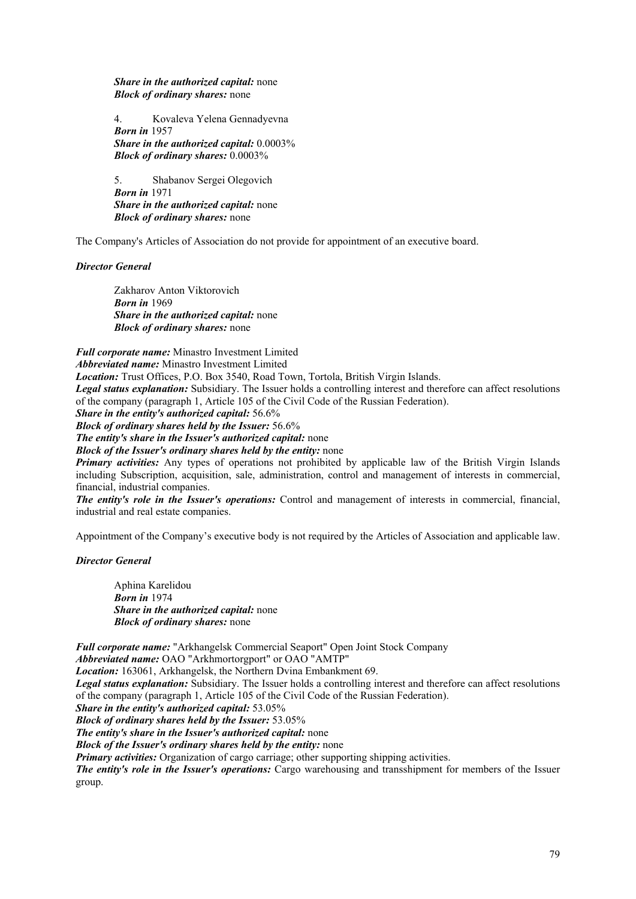*Share in the authorized capital:* none  *Block of ordinary shares:* none

 4. Kovaleva Yelena Gennadyevna *Born in* 1957  *Share in the authorized capital:* 0.0003%  *Block of ordinary shares:* 0.0003%

 5. Shabanov Sergei Olegovich *Born in* 1971  *Share in the authorized capital:* none  *Block of ordinary shares:* none

The Company's Articles of Association do not provide for appointment of an executive board.

*Director General* 

 Zakharov Anton Viktorovich *Born in* 1969  *Share in the authorized capital:* none  *Block of ordinary shares:* none

*Full corporate name:* Minastro Investment Limited *Abbreviated name:* Minastro Investment Limited *Location:* Trust Offices, P.O. Box 3540, Road Town, Tortola, British Virgin Islands. *Legal status explanation:* Subsidiary. The Issuer holds a controlling interest and therefore can affect resolutions of the company (paragraph 1, Article 105 of the Civil Code of the Russian Federation). *Share in the entity's authorized capital:* 56.6% *Block of ordinary shares held by the Issuer:* 56.6% *The entity's share in the Issuer's authorized capital:* none

*Block of the Issuer's ordinary shares held by the entity:* none

*Primary activities:* Any types of operations not prohibited by applicable law of the British Virgin Islands including Subscription, acquisition, sale, administration, control and management of interests in commercial, financial, industrial companies.

*The entity's role in the Issuer's operations:* Control and management of interests in commercial, financial, industrial and real estate companies.

Appointment of the Company's executive body is not required by the Articles of Association and applicable law.

*Director General* 

Aphina Karelidou  *Born in* 1974  *Share in the authorized capital:* none  *Block of ordinary shares:* none

*Full corporate name:* "Arkhangelsk Commercial Seaport" Open Joint Stock Company *Abbreviated name:* OAO "Arkhmortorgport" or OAO "AMTP" *Location:* 163061, Arkhangelsk, the Northern Dvina Embankment 69. *Legal status explanation:* Subsidiary. The Issuer holds a controlling interest and therefore can affect resolutions of the company (paragraph 1, Article 105 of the Civil Code of the Russian Federation). *Share in the entity's authorized capital:* 53.05% *Block of ordinary shares held by the Issuer:* 53.05% *The entity's share in the Issuer's authorized capital:* none *Block of the Issuer's ordinary shares held by the entity:* none *Primary activities:* Organization of cargo carriage; other supporting shipping activities. *The entity's role in the Issuer's operations:* Cargo warehousing and transshipment for members of the Issuer group.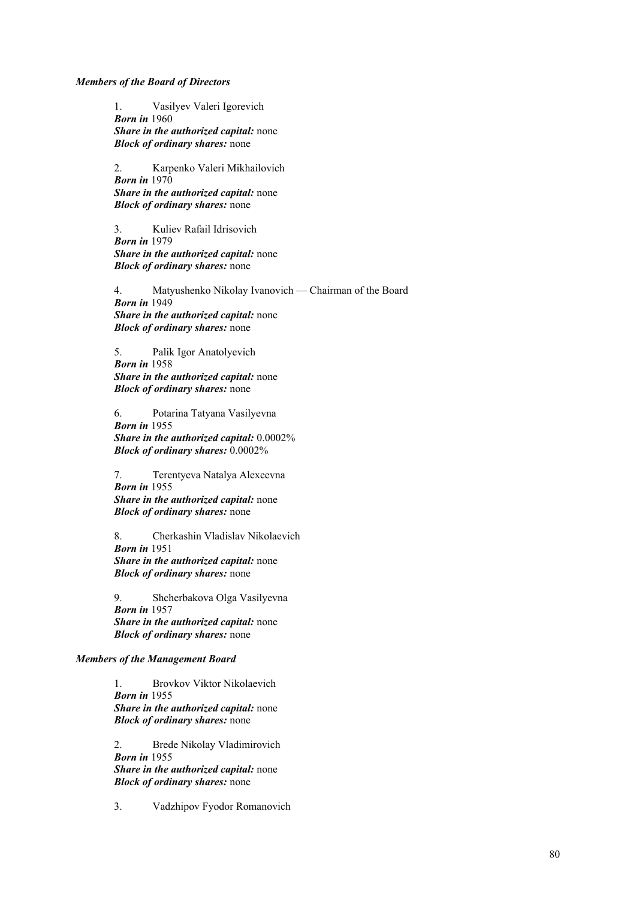*Members of the Board of Directors* 

 1. Vasilyev Valeri Igorevich  *Born in* 1960  *Share in the authorized capital:* none  *Block of ordinary shares:* none

 2. Karpenko Valeri Mikhailovich  *Born in* 1970  *Share in the authorized capital:* none  *Block of ordinary shares:* none

 3. Kuliev Rafail Idrisovich  *Born in* 1979  *Share in the authorized capital:* none  *Block of ordinary shares:* none

 4. Matyushenko Nikolay Ivanovich — Chairman of the Board  *Born in* 1949  *Share in the authorized capital:* none  *Block of ordinary shares:* none

 5. Palik Igor Anatolyevich  *Born in* 1958  *Share in the authorized capital:* none  *Block of ordinary shares:* none

 6. Potarina Tatyana Vasilyevna  *Born in* 1955  *Share in the authorized capital:* 0.0002%  *Block of ordinary shares:* 0.0002%

 7. Terentyeva Natalya Alexeevna  *Born in* 1955  *Share in the authorized capital:* none  *Block of ordinary shares:* none

8. Cherkashin Vladislav Nikolaevich  *Born in* 1951  *Share in the authorized capital:* none  *Block of ordinary shares:* none

9. Shcherbakova Olga Vasilyevna  *Born in* 1957  *Share in the authorized capital:* none  *Block of ordinary shares:* none

## *Members of the Management Board*

 1. Brovkov Viktor Nikolaevich  *Born in* 1955  *Share in the authorized capital:* none  *Block of ordinary shares:* none

 2. Brede Nikolay Vladimirovich  *Born in* 1955  *Share in the authorized capital:* none

 *Block of ordinary shares:* none

3. Vadzhipov Fyodor Romanovich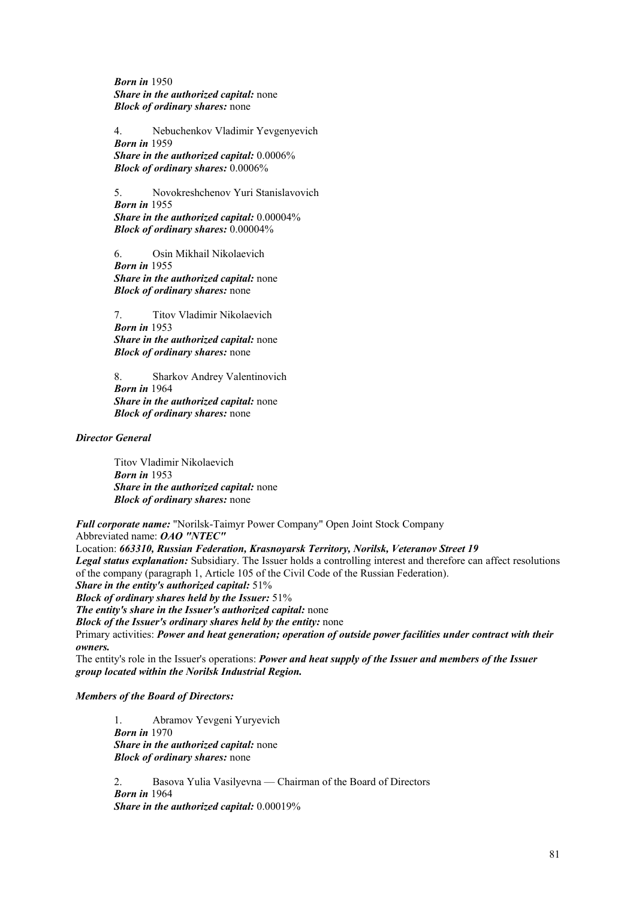*Born in* 1950  *Share in the authorized capital:* none  *Block of ordinary shares:* none

 4. Nebuchenkov Vladimir Yevgenyevich  *Born in* 1959  *Share in the authorized capital:* 0.0006%  *Block of ordinary shares:* 0.0006%

 5. Novokreshchenov Yuri Stanislavovich  *Born in* 1955  *Share in the authorized capital:* 0.00004%  *Block of ordinary shares:* 0.00004%

 6. Osin Mikhail Nikolaevich  *Born in* 1955  *Share in the authorized capital:* none  *Block of ordinary shares:* none

 7. Titov Vladimir Nikolaevich  *Born in* 1953  *Share in the authorized capital:* none  *Block of ordinary shares:* none

 8. Sharkov Andrey Valentinovich  *Born in* 1964  *Share in the authorized capital:* none  *Block of ordinary shares:* none

*Director General* 

 Titov Vladimir Nikolaevich  *Born in* 1953  *Share in the authorized capital:* none  *Block of ordinary shares:* none

*Full corporate name:* "Norilsk-Taimyr Power Company" Open Joint Stock Company Abbreviated name: *OAO "NTEC"*

Location: *663310, Russian Federation, Krasnoyarsk Territory, Norilsk, Veteranov Street 19 Legal status explanation:* Subsidiary. The Issuer holds a controlling interest and therefore can affect resolutions

of the company (paragraph 1, Article 105 of the Civil Code of the Russian Federation).

*Share in the entity's authorized capital:* 51%

*Block of ordinary shares held by the Issuer:* 51%

*The entity's share in the Issuer's authorized capital:* none

*Block of the Issuer's ordinary shares held by the entity:* none

Primary activities: *Power and heat generation; operation of outside power facilities under contract with their owners.*

The entity's role in the Issuer's operations: *Power and heat supply of the Issuer and members of the Issuer group located within the Norilsk Industrial Region.*

# *Members of the Board of Directors:*

 1. Abramov Yevgeni Yuryevich *Born in* 1970  *Share in the authorized capital:* none  *Block of ordinary shares:* none

 2. Basova Yulia Vasilyevna — Chairman of the Board of Directors *Born in* 1964  *Share in the authorized capital:* 0.00019%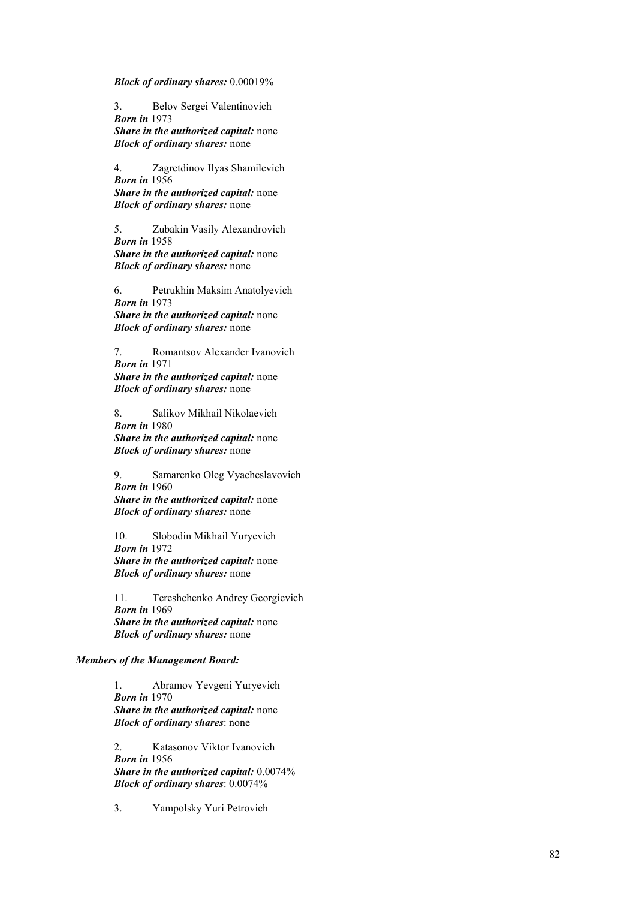*Block of ordinary shares:* 0.00019%

 3. Belov Sergei Valentinovich *Born in* 1973  *Share in the authorized capital:* none  *Block of ordinary shares:* none

 4. Zagretdinov Ilyas Shamilevich *Born in* 1956  *Share in the authorized capital:* none  *Block of ordinary shares:* none

 5. Zubakin Vasily Alexandrovich *Born in* 1958  *Share in the authorized capital:* none

 *Block of ordinary shares:* none

 6. Petrukhin Maksim Anatolyevich *Born in* 1973  *Share in the authorized capital:* none  *Block of ordinary shares:* none

 7. Romantsov Alexander Ivanovich *Born in* 1971  *Share in the authorized capital:* none

 *Block of ordinary shares:* none

 8. Salikov Mikhail Nikolaevich  *Born in* 1980  *Share in the authorized capital:* none

 *Block of ordinary shares:* none

 9. Samarenko Oleg Vyacheslavovich  *Born in* 1960  *Share in the authorized capital:* none  *Block of ordinary shares:* none

 10. Slobodin Mikhail Yuryevich  *Born in* 1972  *Share in the authorized capital:* none  *Block of ordinary shares:* none

 11. Tereshchenko Andrey Georgievich  *Born in* 1969  *Share in the authorized capital:* none  *Block of ordinary shares:* none

#### *Members of the Management Board:*

 1. Abramov Yevgeni Yuryevich *Born in* 1970  *Share in the authorized capital:* none *Block of ordinary shares*: none

 2. Katasonov Viktor Ivanovich  *Born in* 1956 *Share in the authorized capital:* 0.0074% *Block of ordinary shares*: 0.0074%

3. Yampolsky Yuri Petrovich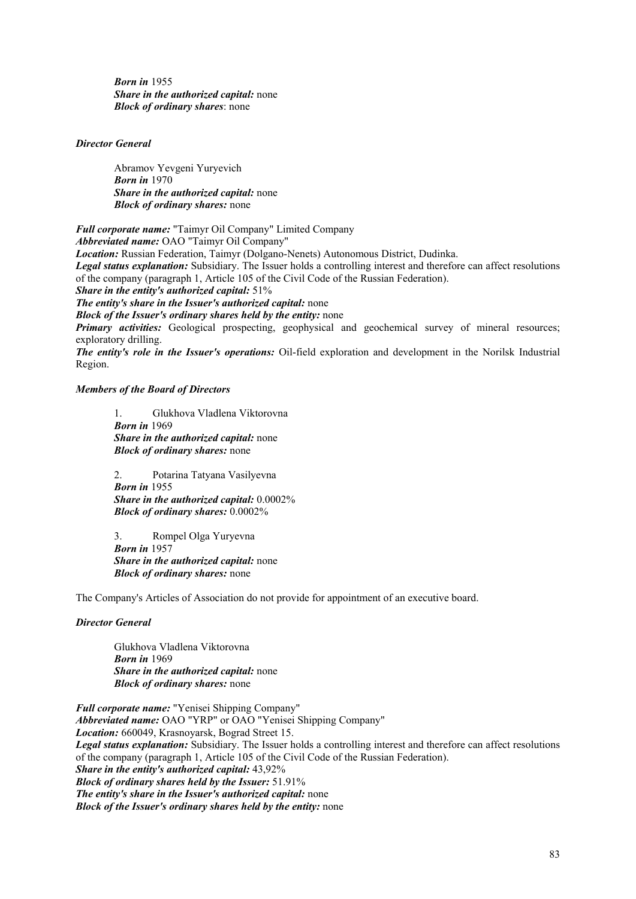*Born in* 1955  *Share in the authorized capital:* none *Block of ordinary shares*: none

## *Director General*

 Abramov Yevgeni Yuryevich *Born in* 1970  *Share in the authorized capital:* none  *Block of ordinary shares:* none

*Full corporate name:* "Taimyr Oil Company" Limited Company

*Abbreviated name:* OAO "Taimyr Oil Company"

*Location:* Russian Federation, Taimyr (Dolgano-Nenets) Autonomous District, Dudinka.

*Legal status explanation:* Subsidiary. The Issuer holds a controlling interest and therefore can affect resolutions of the company (paragraph 1, Article 105 of the Civil Code of the Russian Federation).

*Share in the entity's authorized capital:* 51%

*The entity's share in the Issuer's authorized capital:* none

*Block of the Issuer's ordinary shares held by the entity:* none

*Primary activities:* Geological prospecting, geophysical and geochemical survey of mineral resources; exploratory drilling.

*The entity's role in the Issuer's operations:* Oil-field exploration and development in the Norilsk Industrial Region.

## *Members of the Board of Directors*

 1. Glukhova Vladlena Viktorovna  *Born in* 1969  *Share in the authorized capital:* none  *Block of ordinary shares:* none

 2. Potarina Tatyana Vasilyevna  *Born in* 1955  *Share in the authorized capital:* 0.0002%  *Block of ordinary shares:* 0.0002%

 3. Rompel Olga Yuryevna  *Born in* 1957  *Share in the authorized capital:* none  *Block of ordinary shares:* none

The Company's Articles of Association do not provide for appointment of an executive board.

## *Director General*

Glukhova Vladlena Viktorovna  *Born in* 1969  *Share in the authorized capital:* none  *Block of ordinary shares:* none

*Full corporate name:* "Yenisei Shipping Company" *Abbreviated name:* OAO "YRP" or OAO "Yenisei Shipping Company" *Location:* 660049, Krasnoyarsk, Bograd Street 15. *Legal status explanation:* Subsidiary. The Issuer holds a controlling interest and therefore can affect resolutions of the company (paragraph 1, Article 105 of the Civil Code of the Russian Federation). *Share in the entity's authorized capital:* 43,92% *Block of ordinary shares held by the Issuer:* 51.91% *The entity's share in the Issuer's authorized capital:* none *Block of the Issuer's ordinary shares held by the entity:* none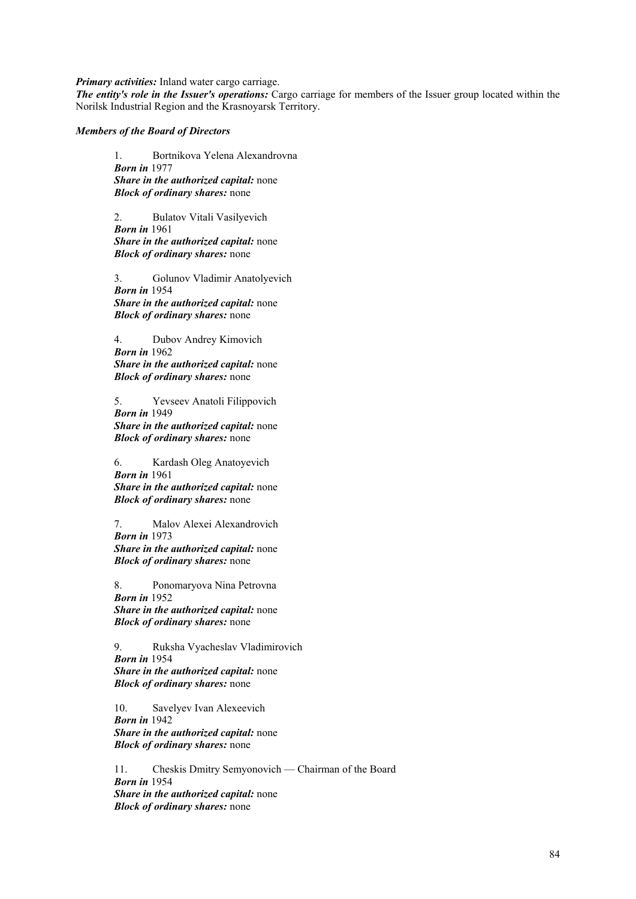*Primary activities:* Inland water cargo carriage.

*The entity's role in the Issuer's operations:* Cargo carriage for members of the Issuer group located within the Norilsk Industrial Region and the Krasnoyarsk Territory.

#### *Members of the Board of Directors*

 1. Bortnikova Yelena Alexandrovna  *Born in* 1977  *Share in the authorized capital:* none  *Block of ordinary shares:* none

 2. Bulatov Vitali Vasilyevich  *Born in* 1961  *Share in the authorized capital:* none  *Block of ordinary shares:* none

 3. Golunov Vladimir Anatolyevich  *Born in* 1954  *Share in the authorized capital:* none  *Block of ordinary shares:* none

 4. Dubov Andrey Kimovich  *Born in* 1962  *Share in the authorized capital:* none  *Block of ordinary shares:* none

 5. Yevseev Anatoli Filippovich  *Born in* 1949  *Share in the authorized capital:* none  *Block of ordinary shares:* none

 6. Kardash Oleg Anatoyevich  *Born in* 1961  *Share in the authorized capital:* none  *Block of ordinary shares:* none

 7. Malov Alexei Alexandrovich  *Born in* 1973

 *Share in the authorized capital:* none  *Block of ordinary shares:* none

 8. Ponomaryova Nina Petrovna  *Born in* 1952  *Share in the authorized capital:* none  *Block of ordinary shares:* none

 9. Ruksha Vyacheslav Vladimirovich  *Born in* 1954  *Share in the authorized capital:* none  *Block of ordinary shares:* none

 10. Savelyev Ivan Alexeevich  *Born in* 1942  *Share in the authorized capital:* none  *Block of ordinary shares:* none

 11. Cheskis Dmitry Semyonovich — Chairman of the Board  *Born in* 1954  *Share in the authorized capital:* none  *Block of ordinary shares:* none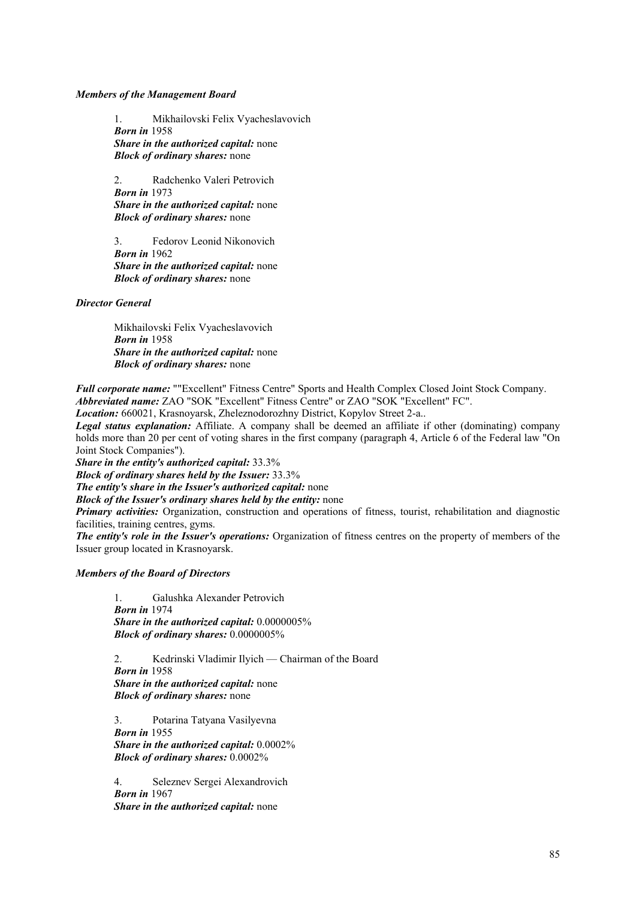## *Members of the Management Board*

 1. Mikhailovski Felix Vyacheslavovich  *Born in* 1958  *Share in the authorized capital:* none  *Block of ordinary shares:* none

 2. Radchenko Valeri Petrovich  *Born in* 1973  *Share in the authorized capital:* none  *Block of ordinary shares:* none

 3. Fedorov Leonid Nikonovich  *Born in* 1962  *Share in the authorized capital:* none  *Block of ordinary shares:* none

*Director General* 

 Mikhailovski Felix Vyacheslavovich  *Born in* 1958  *Share in the authorized capital:* none  *Block of ordinary shares:* none

*Full corporate name:* ""Excellent" Fitness Centre" Sports and Health Complex Closed Joint Stock Company. *Abbreviated name:* ZAO "SOK "Excellent" Fitness Centre" or ZAO "SOK "Excellent" FC".

*Location:* 660021, Krasnoyarsk, Zheleznodorozhny District, Kopylov Street 2-a..

*Legal status explanation:* Affiliate. A company shall be deemed an affiliate if other (dominating) company holds more than 20 per cent of voting shares in the first company (paragraph 4, Article 6 of the Federal law "On Joint Stock Companies").

*Share in the entity's authorized capital:* 33.3%

*Block of ordinary shares held by the Issuer:* 33.3%

*The entity's share in the Issuer's authorized capital:* none

*Block of the Issuer's ordinary shares held by the entity:* none

*Primary activities:* Organization, construction and operations of fitness, tourist, rehabilitation and diagnostic facilities, training centres, gyms.

*The entity's role in the Issuer's operations:* Organization of fitness centres on the property of members of the Issuer group located in Krasnoyarsk.

## *Members of the Board of Directors*

 1. Galushka Alexander Petrovich  *Born in* 1974  *Share in the authorized capital:* 0.0000005%  *Block of ordinary shares:* 0.0000005%

 2. Kedrinski Vladimir Ilyich — Chairman of the Board  *Born in* 1958  *Share in the authorized capital:* none  *Block of ordinary shares:* none

 3. Potarina Tatyana Vasilyevna  *Born in* 1955  *Share in the authorized capital:* 0.0002%  *Block of ordinary shares:* 0.0002%

 4. Seleznev Sergei Alexandrovich  *Born in* 1967  *Share in the authorized capital:* none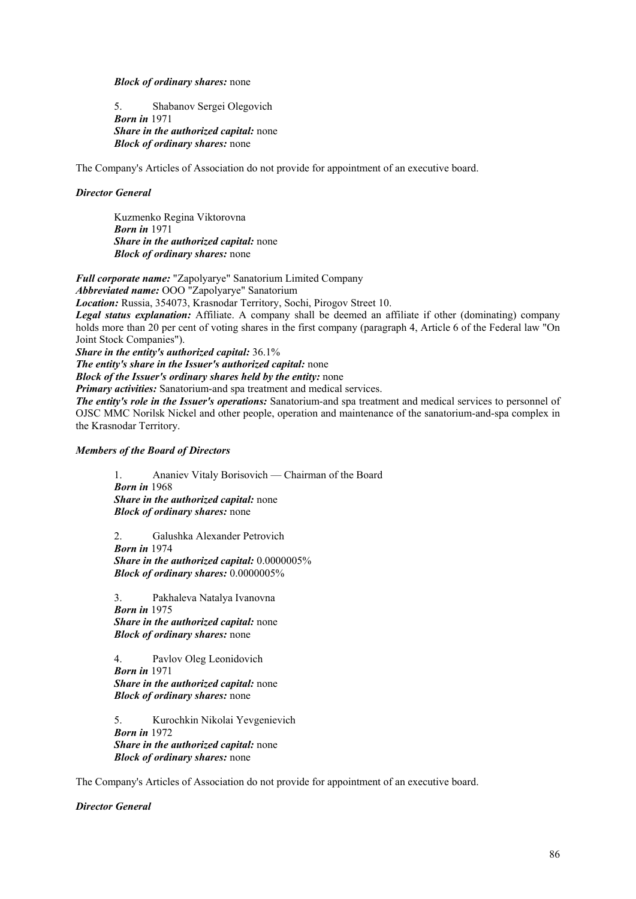#### *Block of ordinary shares:* none

 5. Shabanov Sergei Olegovich  *Born in* 1971  *Share in the authorized capital:* none  *Block of ordinary shares:* none

The Company's Articles of Association do not provide for appointment of an executive board.

## *Director General*

 Kuzmenko Regina Viktorovna  *Born in* 1971  *Share in the authorized capital:* none  *Block of ordinary shares:* none

*Full corporate name:* "Zapolyarye" Sanatorium Limited Company *Abbreviated name:* OOO "Zapolyarye" Sanatorium *Location:* Russia, 354073, Krasnodar Territory, Sochi, Pirogov Street 10. *Legal status explanation:* Affiliate. A company shall be deemed an affiliate if other (dominating) company holds more than 20 per cent of voting shares in the first company (paragraph 4, Article 6 of the Federal law "On Joint Stock Companies"). *Share in the entity's authorized capital:* 36.1%

*The entity's share in the Issuer's authorized capital:* none

*Block of the Issuer's ordinary shares held by the entity:* none

*Primary activities:* Sanatorium-and spa treatment and medical services.

*The entity's role in the Issuer's operations:* Sanatorium-and spa treatment and medical services to personnel of OJSC MMC Norilsk Nickel and other people, operation and maintenance of the sanatorium-and-spa complex in the Krasnodar Territory.

## *Members of the Board of Directors*

 1. Ananiev Vitaly Borisovich — Chairman of the Board  *Born in* 1968  *Share in the authorized capital:* none  *Block of ordinary shares:* none

 2. Galushka Alexander Petrovich  *Born in* 1974  *Share in the authorized capital:* 0.0000005%  *Block of ordinary shares:* 0.0000005%

3. Pakhaleva Natalya Ivanovna  *Born in* 1975  *Share in the authorized capital:* none  *Block of ordinary shares:* none

4. Pavlov Oleg Leonidovich  *Born in* 1971  *Share in the authorized capital:* none  *Block of ordinary shares:* none

5. Kurochkin Nikolai Yevgenievich  *Born in* 1972  *Share in the authorized capital:* none  *Block of ordinary shares:* none

The Company's Articles of Association do not provide for appointment of an executive board.

*Director General*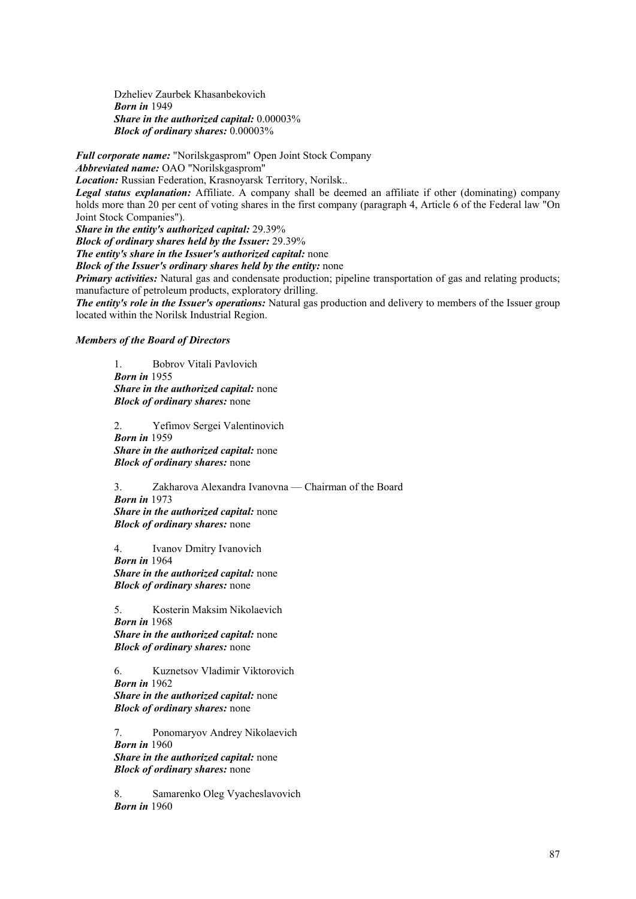Dzheliev Zaurbek Khasanbekovich  *Born in* 1949  *Share in the authorized capital:* 0.00003%  *Block of ordinary shares:* 0.00003%

*Full corporate name:* "Norilskgasprom" Open Joint Stock Company *Abbreviated name:* OAO "Norilskgasprom" *Location:* Russian Federation, Krasnoyarsk Territory, Norilsk..

*Legal status explanation:* Affiliate. A company shall be deemed an affiliate if other (dominating) company holds more than 20 per cent of voting shares in the first company (paragraph 4, Article 6 of the Federal law "On Joint Stock Companies").

*Share in the entity's authorized capital:* 29.39%

*Block of ordinary shares held by the Issuer:* 29.39%

*The entity's share in the Issuer's authorized capital:* none

*Block of the Issuer's ordinary shares held by the entity:* none

*Primary activities:* Natural gas and condensate production; pipeline transportation of gas and relating products; manufacture of petroleum products, exploratory drilling.

*The entity's role in the Issuer's operations:* Natural gas production and delivery to members of the Issuer group located within the Norilsk Industrial Region.

## *Members of the Board of Directors*

 1. Bobrov Vitali Pavlovich  *Born in* 1955  *Share in the authorized capital:* none  *Block of ordinary shares:* none

 2. Yefimov Sergei Valentinovich  *Born in* 1959  *Share in the authorized capital:* none  *Block of ordinary shares:* none

 3. Zakharova Alexandra Ivanovna — Chairman of the Board  *Born in* 1973  *Share in the authorized capital:* none  *Block of ordinary shares:* none

 4. Ivanov Dmitry Ivanovich  *Born in* 1964  *Share in the authorized capital:* none  *Block of ordinary shares:* none

 5. Kosterin Maksim Nikolaevich  *Born in* 1968  *Share in the authorized capital:* none  *Block of ordinary shares:* none

 6. Kuznetsov Vladimir Viktorovich  *Born in* 1962  *Share in the authorized capital:* none  *Block of ordinary shares:* none

 7. Ponomaryov Andrey Nikolaevich  *Born in* 1960  *Share in the authorized capital:* none  *Block of ordinary shares:* none

 8. Samarenko Oleg Vyacheslavovich  *Born in* 1960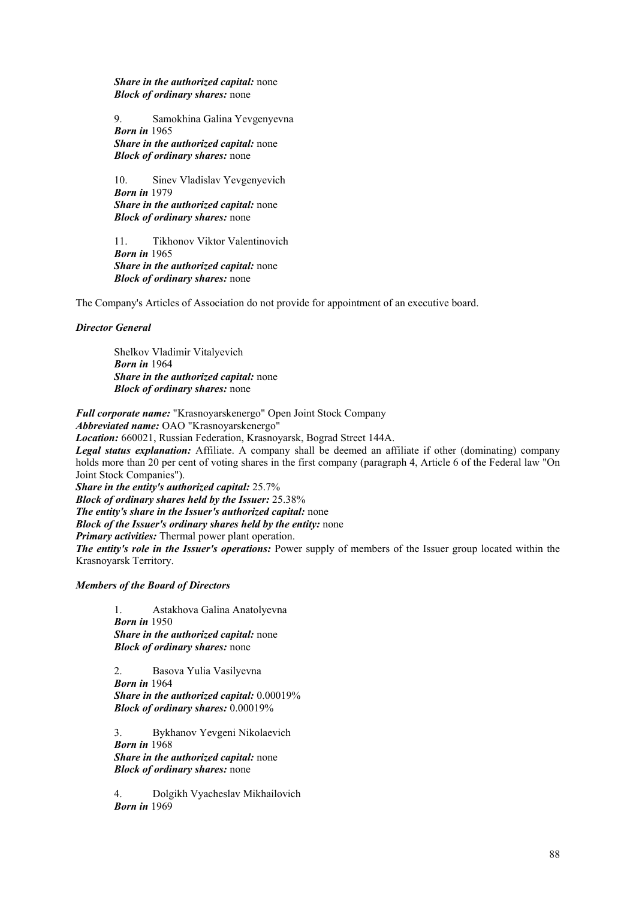*Share in the authorized capital:* none  *Block of ordinary shares:* none

 9. Samokhina Galina Yevgenyevna  *Born in* 1965  *Share in the authorized capital:* none  *Block of ordinary shares:* none

10. Sinev Vladislav Yevgenyevich  *Born in* 1979  *Share in the authorized capital:* none  *Block of ordinary shares:* none

11. Tikhonov Viktor Valentinovich  *Born in* 1965  *Share in the authorized capital:* none  *Block of ordinary shares:* none

The Company's Articles of Association do not provide for appointment of an executive board.

## *Director General*

 Shelkov Vladimir Vitalyevich  *Born in* 1964  *Share in the authorized capital:* none  *Block of ordinary shares:* none

*Full corporate name:* "Krasnoyarskenergo" Open Joint Stock Company *Abbreviated name:* OAO "Krasnoyarskenergo"

*Location:* 660021, Russian Federation, Krasnoyarsk, Bograd Street 144A.

*Legal status explanation:* Affiliate. A company shall be deemed an affiliate if other (dominating) company holds more than 20 per cent of voting shares in the first company (paragraph 4, Article 6 of the Federal law "On Joint Stock Companies").

*Share in the entity's authorized capital:* 25.7%

*Block of ordinary shares held by the Issuer:* 25.38%

*The entity's share in the Issuer's authorized capital:* none

*Block of the Issuer's ordinary shares held by the entity:* none

*Primary activities:* Thermal power plant operation.

*The entity's role in the Issuer's operations:* Power supply of members of the Issuer group located within the Krasnoyarsk Territory.

## *Members of the Board of Directors*

 1. Astakhova Galina Anatolyevna  *Born in* 1950  *Share in the authorized capital:* none  *Block of ordinary shares:* none

 2. Basova Yulia Vasilyevna  *Born in* 1964  *Share in the authorized capital:* 0.00019%  *Block of ordinary shares:* 0.00019%

 3. Bykhanov Yevgeni Nikolaevich  *Born in* 1968  *Share in the authorized capital:* none  *Block of ordinary shares:* none

 4. Dolgikh Vyacheslav Mikhailovich  *Born in* 1969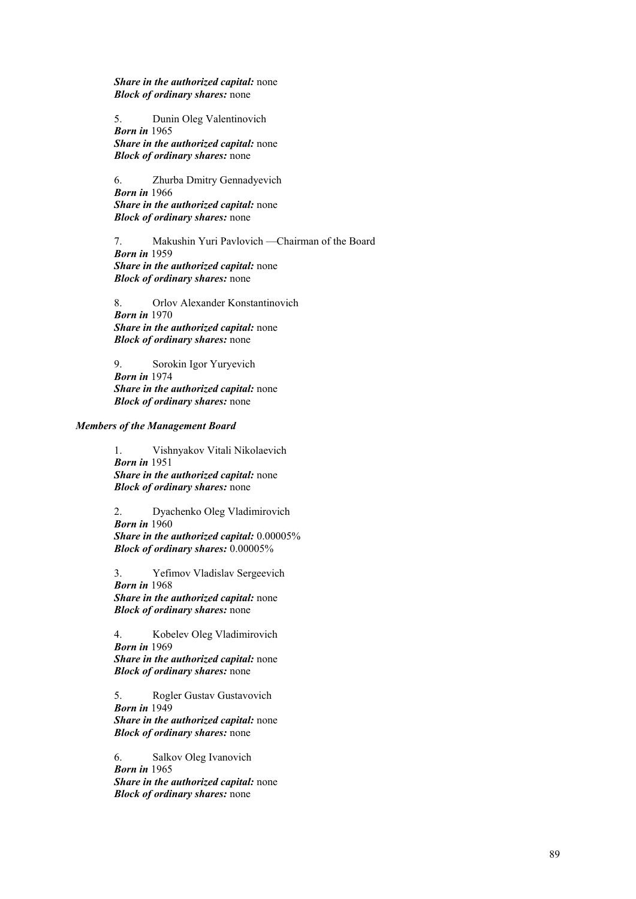*Share in the authorized capital:* none  *Block of ordinary shares:* none

 5. Dunin Oleg Valentinovich  *Born in* 1965  *Share in the authorized capital:* none  *Block of ordinary shares:* none

 6. Zhurba Dmitry Gennadyevich  *Born in* 1966  *Share in the authorized capital:* none  *Block of ordinary shares:* none

 7. Makushin Yuri Pavlovich —Chairman of the Board  *Born in* 1959  *Share in the authorized capital:* none  *Block of ordinary shares:* none

 8. Orlov Alexander Konstantinovich  *Born in* 1970  *Share in the authorized capital:* none  *Block of ordinary shares:* none

 9. Sorokin Igor Yuryevich  *Born in* 1974  *Share in the authorized capital:* none  *Block of ordinary shares:* none

## *Members of the Management Board*

 1. Vishnyakov Vitali Nikolaevich  *Born in* 1951  *Share in the authorized capital:* none  *Block of ordinary shares:* none

 2. Dyachenko Oleg Vladimirovich  *Born in* 1960  *Share in the authorized capital:* 0.00005%  *Block of ordinary shares:* 0.00005%

 3. Yefimov Vladislav Sergeevich  *Born in* 1968  *Share in the authorized capital:* none  *Block of ordinary shares:* none

 4. Kobelev Oleg Vladimirovich  *Born in* 1969  *Share in the authorized capital:* none  *Block of ordinary shares:* none

 5. Rogler Gustav Gustavovich  *Born in* 1949  *Share in the authorized capital:* none  *Block of ordinary shares:* none

 6. Salkov Oleg Ivanovich  *Born in* 1965  *Share in the authorized capital:* none  *Block of ordinary shares:* none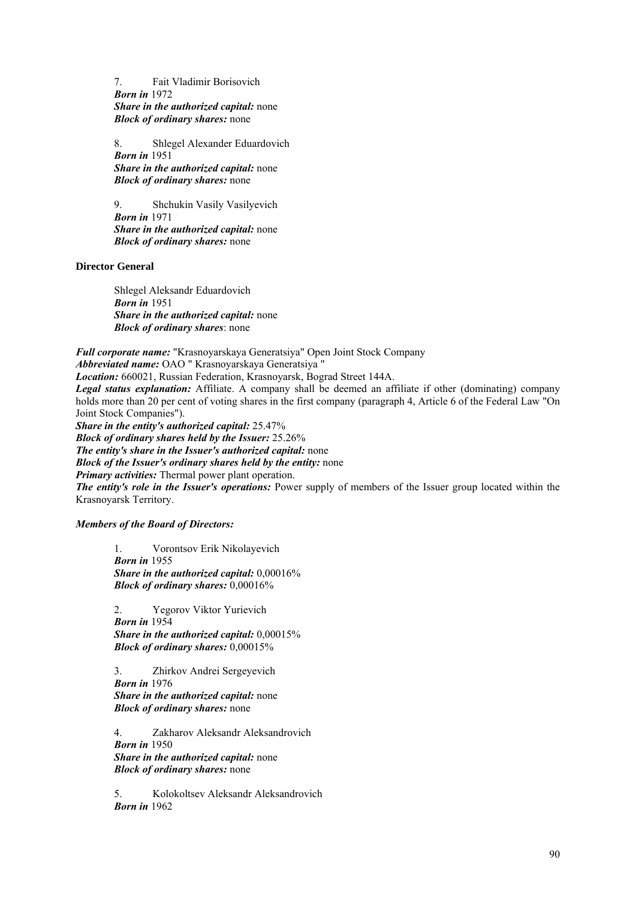7. Fait Vladimir Borisovich  *Born in* 1972  *Share in the authorized capital:* none  *Block of ordinary shares:* none

 8. Shlegel Alexander Eduardovich  *Born in* 1951  *Share in the authorized capital:* none  *Block of ordinary shares:* none

 9. Shchukin Vasily Vasilyevich  *Born in* 1971  *Share in the authorized capital:* none  *Block of ordinary shares:* none

**Director General** 

Shlegel Aleksandr Eduardovich  *Born in* 1951  *Share in the authorized capital:* none *Block of ordinary shares*: none

*Full corporate name:* "Krasnoyarskaya Generatsiya" Open Joint Stock Company *Abbreviated name:* OAO " Krasnoyarskaya Generatsiya " *Location:* 660021, Russian Federation, Krasnoyarsk, Bograd Street 144A. *Legal status explanation:* Affiliate. A company shall be deemed an affiliate if other (dominating) company holds more than 20 per cent of voting shares in the first company (paragraph 4, Article 6 of the Federal Law "On Joint Stock Companies"). *Share in the entity's authorized capital:* 25.47% *Block of ordinary shares held by the Issuer:* 25.26% *The entity's share in the Issuer's authorized capital:* none *Block of the Issuer's ordinary shares held by the entity:* none *Primary activities:* Thermal power plant operation. *The entity's role in the Issuer's operations:* Power supply of members of the Issuer group located within the

Krasnoyarsk Territory.

*Members of the Board of Directors:* 

 1. Vorontsov Erik Nikolayevich *Born in* 1955  *Share in the authorized capital:* 0,00016% *Block of ordinary shares:* 0,00016%

 2. Yegorov Viktor Yurievich  *Born in* 1954  *Share in the authorized capital:* 0,00015% *Block of ordinary shares:* 0,00015%

 3. Zhirkov Andrei Sergeyevich  *Born in* 1976  *Share in the authorized capital:* none *Block of ordinary shares:* none

 4. Zakharov Aleksandr Aleksandrovich  *Born in* 1950  *Share in the authorized capital:* none *Block of ordinary shares:* none

 5. Kolokoltsev Aleksandr Aleksandrovich *Born in* 1962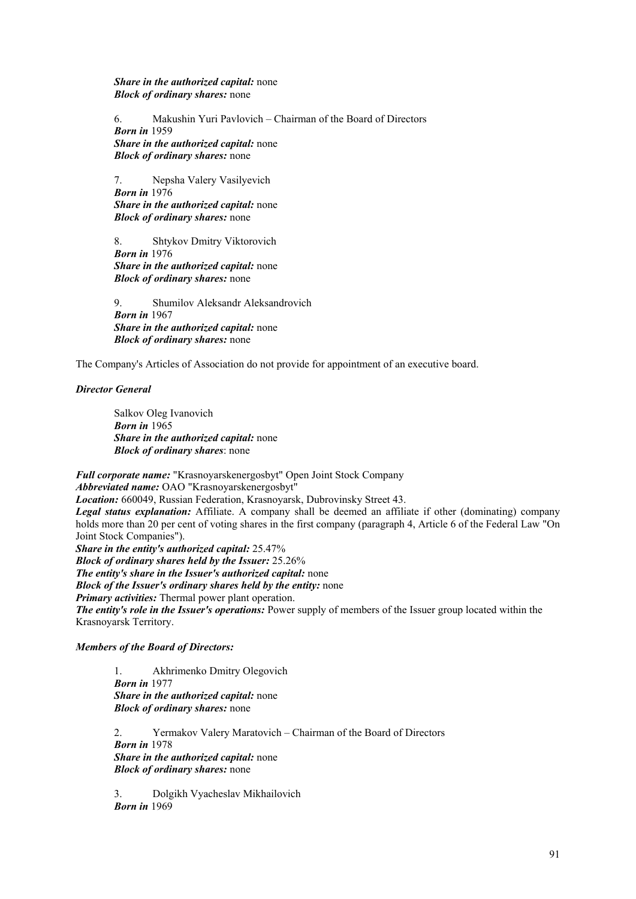*Share in the authorized capital:* none *Block of ordinary shares:* none

 6. Makushin Yuri Pavlovich – Chairman of the Board of Directors *Born in* 1959  *Share in the authorized capital:* none *Block of ordinary shares:* none

 7. Nepsha Valery Vasilyevich *Born in* 1976  *Share in the authorized capital:* none *Block of ordinary shares:* none

 8. Shtykov Dmitry Viktorovich  *Born in* 1976  *Share in the authorized capital:* none *Block of ordinary shares:* none

 9. Shumilov Aleksandr Aleksandrovich *Born in* 1967  *Share in the authorized capital:* none *Block of ordinary shares:* none

The Company's Articles of Association do not provide for appointment of an executive board.

*Director General* 

Salkov Oleg Ivanovich  *Born in* 1965  *Share in the authorized capital:* none *Block of ordinary shares*: none

*Full corporate name:* "Krasnoyarskenergosbyt" Open Joint Stock Company *Abbreviated name:* OAO "Krasnoyarskenergosbyt" *Location:* 660049, Russian Federation, Krasnoyarsk, Dubrovinsky Street 43. *Legal status explanation:* Affiliate. A company shall be deemed an affiliate if other (dominating) company holds more than 20 per cent of voting shares in the first company (paragraph 4, Article 6 of the Federal Law "On Joint Stock Companies"). *Share in the entity's authorized capital:* 25.47%

*Block of ordinary shares held by the Issuer:* 25.26% *The entity's share in the Issuer's authorized capital:* none *Block of the Issuer's ordinary shares held by the entity:* none *Primary activities:* Thermal power plant operation. *The entity's role in the Issuer's operations:* Power supply of members of the Issuer group located within the Krasnoyarsk Territory.

*Members of the Board of Directors:* 

 1. Akhrimenko Dmitry Olegovich *Born in* 1977  *Share in the authorized capital:* none *Block of ordinary shares:* none

 2. Yermakov Valery Maratovich – Chairman of the Board of Directors  *Born in* 1978  *Share in the authorized capital:* none *Block of ordinary shares:* none

 3. Dolgikh Vyacheslav Mikhailovich  *Born in* 1969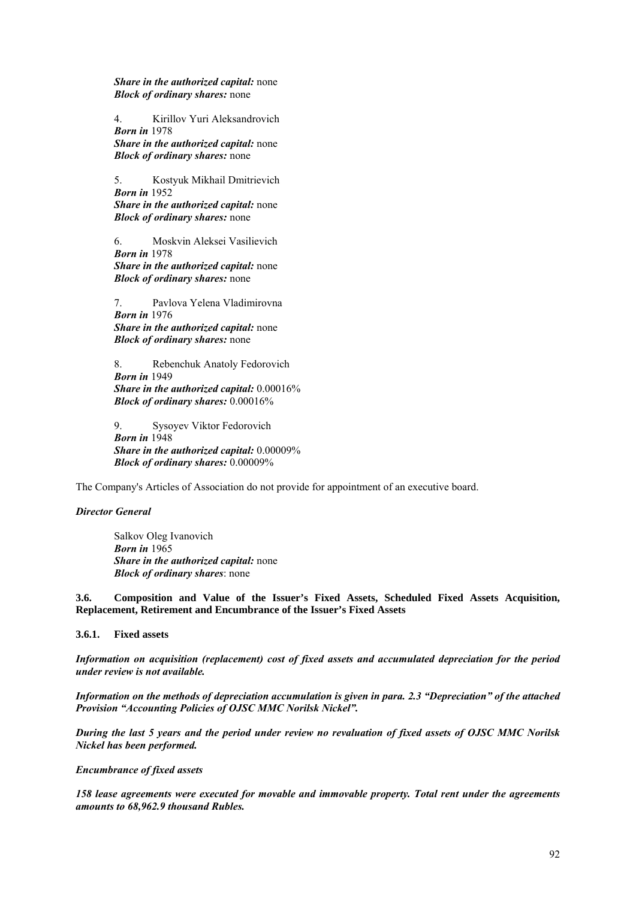*Share in the authorized capital:* none *Block of ordinary shares:* none

 4. Kirillov Yuri Aleksandrovich  *Born in* 1978  *Share in the authorized capital:* none *Block of ordinary shares:* none

 5. Kostyuk Mikhail Dmitrievich  *Born in* 1952  *Share in the authorized capital:* none *Block of ordinary shares:* none

 6. Moskvin Aleksei Vasilievich  *Born in* 1978  *Share in the authorized capital:* none

*Block of ordinary shares:* none

 7. Pavlova Yelena Vladimirovna  *Born in* 1976  *Share in the authorized capital:* none *Block of ordinary shares:* none

 8. Rebenchuk Anatoly Fedorovich  *Born in* 1949  *Share in the authorized capital:* 0.00016% *Block of ordinary shares:* 0.00016%

 9. Sysoyev Viktor Fedorovich  *Born in* 1948  *Share in the authorized capital:* 0.00009% *Block of ordinary shares:* 0.00009%

The Company's Articles of Association do not provide for appointment of an executive board.

# *Director General*

Salkov Oleg Ivanovich  *Born in* 1965  *Share in the authorized capital:* none *Block of ordinary shares*: none

**3.6. Composition and Value of the Issuer's Fixed Assets, Scheduled Fixed Assets Acquisition, Replacement, Retirement and Encumbrance of the Issuer's Fixed Assets** 

**3.6.1. Fixed assets** 

*Information on acquisition (replacement) cost of fixed assets and accumulated depreciation for the period under review is not available.* 

*Information on the methods of depreciation accumulation is given in para. 2.3 "Depreciation" of the attached Provision "Accounting Policies of OJSC MMC Norilsk Nickel".*

*During the last 5 years and the period under review no revaluation of fixed assets of OJSC MMC Norilsk Nickel has been performed.* 

#### *Encumbrance of fixed assets*

*158 lease agreements were executed for movable and immovable property. Total rent under the agreements amounts to 68,962.9 thousand Rubles.*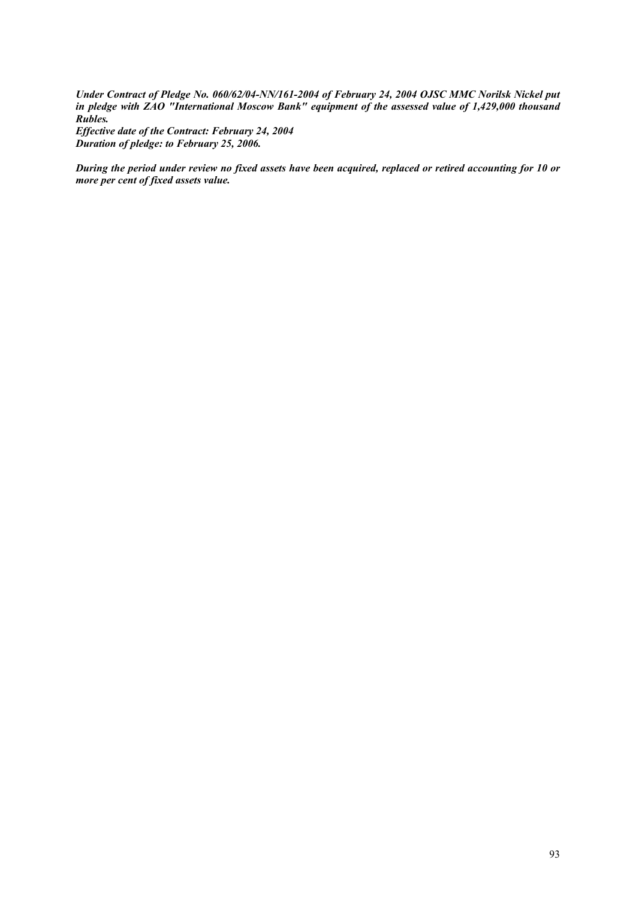*Under Contract of Pledge No. 060/62/04-NN/161-2004 of February 24, 2004 OJSC MMC Norilsk Nickel put in pledge with ZAO "International Moscow Bank" equipment of the assessed value of 1,429,000 thousand Rubles. Effective date of the Contract: February 24, 2004* 

*Duration of pledge: to February 25, 2006.* 

*During the period under review no fixed assets have been acquired, replaced or retired accounting for 10 or more per cent of fixed assets value.*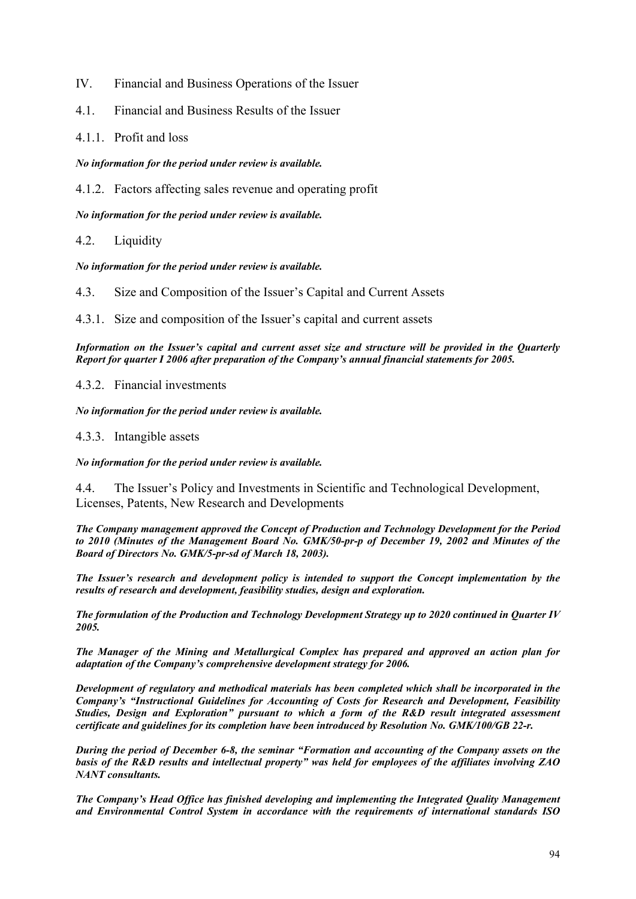- IV. Financial and Business Operations of the Issuer
- 4.1. Financial and Business Results of the Issuer
- 4.1.1. Profit and loss

*No information for the period under review is available.* 

4.1.2. Factors affecting sales revenue and operating profit

*No information for the period under review is available.*

4.2. Liquidity

*No information for the period under review is available.*

4.3. Size and Composition of the Issuer's Capital and Current Assets

4.3.1. Size and composition of the Issuer's capital and current assets

*Information on the Issuer's capital and current asset size and structure will be provided in the Quarterly Report for quarter I 2006 after preparation of the Company's annual financial statements for 2005.* 

4.3.2. Financial investments

*No information for the period under review is available.* 

4.3.3. Intangible assets

*No information for the period under review is available.* 

4.4. The Issuer's Policy and Investments in Scientific and Technological Development, Licenses, Patents, New Research and Developments

*The Company management approved the Concept of Production and Technology Development for the Period to 2010 (Minutes of the Management Board No. GMK/50-pr-p of December 19, 2002 and Minutes of the Board of Directors No. GMK/5-pr-sd of March 18, 2003).* 

*The Issuer's research and development policy is intended to support the Concept implementation by the results of research and development, feasibility studies, design and exploration.* 

*The formulation of the Production and Technology Development Strategy up to 2020 continued in Quarter IV 2005.* 

*The Manager of the Mining and Metallurgical Complex has prepared and approved an action plan for adaptation of the Company's comprehensive development strategy for 2006.* 

*Development of regulatory and methodical materials has been completed which shall be incorporated in the Company's "Instructional Guidelines for Accounting of Costs for Research and Development, Feasibility Studies, Design and Exploration" pursuant to which a form of the R&D result integrated assessment certificate and guidelines for its completion have been introduced by Resolution No. GMK/100/GB 22-r.* 

*During the period of December 6-8, the seminar "Formation and accounting of the Company assets on the basis of the R&D results and intellectual property" was held for employees of the affiliates involving ZAO NANT consultants.* 

*The Company's Head Office has finished developing and implementing the Integrated Quality Management and Environmental Control System in accordance with the requirements of international standards ISO*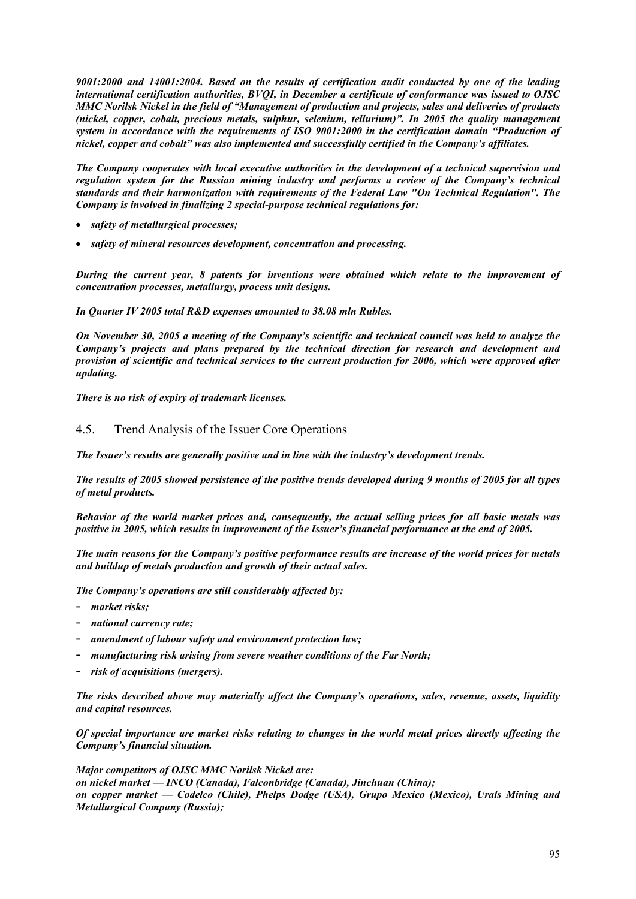*9001:2000 and 14001:2004. Based on the results of certification audit conducted by one of the leading international certification authorities, BVQI, in December a certificate of conformance was issued to OJSC MMC Norilsk Nickel in the field of "Management of production and projects, sales and deliveries of products (nickel, copper, cobalt, precious metals, sulphur, selenium, tellurium)". In 2005 the quality management system in accordance with the requirements of ISO 9001:2000 in the certification domain "Production of nickel, copper and cobalt" was also implemented and successfully certified in the Company's affiliates.* 

*The Company cooperates with local executive authorities in the development of a technical supervision and regulation system for the Russian mining industry and performs a review of the Company's technical standards and their harmonization with requirements of the Federal Law "On Technical Regulation". The Company is involved in finalizing 2 special-purpose technical regulations for:* 

- *safety of metallurgical processes;*
- *safety of mineral resources development, concentration and processing.*

*During the current year, 8 patents for inventions were obtained which relate to the improvement of concentration processes, metallurgy, process unit designs.* 

*In Quarter IV 2005 total R&D expenses amounted to 38.08 mln Rubles.* 

*On November 30, 2005 a meeting of the Company's scientific and technical council was held to analyze the Company's projects and plans prepared by the technical direction for research and development and provision of scientific and technical services to the current production for 2006, which were approved after updating.* 

*There is no risk of expiry of trademark licenses.*

# 4.5. Trend Analysis of the Issuer Core Operations

*The Issuer's results are generally positive and in line with the industry's development trends.* 

*The results of 2005 showed persistence of the positive trends developed during 9 months of 2005 for all types of metal products.* 

*Behavior of the world market prices and, consequently, the actual selling prices for all basic metals was positive in 2005, which results in improvement of the Issuer's financial performance at the end of 2005.* 

*The main reasons for the Company's positive performance results are increase of the world prices for metals and buildup of metals production and growth of their actual sales.* 

*The Company's operations are still considerably affected by:* 

- *market risks;*
- *national currency rate;*
- *amendment of labour safety and environment protection law;*
- manufacturing risk arising from severe weather conditions of the Far North;
- *risk of acquisitions (mergers).*

*The risks described above may materially affect the Company's operations, sales, revenue, assets, liquidity and capital resources.* 

*Of special importance are market risks relating to changes in the world metal prices directly affecting the Company's financial situation.* 

*Major competitors of OJSC MMC Norilsk Nickel are: on nickel market — INCO (Canada), Falconbridge (Canada), Jinchuan (China); on copper market — Codelco (Chile), Phelps Dodge (USA), Grupo Mexico (Mexico), Urals Mining and Metallurgical Company (Russia);*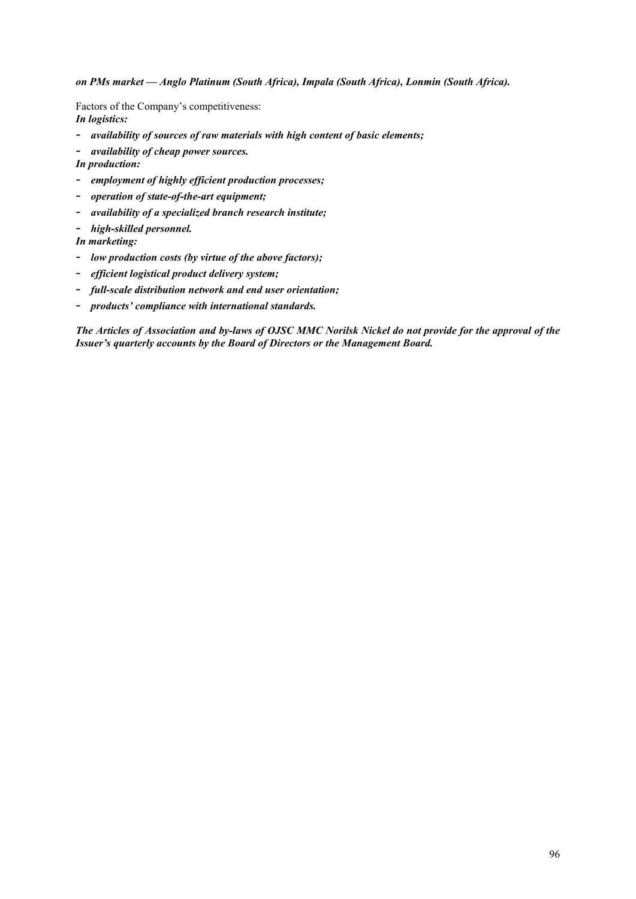*on PMs market — Anglo Platinum (South Africa), Impala (South Africa), Lonmin (South Africa).* 

Factors of the Company's competitiveness: *In logistics:* 

- *availability of sources of raw materials with high content of basic elements;* 

- *availability of cheap power sources.* 

- *In production:*
- *employment of highly efficient production processes;*
- *operation of state-of-the-art equipment;*
- *availability of a specialized branch research institute;*
- *high-skilled personnel.*

*In marketing:* 

- *low production costs (by virtue of the above factors);*
- *efficient logistical product delivery system;*
- *full-scale distribution network and end user orientation;*
- *products' compliance with international standards.*

*The Articles of Association and by-laws of OJSC MMC Norilsk Nickel do not provide for the approval of the Issuer's quarterly accounts by the Board of Directors or the Management Board.*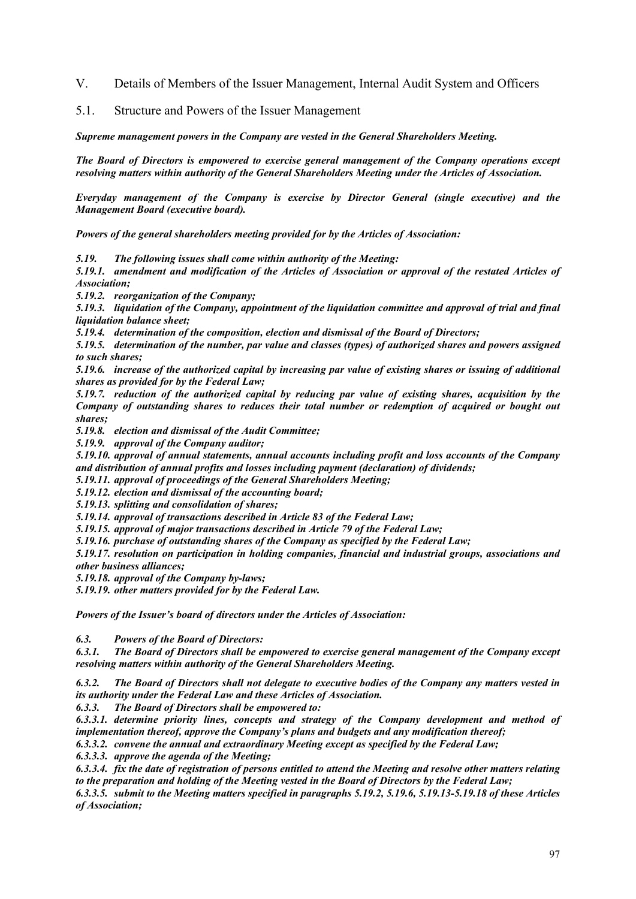- V. Details of Members of the Issuer Management, Internal Audit System and Officers
- 5.1. Structure and Powers of the Issuer Management

*Supreme management powers in the Company are vested in the General Shareholders Meeting.* 

*The Board of Directors is empowered to exercise general management of the Company operations except resolving matters within authority of the General Shareholders Meeting under the Articles of Association.* 

*Everyday management of the Company is exercise by Director General (single executive) and the Management Board (executive board).* 

*Powers of the general shareholders meeting provided for by the Articles of Association:* 

*5.19. The following issues shall come within authority of the Meeting:* 

*5.19.1. amendment and modification of the Articles of Association or approval of the restated Articles of Association;* 

*5.19.2. reorganization of the Company;* 

*5.19.3. liquidation of the Company, appointment of the liquidation committee and approval of trial and final liquidation balance sheet;* 

*5.19.4. determination of the composition, election and dismissal of the Board of Directors;* 

*5.19.5. determination of the number, par value and classes (types) of authorized shares and powers assigned to such shares;* 

*5.19.6. increase of the authorized capital by increasing par value of existing shares or issuing of additional shares as provided for by the Federal Law;* 

*5.19.7. reduction of the authorized capital by reducing par value of existing shares, acquisition by the Company of outstanding shares to reduces their total number or redemption of acquired or bought out shares;* 

*5.19.8. election and dismissal of the Audit Committee;* 

*5.19.9. approval of the Company auditor;* 

*5.19.10. approval of annual statements, annual accounts including profit and loss accounts of the Company and distribution of annual profits and losses including payment (declaration) of dividends;* 

*5.19.11. approval of proceedings of the General Shareholders Meeting;* 

*5.19.12. election and dismissal of the accounting board;* 

*5.19.13. splitting and consolidation of shares;* 

*5.19.14. approval of transactions described in Article 83 of the Federal Law;* 

*5.19.15. approval of major transactions described in Article 79 of the Federal Law;* 

*5.19.16. purchase of outstanding shares of the Company as specified by the Federal Law;* 

*5.19.17. resolution on participation in holding companies, financial and industrial groups, associations and other business alliances;* 

*5.19.18. approval of the Company by-laws;* 

*5.19.19. other matters provided for by the Federal Law.* 

*Powers of the Issuer's board of directors under the Articles of Association:* 

*6.3. Powers of the Board of Directors:* 

*6.3.1. The Board of Directors shall be empowered to exercise general management of the Company except resolving matters within authority of the General Shareholders Meeting.* 

*6.3.2. The Board of Directors shall not delegate to executive bodies of the Company any matters vested in its authority under the Federal Law and these Articles of Association.* 

*6.3.3. The Board of Directors shall be empowered to:* 

*6.3.3.1. determine priority lines, concepts and strategy of the Company development and method of implementation thereof, approve the Company's plans and budgets and any modification thereof; 6.3.3.2. convene the annual and extraordinary Meeting except as specified by the Federal Law;* 

*6.3.3.3. approve the agenda of the Meeting;* 

*6.3.3.4. fix the date of registration of persons entitled to attend the Meeting and resolve other matters relating to the preparation and holding of the Meeting vested in the Board of Directors by the Federal Law;* 

*6.3.3.5. submit to the Meeting matters specified in paragraphs 5.19.2, 5.19.6, 5.19.13-5.19.18 of these Articles of Association;*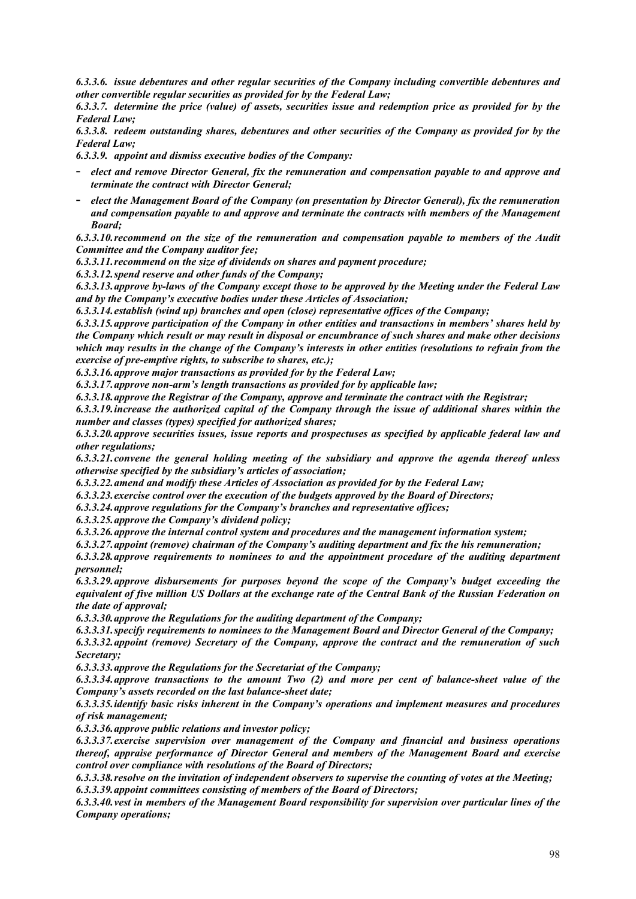*6.3.3.6. issue debentures and other regular securities of the Company including convertible debentures and other convertible regular securities as provided for by the Federal Law;* 

*6.3.3.7. determine the price (value) of assets, securities issue and redemption price as provided for by the Federal Law;* 

*6.3.3.8. redeem outstanding shares, debentures and other securities of the Company as provided for by the Federal Law;* 

*6.3.3.9. appoint and dismiss executive bodies of the Company:* 

- *elect and remove Director General, fix the remuneration and compensation payable to and approve and terminate the contract with Director General;*
- *elect the Management Board of the Company (on presentation by Director General), fix the remuneration and compensation payable to and approve and terminate the contracts with members of the Management Board;*

*6.3.3.10. recommend on the size of the remuneration and compensation payable to members of the Audit Committee and the Company auditor fee;* 

*6.3.3.11. recommend on the size of dividends on shares and payment procedure;* 

*6.3.3.12. spend reserve and other funds of the Company;* 

*6.3.3.13. approve by-laws of the Company except those to be approved by the Meeting under the Federal Law and by the Company's executive bodies under these Articles of Association;* 

*6.3.3.14. establish (wind up) branches and open (close) representative offices of the Company;* 

*6.3.3.15. approve participation of the Company in other entities and transactions in members' shares held by the Company which result or may result in disposal or encumbrance of such shares and make other decisions which may results in the change of the Company's interests in other entities (resolutions to refrain from the exercise of pre-emptive rights, to subscribe to shares, etc.);* 

*6.3.3.16. approve major transactions as provided for by the Federal Law;* 

*6.3.3.17. approve non-arm's length transactions as provided for by applicable law;* 

*6.3.3.18. approve the Registrar of the Company, approve and terminate the contract with the Registrar;* 

*6.3.3.19. increase the authorized capital of the Company through the issue of additional shares within the number and classes (types) specified for authorized shares;* 

*6.3.3.20. approve securities issues, issue reports and prospectuses as specified by applicable federal law and other regulations;* 

*6.3.3.21. convene the general holding meeting of the subsidiary and approve the agenda thereof unless otherwise specified by the subsidiary's articles of association;* 

*6.3.3.22. amend and modify these Articles of Association as provided for by the Federal Law;* 

*6.3.3.23. exercise control over the execution of the budgets approved by the Board of Directors;* 

*6.3.3.24. approve regulations for the Company's branches and representative offices;* 

*6.3.3.25. approve the Company's dividend policy;* 

*6.3.3.26. approve the internal control system and procedures and the management information system;* 

*6.3.3.27. appoint (remove) chairman of the Company's auditing department and fix the his remuneration;* 

*6.3.3.28. approve requirements to nominees to and the appointment procedure of the auditing department personnel;* 

*6.3.3.29. approve disbursements for purposes beyond the scope of the Company's budget exceeding the equivalent of five million US Dollars at the exchange rate of the Central Bank of the Russian Federation on the date of approval;* 

*6.3.3.30. approve the Regulations for the auditing department of the Company;* 

*6.3.3.31. specify requirements to nominees to the Management Board and Director General of the Company;* 

*6.3.3.32. appoint (remove) Secretary of the Company, approve the contract and the remuneration of such Secretary;* 

*6.3.3.33. approve the Regulations for the Secretariat of the Company;* 

*6.3.3.34. approve transactions to the amount Two (2) and more per cent of balance-sheet value of the Company's assets recorded on the last balance-sheet date;* 

*6.3.3.35. identify basic risks inherent in the Company's operations and implement measures and procedures of risk management;* 

*6.3.3.36. approve public relations and investor policy;* 

*6.3.3.37. exercise supervision over management of the Company and financial and business operations thereof, appraise performance of Director General and members of the Management Board and exercise control over compliance with resolutions of the Board of Directors;* 

*6.3.3.38. resolve on the invitation of independent observers to supervise the counting of votes at the Meeting; 6.3.3.39. appoint committees consisting of members of the Board of Directors;* 

*6.3.3.40. vest in members of the Management Board responsibility for supervision over particular lines of the Company operations;*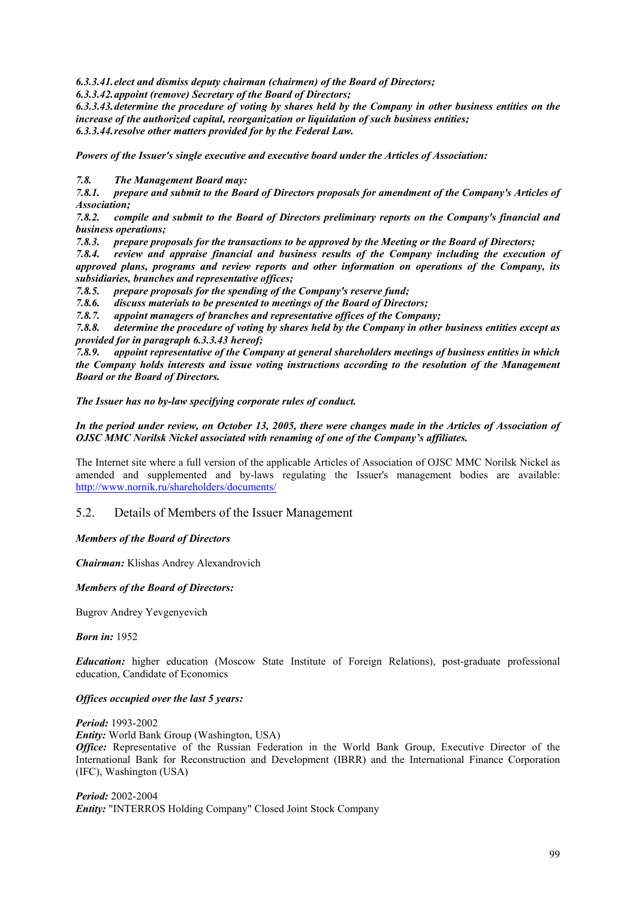*6.3.3.41. elect and dismiss deputy chairman (chairmen) of the Board of Directors;* 

*6.3.3.42. appoint (remove) Secretary of the Board of Directors;* 

*6.3.3.43. determine the procedure of voting by shares held by the Company in other business entities on the increase of the authorized capital, reorganization or liquidation of such business entities; 6.3.3.44. resolve other matters provided for by the Federal Law.*

*Powers of the Issuer's single executive and executive board under the Articles of Association:* 

*7.8. The Management Board may:* 

*7.8.1. prepare and submit to the Board of Directors proposals for amendment of the Company's Articles of Association;* 

*7.8.2. compile and submit to the Board of Directors preliminary reports on the Company's financial and business operations;* 

*7.8.3. prepare proposals for the transactions to be approved by the Meeting or the Board of Directors;* 

*7.8.4. review and appraise financial and business results of the Company including the execution of approved plans, programs and review reports and other information on operations of the Company, its subsidiaries, branches and representative offices;* 

*7.8.5. prepare proposals for the spending of the Company's reserve fund;* 

*7.8.6. discuss materials to be presented to meetings of the Board of Directors;* 

*7.8.7. appoint managers of branches and representative offices of the Company;* 

*7.8.8. determine the procedure of voting by shares held by the Company in other business entities except as provided for in paragraph 6.3.3.43 hereof;* 

*7.8.9. appoint representative of the Company at general shareholders meetings of business entities in which the Company holds interests and issue voting instructions according to the resolution of the Management Board or the Board of Directors.*

*The Issuer has no by-law specifying corporate rules of conduct.* 

*In the period under review, on October 13, 2005, there were changes made in the Articles of Association of OJSC MMC Norilsk Nickel associated with renaming of one of the Company's affiliates.* 

The Internet site where a full version of the applicable Articles of Association of OJSC MMC Norilsk Nickel as amended and supplemented and by-laws regulating the Issuer's management bodies are available: http://www.nornik.ru/shareholders/documents/

# 5.2. Details of Members of the Issuer Management

## *Members of the Board of Directors*

*Chairman:* Klishas Andrey Alexandrovich

# *Members of the Board of Directors:*

Bugrov Andrey Yevgenyevich

*Born in:* 1952

*Education:* higher education (Moscow State Institute of Foreign Relations), post-graduate professional education, Candidate of Economics

# *Offices occupied over the last 5 years:*

*Period:* 1993-2002 *Entity:* World Bank Group (Washington, USA) *Office:* Representative of the Russian Federation in the World Bank Group, Executive Director of the International Bank for Reconstruction and Development (IBRR) and the International Finance Corporation (IFC), Washington (USA)

*Period:* 2002-2004 *Entity:* "INTERROS Holding Company" Closed Joint Stock Company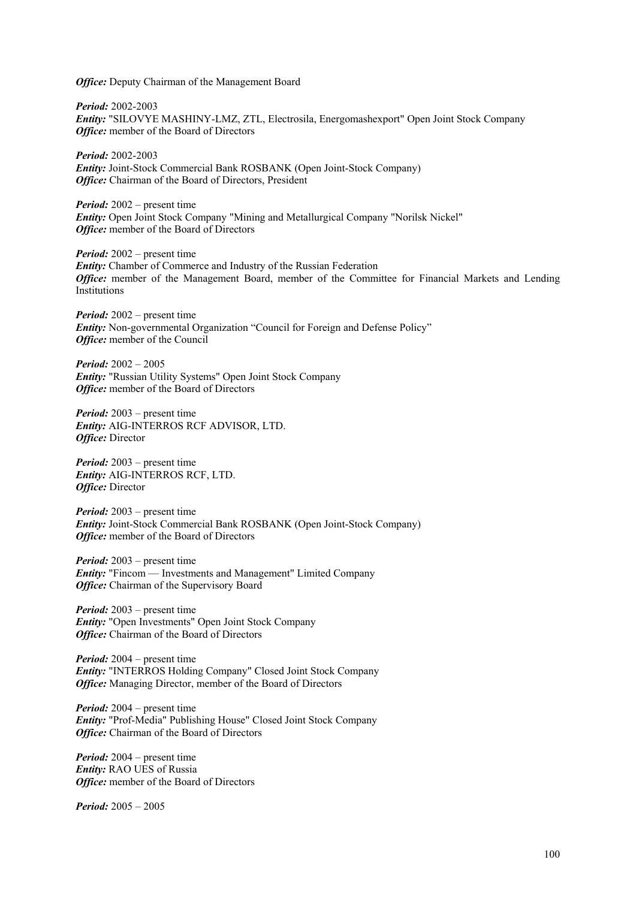*Office:* Deputy Chairman of the Management Board

*Period:* 2002-2003 *Entity:* "SILOVYE MASHINY-LMZ, ZTL, Electrosila, Energomashexport" Open Joint Stock Company *Office:* member of the Board of Directors

*Period:* 2002-2003 *Entity:* Joint-Stock Commercial Bank ROSBANK (Open Joint-Stock Company) *Office:* Chairman of the Board of Directors, President

*Period:* 2002 – present time *Entity:* Open Joint Stock Company "Mining and Metallurgical Company "Norilsk Nickel" *Office:* member of the Board of Directors

*Period:* 2002 – present time *Entity:* Chamber of Commerce and Industry of the Russian Federation *Office:* member of the Management Board, member of the Committee for Financial Markets and Lending Institutions

*Period:* 2002 – present time *Entity:* Non-governmental Organization "Council for Foreign and Defense Policy" *Office:* member of the Council

*Period:* 2002 – 2005 *Entity:* "Russian Utility Systems" Open Joint Stock Company *Office:* member of the Board of Directors

*Period:* 2003 – present time *Entity:* AIG-INTERROS RCF ADVISOR, LTD. *Office:* Director

*Period:* 2003 – present time *Entity:* AIG-INTERROS RCF, LTD. *Office:* Director

*Period:* 2003 – present time *Entity:* Joint-Stock Commercial Bank ROSBANK (Open Joint-Stock Company) *Office:* member of the Board of Directors

*Period:* 2003 – present time *Entity:* "Fincom — Investments and Management" Limited Company **Office:** Chairman of the Supervisory Board

*Period:* 2003 – present time *Entity:* "Open Investments" Open Joint Stock Company *Office:* Chairman of the Board of Directors

*Period:* 2004 – present time *Entity:* "INTERROS Holding Company" Closed Joint Stock Company *Office:* Managing Director, member of the Board of Directors

*Period:* 2004 – present time *Entity:* "Prof-Media" Publishing House" Closed Joint Stock Company *Office:* Chairman of the Board of Directors

*Period:* 2004 – present time *Entity:* RAO UES of Russia *Office:* member of the Board of Directors

*Period:* 2005 – 2005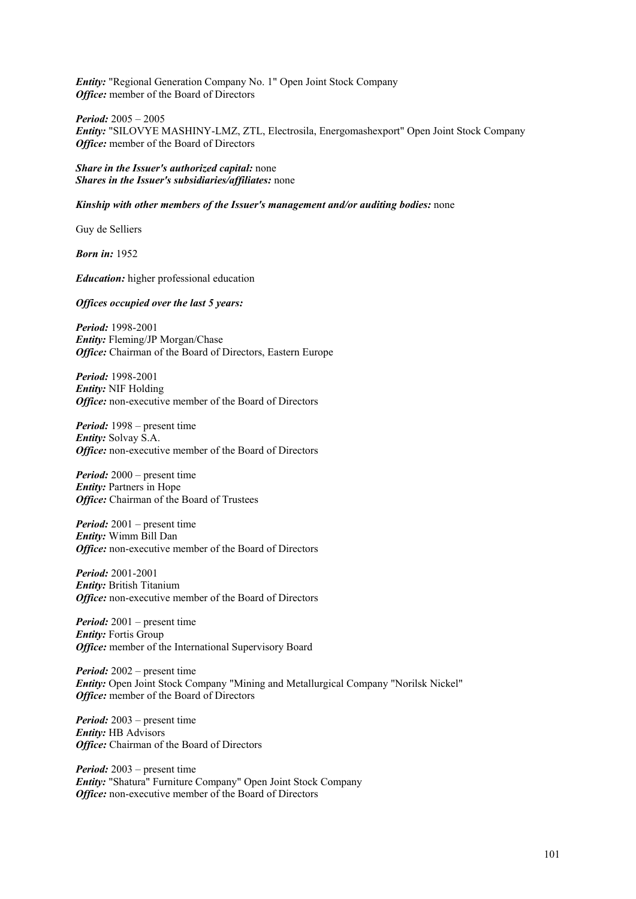*Entity:* "Regional Generation Company No. 1" Open Joint Stock Company *Office:* member of the Board of Directors

*Period:* 2005 – 2005 *Entity:* "SILOVYE MASHINY-LMZ, ZTL, Electrosila, Energomashexport" Open Joint Stock Company *Office:* member of the Board of Directors

*Share in the Issuer's authorized capital:* none *Shares in the Issuer's subsidiaries/affiliates:* none

*Kinship with other members of the Issuer's management and/or auditing bodies:* none

Guy de Selliers

*Born in:* 1952

*Education:* higher professional education

*Offices occupied over the last 5 years:* 

*Period:* 1998-2001 *Entity:* Fleming/JP Morgan/Chase *Office:* Chairman of the Board of Directors, Eastern Europe

*Period:* 1998-2001 *Entity:* NIF Holding *Office:* non-executive member of the Board of Directors

*Period:* 1998 – present time *Entity:* Solvay S.A. *Office:* non-executive member of the Board of Directors

*Period:* 2000 – present time *Entity:* Partners in Hope *Office:* Chairman of the Board of Trustees

*Period:* 2001 – present time *Entity:* Wimm Bill Dan *Office:* non-executive member of the Board of Directors

*Period:* 2001-2001 *Entity:* British Titanium *Office:* non-executive member of the Board of Directors

*Period:* 2001 – present time *Entity:* Fortis Group *Office:* member of the International Supervisory Board

*Period:* 2002 – present time *Entity:* Open Joint Stock Company "Mining and Metallurgical Company "Norilsk Nickel" *Office:* member of the Board of Directors

*Period:* 2003 – present time *Entity:* HB Advisors *Office:* Chairman of the Board of Directors

*Period:* 2003 – present time *Entity:* "Shatura" Furniture Company" Open Joint Stock Company *Office:* non-executive member of the Board of Directors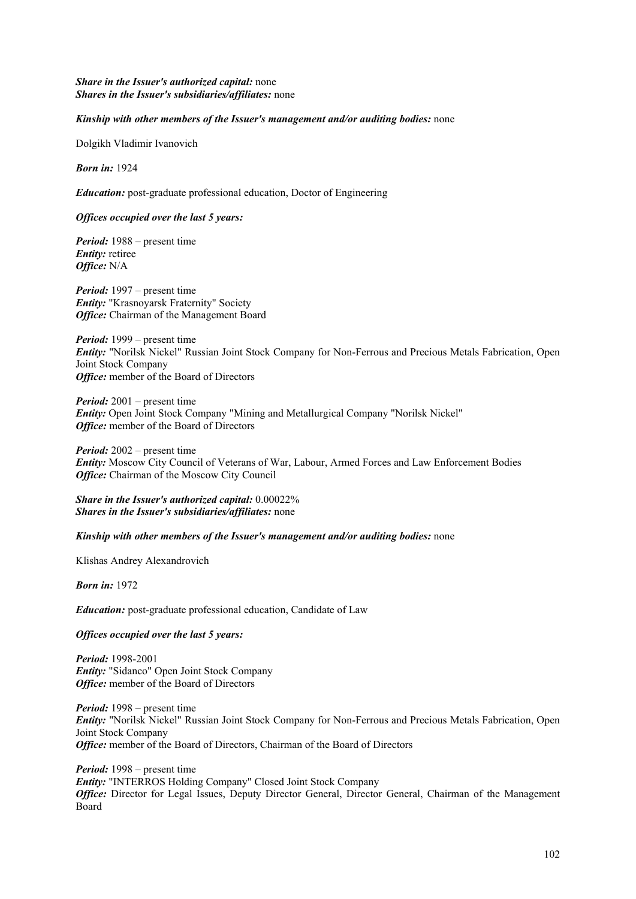## *Share in the Issuer's authorized capital:* none *Shares in the Issuer's subsidiaries/affiliates:* none

## *Kinship with other members of the Issuer's management and/or auditing bodies:* none

Dolgikh Vladimir Ivanovich

*Born in:* 1924

*Education:* post-graduate professional education, Doctor of Engineering

## *Offices occupied over the last 5 years:*

*Period:* 1988 – present time *Entity:* retiree *Office:* N/A

*Period:* 1997 – present time *Entity:* "Krasnoyarsk Fraternity" Society *Office:* Chairman of the Management Board

*Period:* 1999 – present time *Entity:* "Norilsk Nickel" Russian Joint Stock Company for Non-Ferrous and Precious Metals Fabrication, Open Joint Stock Company *Office:* member of the Board of Directors

*Period:* 2001 – present time *Entity:* Open Joint Stock Company "Mining and Metallurgical Company "Norilsk Nickel" *Office:* member of the Board of Directors

*Period:* 2002 – present time *Entity:* Moscow City Council of Veterans of War, Labour, Armed Forces and Law Enforcement Bodies *Office:* Chairman of the Moscow City Council

*Share in the Issuer's authorized capital:* 0.00022% *Shares in the Issuer's subsidiaries/affiliates:* none

#### *Kinship with other members of the Issuer's management and/or auditing bodies:* none

Klishas Andrey Alexandrovich

*Born in:* 1972

*Education:* post-graduate professional education, Candidate of Law

*Offices occupied over the last 5 years:* 

*Period:* 1998-2001 *Entity:* "Sidanco" Open Joint Stock Company *Office:* member of the Board of Directors

*Period:* 1998 – present time *Entity:* "Norilsk Nickel" Russian Joint Stock Company for Non-Ferrous and Precious Metals Fabrication, Open Joint Stock Company **Office:** member of the Board of Directors, Chairman of the Board of Directors

*Period:* 1998 – present time *Entity:* "INTERROS Holding Company" Closed Joint Stock Company *Office:* Director for Legal Issues, Deputy Director General, Director General, Chairman of the Management Board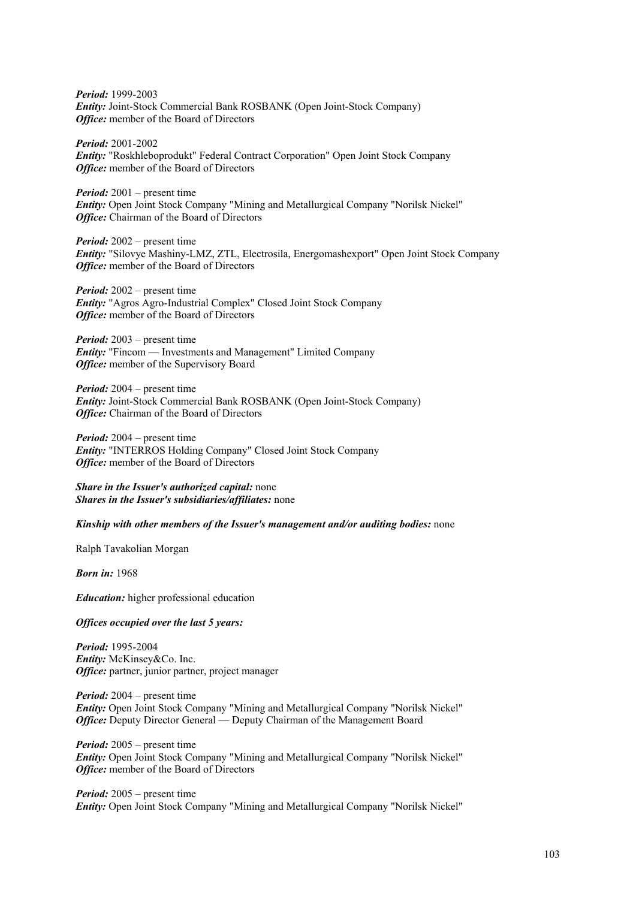*Period:* 1999-2003 *Entity:* Joint-Stock Commercial Bank ROSBANK (Open Joint-Stock Company) *Office:* member of the Board of Directors

*Period:* 2001-2002 *Entity:* "Roskhleboprodukt" Federal Contract Corporation" Open Joint Stock Company *Office:* member of the Board of Directors

*Period:* 2001 – present time *Entity:* Open Joint Stock Company "Mining and Metallurgical Company "Norilsk Nickel" *Office:* Chairman of the Board of Directors

*Period:* 2002 – present time *Entity:* "Silovye Mashiny-LMZ, ZTL, Electrosila, Energomashexport" Open Joint Stock Company *Office:* member of the Board of Directors

*Period:* 2002 – present time *Entity:* "Agros Agro-Industrial Complex" Closed Joint Stock Company *Office:* member of the Board of Directors

*Period:* 2003 – present time *Entity:* "Fincom — Investments and Management" Limited Company *Office:* member of the Supervisory Board

*Period:* 2004 – present time *Entity:* Joint-Stock Commercial Bank ROSBANK (Open Joint-Stock Company) *Office:* Chairman of the Board of Directors

*Period:* 2004 – present time *Entity:* "INTERROS Holding Company" Closed Joint Stock Company *Office:* member of the Board of Directors

*Share in the Issuer's authorized capital:* none *Shares in the Issuer's subsidiaries/affiliates:* none

## *Kinship with other members of the Issuer's management and/or auditing bodies:* none

Ralph Tavakolian Morgan

*Born in:* 1968

*Education:* higher professional education

*Offices occupied over the last 5 years:* 

*Period:* 1995-2004 *Entity:* McKinsey&Co. Inc. *Office:* partner, junior partner, project manager

*Period:* 2004 – present time *Entity:* Open Joint Stock Company "Mining and Metallurgical Company "Norilsk Nickel" *Office: Deputy Director General — Deputy Chairman of the Management Board* 

*Period:* 2005 – present time *Entity:* Open Joint Stock Company "Mining and Metallurgical Company "Norilsk Nickel" *Office:* member of the Board of Directors

*Period:* 2005 – present time *Entity:* Open Joint Stock Company "Mining and Metallurgical Company "Norilsk Nickel"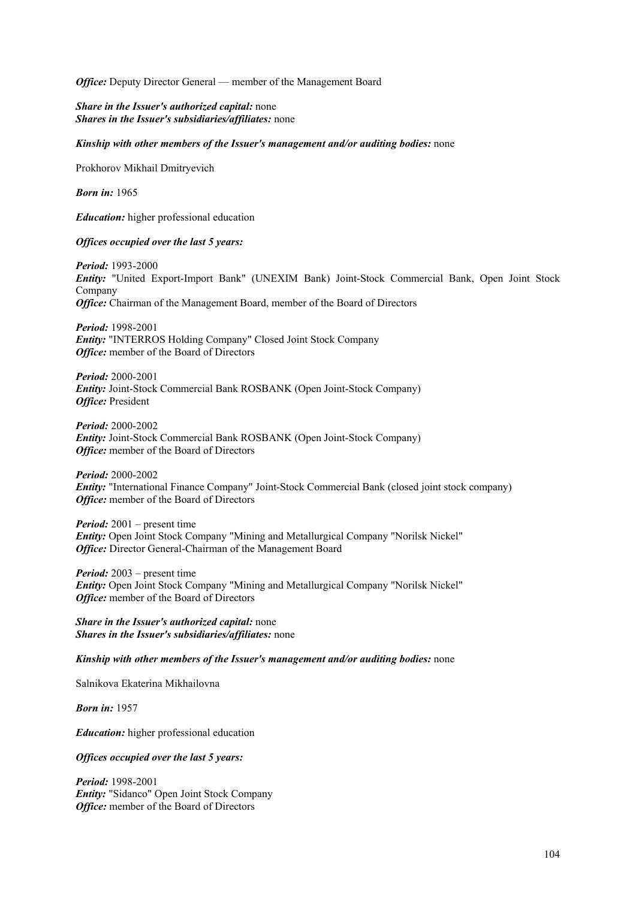*Office:* Deputy Director General — member of the Management Board

*Share in the Issuer's authorized capital:* none *Shares in the Issuer's subsidiaries/affiliates:* none

*Kinship with other members of the Issuer's management and/or auditing bodies:* none

Prokhorov Mikhail Dmitryevich

*Born in:* 1965

*Education:* higher professional education

#### *Offices occupied over the last 5 years:*

*Period:* 1993-2000 *Entity:* "United Export-Import Bank" (UNEXIM Bank) Joint-Stock Commercial Bank, Open Joint Stock Company *Office:* Chairman of the Management Board, member of the Board of Directors

*Period:* 1998-2001 *Entity:* "INTERROS Holding Company" Closed Joint Stock Company *Office:* member of the Board of Directors

*Period:* 2000-2001 *Entity:* Joint-Stock Commercial Bank ROSBANK (Open Joint-Stock Company) *Office:* President

*Period:* 2000-2002 *Entity:* Joint-Stock Commercial Bank ROSBANK (Open Joint-Stock Company) *Office:* member of the Board of Directors

*Period:* 2000-2002 *Entity:* "International Finance Company" Joint-Stock Commercial Bank (closed joint stock company) *Office:* member of the Board of Directors

*Period:* 2001 – present time *Entity:* Open Joint Stock Company "Mining and Metallurgical Company "Norilsk Nickel" *Office:* Director General-Chairman of the Management Board

*Period:* 2003 – present time *Entity:* Open Joint Stock Company "Mining and Metallurgical Company "Norilsk Nickel" *Office:* member of the Board of Directors

*Share in the Issuer's authorized capital:* none *Shares in the Issuer's subsidiaries/affiliates:* none

*Kinship with other members of the Issuer's management and/or auditing bodies:* none

Salnikova Ekaterina Mikhailovna

*Born in:* 1957

*Education:* higher professional education

*Offices occupied over the last 5 years:* 

*Period:* 1998-2001 *Entity:* "Sidanco" Open Joint Stock Company *Office:* member of the Board of Directors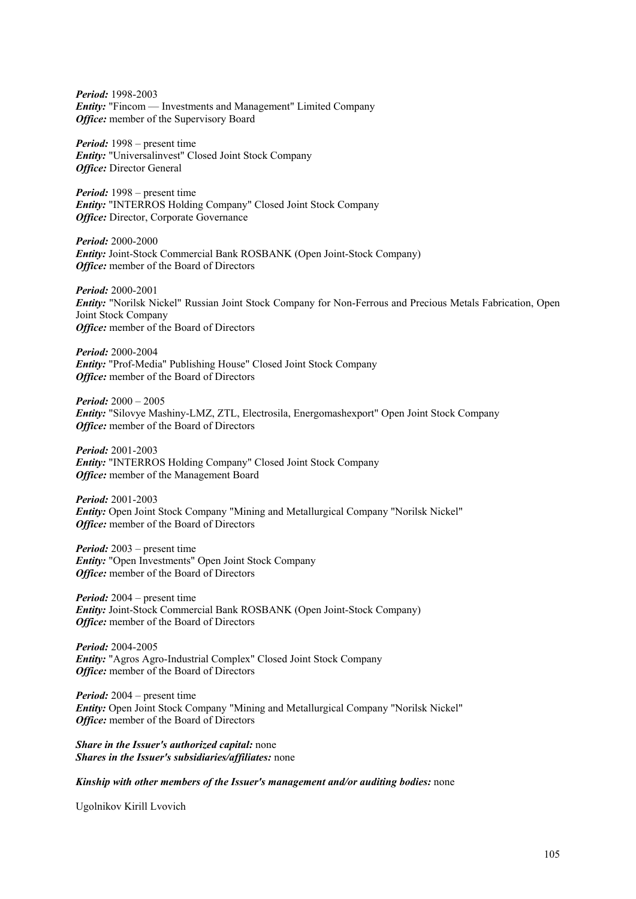*Period:* 1998-2003 *Entity:* "Fincom — Investments and Management" Limited Company *Office:* member of the Supervisory Board

*Period:* 1998 – present time *Entity:* "Universalinvest" Closed Joint Stock Company *Office:* Director General

*Period:* 1998 – present time *Entity:* "INTERROS Holding Company" Closed Joint Stock Company *Office:* Director, Corporate Governance

*Period:* 2000-2000 *Entity:* Joint-Stock Commercial Bank ROSBANK (Open Joint-Stock Company) *Office:* member of the Board of Directors

*Period:* 2000-2001 *Entity:* "Norilsk Nickel" Russian Joint Stock Company for Non-Ferrous and Precious Metals Fabrication, Open Joint Stock Company *Office:* member of the Board of Directors

*Period:* 2000-2004 *Entity:* "Prof-Media" Publishing House" Closed Joint Stock Company *Office:* member of the Board of Directors

*Period:* 2000 – 2005 *Entity:* "Silovye Mashiny-LMZ, ZTL, Electrosila, Energomashexport" Open Joint Stock Company *Office:* member of the Board of Directors

*Period:* 2001-2003 *Entity:* "INTERROS Holding Company" Closed Joint Stock Company *Office:* member of the Management Board

*Period:* 2001-2003 *Entity:* Open Joint Stock Company "Mining and Metallurgical Company "Norilsk Nickel" *Office:* member of the Board of Directors

*Period:* 2003 – present time *Entity:* "Open Investments" Open Joint Stock Company *Office:* member of the Board of Directors

*Period:* 2004 – present time *Entity:* Joint-Stock Commercial Bank ROSBANK (Open Joint-Stock Company) *Office:* member of the Board of Directors

*Period:* 2004-2005 *Entity:* "Agros Agro-Industrial Complex" Closed Joint Stock Company *Office:* member of the Board of Directors

*Period:* 2004 – present time *Entity:* Open Joint Stock Company "Mining and Metallurgical Company "Norilsk Nickel" *Office:* member of the Board of Directors

*Share in the Issuer's authorized capital:* none *Shares in the Issuer's subsidiaries/affiliates:* none

*Kinship with other members of the Issuer's management and/or auditing bodies:* none

Ugolnikov Kirill Lvovich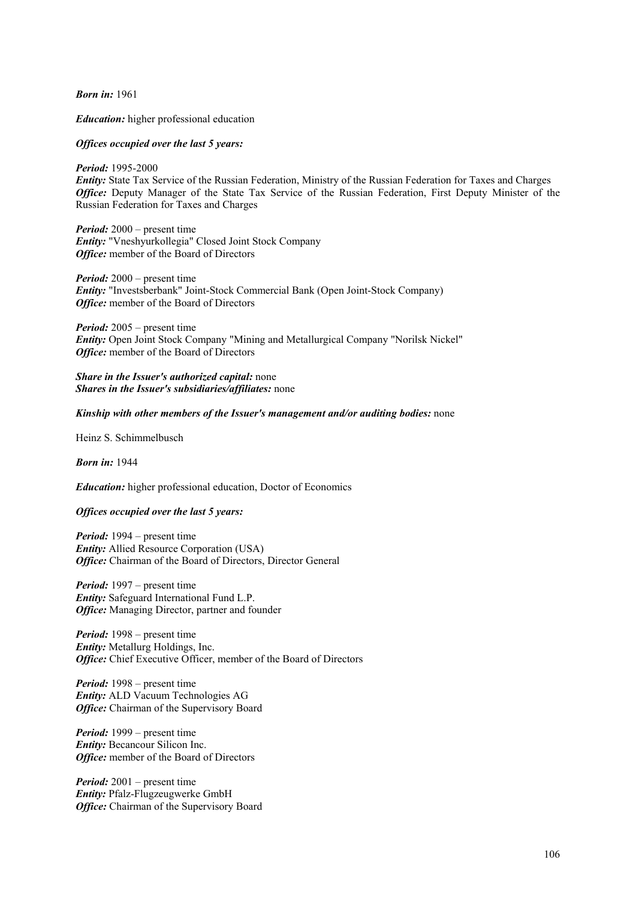*Born in:* 1961

*Education:* higher professional education

#### *Offices occupied over the last 5 years:*

#### *Period:* 1995-2000

*Entity:* State Tax Service of the Russian Federation, Ministry of the Russian Federation for Taxes and Charges *Office:* Deputy Manager of the State Tax Service of the Russian Federation, First Deputy Minister of the Russian Federation for Taxes and Charges

*Period:* 2000 – present time *Entity:* "Vneshyurkollegia" Closed Joint Stock Company *Office:* member of the Board of Directors

*Period:* 2000 – present time *Entity:* "Investsberbank" Joint-Stock Commercial Bank (Open Joint-Stock Company) *Office:* member of the Board of Directors

*Period:* 2005 – present time *Entity:* Open Joint Stock Company "Mining and Metallurgical Company "Norilsk Nickel" *Office:* member of the Board of Directors

*Share in the Issuer's authorized capital:* none *Shares in the Issuer's subsidiaries/affiliates:* none

### *Kinship with other members of the Issuer's management and/or auditing bodies:* none

Heinz S. Schimmelbusch

# *Born in:* 1944

*Education:* higher professional education, Doctor of Economics

#### *Offices occupied over the last 5 years:*

*Period:* 1994 – present time *Entity:* Allied Resource Corporation (USA) *Office:* Chairman of the Board of Directors, Director General

*Period:* 1997 – present time *Entity:* Safeguard International Fund L.P. *Office:* Managing Director, partner and founder

*Period:* 1998 – present time *Entity:* Metallurg Holdings, Inc. *Office:* Chief Executive Officer, member of the Board of Directors

*Period:* 1998 – present time *Entity:* ALD Vacuum Technologies AG *Office:* Chairman of the Supervisory Board

*Period:* 1999 – present time *Entity:* Becancour Silicon Inc. *Office:* member of the Board of Directors

*Period:* 2001 – present time *Entity:* Pfalz-Flugzeugwerke GmbH *Office:* Chairman of the Supervisory Board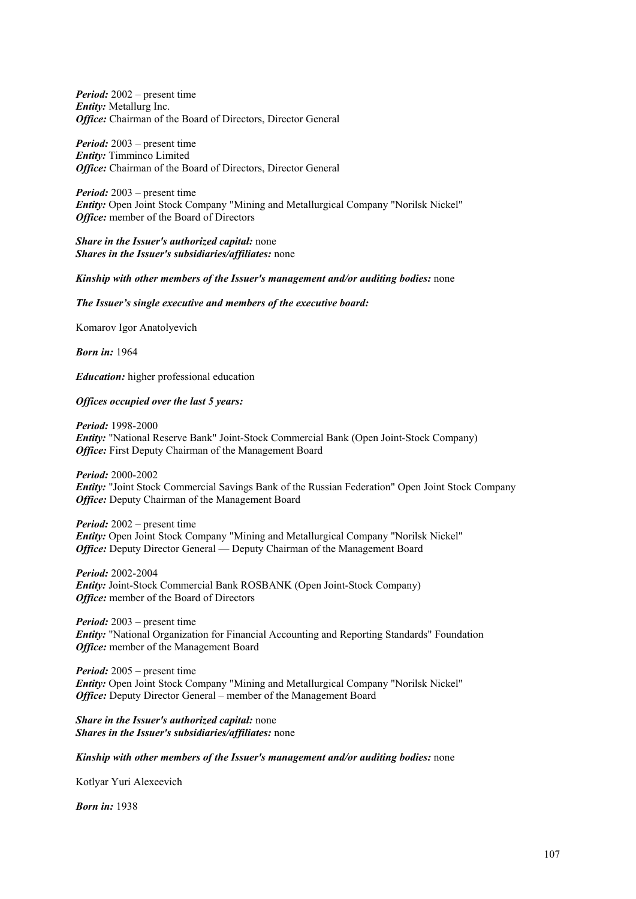*Period:* 2002 – present time *Entity:* Metallurg Inc. *Office:* Chairman of the Board of Directors, Director General

*Period:* 2003 – present time *Entity:* Timminco Limited *Office:* Chairman of the Board of Directors, Director General

*Period:* 2003 – present time *Entity:* Open Joint Stock Company "Mining and Metallurgical Company "Norilsk Nickel" *Office:* member of the Board of Directors

*Share in the Issuer's authorized capital:* none *Shares in the Issuer's subsidiaries/affiliates:* none

## *Kinship with other members of the Issuer's management and/or auditing bodies:* none

*The Issuer's single executive and members of the executive board:* 

Komarov Igor Anatolyevich

*Born in:* 1964

*Education:* higher professional education

## *Offices occupied over the last 5 years:*

*Period:* 1998-2000 *Entity:* "National Reserve Bank" Joint-Stock Commercial Bank (Open Joint-Stock Company) *Office:* First Deputy Chairman of the Management Board

*Period:* 2000-2002 *Entity:* "Joint Stock Commercial Savings Bank of the Russian Federation" Open Joint Stock Company *Office:* Deputy Chairman of the Management Board

*Period:* 2002 – present time *Entity:* Open Joint Stock Company "Mining and Metallurgical Company "Norilsk Nickel" *Office:* Deputy Director General — Deputy Chairman of the Management Board

*Period:* 2002-2004 *Entity:* Joint-Stock Commercial Bank ROSBANK (Open Joint-Stock Company) *Office:* member of the Board of Directors

*Period:* 2003 – present time *Entity:* "National Organization for Financial Accounting and Reporting Standards" Foundation *Office:* member of the Management Board

*Period:* 2005 – present time *Entity:* Open Joint Stock Company "Mining and Metallurgical Company "Norilsk Nickel" *Office:* Deputy Director General – member of the Management Board

*Share in the Issuer's authorized capital:* none *Shares in the Issuer's subsidiaries/affiliates:* none

#### *Kinship with other members of the Issuer's management and/or auditing bodies:* none

Kotlyar Yuri Alexeevich

*Born in:* 1938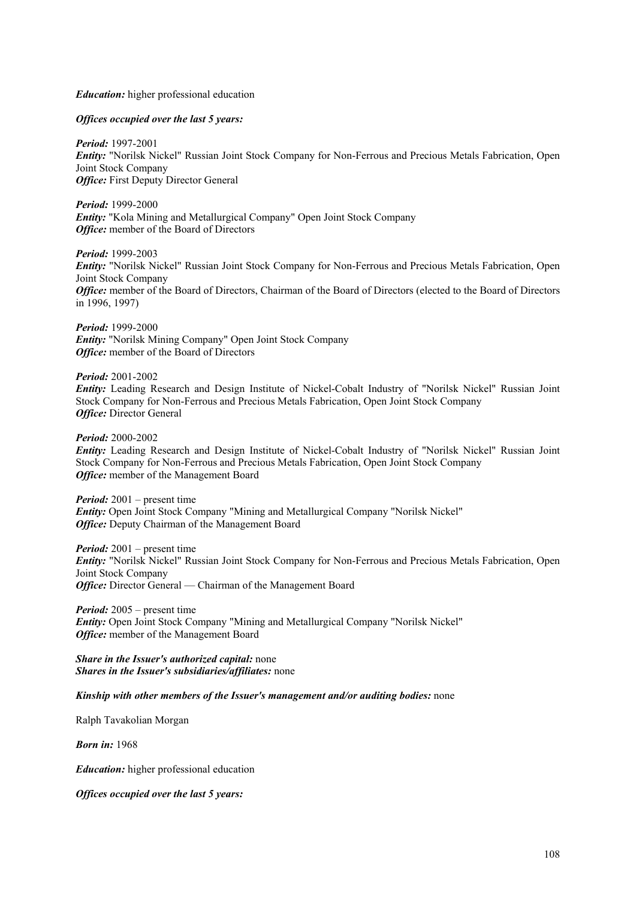## *Education:* higher professional education

#### *Offices occupied over the last 5 years:*

*Period:* 1997-2001 *Entity:* "Norilsk Nickel" Russian Joint Stock Company for Non-Ferrous and Precious Metals Fabrication, Open Joint Stock Company *Office:* First Deputy Director General

*Period:* 1999-2000 *Entity:* "Kola Mining and Metallurgical Company" Open Joint Stock Company *Office:* member of the Board of Directors

*Period:* 1999-2003

*Entity:* "Norilsk Nickel" Russian Joint Stock Company for Non-Ferrous and Precious Metals Fabrication, Open Joint Stock Company *Office:* member of the Board of Directors, Chairman of the Board of Directors (elected to the Board of Directors in 1996, 1997)

*Period:* 1999-2000 *Entity:* "Norilsk Mining Company" Open Joint Stock Company *Office:* member of the Board of Directors

*Period:* 2001-2002 *Entity:* Leading Research and Design Institute of Nickel-Cobalt Industry of "Norilsk Nickel" Russian Joint Stock Company for Non-Ferrous and Precious Metals Fabrication, Open Joint Stock Company *Office: Director General* 

*Period:* 2000-2002

*Entity:* Leading Research and Design Institute of Nickel-Cobalt Industry of "Norilsk Nickel" Russian Joint Stock Company for Non-Ferrous and Precious Metals Fabrication, Open Joint Stock Company *Office:* member of the Management Board

*Period:* 2001 – present time *Entity:* Open Joint Stock Company "Mining and Metallurgical Company "Norilsk Nickel" *Office:* Deputy Chairman of the Management Board

*Period:* 2001 – present time *Entity:* "Norilsk Nickel" Russian Joint Stock Company for Non-Ferrous and Precious Metals Fabrication, Open Joint Stock Company *Office:* Director General — Chairman of the Management Board

*Period:* 2005 – present time *Entity:* Open Joint Stock Company "Mining and Metallurgical Company "Norilsk Nickel" *Office:* member of the Management Board

*Share in the Issuer's authorized capital:* none *Shares in the Issuer's subsidiaries/affiliates:* none

*Kinship with other members of the Issuer's management and/or auditing bodies:* none

Ralph Tavakolian Morgan

*Born in:* 1968

*Education:* higher professional education

*Offices occupied over the last 5 years:*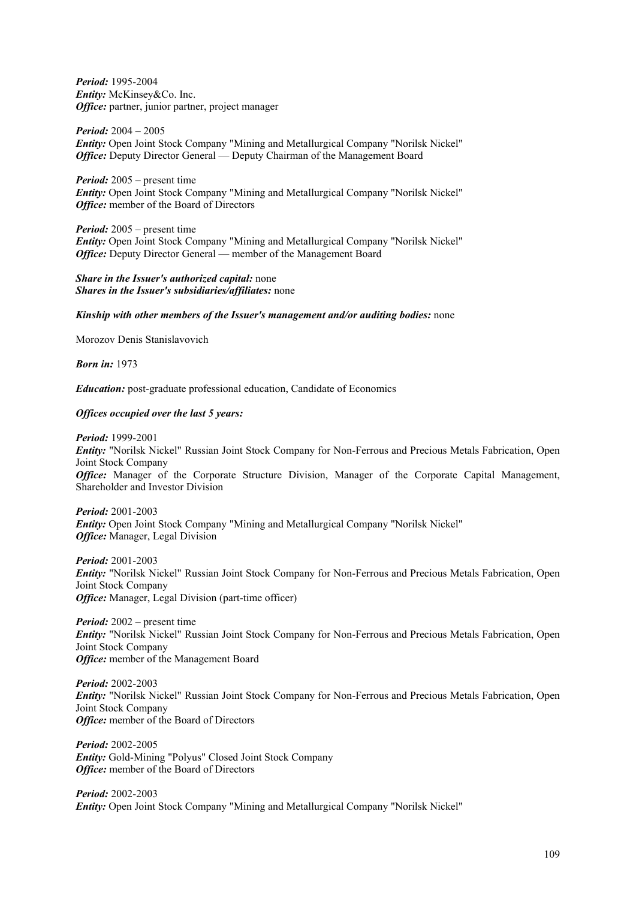*Period:* 1995-2004 *Entity:* McKinsey&Co. Inc. *Office:* partner, junior partner, project manager

*Period:* 2004 – 2005 *Entity:* Open Joint Stock Company "Mining and Metallurgical Company "Norilsk Nickel" *Office:* Deputy Director General — Deputy Chairman of the Management Board

*Period:* 2005 – present time *Entity:* Open Joint Stock Company "Mining and Metallurgical Company "Norilsk Nickel" *Office:* member of the Board of Directors

*Period:* 2005 – present time *Entity:* Open Joint Stock Company "Mining and Metallurgical Company "Norilsk Nickel" *Office:* Deputy Director General — member of the Management Board

*Share in the Issuer's authorized capital:* none *Shares in the Issuer's subsidiaries/affiliates:* none

#### *Kinship with other members of the Issuer's management and/or auditing bodies:* none

Morozov Denis Stanislavovich

*Born in:* 1973

*Education:* post-graduate professional education, Candidate of Economics

#### *Offices occupied over the last 5 years:*

*Period:* 1999-2001

*Entity:* "Norilsk Nickel" Russian Joint Stock Company for Non-Ferrous and Precious Metals Fabrication, Open Joint Stock Company *Office:* Manager of the Corporate Structure Division, Manager of the Corporate Capital Management, Shareholder and Investor Division

*Period:* 2001-2003 *Entity:* Open Joint Stock Company "Mining and Metallurgical Company "Norilsk Nickel" *Office:* Manager, Legal Division

*Period:* 2001-2003 *Entity:* "Norilsk Nickel" Russian Joint Stock Company for Non-Ferrous and Precious Metals Fabrication, Open Joint Stock Company *Office:* Manager, Legal Division (part-time officer)

*Period:* 2002 – present time *Entity:* "Norilsk Nickel" Russian Joint Stock Company for Non-Ferrous and Precious Metals Fabrication, Open Joint Stock Company **Office:** member of the Management Board

*Period:* 2002-2003 *Entity:* "Norilsk Nickel" Russian Joint Stock Company for Non-Ferrous and Precious Metals Fabrication, Open Joint Stock Company *Office:* member of the Board of Directors

*Period:* 2002-2005 *Entity:* Gold-Mining "Polyus" Closed Joint Stock Company *Office:* member of the Board of Directors

*Period:* 2002-2003 *Entity:* Open Joint Stock Company "Mining and Metallurgical Company "Norilsk Nickel"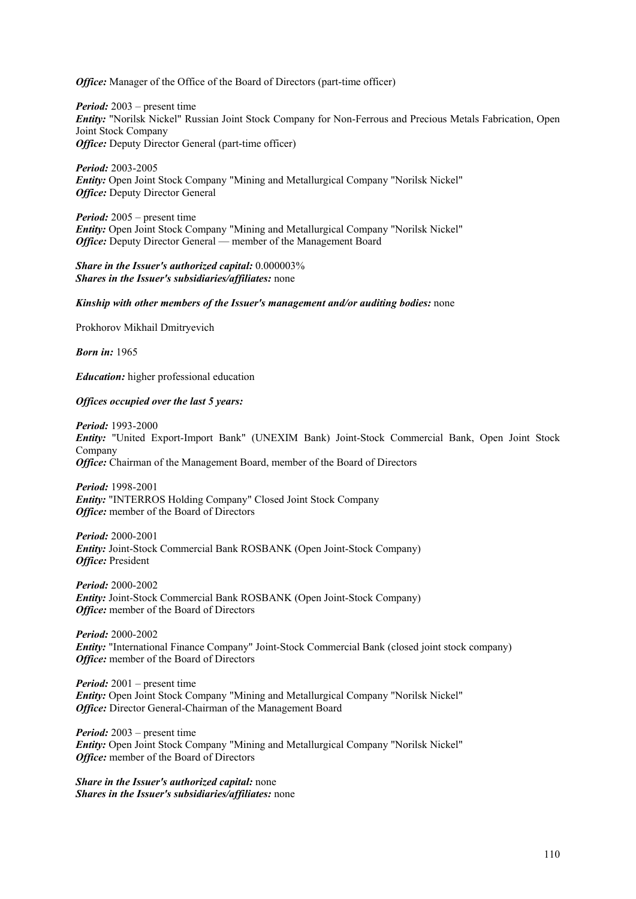*Office:* Manager of the Office of the Board of Directors (part-time officer)

*Period:* 2003 – present time *Entity:* "Norilsk Nickel" Russian Joint Stock Company for Non-Ferrous and Precious Metals Fabrication, Open Joint Stock Company *Office:* Deputy Director General (part-time officer)

*Period:* 2003-2005 *Entity:* Open Joint Stock Company "Mining and Metallurgical Company "Norilsk Nickel" *Office:* Deputy Director General

*Period:* 2005 – present time *Entity:* Open Joint Stock Company "Mining and Metallurgical Company "Norilsk Nickel" *Office:* Deputy Director General — member of the Management Board

*Share in the Issuer's authorized capital:* 0.000003% *Shares in the Issuer's subsidiaries/affiliates:* none

#### *Kinship with other members of the Issuer's management and/or auditing bodies:* none

Prokhorov Mikhail Dmitryevich

*Born in:* 1965

*Education:* higher professional education

#### *Offices occupied over the last 5 years:*

*Period:* 1993-2000 *Entity:* "United Export-Import Bank" (UNEXIM Bank) Joint-Stock Commercial Bank, Open Joint Stock Company *Office:* Chairman of the Management Board, member of the Board of Directors

*Period:* 1998-2001 *Entity:* "INTERROS Holding Company" Closed Joint Stock Company *Office:* member of the Board of Directors

*Period:* 2000-2001 *Entity:* Joint-Stock Commercial Bank ROSBANK (Open Joint-Stock Company) *Office:* President

*Period:* 2000-2002 *Entity:* Joint-Stock Commercial Bank ROSBANK (Open Joint-Stock Company) *Office:* member of the Board of Directors

*Period:* 2000-2002 *Entity:* "International Finance Company" Joint-Stock Commercial Bank (closed joint stock company) *Office:* member of the Board of Directors

*Period:* 2001 – present time *Entity:* Open Joint Stock Company "Mining and Metallurgical Company "Norilsk Nickel" *Office:* Director General-Chairman of the Management Board

*Period:* 2003 – present time *Entity:* Open Joint Stock Company "Mining and Metallurgical Company "Norilsk Nickel" *Office:* member of the Board of Directors

*Share in the Issuer's authorized capital:* none *Shares in the Issuer's subsidiaries/affiliates:* none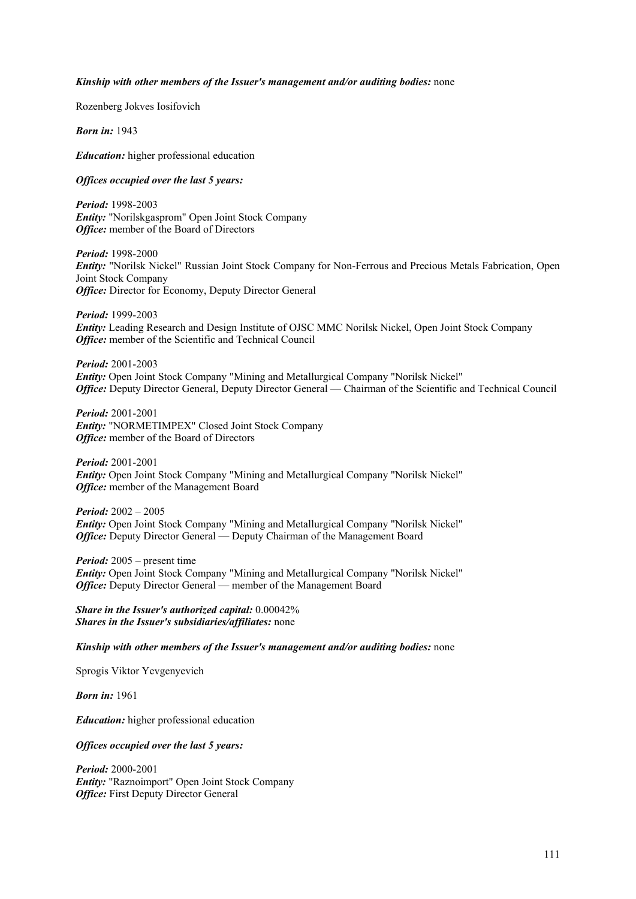#### *Kinship with other members of the Issuer's management and/or auditing bodies:* none

Rozenberg Jokves Iosifovich

*Born in:* 1943

*Education:* higher professional education

#### *Offices occupied over the last 5 years:*

*Period:* 1998-2003 *Entity:* "Norilskgasprom" Open Joint Stock Company *Office:* member of the Board of Directors

*Period:* 1998-2000 *Entity:* "Norilsk Nickel" Russian Joint Stock Company for Non-Ferrous and Precious Metals Fabrication, Open Joint Stock Company *Office:* Director for Economy, Deputy Director General

*Period:* 1999-2003 *Entity:* Leading Research and Design Institute of OJSC MMC Norilsk Nickel, Open Joint Stock Company *Office:* member of the Scientific and Technical Council

*Period:* 2001-2003 *Entity:* Open Joint Stock Company "Mining and Metallurgical Company "Norilsk Nickel" *Office:* Deputy Director General, Deputy Director General — Chairman of the Scientific and Technical Council

*Period:* 2001-2001 *Entity:* "NORMETIMPEX" Closed Joint Stock Company *Office:* member of the Board of Directors

*Period:* 2001-2001 *Entity:* Open Joint Stock Company "Mining and Metallurgical Company "Norilsk Nickel" *Office:* member of the Management Board

*Period:* 2002 – 2005 *Entity:* Open Joint Stock Company "Mining and Metallurgical Company "Norilsk Nickel" *Office:* Deputy Director General — Deputy Chairman of the Management Board

*Period:* 2005 – present time *Entity:* Open Joint Stock Company "Mining and Metallurgical Company "Norilsk Nickel" *Office:* Deputy Director General — member of the Management Board

*Share in the Issuer's authorized capital:* 0.00042% *Shares in the Issuer's subsidiaries/affiliates:* none

*Kinship with other members of the Issuer's management and/or auditing bodies:* none

Sprogis Viktor Yevgenyevich

*Born in:* 1961

*Education:* higher professional education

#### *Offices occupied over the last 5 years:*

*Period:* 2000-2001 *Entity:* "Raznoimport" Open Joint Stock Company *Office:* First Deputy Director General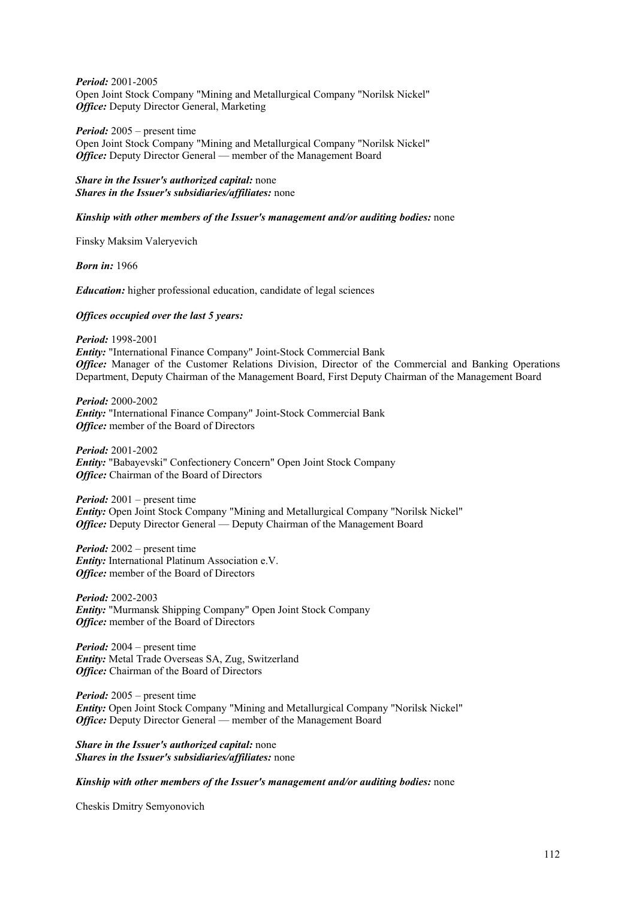*Period:* 2001-2005 Open Joint Stock Company "Mining and Metallurgical Company "Norilsk Nickel" *Office:* Deputy Director General, Marketing

*Period:* 2005 – present time Open Joint Stock Company "Mining and Metallurgical Company "Norilsk Nickel" *Office:* Deputy Director General — member of the Management Board

#### *Share in the Issuer's authorized capital:* none *Shares in the Issuer's subsidiaries/affiliates:* none

### *Kinship with other members of the Issuer's management and/or auditing bodies:* none

Finsky Maksim Valeryevich

*Born in:* 1966

*Education:* higher professional education, candidate of legal sciences

#### *Offices occupied over the last 5 years:*

*Period:* 1998-2001 *Entity:* "International Finance Company" Joint-Stock Commercial Bank *Office:* Manager of the Customer Relations Division, Director of the Commercial and Banking Operations Department, Deputy Chairman of the Management Board, First Deputy Chairman of the Management Board

*Period:* 2000-2002 *Entity:* "International Finance Company" Joint-Stock Commercial Bank *Office:* member of the Board of Directors

*Period:* 2001-2002 *Entity:* "Babayevski" Confectionery Concern" Open Joint Stock Company *Office:* Chairman of the Board of Directors

*Period:* 2001 – present time *Entity:* Open Joint Stock Company "Mining and Metallurgical Company "Norilsk Nickel" *Office:* Deputy Director General — Deputy Chairman of the Management Board

*Period:* 2002 – present time *Entity:* International Platinum Association e.V. *Office:* member of the Board of Directors

*Period:* 2002-2003 *Entity:* "Murmansk Shipping Company" Open Joint Stock Company *Office:* member of the Board of Directors

*Period:* 2004 – present time *Entity:* Metal Trade Overseas SA, Zug, Switzerland *Office:* Chairman of the Board of Directors

*Period:* 2005 – present time *Entity:* Open Joint Stock Company "Mining and Metallurgical Company "Norilsk Nickel" *Office:* Deputy Director General — member of the Management Board

*Share in the Issuer's authorized capital:* none *Shares in the Issuer's subsidiaries/affiliates:* none

*Kinship with other members of the Issuer's management and/or auditing bodies:* none

Cheskis Dmitry Semyonovich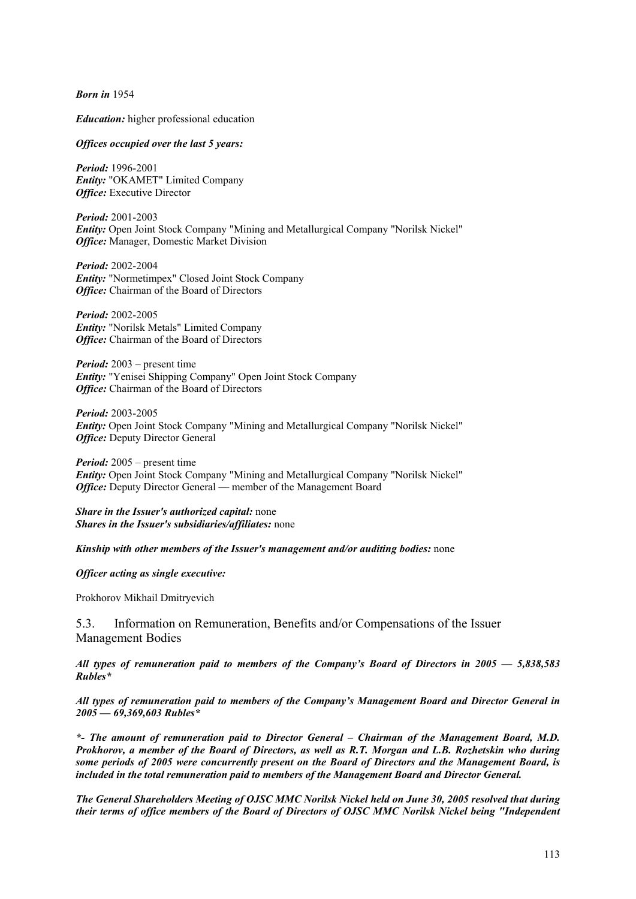*Born in* 1954

*Education:* higher professional education

#### *Offices occupied over the last 5 years:*

*Period:* 1996-2001 *Entity:* "OKAMET" Limited Company *Office:* Executive Director

*Period:* 2001-2003 *Entity:* Open Joint Stock Company "Mining and Metallurgical Company "Norilsk Nickel" *Office:* Manager, Domestic Market Division

*Period:* 2002-2004 *Entity:* "Normetimpex" Closed Joint Stock Company *Office:* Chairman of the Board of Directors

*Period:* 2002-2005 *Entity:* "Norilsk Metals" Limited Company *Office:* Chairman of the Board of Directors

*Period:* 2003 – present time *Entity:* "Yenisei Shipping Company" Open Joint Stock Company *Office:* Chairman of the Board of Directors

*Period:* 2003-2005 *Entity:* Open Joint Stock Company "Mining and Metallurgical Company "Norilsk Nickel" *Office:* Deputy Director General

*Period:* 2005 – present time *Entity:* Open Joint Stock Company "Mining and Metallurgical Company "Norilsk Nickel" *Office:* Deputy Director General — member of the Management Board

*Share in the Issuer's authorized capital:* none *Shares in the Issuer's subsidiaries/affiliates:* none

*Kinship with other members of the Issuer's management and/or auditing bodies:* none

*Officer acting as single executive:* 

Prokhorov Mikhail Dmitryevich

5.3. Information on Remuneration, Benefits and/or Compensations of the Issuer Management Bodies

*All types of remuneration paid to members of the Company's Board of Directors in 2005 — 5,838,583 Rubles\** 

*All types of remuneration paid to members of the Company's Management Board and Director General in 2005 — 69,369,603 Rubles\** 

*\*- The amount of remuneration paid to Director General – Chairman of the Management Board, M.D. Prokhorov, a member of the Board of Directors, as well as R.T. Morgan and L.B. Rozhetskin who during some periods of 2005 were concurrently present on the Board of Directors and the Management Board, is included in the total remuneration paid to members of the Management Board and Director General.* 

*The General Shareholders Meeting of OJSC MMC Norilsk Nickel held on June 30, 2005 resolved that during their terms of office members of the Board of Directors of OJSC MMC Norilsk Nickel being "Independent*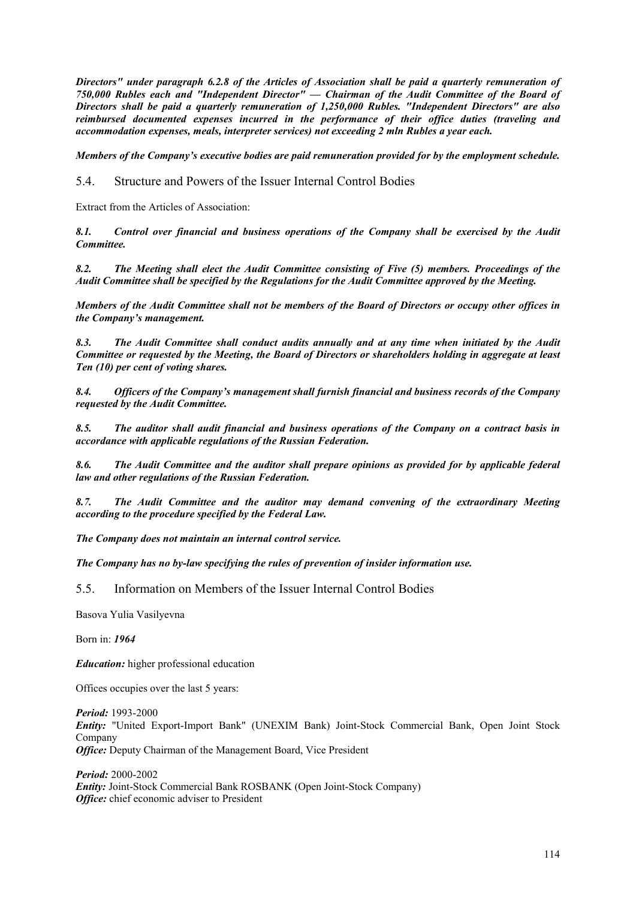*Directors" under paragraph 6.2.8 of the Articles of Association shall be paid a quarterly remuneration of 750,000 Rubles each and "Independent Director" — Chairman of the Audit Committee of the Board of Directors shall be paid a quarterly remuneration of 1,250,000 Rubles. "Independent Directors" are also reimbursed documented expenses incurred in the performance of their office duties (traveling and accommodation expenses, meals, interpreter services) not exceeding 2 mln Rubles a year each.* 

*Members of the Company's executive bodies are paid remuneration provided for by the employment schedule.*

5.4. Structure and Powers of the Issuer Internal Control Bodies

Extract from the Articles of Association:

*8.1. Control over financial and business operations of the Company shall be exercised by the Audit Committee.* 

*8.2. The Meeting shall elect the Audit Committee consisting of Five (5) members. Proceedings of the Audit Committee shall be specified by the Regulations for the Audit Committee approved by the Meeting.* 

*Members of the Audit Committee shall not be members of the Board of Directors or occupy other offices in the Company's management.* 

*8.3. The Audit Committee shall conduct audits annually and at any time when initiated by the Audit Committee or requested by the Meeting, the Board of Directors or shareholders holding in aggregate at least Ten (10) per cent of voting shares.* 

*8.4. Officers of the Company's management shall furnish financial and business records of the Company requested by the Audit Committee.* 

*8.5. The auditor shall audit financial and business operations of the Company on a contract basis in accordance with applicable regulations of the Russian Federation.* 

*8.6. The Audit Committee and the auditor shall prepare opinions as provided for by applicable federal law and other regulations of the Russian Federation.* 

*8.7. The Audit Committee and the auditor may demand convening of the extraordinary Meeting according to the procedure specified by the Federal Law.* 

*The Company does not maintain an internal control service.* 

*The Company has no by-law specifying the rules of prevention of insider information use.* 

5.5. Information on Members of the Issuer Internal Control Bodies

Basova Yulia Vasilyevna

Born in: *1964*

*Education:* higher professional education

Offices occupies over the last 5 years:

*Period:* 1993-2000 *Entity:* "United Export-Import Bank" (UNEXIM Bank) Joint-Stock Commercial Bank, Open Joint Stock Company *Office:* Deputy Chairman of the Management Board, Vice President

*Period:* 2000-2002 *Entity:* Joint-Stock Commercial Bank ROSBANK (Open Joint-Stock Company) *Office:* chief economic adviser to President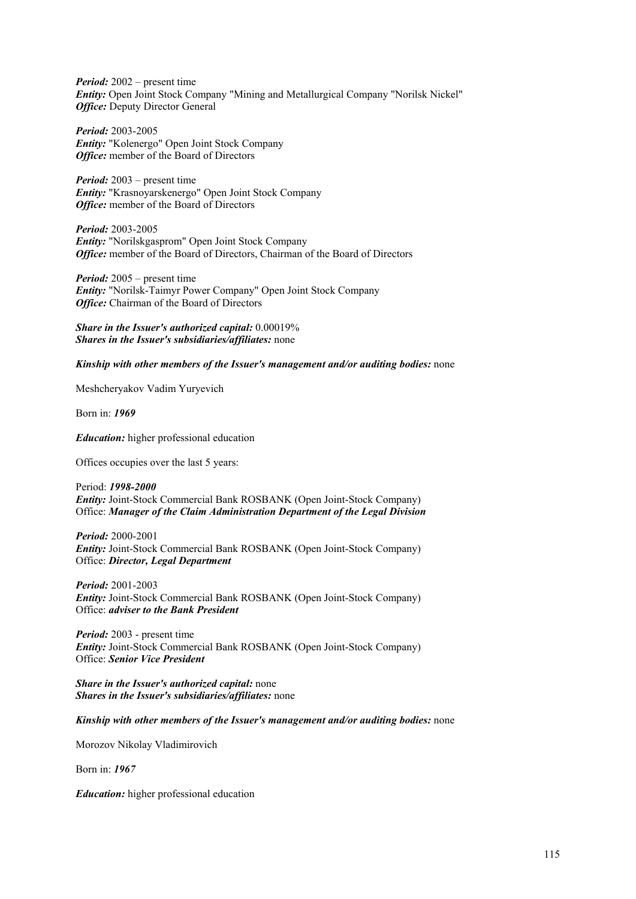*Period:* 2002 – present time *Entity:* Open Joint Stock Company "Mining and Metallurgical Company "Norilsk Nickel" *Office:* Deputy Director General

*Period:* 2003-2005 *Entity:* "Kolenergo" Open Joint Stock Company *Office:* member of the Board of Directors

*Period:* 2003 – present time *Entity:* "Krasnoyarskenergo" Open Joint Stock Company *Office:* member of the Board of Directors

*Period:* 2003-2005 *Entity:* "Norilskgasprom" Open Joint Stock Company *Office:* member of the Board of Directors, Chairman of the Board of Directors

*Period:* 2005 – present time *Entity:* "Norilsk-Taimyr Power Company" Open Joint Stock Company *Office:* Chairman of the Board of Directors

*Share in the Issuer's authorized capital:* 0.00019% *Shares in the Issuer's subsidiaries/affiliates:* none

*Kinship with other members of the Issuer's management and/or auditing bodies:* none

Meshcheryakov Vadim Yuryevich

Born in: *1969*

*Education:* higher professional education

Offices occupies over the last 5 years:

Period: *1998-2000 Entity:* Joint-Stock Commercial Bank ROSBANK (Open Joint-Stock Company) Office: *Manager of the Claim Administration Department of the Legal Division*

*Period:* 2000-2001 *Entity:* Joint-Stock Commercial Bank ROSBANK (Open Joint-Stock Company) Office: *Director, Legal Department*

*Period:* 2001-2003 *Entity:* Joint-Stock Commercial Bank ROSBANK (Open Joint-Stock Company) Office: *adviser to the Bank President*

*Period:* 2003 - present time *Entity:* Joint-Stock Commercial Bank ROSBANK (Open Joint-Stock Company) Office: *Senior Vice President*

*Share in the Issuer's authorized capital:* none *Shares in the Issuer's subsidiaries/affiliates:* none

*Kinship with other members of the Issuer's management and/or auditing bodies:* none

Morozov Nikolay Vladimirovich

Born in: *1967*

*Education:* higher professional education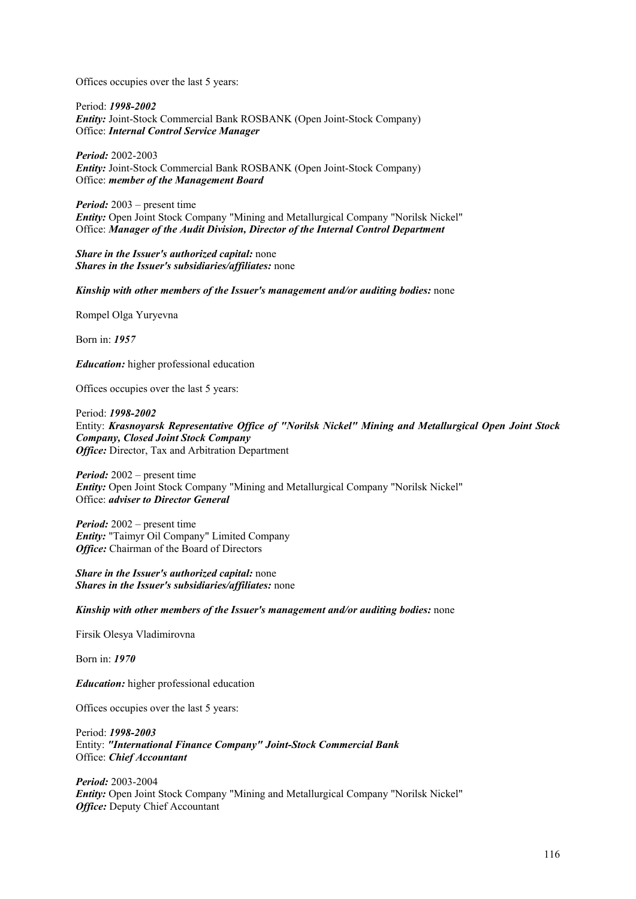Offices occupies over the last 5 years:

Period: *1998-2002 Entity:* Joint-Stock Commercial Bank ROSBANK (Open Joint-Stock Company) Office: *Internal Control Service Manager*

*Period:* 2002-2003 *Entity:* Joint-Stock Commercial Bank ROSBANK (Open Joint-Stock Company) Office: *member of the Management Board*

*Period:* 2003 – present time *Entity:* Open Joint Stock Company "Mining and Metallurgical Company "Norilsk Nickel" Office: *Manager of the Audit Division, Director of the Internal Control Department*

*Share in the Issuer's authorized capital:* none *Shares in the Issuer's subsidiaries/affiliates:* none

*Kinship with other members of the Issuer's management and/or auditing bodies:* none

Rompel Olga Yuryevna

Born in: *1957*

*Education:* higher professional education

Offices occupies over the last 5 years:

Period: *1998-2002* Entity: *Krasnoyarsk Representative Office of "Norilsk Nickel" Mining and Metallurgical Open Joint Stock Company, Closed Joint Stock Company Office:* Director, Tax and Arbitration Department

*Period:* 2002 – present time *Entity:* Open Joint Stock Company "Mining and Metallurgical Company "Norilsk Nickel" Office: *adviser to Director General*

*Period:* 2002 – present time *Entity:* "Taimyr Oil Company" Limited Company **Office:** Chairman of the Board of Directors

*Share in the Issuer's authorized capital:* none *Shares in the Issuer's subsidiaries/affiliates:* none

*Kinship with other members of the Issuer's management and/or auditing bodies:* none

Firsik Olesya Vladimirovna

Born in: *1970*

*Education:* higher professional education

Offices occupies over the last 5 years:

Period: *1998-2003* Entity: *"International Finance Company" Joint-Stock Commercial Bank*  Office: *Chief Accountant*

*Period:* 2003-2004 *Entity:* Open Joint Stock Company "Mining and Metallurgical Company "Norilsk Nickel" *Office:* Deputy Chief Accountant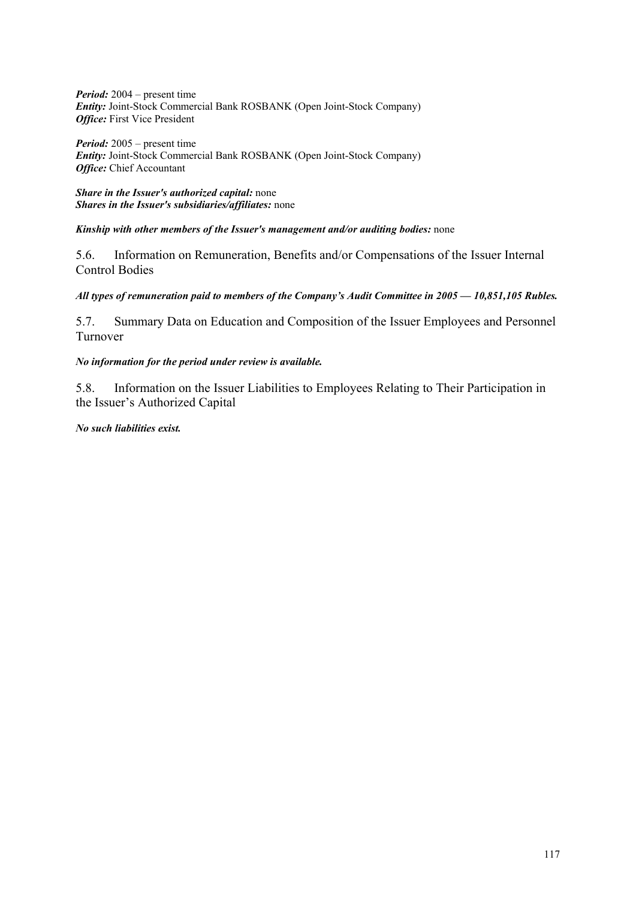*Period:* 2004 – present time *Entity:* Joint-Stock Commercial Bank ROSBANK (Open Joint-Stock Company) *Office:* First Vice President

*Period:* 2005 – present time *Entity:* Joint-Stock Commercial Bank ROSBANK (Open Joint-Stock Company) *Office:* Chief Accountant

*Share in the Issuer's authorized capital:* none *Shares in the Issuer's subsidiaries/affiliates:* none

*Kinship with other members of the Issuer's management and/or auditing bodies:* none

5.6. Information on Remuneration, Benefits and/or Compensations of the Issuer Internal Control Bodies

*All types of remuneration paid to members of the Company's Audit Committee in 2005 — 10,851,105 Rubles.* 

5.7. Summary Data on Education and Composition of the Issuer Employees and Personnel Turnover

*No information for the period under review is available.* 

5.8. Information on the Issuer Liabilities to Employees Relating to Their Participation in the Issuer's Authorized Capital

*No such liabilities exist.*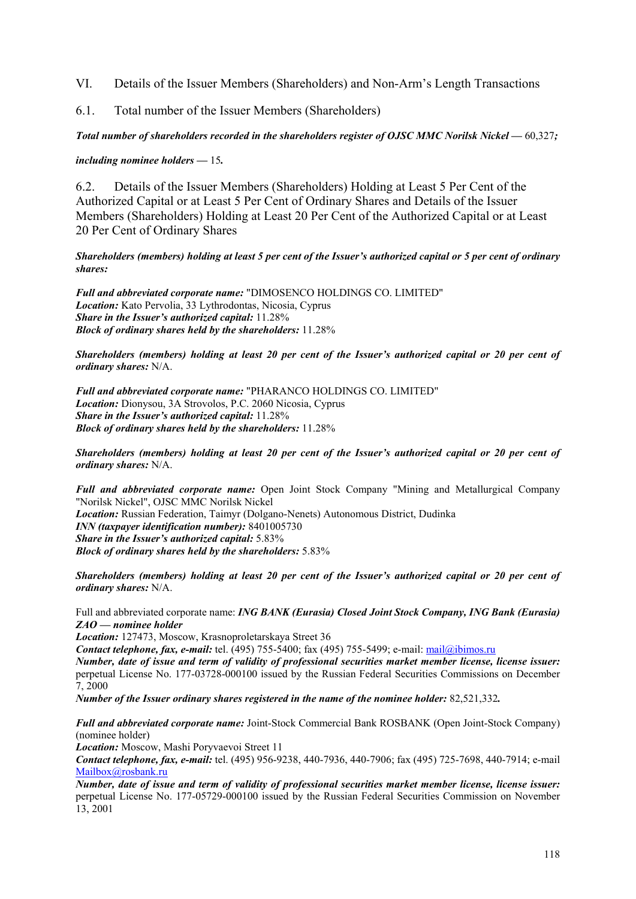VI. Details of the Issuer Members (Shareholders) and Non-Arm's Length Transactions

6.1. Total number of the Issuer Members (Shareholders)

*Total number of shareholders recorded in the shareholders register of OJSC MMC Norilsk Nickel —* 60,327*;* 

*including nominee holders —* 15*.* 

6.2. Details of the Issuer Members (Shareholders) Holding at Least 5 Per Cent of the Authorized Capital or at Least 5 Per Cent of Ordinary Shares and Details of the Issuer Members (Shareholders) Holding at Least 20 Per Cent of the Authorized Capital or at Least 20 Per Cent of Ordinary Shares

## *Shareholders (members) holding at least 5 per cent of the Issuer's authorized capital or 5 per cent of ordinary shares:*

*Full and abbreviated corporate name:* "DIMOSENCO HOLDINGS CO. LIMITED" *Location:* Kato Pervolia, 33 Lythrodontas, Nicosia, Cyprus *Share in the Issuer's authorized capital:* 11.28% *Block of ordinary shares held by the shareholders:* 11.28%

*Shareholders (members) holding at least 20 per cent of the Issuer's authorized capital or 20 per cent of ordinary shares:* N/A.

*Full and abbreviated corporate name:* "PHARANCO HOLDINGS CO. LIMITED" *Location:* Dionysou, 3A Strovolos, P.C. 2060 Nicosia, Cyprus *Share in the Issuer's authorized capital:* 11.28% *Block of ordinary shares held by the shareholders:* 11.28%

*Shareholders (members) holding at least 20 per cent of the Issuer's authorized capital or 20 per cent of ordinary shares:* N/A.

*Full and abbreviated corporate name:* Open Joint Stock Company "Mining and Metallurgical Company "Norilsk Nickel", OJSC MMC Norilsk Nickel

*Location:* Russian Federation, Taimyr (Dolgano-Nenets) Autonomous District, Dudinka *INN (taxpayer identification number):* 8401005730 *Share in the Issuer's authorized capital:* 5.83% *Block of ordinary shares held by the shareholders:* 5.83%

*Shareholders (members) holding at least 20 per cent of the Issuer's authorized capital or 20 per cent of ordinary shares:* N/A.

Full and abbreviated corporate name: *ING BANK (Eurasia) Closed Joint Stock Company, ING Bank (Eurasia) ZAO — nominee holder*

*Location:* 127473, Moscow, Krasnoproletarskaya Street 36

*Contact telephone, fax, e-mail:* tel. (495) 755-5400; fax (495) 755-5499; e-mail: mail@ibimos.ru

*Number, date of issue and term of validity of professional securities market member license, license issuer:*  perpetual License No. 177-03728-000100 issued by the Russian Federal Securities Commissions on December 7, 2000

*Number of the Issuer ordinary shares registered in the name of the nominee holder:* 82,521,332*.* 

*Full and abbreviated corporate name:* Joint-Stock Commercial Bank ROSBANK (Open Joint-Stock Company) (nominee holder)

*Location:* Moscow, Mashi Poryvaevoi Street 11

*Contact telephone, fax, e-mail:* tel. (495) 956-9238, 440-7936, 440-7906; fax (495) 725-7698, 440-7914; e-mail Mailbox@rosbank.ru

*Number, date of issue and term of validity of professional securities market member license, license issuer:*  perpetual License No. 177-05729-000100 issued by the Russian Federal Securities Commission on November 13, 2001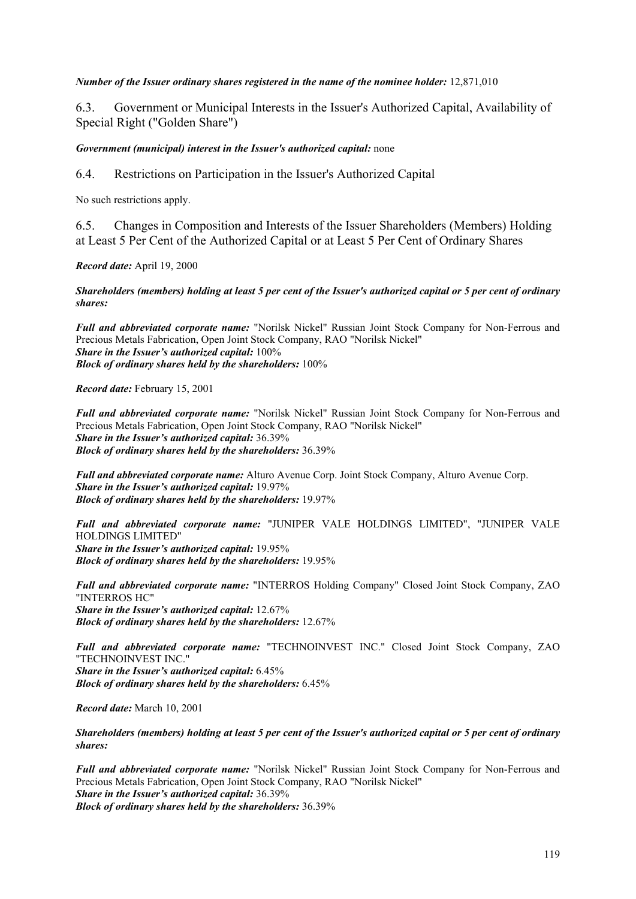## *Number of the Issuer ordinary shares registered in the name of the nominee holder:* 12,871,010

6.3. Government or Municipal Interests in the Issuer's Authorized Capital, Availability of Special Right ("Golden Share")

## *Government (municipal) interest in the Issuer's authorized capital:* none

6.4. Restrictions on Participation in the Issuer's Authorized Capital

No such restrictions apply.

6.5. Changes in Composition and Interests of the Issuer Shareholders (Members) Holding at Least 5 Per Cent of the Authorized Capital or at Least 5 Per Cent of Ordinary Shares

*Record date:* April 19, 2000

*Shareholders (members) holding at least 5 per cent of the Issuer's authorized capital or 5 per cent of ordinary shares:* 

*Full and abbreviated corporate name:* "Norilsk Nickel" Russian Joint Stock Company for Non-Ferrous and Precious Metals Fabrication, Open Joint Stock Company, RAO "Norilsk Nickel" *Share in the Issuer's authorized capital:* 100% *Block of ordinary shares held by the shareholders:* 100%

*Record date:* February 15, 2001

*Full and abbreviated corporate name:* "Norilsk Nickel" Russian Joint Stock Company for Non-Ferrous and Precious Metals Fabrication, Open Joint Stock Company, RAO "Norilsk Nickel" *Share in the Issuer's authorized capital:* 36.39% *Block of ordinary shares held by the shareholders:* 36.39%

*Full and abbreviated corporate name:* Alturo Avenue Corp. Joint Stock Company, Alturo Avenue Corp. *Share in the Issuer's authorized capital:* 19.97% *Block of ordinary shares held by the shareholders:* 19.97%

*Full and abbreviated corporate name:* "JUNIPER VALE HOLDINGS LIMITED", "JUNIPER VALE HOLDINGS LIMITED" *Share in the Issuer's authorized capital:* 19.95% *Block of ordinary shares held by the shareholders:* 19.95%

*Full and abbreviated corporate name:* "INTERROS Holding Company" Closed Joint Stock Company, ZAO "INTERROS HC" *Share in the Issuer's authorized capital:* 12.67% *Block of ordinary shares held by the shareholders:* 12.67%

*Full and abbreviated corporate name:* "TECHNOINVEST INC." Closed Joint Stock Company, ZAO "TECHNOINVEST INC." *Share in the Issuer's authorized capital:* 6.45% *Block of ordinary shares held by the shareholders:* 6.45%

*Record date:* March 10, 2001

*Shareholders (members) holding at least 5 per cent of the Issuer's authorized capital or 5 per cent of ordinary shares:* 

*Full and abbreviated corporate name:* "Norilsk Nickel" Russian Joint Stock Company for Non-Ferrous and Precious Metals Fabrication, Open Joint Stock Company, RAO "Norilsk Nickel" *Share in the Issuer's authorized capital:* 36.39% *Block of ordinary shares held by the shareholders:* 36.39%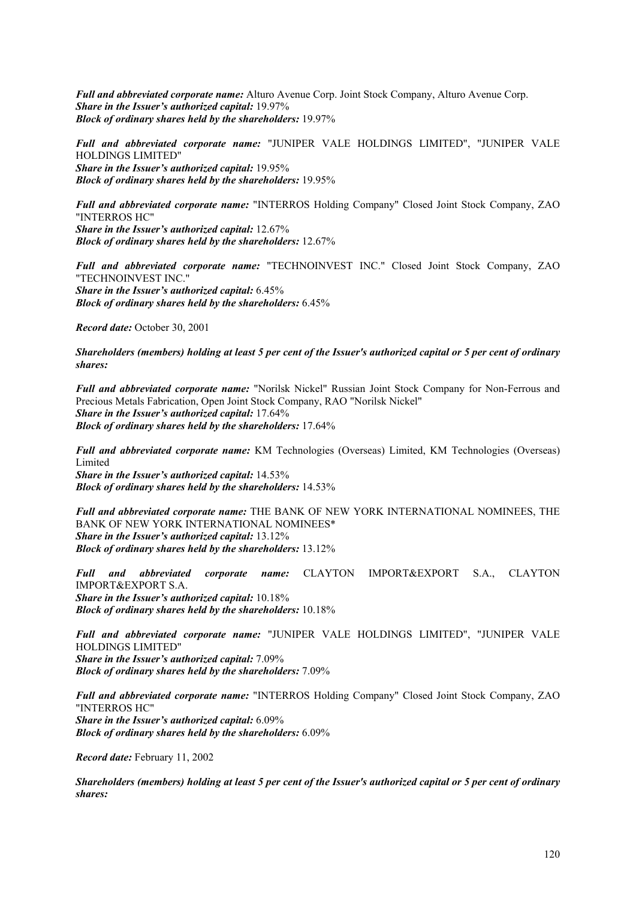*Full and abbreviated corporate name:* Alturo Avenue Corp. Joint Stock Company, Alturo Avenue Corp. *Share in the Issuer's authorized capital:* 19.97% *Block of ordinary shares held by the shareholders:* 19.97%

*Full and abbreviated corporate name:* "JUNIPER VALE HOLDINGS LIMITED", "JUNIPER VALE HOLDINGS LIMITED" *Share in the Issuer's authorized capital:* 19.95% *Block of ordinary shares held by the shareholders:* 19.95%

*Full and abbreviated corporate name:* "INTERROS Holding Company" Closed Joint Stock Company, ZAO "INTERROS HC" *Share in the Issuer's authorized capital:* 12.67% *Block of ordinary shares held by the shareholders:* 12.67%

*Full and abbreviated corporate name:* "TECHNOINVEST INC." Closed Joint Stock Company, ZAO "TECHNOINVEST INC." *Share in the Issuer's authorized capital:* 6.45% *Block of ordinary shares held by the shareholders:* 6.45%

*Record date:* October 30, 2001

*Shareholders (members) holding at least 5 per cent of the Issuer's authorized capital or 5 per cent of ordinary shares:* 

*Full and abbreviated corporate name:* "Norilsk Nickel" Russian Joint Stock Company for Non-Ferrous and Precious Metals Fabrication, Open Joint Stock Company, RAO "Norilsk Nickel" *Share in the Issuer's authorized capital:* 17.64% *Block of ordinary shares held by the shareholders:* 17.64%

*Full and abbreviated corporate name:* KM Technologies (Overseas) Limited, KM Technologies (Overseas) Limited *Share in the Issuer's authorized capital:* 14.53% *Block of ordinary shares held by the shareholders:* 14.53%

*Full and abbreviated corporate name:* THE BANK OF NEW YORK INTERNATIONAL NOMINEES, THE BANK OF NEW YORK INTERNATIONAL NOMINEES\* *Share in the Issuer's authorized capital:* 13.12% *Block of ordinary shares held by the shareholders:* 13.12%

*Full and abbreviated corporate name:* CLAYTON IMPORT&EXPORT S.A., CLAYTON IMPORT&EXPORT S.A. *Share in the Issuer's authorized capital:* 10.18% *Block of ordinary shares held by the shareholders:* 10.18%

*Full and abbreviated corporate name:* "JUNIPER VALE HOLDINGS LIMITED", "JUNIPER VALE HOLDINGS LIMITED" *Share in the Issuer's authorized capital:* 7.09% *Block of ordinary shares held by the shareholders:* 7.09%

*Full and abbreviated corporate name:* "INTERROS Holding Company" Closed Joint Stock Company, ZAO "INTERROS HC" *Share in the Issuer's authorized capital:* 6.09% *Block of ordinary shares held by the shareholders:* 6.09%

*Record date:* February 11, 2002

*Shareholders (members) holding at least 5 per cent of the Issuer's authorized capital or 5 per cent of ordinary shares:*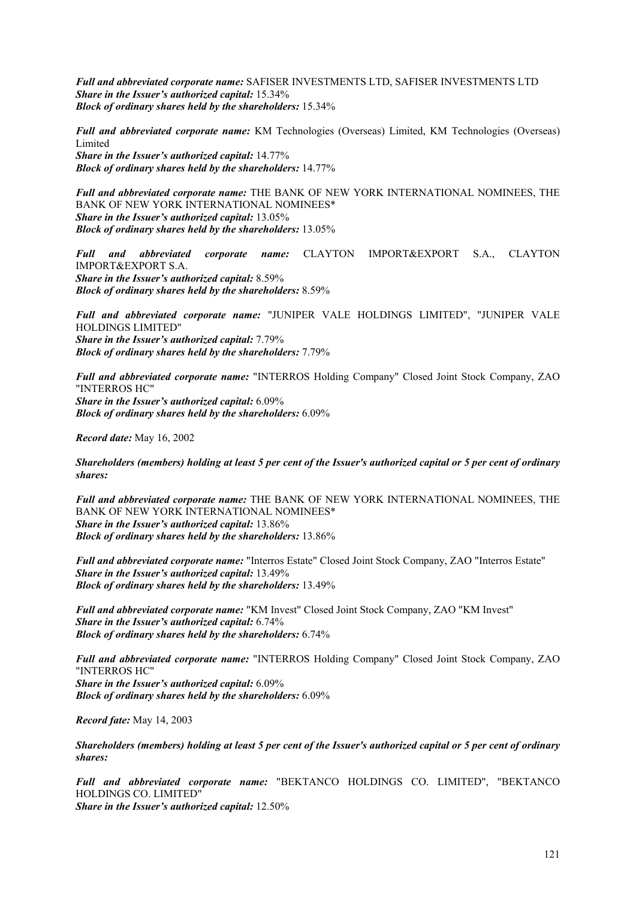*Full and abbreviated corporate name:* SAFISER INVESTMENTS LTD, SAFISER INVESTMENTS LTD *Share in the Issuer's authorized capital:* 15.34% *Block of ordinary shares held by the shareholders:* 15.34%

*Full and abbreviated corporate name:* KM Technologies (Overseas) Limited, KM Technologies (Overseas) Limited *Share in the Issuer's authorized capital:* 14.77%

*Block of ordinary shares held by the shareholders:* 14.77%

*Full and abbreviated corporate name:* THE BANK OF NEW YORK INTERNATIONAL NOMINEES, THE BANK OF NEW YORK INTERNATIONAL NOMINEES\* *Share in the Issuer's authorized capital:* 13.05% *Block of ordinary shares held by the shareholders:* 13.05%

*Full and abbreviated corporate name:* CLAYTON IMPORT&EXPORT S.A., CLAYTON IMPORT&EXPORT S.A. *Share in the Issuer's authorized capital:* 8.59% *Block of ordinary shares held by the shareholders:* 8.59%

*Full and abbreviated corporate name:* "JUNIPER VALE HOLDINGS LIMITED", "JUNIPER VALE HOLDINGS LIMITED" *Share in the Issuer's authorized capital:* 7.79% *Block of ordinary shares held by the shareholders:* 7.79%

*Full and abbreviated corporate name:* "INTERROS Holding Company" Closed Joint Stock Company, ZAO "INTERROS HC" *Share in the Issuer's authorized capital:* 6.09% *Block of ordinary shares held by the shareholders:* 6.09%

*Record date:* May 16, 2002

*Shareholders (members) holding at least 5 per cent of the Issuer's authorized capital or 5 per cent of ordinary shares:* 

*Full and abbreviated corporate name:* THE BANK OF NEW YORK INTERNATIONAL NOMINEES, THE BANK OF NEW YORK INTERNATIONAL NOMINEES\* *Share in the Issuer's authorized capital:* 13.86% *Block of ordinary shares held by the shareholders:* 13.86%

*Full and abbreviated corporate name:* "Interros Estate" Closed Joint Stock Company, ZAO "Interros Estate" *Share in the Issuer's authorized capital:* 13.49% *Block of ordinary shares held by the shareholders:* 13.49%

*Full and abbreviated corporate name:* "KM Invest" Closed Joint Stock Company, ZAO "KM Invest" *Share in the Issuer's authorized capital:* 6.74% *Block of ordinary shares held by the shareholders:* 6.74%

*Full and abbreviated corporate name:* "INTERROS Holding Company" Closed Joint Stock Company, ZAO "INTERROS HC" *Share in the Issuer's authorized capital:* 6.09% *Block of ordinary shares held by the shareholders:* 6.09%

*Record fate:* May 14, 2003

*Shareholders (members) holding at least 5 per cent of the Issuer's authorized capital or 5 per cent of ordinary shares:* 

*Full and abbreviated corporate name:* "BEKTANCO HOLDINGS CO. LIMITED", "BEKTANCO HOLDINGS CO. LIMITED" *Share in the Issuer's authorized capital:* 12.50%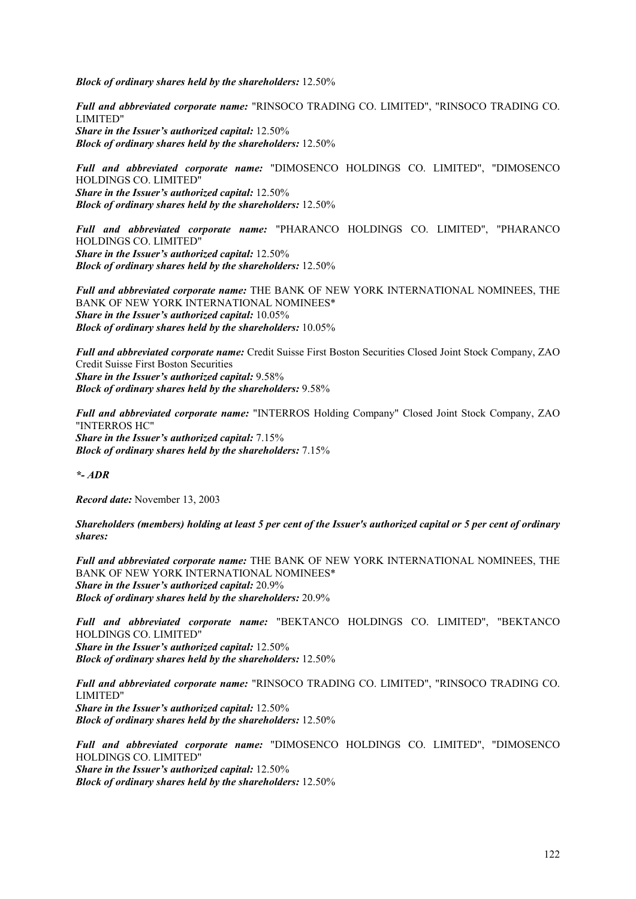*Block of ordinary shares held by the shareholders:* 12.50%

*Full and abbreviated corporate name:* "RINSOCO TRADING CO. LIMITED", "RINSOCO TRADING CO. LIMITED" *Share in the Issuer's authorized capital:* 12.50% *Block of ordinary shares held by the shareholders:* 12.50%

*Full and abbreviated corporate name:* "DIMOSENCO HOLDINGS CO. LIMITED", "DIMOSENCO HOLDINGS CO. LIMITED" *Share in the Issuer's authorized capital:* 12.50% *Block of ordinary shares held by the shareholders:* 12.50%

*Full and abbreviated corporate name:* "PHARANCO HOLDINGS CO. LIMITED", "PHARANCO HOLDINGS CO. LIMITED" *Share in the Issuer's authorized capital:* 12.50% *Block of ordinary shares held by the shareholders:* 12.50%

*Full and abbreviated corporate name:* THE BANK OF NEW YORK INTERNATIONAL NOMINEES, THE BANK OF NEW YORK INTERNATIONAL NOMINEES\* *Share in the Issuer's authorized capital:* 10.05% *Block of ordinary shares held by the shareholders:* 10.05%

*Full and abbreviated corporate name:* Credit Suisse First Boston Securities Closed Joint Stock Company, ZAO Credit Suisse First Boston Securities *Share in the Issuer's authorized capital:* 9.58% *Block of ordinary shares held by the shareholders:* 9.58%

*Full and abbreviated corporate name:* "INTERROS Holding Company" Closed Joint Stock Company, ZAO "INTERROS HC" *Share in the Issuer's authorized capital:* 7.15% *Block of ordinary shares held by the shareholders:* 7.15%

*\*- ADR* 

*Record date:* November 13, 2003

*Shareholders (members) holding at least 5 per cent of the Issuer's authorized capital or 5 per cent of ordinary shares:* 

*Full and abbreviated corporate name:* THE BANK OF NEW YORK INTERNATIONAL NOMINEES, THE BANK OF NEW YORK INTERNATIONAL NOMINEES\* *Share in the Issuer's authorized capital:* 20.9% *Block of ordinary shares held by the shareholders:* 20.9%

*Full and abbreviated corporate name:* "BEKTANCO HOLDINGS CO. LIMITED", "BEKTANCO HOLDINGS CO. LIMITED" *Share in the Issuer's authorized capital:* 12.50% *Block of ordinary shares held by the shareholders:* 12.50%

*Full and abbreviated corporate name:* "RINSOCO TRADING CO. LIMITED", "RINSOCO TRADING CO. LIMITED" *Share in the Issuer's authorized capital:* 12.50% *Block of ordinary shares held by the shareholders:* 12.50%

*Full and abbreviated corporate name:* "DIMOSENCO HOLDINGS CO. LIMITED", "DIMOSENCO HOLDINGS CO. LIMITED" *Share in the Issuer's authorized capital:* 12.50%

*Block of ordinary shares held by the shareholders:* 12.50%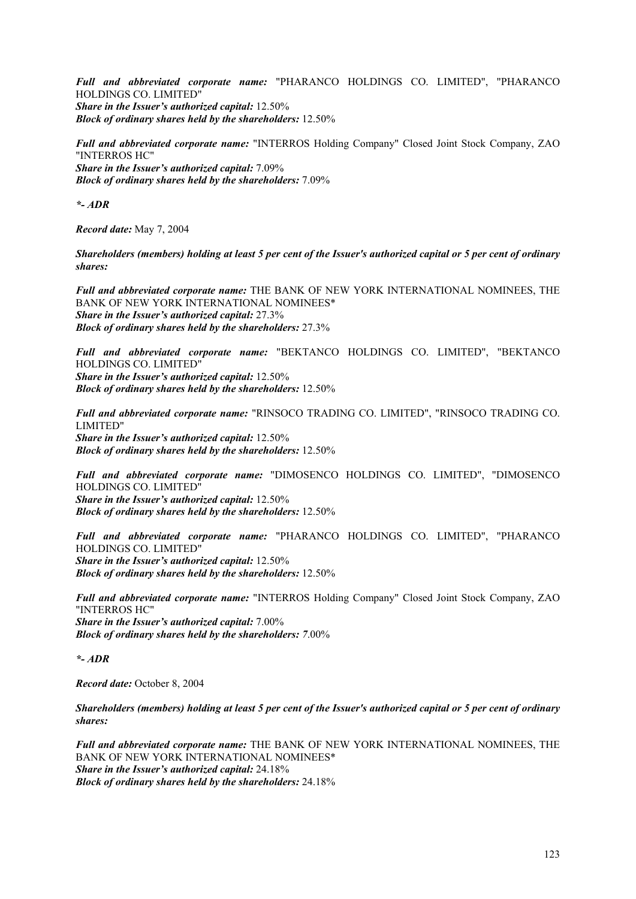*Full and abbreviated corporate name:* "PHARANCO HOLDINGS CO. LIMITED", "PHARANCO HOLDINGS CO. LIMITED" *Share in the Issuer's authorized capital:* 12.50% *Block of ordinary shares held by the shareholders:* 12.50%

*Full and abbreviated corporate name:* "INTERROS Holding Company" Closed Joint Stock Company, ZAO "INTERROS HC" *Share in the Issuer's authorized capital:* 7.09% *Block of ordinary shares held by the shareholders:* 7.09%

*\*- ADR* 

*Record date:* May 7, 2004

*Shareholders (members) holding at least 5 per cent of the Issuer's authorized capital or 5 per cent of ordinary shares:* 

*Full and abbreviated corporate name:* THE BANK OF NEW YORK INTERNATIONAL NOMINEES, THE BANK OF NEW YORK INTERNATIONAL NOMINEES\* *Share in the Issuer's authorized capital:* 27.3% *Block of ordinary shares held by the shareholders:* 27.3%

*Full and abbreviated corporate name:* "BEKTANCO HOLDINGS CO. LIMITED", "BEKTANCO HOLDINGS CO. LIMITED" *Share in the Issuer's authorized capital:* 12.50% *Block of ordinary shares held by the shareholders:* 12.50%

*Full and abbreviated corporate name:* "RINSOCO TRADING CO. LIMITED", "RINSOCO TRADING CO. LIMITED" *Share in the Issuer's authorized capital:* 12.50% *Block of ordinary shares held by the shareholders:* 12.50%

*Full and abbreviated corporate name:* "DIMOSENCO HOLDINGS CO. LIMITED", "DIMOSENCO HOLDINGS CO. LIMITED" *Share in the Issuer's authorized capital:* 12.50% *Block of ordinary shares held by the shareholders:* 12.50%

*Full and abbreviated corporate name:* "PHARANCO HOLDINGS CO. LIMITED", "PHARANCO HOLDINGS CO. LIMITED" *Share in the Issuer's authorized capital:* 12.50% *Block of ordinary shares held by the shareholders:* 12.50%

*Full and abbreviated corporate name:* "INTERROS Holding Company" Closed Joint Stock Company, ZAO "INTERROS HC" *Share in the Issuer's authorized capital:* 7.00% *Block of ordinary shares held by the shareholders: 7*.00%

*\*- ADR* 

*Record date:* October 8, 2004

*Shareholders (members) holding at least 5 per cent of the Issuer's authorized capital or 5 per cent of ordinary shares:* 

*Full and abbreviated corporate name:* THE BANK OF NEW YORK INTERNATIONAL NOMINEES, THE BANK OF NEW YORK INTERNATIONAL NOMINEES\* *Share in the Issuer's authorized capital:* 24.18% *Block of ordinary shares held by the shareholders:* 24.18%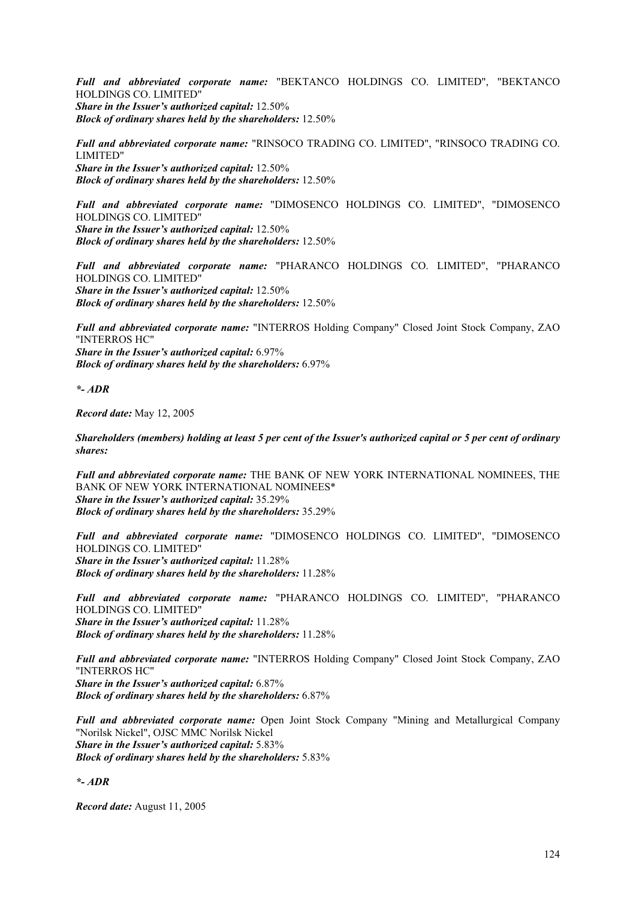*Full and abbreviated corporate name:* "BEKTANCO HOLDINGS CO. LIMITED", "BEKTANCO HOLDINGS CO. LIMITED" *Share in the Issuer's authorized capital:* 12.50% *Block of ordinary shares held by the shareholders:* 12.50%

*Full and abbreviated corporate name:* "RINSOCO TRADING CO. LIMITED", "RINSOCO TRADING CO. LIMITED" *Share in the Issuer's authorized capital:* 12.50% *Block of ordinary shares held by the shareholders:* 12.50%

*Full and abbreviated corporate name:* "DIMOSENCO HOLDINGS CO. LIMITED", "DIMOSENCO HOLDINGS CO. LIMITED" *Share in the Issuer's authorized capital:* 12.50% *Block of ordinary shares held by the shareholders:* 12.50%

*Full and abbreviated corporate name:* "PHARANCO HOLDINGS CO. LIMITED", "PHARANCO HOLDINGS CO. LIMITED" *Share in the Issuer's authorized capital:* 12.50% *Block of ordinary shares held by the shareholders:* 12.50%

*Full and abbreviated corporate name:* "INTERROS Holding Company" Closed Joint Stock Company, ZAO "INTERROS HC" *Share in the Issuer's authorized capital:* 6.97% *Block of ordinary shares held by the shareholders:* 6.97%

*\*- ADR* 

*Record date:* May 12, 2005

*Shareholders (members) holding at least 5 per cent of the Issuer's authorized capital or 5 per cent of ordinary shares:* 

*Full and abbreviated corporate name:* THE BANK OF NEW YORK INTERNATIONAL NOMINEES, THE BANK OF NEW YORK INTERNATIONAL NOMINEES\* *Share in the Issuer's authorized capital:* 35.29% *Block of ordinary shares held by the shareholders:* 35.29%

*Full and abbreviated corporate name:* "DIMOSENCO HOLDINGS CO. LIMITED", "DIMOSENCO HOLDINGS CO. LIMITED" *Share in the Issuer's authorized capital:* 11.28% *Block of ordinary shares held by the shareholders:* 11.28%

*Full and abbreviated corporate name:* "PHARANCO HOLDINGS CO. LIMITED", "PHARANCO HOLDINGS CO. LIMITED" *Share in the Issuer's authorized capital:* 11.28% *Block of ordinary shares held by the shareholders:* 11.28%

*Full and abbreviated corporate name:* "INTERROS Holding Company" Closed Joint Stock Company, ZAO "INTERROS HC" *Share in the Issuer's authorized capital:* 6.87% *Block of ordinary shares held by the shareholders:* 6.87%

*Full and abbreviated corporate name:* Open Joint Stock Company "Mining and Metallurgical Company "Norilsk Nickel", OJSC MMC Norilsk Nickel *Share in the Issuer's authorized capital:* 5.83% *Block of ordinary shares held by the shareholders:* 5.83%

*\*- ADR* 

*Record date:* August 11, 2005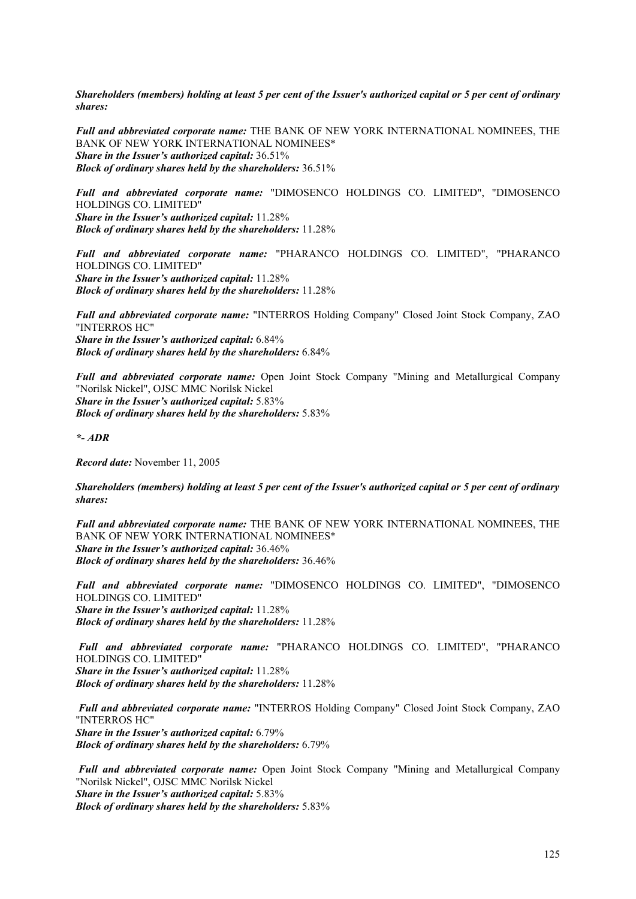*Shareholders (members) holding at least 5 per cent of the Issuer's authorized capital or 5 per cent of ordinary shares:* 

*Full and abbreviated corporate name:* THE BANK OF NEW YORK INTERNATIONAL NOMINEES, THE BANK OF NEW YORK INTERNATIONAL NOMINEES\* *Share in the Issuer's authorized capital:* 36.51% *Block of ordinary shares held by the shareholders:* 36.51%

*Full and abbreviated corporate name:* "DIMOSENCO HOLDINGS CO. LIMITED", "DIMOSENCO HOLDINGS CO. LIMITED" *Share in the Issuer's authorized capital:* 11.28% *Block of ordinary shares held by the shareholders:* 11.28%

*Full and abbreviated corporate name:* "PHARANCO HOLDINGS CO. LIMITED", "PHARANCO HOLDINGS CO. LIMITED" *Share in the Issuer's authorized capital:* 11.28% *Block of ordinary shares held by the shareholders:* 11.28%

*Full and abbreviated corporate name:* "INTERROS Holding Company" Closed Joint Stock Company, ZAO "INTERROS HC" *Share in the Issuer's authorized capital:* 6.84% *Block of ordinary shares held by the shareholders:* 6.84%

*Full and abbreviated corporate name:* Open Joint Stock Company "Mining and Metallurgical Company "Norilsk Nickel", OJSC MMC Norilsk Nickel *Share in the Issuer's authorized capital:* 5.83% *Block of ordinary shares held by the shareholders:* 5.83%

*\*- ADR* 

*Record date:* November 11, 2005

*Shareholders (members) holding at least 5 per cent of the Issuer's authorized capital or 5 per cent of ordinary shares:* 

*Full and abbreviated corporate name:* THE BANK OF NEW YORK INTERNATIONAL NOMINEES, THE BANK OF NEW YORK INTERNATIONAL NOMINEES\* *Share in the Issuer's authorized capital:* 36.46% *Block of ordinary shares held by the shareholders:* 36.46%

*Full and abbreviated corporate name:* "DIMOSENCO HOLDINGS CO. LIMITED", "DIMOSENCO HOLDINGS CO. LIMITED" *Share in the Issuer's authorized capital:* 11.28% *Block of ordinary shares held by the shareholders:* 11.28%

 *Full and abbreviated corporate name:* "PHARANCO HOLDINGS CO. LIMITED", "PHARANCO HOLDINGS CO. LIMITED" *Share in the Issuer's authorized capital:* 11.28% *Block of ordinary shares held by the shareholders:* 11.28%

 *Full and abbreviated corporate name:* "INTERROS Holding Company" Closed Joint Stock Company, ZAO "INTERROS HC" *Share in the Issuer's authorized capital:* 6.79% *Block of ordinary shares held by the shareholders:* 6.79%

*Full and abbreviated corporate name:* Open Joint Stock Company "Mining and Metallurgical Company "Norilsk Nickel", OJSC MMC Norilsk Nickel *Share in the Issuer's authorized capital:* 5.83% *Block of ordinary shares held by the shareholders:* 5.83%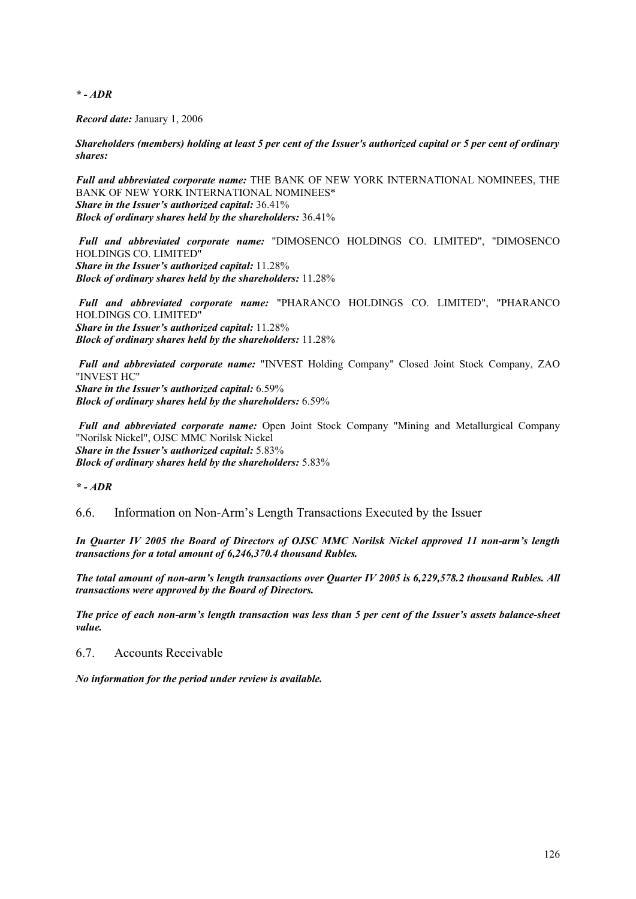*\* - ADR* 

*Record date:* January 1, 2006

*Shareholders (members) holding at least 5 per cent of the Issuer's authorized capital or 5 per cent of ordinary shares:*

*Full and abbreviated corporate name:* THE BANK OF NEW YORK INTERNATIONAL NOMINEES, THE BANK OF NEW YORK INTERNATIONAL NOMINEES\* *Share in the Issuer's authorized capital:* 36.41% *Block of ordinary shares held by the shareholders:* 36.41%

 *Full and abbreviated corporate name:* "DIMOSENCO HOLDINGS CO. LIMITED", "DIMOSENCO HOLDINGS CO. LIMITED" *Share in the Issuer's authorized capital:* 11.28% *Block of ordinary shares held by the shareholders:* 11.28%

 *Full and abbreviated corporate name:* "PHARANCO HOLDINGS CO. LIMITED", "PHARANCO HOLDINGS CO. LIMITED" *Share in the Issuer's authorized capital:* 11.28% *Block of ordinary shares held by the shareholders:* 11.28%

 *Full and abbreviated corporate name:* "INVEST Holding Company" Closed Joint Stock Company, ZAO "INVEST HC" *Share in the Issuer's authorized capital:* 6.59% *Block of ordinary shares held by the shareholders:* 6.59%

*Full and abbreviated corporate name:* Open Joint Stock Company "Mining and Metallurgical Company "Norilsk Nickel", OJSC MMC Norilsk Nickel *Share in the Issuer's authorized capital:* 5.83% *Block of ordinary shares held by the shareholders:* 5.83%

*\* - ADR*

6.6. Information on Non-Arm's Length Transactions Executed by the Issuer

*In Quarter IV 2005 the Board of Directors of OJSC MMC Norilsk Nickel approved 11 non-arm's length transactions for a total amount of 6,246,370.4 thousand Rubles.* 

*The total amount of non-arm's length transactions over Quarter IV 2005 is 6,229,578.2 thousand Rubles. All transactions were approved by the Board of Directors.* 

*The price of each non-arm's length transaction was less than 5 per cent of the Issuer's assets balance-sheet value.*

6.7. Accounts Receivable

*No information for the period under review is available.*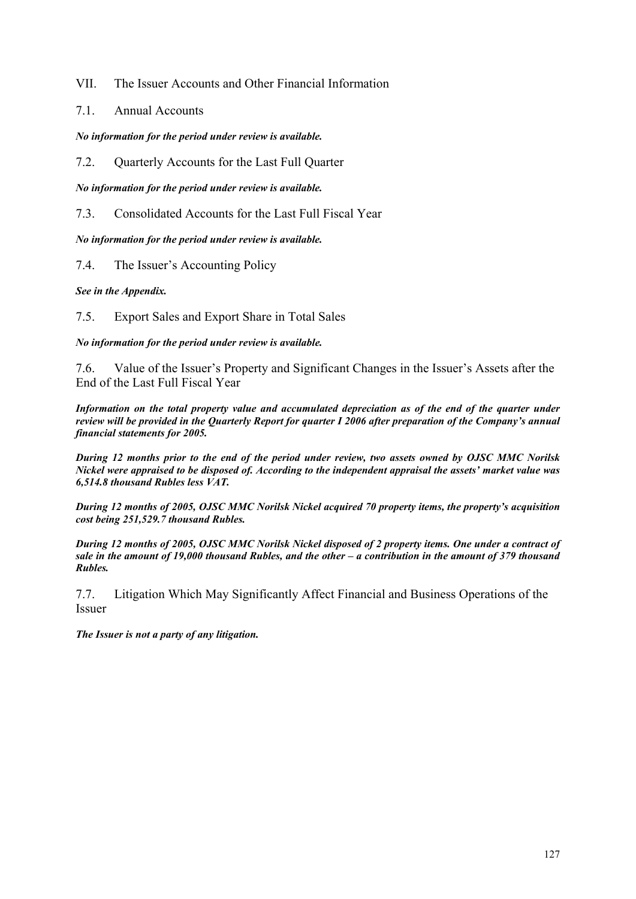VII. The Issuer Accounts and Other Financial Information

7.1. Annual Accounts

*No information for the period under review is available.*

7.2. Quarterly Accounts for the Last Full Quarter

*No information for the period under review is available.*

7.3. Consolidated Accounts for the Last Full Fiscal Year

*No information for the period under review is available.*

7.4. The Issuer's Accounting Policy

*See in the Appendix.* 

7.5. Export Sales and Export Share in Total Sales

*No information for the period under review is available.* 

7.6. Value of the Issuer's Property and Significant Changes in the Issuer's Assets after the End of the Last Full Fiscal Year

*Information on the total property value and accumulated depreciation as of the end of the quarter under review will be provided in the Quarterly Report for quarter I 2006 after preparation of the Company's annual financial statements for 2005.* 

*During 12 months prior to the end of the period under review, two assets owned by OJSC MMC Norilsk Nickel were appraised to be disposed of. According to the independent appraisal the assets' market value was 6,514.8 thousand Rubles less VAT.* 

*During 12 months of 2005, OJSC MMC Norilsk Nickel acquired 70 property items, the property's acquisition cost being 251,529.7 thousand Rubles.* 

*During 12 months of 2005, OJSC MMC Norilsk Nickel disposed of 2 property items. One under a contract of sale in the amount of 19,000 thousand Rubles, and the other – a contribution in the amount of 379 thousand Rubles.* 

7.7. Litigation Which May Significantly Affect Financial and Business Operations of the Issuer

*The Issuer is not a party of any litigation.*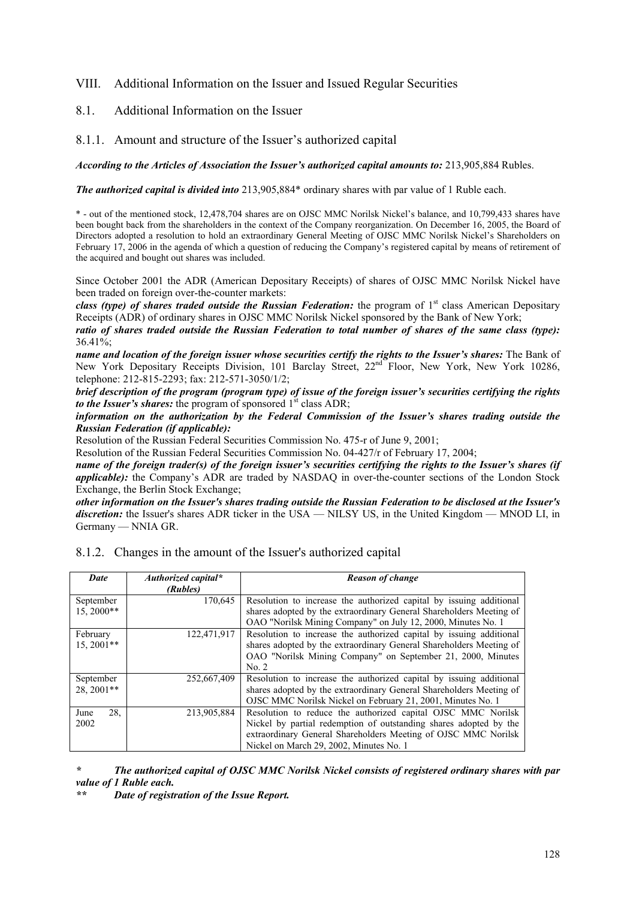# VIII. Additional Information on the Issuer and Issued Regular Securities

## 8.1. Additional Information on the Issuer

## 8.1.1. Amount and structure of the Issuer's authorized capital

#### *According to the Articles of Association the Issuer's authorized capital amounts to:* 213,905,884 Rubles.

*The authorized capital is divided into* 213,905,884\* ordinary shares with par value of 1 Ruble each.

\* - out of the mentioned stock, 12,478,704 shares are on OJSC MMC Norilsk Nickel's balance, and 10,799,433 shares have been bought back from the shareholders in the context of the Company reorganization. On December 16, 2005, the Board of Directors adopted a resolution to hold an extraordinary General Meeting of OJSC MMC Norilsk Nickel's Shareholders on February 17, 2006 in the agenda of which a question of reducing the Company's registered capital by means of retirement of the acquired and bought out shares was included.

Since October 2001 the ADR (American Depositary Receipts) of shares of OJSC MMC Norilsk Nickel have been traded on foreign over-the-counter markets:

*class (type) of shares traded outside the Russian Federation:* the program of 1<sup>st</sup> class American Depositary Receipts (ADR) of ordinary shares in OJSC MMC Norilsk Nickel sponsored by the Bank of New York;

*ratio of shares traded outside the Russian Federation to total number of shares of the same class (type):*  36.41%;

*name and location of the foreign issuer whose securities certify the rights to the Issuer's shares:* The Bank of New York Depositary Receipts Division, 101 Barclay Street, 22<sup>nd</sup> Floor, New York, New York 10286, telephone: 212-815-2293; fax: 212-571-3050/1/2;

*brief description of the program (program type) of issue of the foreign issuer's securities certifying the rights to the Issuer's shares:* the program of sponsored 1<sup>st</sup> class ADR;

*information on the authorization by the Federal Commission of the Issuer's shares trading outside the Russian Federation (if applicable):* 

Resolution of the Russian Federal Securities Commission No. 475-r of June 9, 2001;

Resolution of the Russian Federal Securities Commission No. 04-427/r of February 17, 2004;

*name of the foreign trader(s) of the foreign issuer's securities certifying the rights to the Issuer's shares (if applicable)*: the Company's ADR are traded by NASDAQ in over-the-counter sections of the London Stock Exchange, the Berlin Stock Exchange;

*other information on the Issuer's shares trading outside the Russian Federation to be disclosed at the Issuer's discretion:* the Issuer's shares ADR ticker in the USA — NILSY US, in the United Kingdom — MNOD LI, in Germany — NNIA GR.

| Date        | Authorized capital* | <b>Reason of change</b>                                             |
|-------------|---------------------|---------------------------------------------------------------------|
|             | (Rubles)            |                                                                     |
| September   | 170,645             | Resolution to increase the authorized capital by issuing additional |
| 15.2000**   |                     | shares adopted by the extraordinary General Shareholders Meeting of |
|             |                     | OAO "Norilsk Mining Company" on July 12, 2000, Minutes No. 1        |
| February    | 122,471,917         | Resolution to increase the authorized capital by issuing additional |
| $15.2001**$ |                     | shares adopted by the extraordinary General Shareholders Meeting of |
|             |                     | OAO "Norilsk Mining Company" on September 21, 2000, Minutes         |
|             |                     | No. 2                                                               |
| September   | 252,667,409         | Resolution to increase the authorized capital by issuing additional |
| 28.2001**   |                     | shares adopted by the extraordinary General Shareholders Meeting of |
|             |                     | OJSC MMC Norilsk Nickel on February 21, 2001, Minutes No. 1         |
| 28.<br>June | 213,905,884         | Resolution to reduce the authorized capital OJSC MMC Norilsk        |
| 2002        |                     | Nickel by partial redemption of outstanding shares adopted by the   |
|             |                     | extraordinary General Shareholders Meeting of OJSC MMC Norilsk      |
|             |                     | Nickel on March 29, 2002, Minutes No. 1                             |

## 8.1.2. Changes in the amount of the Issuer's authorized capital

*\* The authorized capital of OJSC MMC Norilsk Nickel consists of registered ordinary shares with par value of 1 Ruble each.* 

*\*\* Date of registration of the Issue Report.*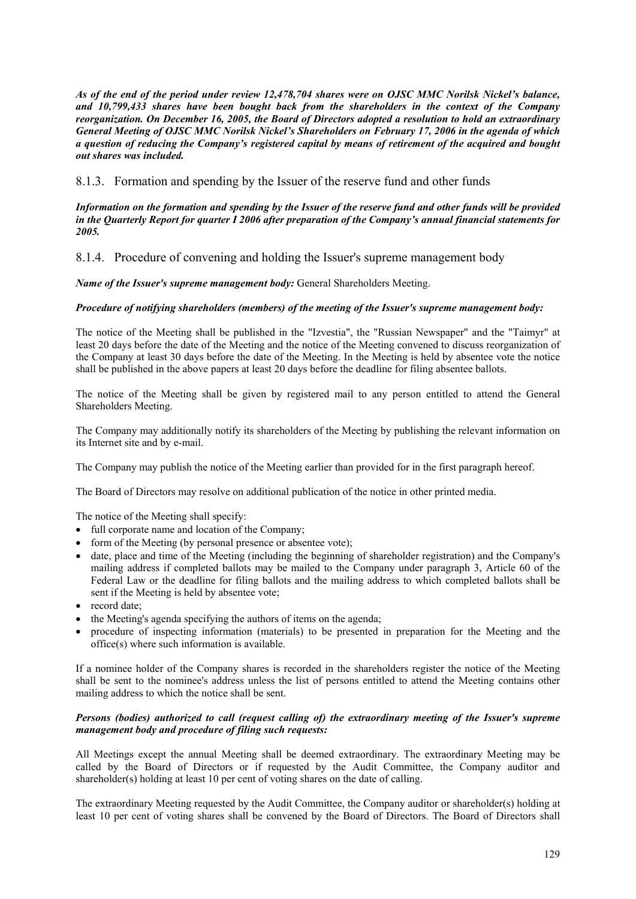*As of the end of the period under review 12,478,704 shares were on OJSC MMC Norilsk Nickel's balance, and 10,799,433 shares have been bought back from the shareholders in the context of the Company reorganization. On December 16, 2005, the Board of Directors adopted a resolution to hold an extraordinary General Meeting of OJSC MMC Norilsk Nickel's Shareholders on February 17, 2006 in the agenda of which a question of reducing the Company's registered capital by means of retirement of the acquired and bought out shares was included.* 

## 8.1.3. Formation and spending by the Issuer of the reserve fund and other funds

#### *Information on the formation and spending by the Issuer of the reserve fund and other funds will be provided in the Quarterly Report for quarter I 2006 after preparation of the Company's annual financial statements for 2005.*

8.1.4. Procedure of convening and holding the Issuer's supreme management body

*Name of the Issuer's supreme management body:* General Shareholders Meeting.

## *Procedure of notifying shareholders (members) of the meeting of the Issuer's supreme management body:*

The notice of the Meeting shall be published in the "Izvestia", the "Russian Newspaper" and the "Taimyr" at least 20 days before the date of the Meeting and the notice of the Meeting convened to discuss reorganization of the Company at least 30 days before the date of the Meeting. In the Meeting is held by absentee vote the notice shall be published in the above papers at least 20 days before the deadline for filing absentee ballots.

The notice of the Meeting shall be given by registered mail to any person entitled to attend the General Shareholders Meeting.

The Company may additionally notify its shareholders of the Meeting by publishing the relevant information on its Internet site and by e-mail.

The Company may publish the notice of the Meeting earlier than provided for in the first paragraph hereof.

The Board of Directors may resolve on additional publication of the notice in other printed media.

The notice of the Meeting shall specify:

- full corporate name and location of the Company;
- form of the Meeting (by personal presence or absentee vote):
- date, place and time of the Meeting (including the beginning of shareholder registration) and the Company's mailing address if completed ballots may be mailed to the Company under paragraph 3, Article 60 of the Federal Law or the deadline for filing ballots and the mailing address to which completed ballots shall be sent if the Meeting is held by absentee vote;
- record date:
- the Meeting's agenda specifying the authors of items on the agenda;
- procedure of inspecting information (materials) to be presented in preparation for the Meeting and the office(s) where such information is available.

If a nominee holder of the Company shares is recorded in the shareholders register the notice of the Meeting shall be sent to the nominee's address unless the list of persons entitled to attend the Meeting contains other mailing address to which the notice shall be sent.

## *Persons (bodies) authorized to call (request calling of) the extraordinary meeting of the Issuer's supreme management body and procedure of filing such requests:*

All Meetings except the annual Meeting shall be deemed extraordinary. The extraordinary Meeting may be called by the Board of Directors or if requested by the Audit Committee, the Company auditor and shareholder(s) holding at least 10 per cent of voting shares on the date of calling.

The extraordinary Meeting requested by the Audit Committee, the Company auditor or shareholder(s) holding at least 10 per cent of voting shares shall be convened by the Board of Directors. The Board of Directors shall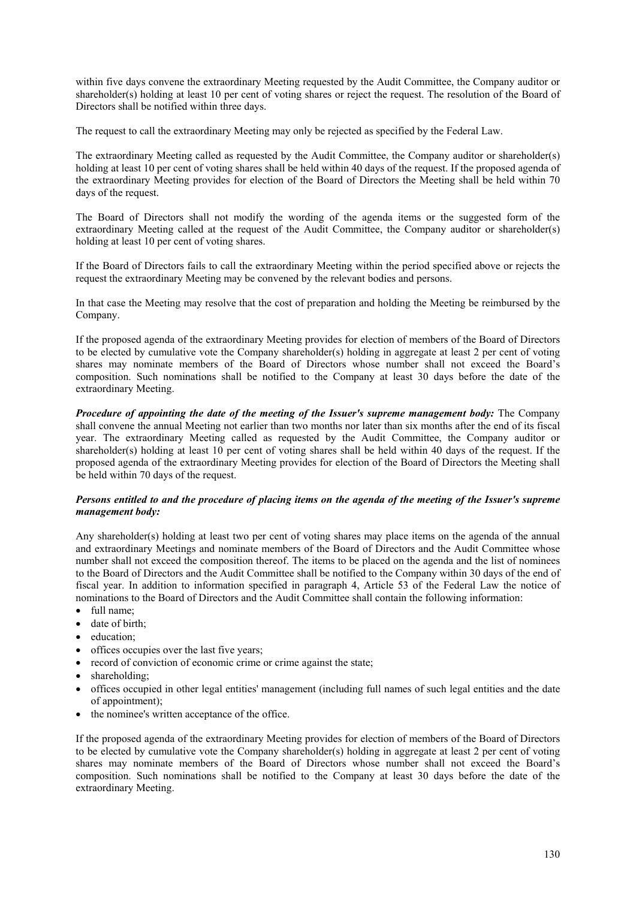within five days convene the extraordinary Meeting requested by the Audit Committee, the Company auditor or shareholder(s) holding at least 10 per cent of voting shares or reject the request. The resolution of the Board of Directors shall be notified within three days.

The request to call the extraordinary Meeting may only be rejected as specified by the Federal Law.

The extraordinary Meeting called as requested by the Audit Committee, the Company auditor or shareholder(s) holding at least 10 per cent of voting shares shall be held within 40 days of the request. If the proposed agenda of the extraordinary Meeting provides for election of the Board of Directors the Meeting shall be held within 70 days of the request.

The Board of Directors shall not modify the wording of the agenda items or the suggested form of the extraordinary Meeting called at the request of the Audit Committee, the Company auditor or shareholder(s) holding at least 10 per cent of voting shares.

If the Board of Directors fails to call the extraordinary Meeting within the period specified above or rejects the request the extraordinary Meeting may be convened by the relevant bodies and persons.

In that case the Meeting may resolve that the cost of preparation and holding the Meeting be reimbursed by the Company.

If the proposed agenda of the extraordinary Meeting provides for election of members of the Board of Directors to be elected by cumulative vote the Company shareholder(s) holding in aggregate at least 2 per cent of voting shares may nominate members of the Board of Directors whose number shall not exceed the Board's composition. Such nominations shall be notified to the Company at least 30 days before the date of the extraordinary Meeting.

*Procedure of appointing the date of the meeting of the Issuer's supreme management body:* The Company shall convene the annual Meeting not earlier than two months nor later than six months after the end of its fiscal year. The extraordinary Meeting called as requested by the Audit Committee, the Company auditor or shareholder(s) holding at least 10 per cent of voting shares shall be held within 40 days of the request. If the proposed agenda of the extraordinary Meeting provides for election of the Board of Directors the Meeting shall be held within 70 days of the request.

#### *Persons entitled to and the procedure of placing items on the agenda of the meeting of the Issuer's supreme management body:*

Any shareholder(s) holding at least two per cent of voting shares may place items on the agenda of the annual and extraordinary Meetings and nominate members of the Board of Directors and the Audit Committee whose number shall not exceed the composition thereof. The items to be placed on the agenda and the list of nominees to the Board of Directors and the Audit Committee shall be notified to the Company within 30 days of the end of fiscal year. In addition to information specified in paragraph 4, Article 53 of the Federal Law the notice of nominations to the Board of Directors and the Audit Committee shall contain the following information:

- full name:
- date of birth;
- education;
- offices occupies over the last five years;
- record of conviction of economic crime or crime against the state:
- shareholding;
- offices occupied in other legal entities' management (including full names of such legal entities and the date of appointment);
- the nominee's written acceptance of the office.

If the proposed agenda of the extraordinary Meeting provides for election of members of the Board of Directors to be elected by cumulative vote the Company shareholder(s) holding in aggregate at least 2 per cent of voting shares may nominate members of the Board of Directors whose number shall not exceed the Board's composition. Such nominations shall be notified to the Company at least 30 days before the date of the extraordinary Meeting.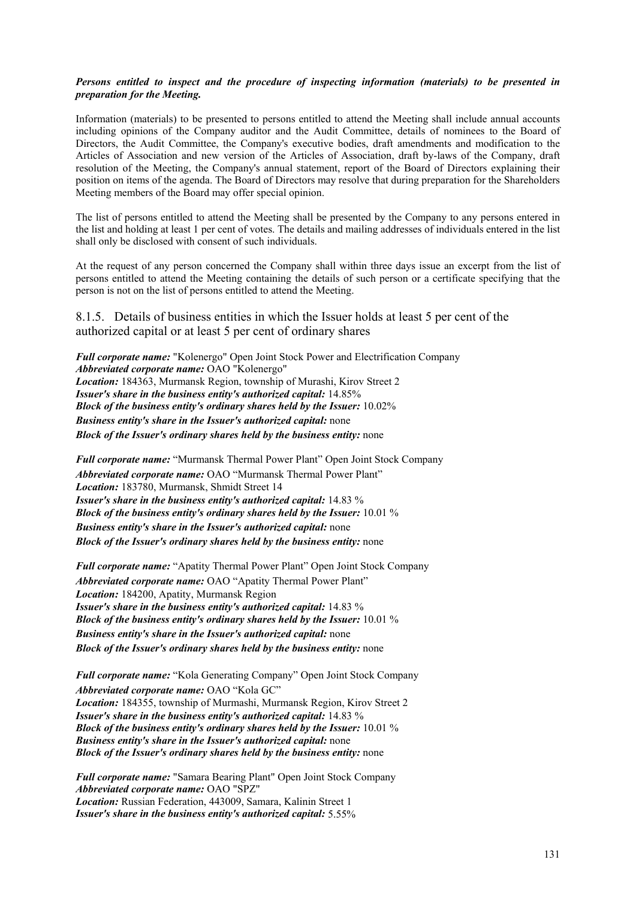#### *Persons entitled to inspect and the procedure of inspecting information (materials) to be presented in preparation for the Meeting.*

Information (materials) to be presented to persons entitled to attend the Meeting shall include annual accounts including opinions of the Company auditor and the Audit Committee, details of nominees to the Board of Directors, the Audit Committee, the Company's executive bodies, draft amendments and modification to the Articles of Association and new version of the Articles of Association, draft by-laws of the Company, draft resolution of the Meeting, the Company's annual statement, report of the Board of Directors explaining their position on items of the agenda. The Board of Directors may resolve that during preparation for the Shareholders Meeting members of the Board may offer special opinion.

The list of persons entitled to attend the Meeting shall be presented by the Company to any persons entered in the list and holding at least 1 per cent of votes. The details and mailing addresses of individuals entered in the list shall only be disclosed with consent of such individuals.

At the request of any person concerned the Company shall within three days issue an excerpt from the list of persons entitled to attend the Meeting containing the details of such person or a certificate specifying that the person is not on the list of persons entitled to attend the Meeting.

8.1.5. Details of business entities in which the Issuer holds at least 5 per cent of the authorized capital or at least 5 per cent of ordinary shares

*Full corporate name:* "Kolenergo" Open Joint Stock Power and Electrification Company *Abbreviated corporate name:* OAO "Kolenergo" *Location:* 184363, Murmansk Region, township of Murashi, Kirov Street 2 *Issuer's share in the business entity's authorized capital:* 14.85% *Block of the business entity's ordinary shares held by the Issuer:* 10.02% *Business entity's share in the Issuer's authorized capital:* none *Block of the Issuer's ordinary shares held by the business entity:* none

*Full corporate name:* "Murmansk Thermal Power Plant" Open Joint Stock Company *Abbreviated corporate name:* ОАО "Murmansk Thermal Power Plant" *Location:* 183780, Murmansk, Shmidt Street 14 *Issuer's share in the business entity's authorized capital:* 14.83 % *Block of the business entity's ordinary shares held by the Issuer:* 10.01 % *Business entity's share in the Issuer's authorized capital:* none *Block of the Issuer's ordinary shares held by the business entity:* none

*Full corporate name:* "Apatity Thermal Power Plant" Open Joint Stock Company *Abbreviated corporate name:* ОАО "Apatity Thermal Power Plant" *Location:* 184200, Apatity, Murmansk Region *Issuer's share in the business entity's authorized capital:* 14.83 % *Block of the business entity's ordinary shares held by the Issuer:* 10.01 % *Business entity's share in the Issuer's authorized capital:* none *Block of the Issuer's ordinary shares held by the business entity:* none

*Full corporate name:* "Kola Generating Company" Open Joint Stock Company *Abbreviated corporate name:* ОАО "Kola GC" *Location:* 184355, township of Murmashi, Murmansk Region, Kirov Street 2 *Issuer's share in the business entity's authorized capital:* 14.83 % *Block of the business entity's ordinary shares held by the Issuer:* 10.01 % *Business entity's share in the Issuer's authorized capital:* none *Block of the Issuer's ordinary shares held by the business entity:* none

*Full corporate name:* "Samara Bearing Plant" Open Joint Stock Company *Abbreviated corporate name:* OAO "SPZ" *Location:* Russian Federation, 443009, Samara, Kalinin Street 1 *Issuer's share in the business entity's authorized capital:* 5.55%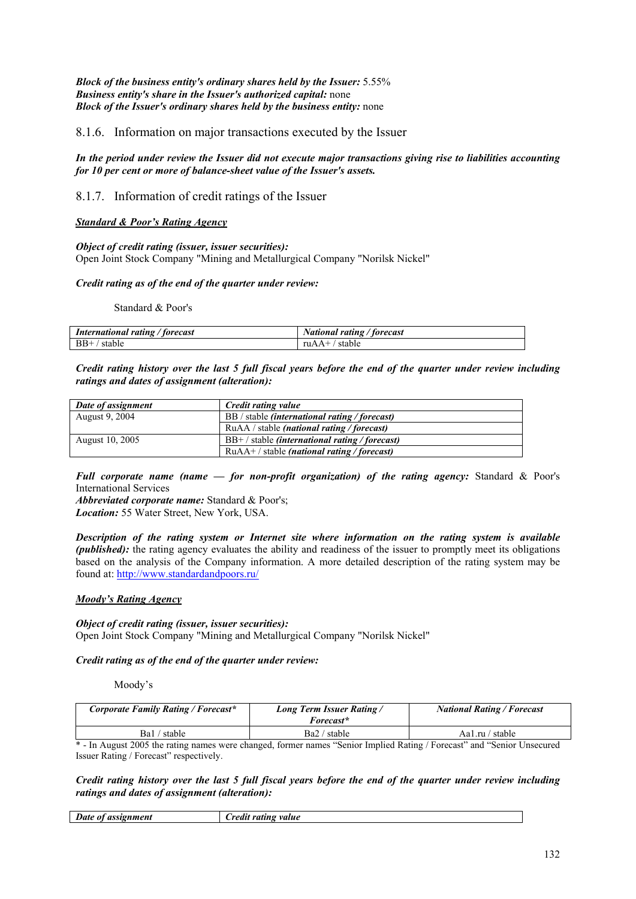*Block of the business entity's ordinary shares held by the Issuer:* 5.55% *Business entity's share in the Issuer's authorized capital:* none *Block of the Issuer's ordinary shares held by the business entity:* none

## 8.1.6. Information on major transactions executed by the Issuer

*In the period under review the Issuer did not execute major transactions giving rise to liabilities accounting for 10 per cent or more of balance-sheet value of the Issuer's assets.* 

8.1.7. Information of credit ratings of the Issuer

#### *Standard & Poor's Rating Agency*

#### *Object of credit rating (issuer, issuer securities):*

Open Joint Stock Company "Mining and Metallurgical Company "Norilsk Nickel"

#### *Credit rating as of the end of the quarter under review:*

Standard & Poor's

| International rating / forecast | National rating / forecast |
|---------------------------------|----------------------------|
| $BB+$                           | ruA.                       |
| stable                          | stable                     |

*Credit rating history over the last 5 full fiscal years before the end of the quarter under review including ratings and dates of assignment (alteration):* 

| Date of assignment | Credit rating value                                     |
|--------------------|---------------------------------------------------------|
| August 9, 2004     | BB / stable <i>(international rating / forecast)</i>    |
|                    | RuAA / stable <i>(national rating / forecast)</i>       |
| August 10, 2005    | $BB+$ / stable <i>(international rating / forecast)</i> |
|                    | $RuAA+$ / stable (national rating / forecast)           |

*Full corporate name (name — for non-profit organization) of the rating agency:* Standard & Poor's International Services

*Abbreviated corporate name:* Standard & Poor's; *Location:* 55 Water Street, New York, USA.

*Description of the rating system or Internet site where information on the rating system is available (published)*: the rating agency evaluates the ability and readiness of the issuer to promptly meet its obligations based on the analysis of the Company information. A more detailed description of the rating system may be found at: http://www.standardandpoors.ru/

#### *Moody's Rating Agency*

#### *Object of credit rating (issuer, issuer securities):*  Open Joint Stock Company "Mining and Metallurgical Company "Norilsk Nickel"

# *Credit rating as of the end of the quarter under review:*

Moody's

| Corporate Family Rating / Forecast* | <b>Long Term Issuer Rating/</b><br>Forecast* | <b>National Rating / Forecast</b> |
|-------------------------------------|----------------------------------------------|-----------------------------------|
| Ba1 / stable                        | Ba2 / stable                                 | Aa1.ru / stable                   |

\* - In August 2005 the rating names were changed, former names "Senior Implied Rating / Forecast" and "Senior Unsecured Issuer Rating / Forecast" respectively.

#### *Credit rating history over the last 5 full fiscal years before the end of the quarter under review including ratings and dates of assignment (alteration):*

| Date                  | value  |
|-----------------------|--------|
| assignment            | ratıng |
| $\boldsymbol{\theta}$ | redu   |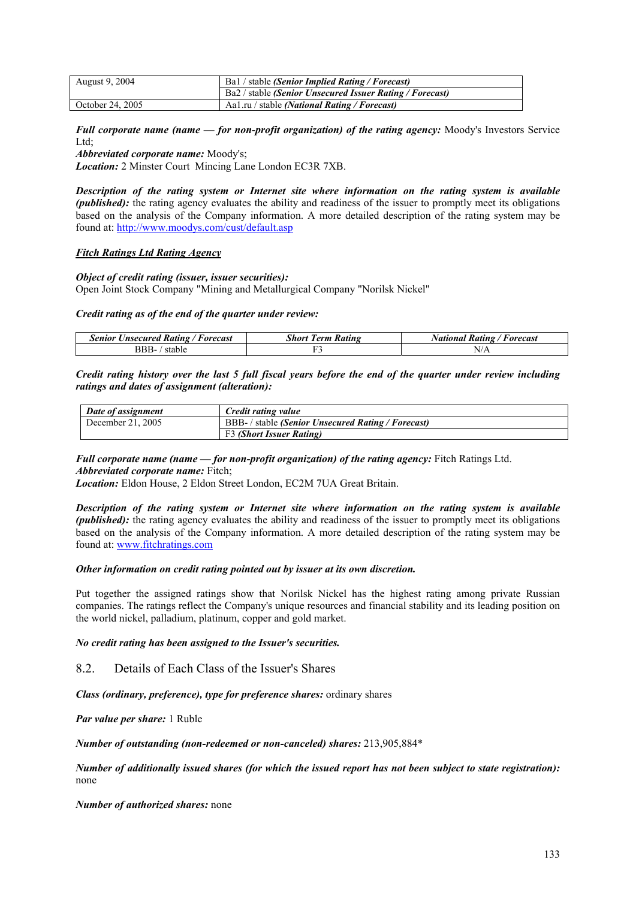| <b>August 9, 2004</b> | Bal / stable (Senior Implied Rating / Forecast)                 |  |
|-----------------------|-----------------------------------------------------------------|--|
|                       | Ba2 / stable <i>(Senior Unsecured Issuer Rating / Forecast)</i> |  |
| October 24, 2005      | Aa1.ru / stable <i>(National Rating / Forecast)</i>             |  |

*Full corporate name (name — for non-profit organization) of the rating agency:* Moody's Investors Service Ltd<sup>-</sup>

*Abbreviated corporate name:* Moody's;

*Location:* 2 Minster Court Mincing Lane London EC3R 7XB.

*Description of the rating system or Internet site where information on the rating system is available (published)*: the rating agency evaluates the ability and readiness of the issuer to promptly meet its obligations based on the analysis of the Company information. A more detailed description of the rating system may be found at: http://www.moodys.com/cust/default.asp

#### *Fitch Ratings Ltd Rating Agency*

#### *Object of credit rating (issuer, issuer securities):*

Open Joint Stock Company "Mining and Metallurgical Company "Norilsk Nickel"

#### *Credit rating as of the end of the quarter under review:*

| Senior Unsecured Rating / Forecast | <b>Short Term Rating</b> | National Rating /<br>/ Forecast |
|------------------------------------|--------------------------|---------------------------------|
| BBB-<br>stable                     |                          | N/A                             |

*Credit rating history over the last 5 full fiscal years before the end of the quarter under review including ratings and dates of assignment (alteration):* 

| Date of assignment | Credit rating value                                |
|--------------------|----------------------------------------------------|
| December 21, 2005  | BBB- / stable (Senior Unsecured Rating / Forecast) |
|                    | F3 (Short Issuer Rating)                           |

*Full corporate name (name — for non-profit organization) of the rating agency:* Fitch Ratings Ltd. *Abbreviated corporate name:* Fitch;

*Location:* Eldon House, 2 Eldon Street London, EC2M 7UA Great Britain.

*Description of the rating system or Internet site where information on the rating system is available (published)*: the rating agency evaluates the ability and readiness of the issuer to promptly meet its obligations based on the analysis of the Company information. A more detailed description of the rating system may be found at: www.fitchratings.com

#### *Other information on credit rating pointed out by issuer at its own discretion.*

Put together the assigned ratings show that Norilsk Nickel has the highest rating among private Russian companies. The ratings reflect the Company's unique resources and financial stability and its leading position on the world nickel, palladium, platinum, copper and gold market.

*No credit rating has been assigned to the Issuer's securities.* 

8.2. Details of Each Class of the Issuer's Shares

*Class (ordinary, preference), type for preference shares:* ordinary shares

*Par value per share:* 1 Ruble

*Number of outstanding (non-redeemed or non-canceled) shares:* 213,905,884\*

*Number of additionally issued shares (for which the issued report has not been subject to state registration):*  none

*Number of authorized shares:* none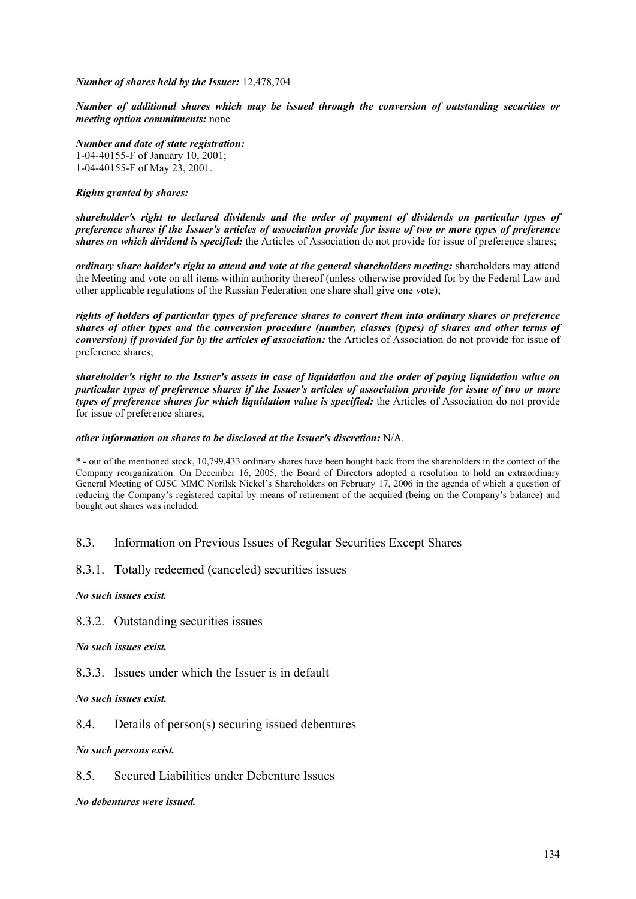*Number of shares held by the Issuer:* 12,478,704

*Number of additional shares which may be issued through the conversion of outstanding securities or meeting option commitments:* none

*Number and date of state registration:*  1-04-40155-F of January 10, 2001; 1-04-40155-F of May 23, 2001.

## *Rights granted by shares:*

*shareholder's right to declared dividends and the order of payment of dividends on particular types of preference shares if the Issuer's articles of association provide for issue of two or more types of preference shares on which dividend is specified:* the Articles of Association do not provide for issue of preference shares;

*ordinary share holder's right to attend and vote at the general shareholders meeting:* shareholders may attend the Meeting and vote on all items within authority thereof (unless otherwise provided for by the Federal Law and other applicable regulations of the Russian Federation one share shall give one vote);

*rights of holders of particular types of preference shares to convert them into ordinary shares or preference shares of other types and the conversion procedure (number, classes (types) of shares and other terms of conversion) if provided for by the articles of association:* the Articles of Association do not provide for issue of preference shares;

*shareholder's right to the Issuer's assets in case of liquidation and the order of paying liquidation value on particular types of preference shares if the Issuer's articles of association provide for issue of two or more types of preference shares for which liquidation value is specified: the Articles of Association do not provide* for issue of preference shares;

#### *other information on shares to be disclosed at the Issuer's discretion:* N/A.

\* - out of the mentioned stock, 10,799,433 ordinary shares have been bought back from the shareholders in the context of the Company reorganization. On December 16, 2005, the Board of Directors adopted a resolution to hold an extraordinary General Meeting of OJSC MMC Norilsk Nickel's Shareholders on February 17, 2006 in the agenda of which a question of reducing the Company's registered capital by means of retirement of the acquired (being on the Company's balance) and bought out shares was included.

## 8.3. Information on Previous Issues of Regular Securities Except Shares

8.3.1. Totally redeemed (canceled) securities issues

*No such issues exist.* 

8.3.2. Outstanding securities issues

*No such issues exist.* 

8.3.3. Issues under which the Issuer is in default

*No such issues exist.* 

8.4. Details of person(s) securing issued debentures

*No such persons exist.* 

8.5. Secured Liabilities under Debenture Issues

*No debentures were issued.*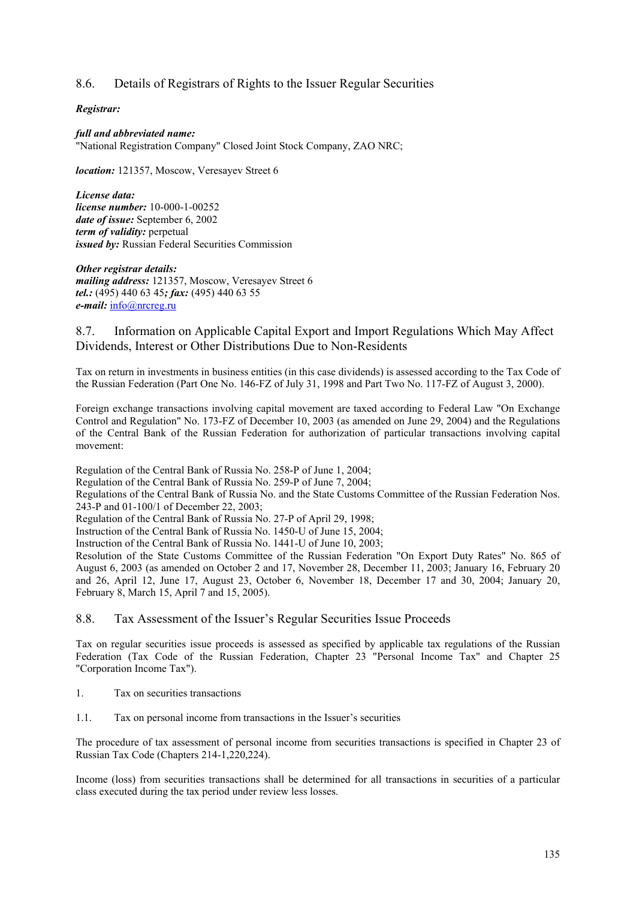# 8.6. Details of Registrars of Rights to the Issuer Regular Securities

## *Registrar:*

*full and abbreviated name:*  "National Registration Company" Closed Joint Stock Company, ZAO NRC;

*location:* 121357, Moscow, Veresayev Street 6

*License data: license number:* 10-000-1-00252 *date of issue:* September 6, 2002 *term of validity:* perpetual *issued by:* Russian Federal Securities Commission

*Other registrar details: mailing address:* 121357, Moscow, Veresayev Street 6 *tel.:* (495) 440 63 45*; fax:* (495) 440 63 55 *e-mail:* info@nrcreg.ru

## 8.7. Information on Applicable Capital Export and Import Regulations Which May Affect Dividends, Interest or Other Distributions Due to Non-Residents

Tax on return in investments in business entities (in this case dividends) is assessed according to the Tax Code of the Russian Federation (Part One No. 146-FZ of July 31, 1998 and Part Two No. 117-FZ of August 3, 2000).

Foreign exchange transactions involving capital movement are taxed according to Federal Law "On Exchange Control and Regulation" No. 173-FZ of December 10, 2003 (as amended on June 29, 2004) and the Regulations of the Central Bank of the Russian Federation for authorization of particular transactions involving capital movement:

Regulation of the Central Bank of Russia No. 258-P of June 1, 2004;

Regulation of the Central Bank of Russia No. 259-P of June 7, 2004;

Regulations of the Central Bank of Russia No. and the State Customs Committee of the Russian Federation Nos. 243-P and 01-100/1 of December 22, 2003;

Regulation of the Central Bank of Russia No. 27-P of April 29, 1998;

Instruction of the Central Bank of Russia No. 1450-U of June 15, 2004;

Instruction of the Central Bank of Russia No. 1441-U of June 10, 2003;

Resolution of the State Customs Committee of the Russian Federation "On Export Duty Rates" No. 865 of August 6, 2003 (as amended on October 2 and 17, November 28, December 11, 2003; January 16, February 20 and 26, April 12, June 17, August 23, October 6, November 18, December 17 and 30, 2004; January 20, February 8, March 15, April 7 and 15, 2005).

#### 8.8. Tax Assessment of the Issuer's Regular Securities Issue Proceeds

Tax on regular securities issue proceeds is assessed as specified by applicable tax regulations of the Russian Federation (Tax Code of the Russian Federation, Chapter 23 "Personal Income Tax" and Chapter 25 "Corporation Income Tax").

- 1. Tax on securities transactions
- 1.1. Tax on personal income from transactions in the Issuer's securities

The procedure of tax assessment of personal income from securities transactions is specified in Chapter 23 of Russian Tax Code (Chapters 214-1,220,224).

Income (loss) from securities transactions shall be determined for all transactions in securities of a particular class executed during the tax period under review less losses.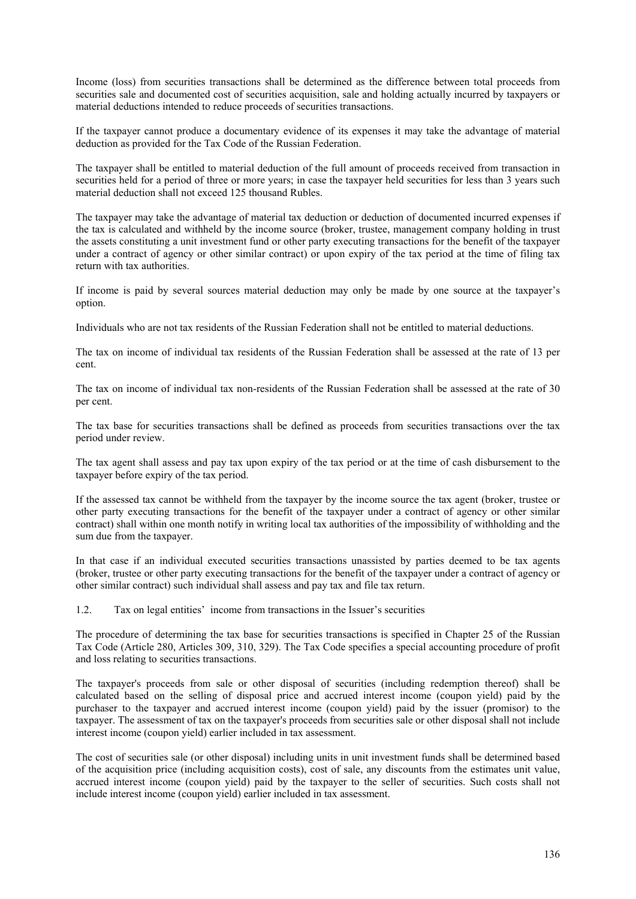Income (loss) from securities transactions shall be determined as the difference between total proceeds from securities sale and documented cost of securities acquisition, sale and holding actually incurred by taxpayers or material deductions intended to reduce proceeds of securities transactions.

If the taxpayer cannot produce a documentary evidence of its expenses it may take the advantage of material deduction as provided for the Tax Code of the Russian Federation.

The taxpayer shall be entitled to material deduction of the full amount of proceeds received from transaction in securities held for a period of three or more years; in case the taxpayer held securities for less than 3 years such material deduction shall not exceed 125 thousand Rubles.

The taxpayer may take the advantage of material tax deduction or deduction of documented incurred expenses if the tax is calculated and withheld by the income source (broker, trustee, management company holding in trust the assets constituting a unit investment fund or other party executing transactions for the benefit of the taxpayer under a contract of agency or other similar contract) or upon expiry of the tax period at the time of filing tax return with tax authorities.

If income is paid by several sources material deduction may only be made by one source at the taxpayer's option.

Individuals who are not tax residents of the Russian Federation shall not be entitled to material deductions.

The tax on income of individual tax residents of the Russian Federation shall be assessed at the rate of 13 per cent.

The tax on income of individual tax non-residents of the Russian Federation shall be assessed at the rate of 30 per cent.

The tax base for securities transactions shall be defined as proceeds from securities transactions over the tax period under review.

The tax agent shall assess and pay tax upon expiry of the tax period or at the time of cash disbursement to the taxpayer before expiry of the tax period.

If the assessed tax cannot be withheld from the taxpayer by the income source the tax agent (broker, trustee or other party executing transactions for the benefit of the taxpayer under a contract of agency or other similar contract) shall within one month notify in writing local tax authorities of the impossibility of withholding and the sum due from the taxpayer.

In that case if an individual executed securities transactions unassisted by parties deemed to be tax agents (broker, trustee or other party executing transactions for the benefit of the taxpayer under a contract of agency or other similar contract) such individual shall assess and pay tax and file tax return.

1.2. Tax on legal entities' income from transactions in the Issuer's securities

The procedure of determining the tax base for securities transactions is specified in Chapter 25 of the Russian Tax Code (Article 280, Articles 309, 310, 329). The Tax Code specifies a special accounting procedure of profit and loss relating to securities transactions.

The taxpayer's proceeds from sale or other disposal of securities (including redemption thereof) shall be calculated based on the selling of disposal price and accrued interest income (coupon yield) paid by the purchaser to the taxpayer and accrued interest income (coupon yield) paid by the issuer (promisor) to the taxpayer. The assessment of tax on the taxpayer's proceeds from securities sale or other disposal shall not include interest income (coupon yield) earlier included in tax assessment.

The cost of securities sale (or other disposal) including units in unit investment funds shall be determined based of the acquisition price (including acquisition costs), cost of sale, any discounts from the estimates unit value, accrued interest income (coupon yield) paid by the taxpayer to the seller of securities. Such costs shall not include interest income (coupon yield) earlier included in tax assessment.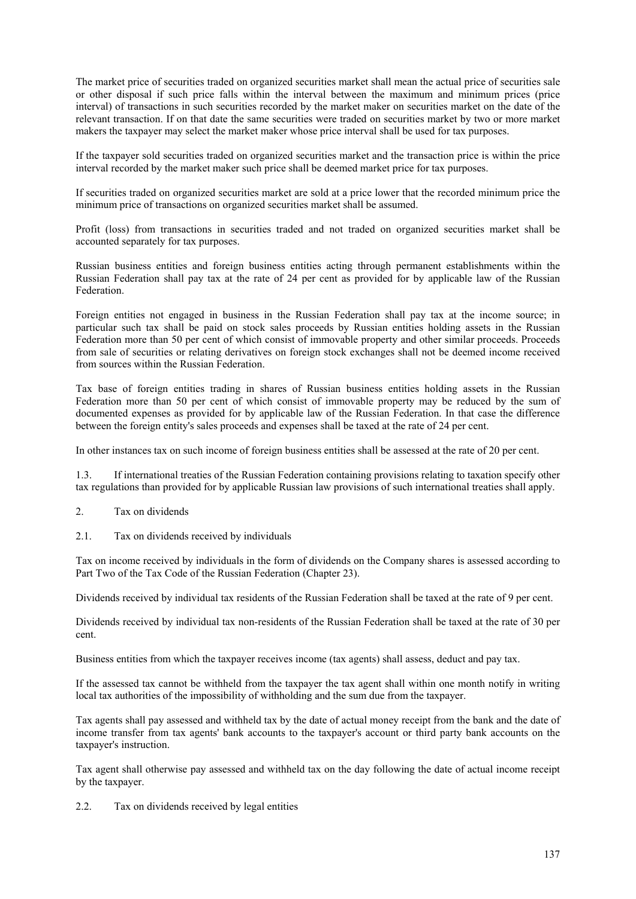The market price of securities traded on organized securities market shall mean the actual price of securities sale or other disposal if such price falls within the interval between the maximum and minimum prices (price interval) of transactions in such securities recorded by the market maker on securities market on the date of the relevant transaction. If on that date the same securities were traded on securities market by two or more market makers the taxpayer may select the market maker whose price interval shall be used for tax purposes.

If the taxpayer sold securities traded on organized securities market and the transaction price is within the price interval recorded by the market maker such price shall be deemed market price for tax purposes.

If securities traded on organized securities market are sold at a price lower that the recorded minimum price the minimum price of transactions on organized securities market shall be assumed.

Profit (loss) from transactions in securities traded and not traded on organized securities market shall be accounted separately for tax purposes.

Russian business entities and foreign business entities acting through permanent establishments within the Russian Federation shall pay tax at the rate of 24 per cent as provided for by applicable law of the Russian Federation.

Foreign entities not engaged in business in the Russian Federation shall pay tax at the income source; in particular such tax shall be paid on stock sales proceeds by Russian entities holding assets in the Russian Federation more than 50 per cent of which consist of immovable property and other similar proceeds. Proceeds from sale of securities or relating derivatives on foreign stock exchanges shall not be deemed income received from sources within the Russian Federation.

Tax base of foreign entities trading in shares of Russian business entities holding assets in the Russian Federation more than 50 per cent of which consist of immovable property may be reduced by the sum of documented expenses as provided for by applicable law of the Russian Federation. In that case the difference between the foreign entity's sales proceeds and expenses shall be taxed at the rate of 24 per cent.

In other instances tax on such income of foreign business entities shall be assessed at the rate of 20 per cent.

1.3. If international treaties of the Russian Federation containing provisions relating to taxation specify other tax regulations than provided for by applicable Russian law provisions of such international treaties shall apply.

- 2. Tax on dividends
- 2.1. Tax on dividends received by individuals

Tax on income received by individuals in the form of dividends on the Company shares is assessed according to Part Two of the Tax Code of the Russian Federation (Chapter 23).

Dividends received by individual tax residents of the Russian Federation shall be taxed at the rate of 9 per cent.

Dividends received by individual tax non-residents of the Russian Federation shall be taxed at the rate of 30 per cent.

Business entities from which the taxpayer receives income (tax agents) shall assess, deduct and pay tax.

If the assessed tax cannot be withheld from the taxpayer the tax agent shall within one month notify in writing local tax authorities of the impossibility of withholding and the sum due from the taxpayer.

Tax agents shall pay assessed and withheld tax by the date of actual money receipt from the bank and the date of income transfer from tax agents' bank accounts to the taxpayer's account or third party bank accounts on the taxpayer's instruction.

Tax agent shall otherwise pay assessed and withheld tax on the day following the date of actual income receipt by the taxpayer.

2.2. Tax on dividends received by legal entities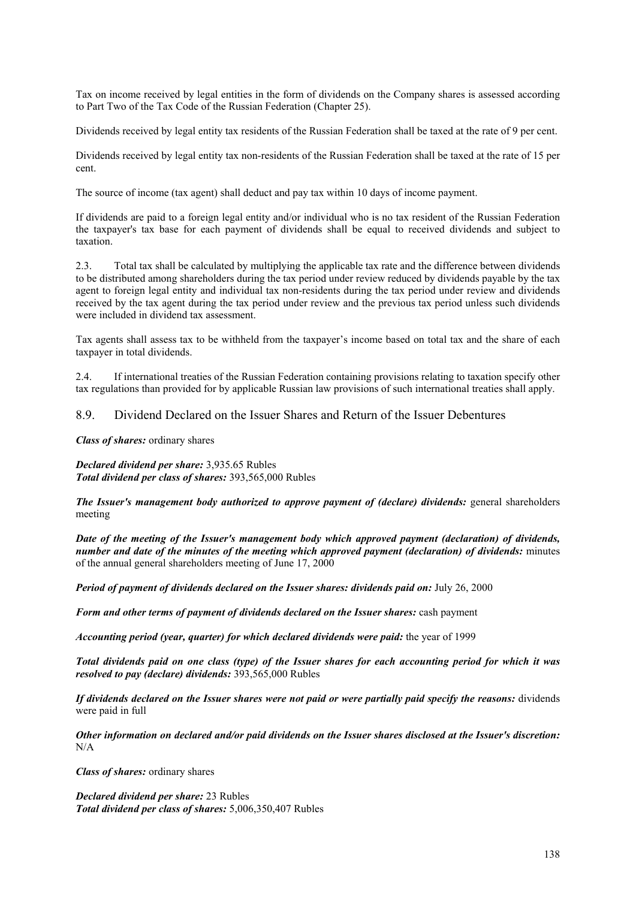Tax on income received by legal entities in the form of dividends on the Company shares is assessed according to Part Two of the Tax Code of the Russian Federation (Chapter 25).

Dividends received by legal entity tax residents of the Russian Federation shall be taxed at the rate of 9 per cent.

Dividends received by legal entity tax non-residents of the Russian Federation shall be taxed at the rate of 15 per cent.

The source of income (tax agent) shall deduct and pay tax within 10 days of income payment.

If dividends are paid to a foreign legal entity and/or individual who is no tax resident of the Russian Federation the taxpayer's tax base for each payment of dividends shall be equal to received dividends and subject to taxation.

2.3. Total tax shall be calculated by multiplying the applicable tax rate and the difference between dividends to be distributed among shareholders during the tax period under review reduced by dividends payable by the tax agent to foreign legal entity and individual tax non-residents during the tax period under review and dividends received by the tax agent during the tax period under review and the previous tax period unless such dividends were included in dividend tax assessment.

Tax agents shall assess tax to be withheld from the taxpayer's income based on total tax and the share of each taxpayer in total dividends.

2.4. If international treaties of the Russian Federation containing provisions relating to taxation specify other tax regulations than provided for by applicable Russian law provisions of such international treaties shall apply.

## 8.9. Dividend Declared on the Issuer Shares and Return of the Issuer Debentures

*Class of shares:* ordinary shares

*Declared dividend per share:* 3,935.65 Rubles *Total dividend per class of shares:* 393,565,000 Rubles

*The Issuer's management body authorized to approve payment of (declare) dividends: general shareholders* meeting

*Date of the meeting of the Issuer's management body which approved payment (declaration) of dividends, number and date of the minutes of the meeting which approved payment (declaration) of dividends:* minutes of the annual general shareholders meeting of June 17, 2000

*Period of payment of dividends declared on the Issuer shares: dividends paid on:* July 26, 2000

*Form and other terms of payment of dividends declared on the Issuer shares:* cash payment

*Accounting period (year, quarter) for which declared dividends were paid:* the year of 1999

*Total dividends paid on one class (type) of the Issuer shares for each accounting period for which it was resolved to pay (declare) dividends:* 393,565,000 Rubles

*If dividends declared on the Issuer shares were not paid or were partially paid specify the reasons:* dividends were paid in full

*Other information on declared and/or paid dividends on the Issuer shares disclosed at the Issuer's discretion:*  N/A

*Class of shares:* ordinary shares

*Declared dividend per share:* 23 Rubles *Total dividend per class of shares:* 5,006,350,407 Rubles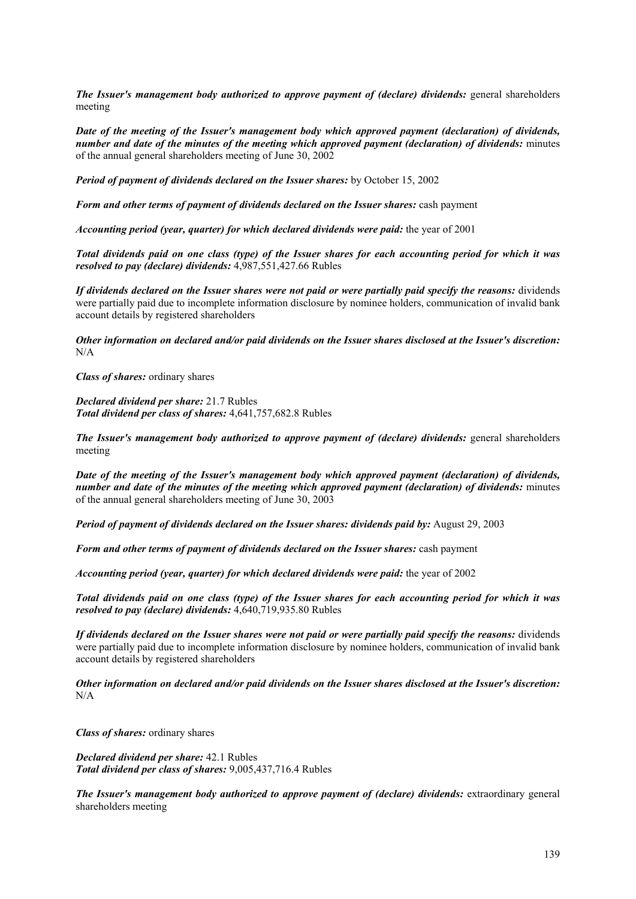*The Issuer's management body authorized to approve payment of (declare) dividends: general shareholders* meeting

*Date of the meeting of the Issuer's management body which approved payment (declaration) of dividends, number and date of the minutes of the meeting which approved payment (declaration) of dividends:* minutes of the annual general shareholders meeting of June 30, 2002

*Period of payment of dividends declared on the Issuer shares:* by October 15, 2002

*Form and other terms of payment of dividends declared on the Issuer shares:* cash payment

*Accounting period (year, quarter) for which declared dividends were paid:* the year of 2001

*Total dividends paid on one class (type) of the Issuer shares for each accounting period for which it was resolved to pay (declare) dividends:* 4,987,551,427.66 Rubles

*If dividends declared on the Issuer shares were not paid or were partially paid specify the reasons:* dividends were partially paid due to incomplete information disclosure by nominee holders, communication of invalid bank account details by registered shareholders

*Other information on declared and/or paid dividends on the Issuer shares disclosed at the Issuer's discretion:*   $N/A$ 

*Class of shares:* ordinary shares

*Declared dividend per share:* 21.7 Rubles *Total dividend per class of shares:* 4,641,757,682.8 Rubles

*The Issuer's management body authorized to approve payment of (declare) dividends: general shareholders* meeting

*Date of the meeting of the Issuer's management body which approved payment (declaration) of dividends, number and date of the minutes of the meeting which approved payment (declaration) of dividends:* minutes of the annual general shareholders meeting of June 30, 2003

*Period of payment of dividends declared on the Issuer shares: dividends paid by:* August 29, 2003

*Form and other terms of payment of dividends declared on the Issuer shares:* cash payment

*Accounting period (year, quarter) for which declared dividends were paid:* the year of 2002

*Total dividends paid on one class (type) of the Issuer shares for each accounting period for which it was resolved to pay (declare) dividends:* 4,640,719,935.80 Rubles

*If dividends declared on the Issuer shares were not paid or were partially paid specify the reasons:* dividends were partially paid due to incomplete information disclosure by nominee holders, communication of invalid bank account details by registered shareholders

*Other information on declared and/or paid dividends on the Issuer shares disclosed at the Issuer's discretion:*  N/A

*Class of shares:* ordinary shares

*Declared dividend per share:* 42.1 Rubles *Total dividend per class of shares:* 9,005,437,716.4 Rubles

*The Issuer's management body authorized to approve payment of (declare) dividends: extraordinary general* shareholders meeting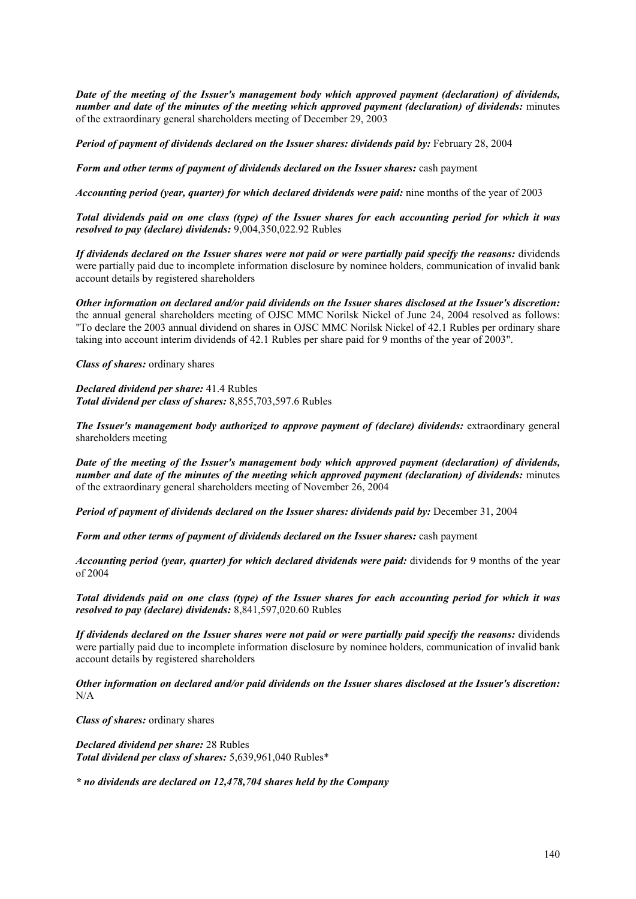*Date of the meeting of the Issuer's management body which approved payment (declaration) of dividends, number and date of the minutes of the meeting which approved payment (declaration) of dividends:* minutes of the extraordinary general shareholders meeting of December 29, 2003

*Period of payment of dividends declared on the Issuer shares: dividends paid by: February 28, 2004* 

*Form and other terms of payment of dividends declared on the Issuer shares:* cash payment

*Accounting period (year, quarter) for which declared dividends were paid:* nine months of the year of 2003

*Total dividends paid on one class (type) of the Issuer shares for each accounting period for which it was resolved to pay (declare) dividends:* 9,004,350,022.92 Rubles

*If dividends declared on the Issuer shares were not paid or were partially paid specify the reasons:* dividends were partially paid due to incomplete information disclosure by nominee holders, communication of invalid bank account details by registered shareholders

*Other information on declared and/or paid dividends on the Issuer shares disclosed at the Issuer's discretion:*  the annual general shareholders meeting of OJSC MMC Norilsk Nickel of June 24, 2004 resolved as follows: "To declare the 2003 annual dividend on shares in OJSC MMC Norilsk Nickel of 42.1 Rubles per ordinary share taking into account interim dividends of 42.1 Rubles per share paid for 9 months of the year of 2003".

*Class of shares:* ordinary shares

*Declared dividend per share:* 41.4 Rubles *Total dividend per class of shares:* 8,855,703,597.6 Rubles

*The Issuer's management body authorized to approve payment of (declare) dividends: extraordinary general* shareholders meeting

*Date of the meeting of the Issuer's management body which approved payment (declaration) of dividends, number and date of the minutes of the meeting which approved payment (declaration) of dividends:* minutes of the extraordinary general shareholders meeting of November 26, 2004

*Period of payment of dividends declared on the Issuer shares: dividends paid by: December 31, 2004* 

*Form and other terms of payment of dividends declared on the Issuer shares:* cash payment

*Accounting period (year, quarter) for which declared dividends were paid: dividends for 9 months of the year* of 2004

*Total dividends paid on one class (type) of the Issuer shares for each accounting period for which it was resolved to pay (declare) dividends:* 8,841,597,020.60 Rubles

*If dividends declared on the Issuer shares were not paid or were partially paid specify the reasons:* dividends were partially paid due to incomplete information disclosure by nominee holders, communication of invalid bank account details by registered shareholders

*Other information on declared and/or paid dividends on the Issuer shares disclosed at the Issuer's discretion:*  N/A

*Class of shares:* ordinary shares

*Declared dividend per share:* 28 Rubles *Total dividend per class of shares:* 5,639,961,040 Rubles\*

*\* no dividends are declared on 12,478,704 shares held by the Company*